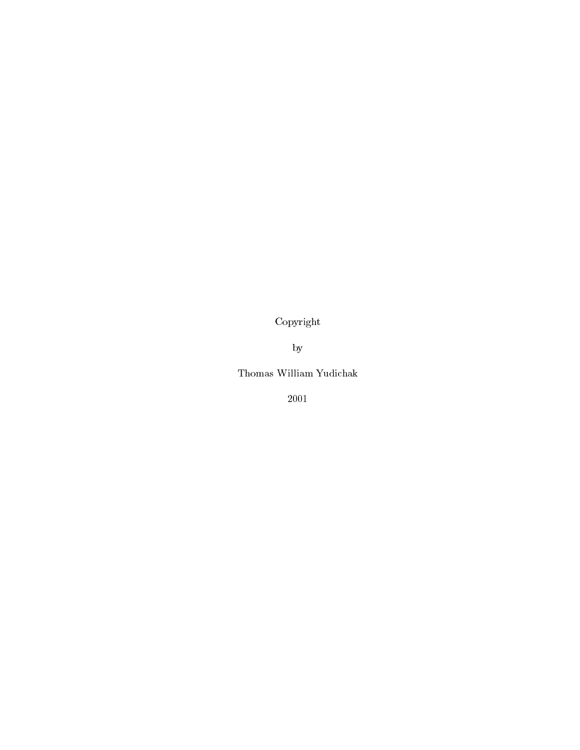Copyright

by

Thomas William Yudichak

2001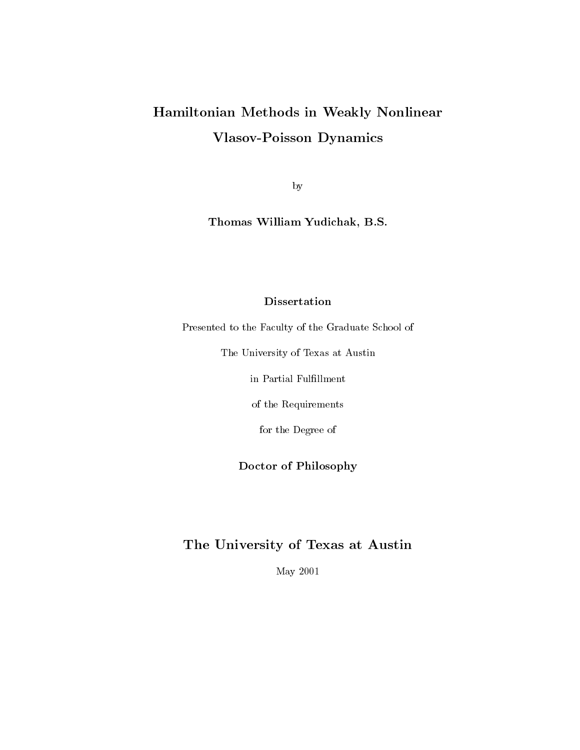## Hamiltonian Methods in Weakly Nonlinear Vlasov-Poisson Dynamics

by

Thomas William Yudichak, B.S.

### Dissertation

Presented to the Faculty of the Graduate School of

The University of Texas at Austin

in Partial Fulfillment

of the Requirements

for the Degree of

### Doctor of Philosophy

## The University of Texas at Austin

May 2001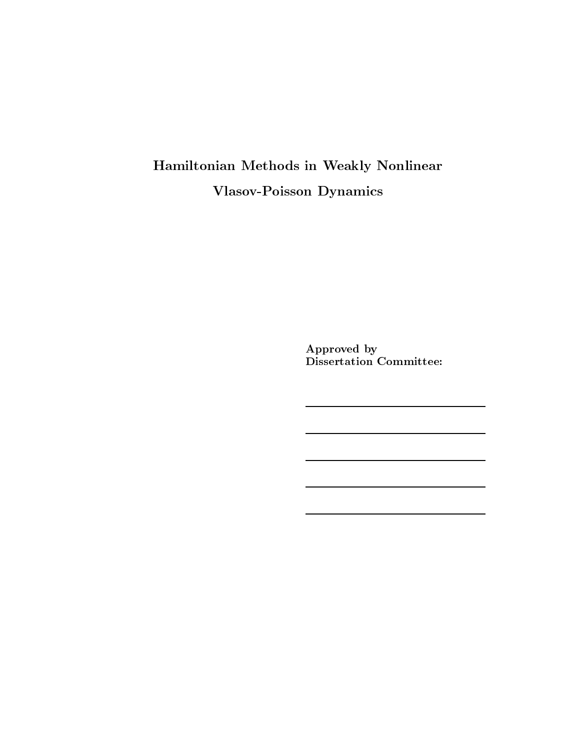## Hamiltonian Methods in Weakly Nonlinear Vlasov-Poisson Dynamics

Approved by Dissertation Committee: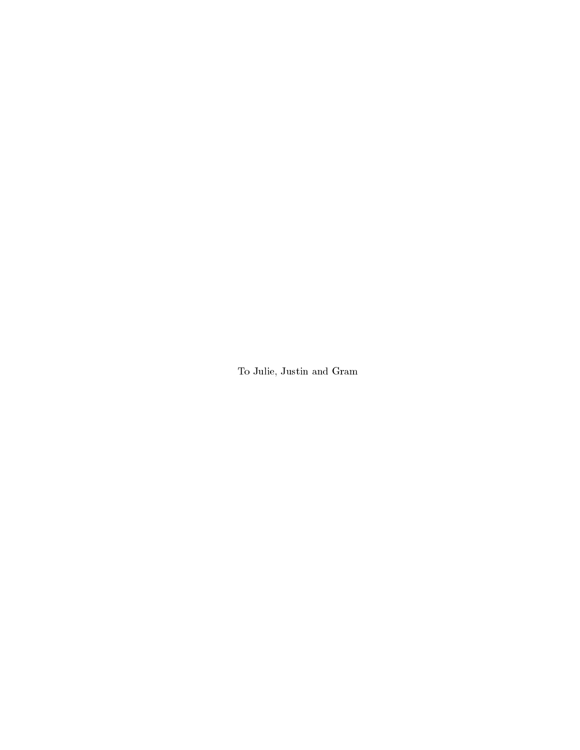To Julie, Justin and Gram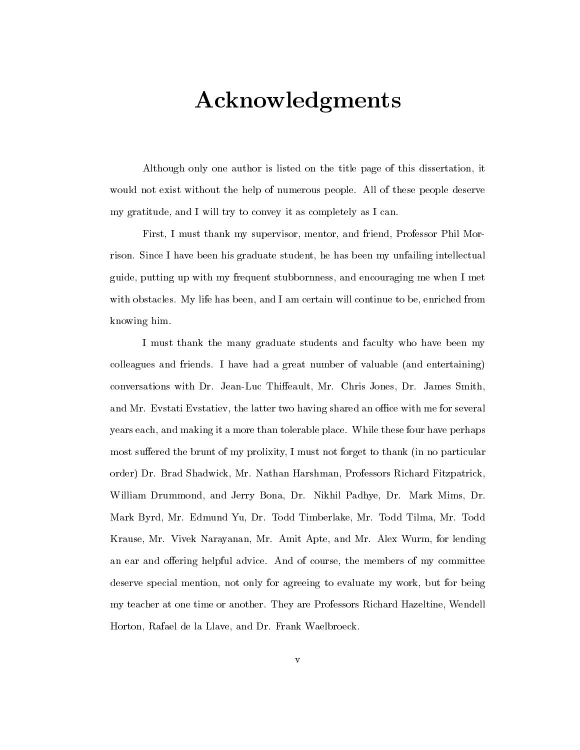# Acknowledgments

Although only one author is listed on the title page of this dissertation, it would not exist without the help of numerous people. All of these people deserve my gratitude, and I will try to convey it as completely as I can.

First, I must thank my supervisor, mentor, and friend, Professor Phil Morrison. Since I have been his graduate student, he has been my unfailing intellectual guide, putting up with my frequent stubbornness, and encouraging me when I met with obstacles. My life has been, and I am certain will continue to be, enriched from knowing him.

I must thank the many graduate students and faculty who have been my colleagues and friends. I have had a great number of valuable (and entertaining) conversations with Dr. Jean-Luc Thieault, Mr. Chris Jones, Dr. James Smith, and Mr. Evstati Evstatiev, the latter two having shared an office with me for several years each, and making it a more than tolerable place. While these four have perhaps most suffered the brunt of my prolixity, I must not forget to thank (in no particular order) Dr. Brad Shadwick, Mr. Nathan Harshman, Professors Richard Fitzpatrick, William Drummond, and Jerry Bona, Dr. Nikhil Padhye, Dr. Mark Mims, Dr. Mark Byrd, Mr. Edmund Yu, Dr. Todd Timberlake, Mr. Todd Tilma, Mr. Todd Krause, Mr. Vivek Narayanan, Mr. Amit Apte, and Mr. Alex Wurm, for lending an ear and offering helpful advice. And of course, the members of my committee deserve special mention, not only for agreeing to evaluate my work, but for being my teacher at one time or another. They are Professors Richard Hazeltine, Wendell Horton, Rafael de la Llave, and Dr. Frank Waelbroeck.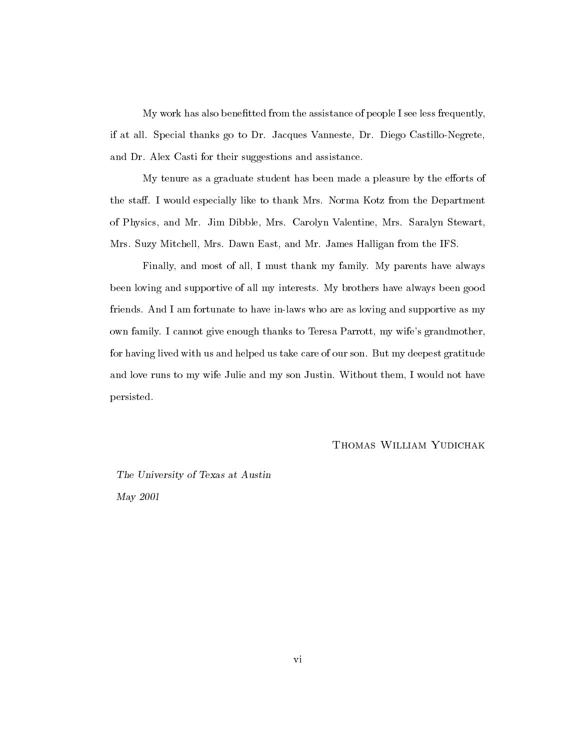My work has also benetted from the assistance of people I see less frequently, if at all. Special thanks go to Dr. Jacques Vanneste, Dr. Diego Castillo-Negrete, and Dr. Alex Casti for their suggestions and assistance.

My tenure as a graduate student has been made a pleasure by the efforts of the staff. I would especially like to thank Mrs. Norma Kotz from the Department of Physics, and Mr. Jim Dibble, Mrs. Carolyn Valentine, Mrs. Saralyn Stewart, Mrs. Suzy Mitchell, Mrs. Dawn East, and Mr. James Halligan from the IFS.

Finally, and most of all, I must thank my family. My parents have always been loving and supportive of all my interests. My brothers have always been good friends. And I am fortunate to have in-laws who are as loving and supportive as my own family. I cannot give enough thanks to Teresa Parrott, my wife's grandmother, for having lived with us and helped us take care of our son. But my deepest gratitude and love runs to my wife Julie and my son Justin. Without them, I would not have persisted.

Thomas William Yudichak

The University of Texas at Austin May 2001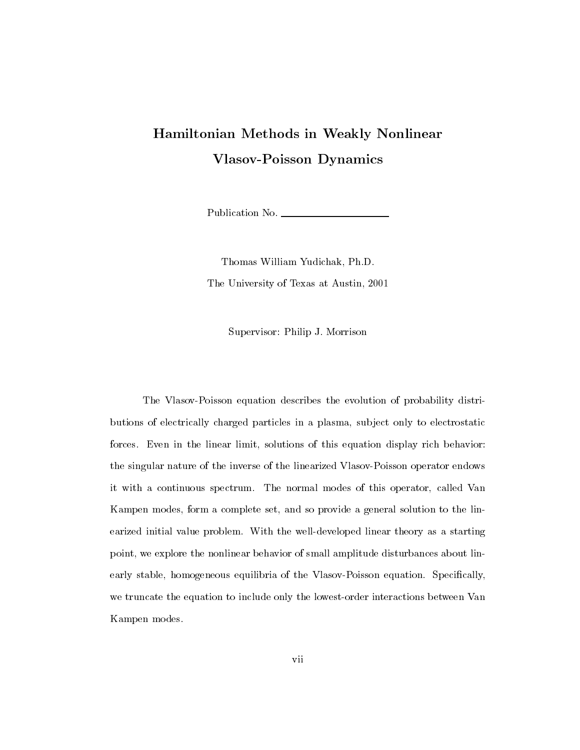## Hamiltonian Methods in Weakly Nonlinear Vlasov-Poisson Dynamics

Publication No.

Thomas William Yudichak, Ph.D. The University of Texas at Austin, 2001

Supervisor: Philip J. Morrison

The Vlasov-Poisson equation describes the evolution of probability distributions of electrically charged particles in a plasma, sub ject only to electrostatic forces. Even in the linear limit, solutions of this equation display rich behavior: the singular nature of the inverse of the linearized Vlasov-Poisson operator endows it with a continuous spectrum. The normal modes of this operator, called Van Kampen modes, form a complete set, and so provide a general solution to the linearized initial value problem. With the well-developed linear theory as a starting point, we explore the nonlinear behavior of small amplitude disturbances about linearly stable, homogeneous equilibria of the Vlasov-Poisson equation. Specically, we truncate the equation to include only the lowest-order interactions between Van Kampen modes.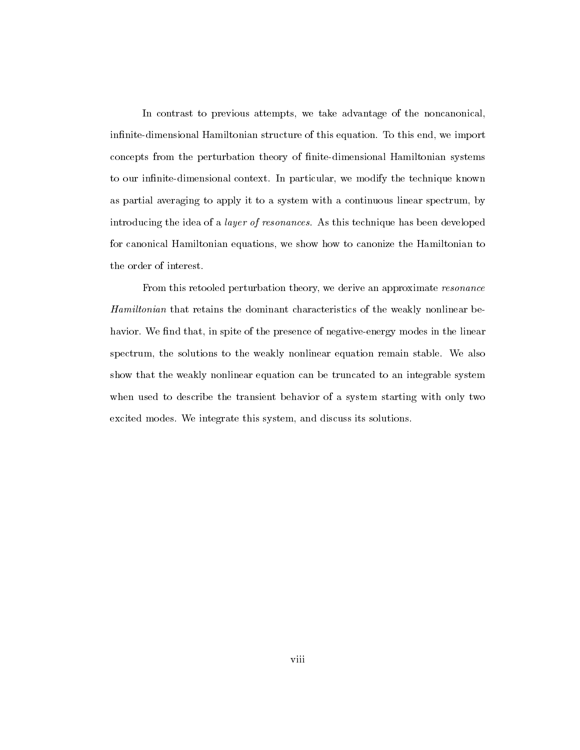In contrast to previous attempts, we take advantage of the noncanonical, infinite-dimensional Hamiltonian structure of this equation. To this end, we import concepts from the perturbation theory of nite-dimensional Hamiltonian systems to our infinite-dimensional context. In particular, we modify the technique known as partial averaging to apply it to a system with a continuous linear spectrum, by introducing the idea of a layer of resonances. As this technique has been developed for canonical Hamiltonian equations, we show how to canonize the Hamiltonian to the order of interest.

From this retooled perturbation theory, we derive an approximate resonance Hamiltonian that retains the dominant characteristics of the weakly nonlinear behavior. We find that, in spite of the presence of negative-energy modes in the linear spectrum, the solutions to the weakly nonlinear equation remain stable. We also show that the weakly nonlinear equation can be truncated to an integrable system when used to describe the transient behavior of a system starting with only two excited modes. We integrate this system, and discuss its solutions.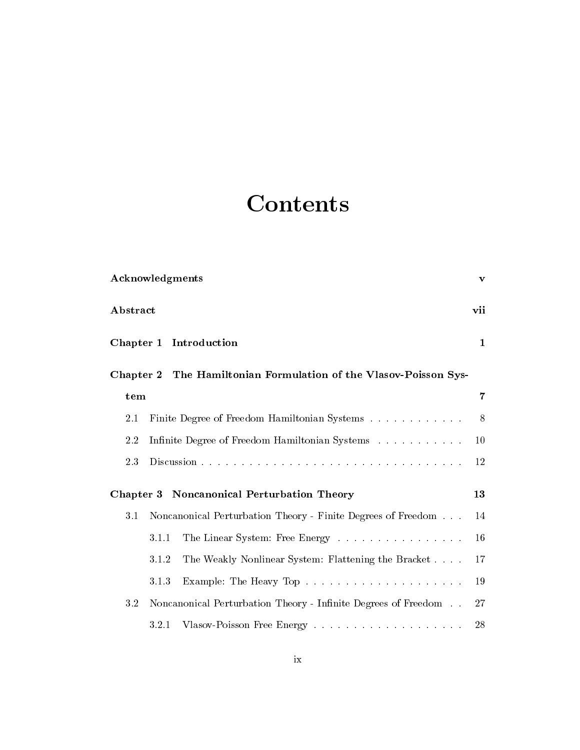# **Contents**

| Acknowledgments  |                                                  |                                                                  |                |  |  |
|------------------|--------------------------------------------------|------------------------------------------------------------------|----------------|--|--|
| ${\bf Abstract}$ |                                                  |                                                                  |                |  |  |
|                  | Chapter 1 Introduction                           |                                                                  |                |  |  |
|                  |                                                  | Chapter 2 The Hamiltonian Formulation of the Vlasov-Poisson Sys- |                |  |  |
| tem              |                                                  |                                                                  | $\overline{7}$ |  |  |
| 2.1              |                                                  | Finite Degree of Freedom Hamiltonian Systems                     | 8              |  |  |
| 2.2              |                                                  | Infinite Degree of Freedom Hamiltonian Systems                   | 10             |  |  |
| 2.3              |                                                  |                                                                  | 12             |  |  |
|                  | Chapter 3 Noncanonical Perturbation Theory<br>13 |                                                                  |                |  |  |
| 3.1              |                                                  | Noncanonical Perturbation Theory - Finite Degrees of Freedom     | 14             |  |  |
|                  | 3.1.1                                            | The Linear System: Free Energy                                   | 16             |  |  |
|                  | 3.1.2                                            | The Weakly Nonlinear System: Flattening the Bracket              | 17             |  |  |
|                  | 3.1.3                                            |                                                                  | 19             |  |  |
| 3.2              |                                                  | Noncanonical Perturbation Theory - Infinite Degrees of Freedom   | 27             |  |  |
|                  | 3.2.1                                            |                                                                  | 28             |  |  |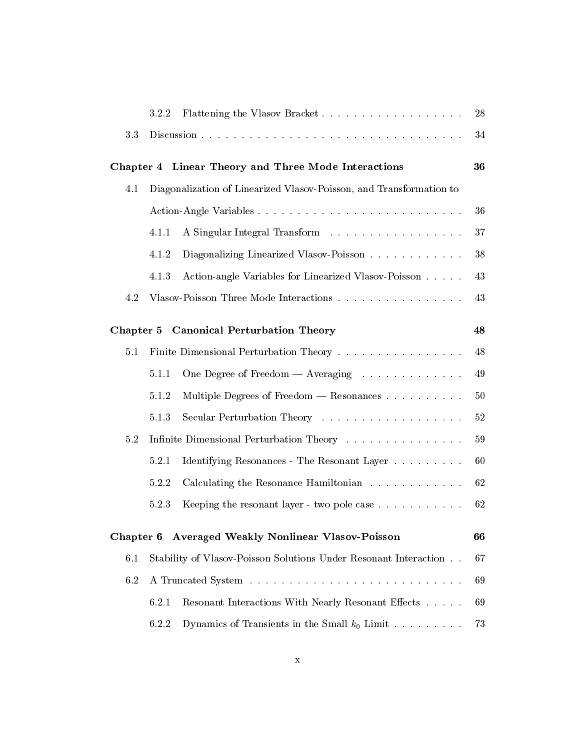|           | 3.2.2                                                               | Flattening the Vlasov Bracket                                    | 28 |  |
|-----------|---------------------------------------------------------------------|------------------------------------------------------------------|----|--|
| 3.3       |                                                                     |                                                                  | 34 |  |
|           |                                                                     | Chapter 4 Linear Theory and Three Mode Interactions              | 36 |  |
| 4.1       | Diagonalization of Linearized Vlasov-Poisson, and Transformation to |                                                                  |    |  |
|           | Action-Angle Variables                                              |                                                                  |    |  |
|           | 4.1.1                                                               | A Singular Integral Transform                                    | 37 |  |
|           | 4.1.2                                                               | Diagonalizing Linearized Vlasov-Poisson                          | 38 |  |
|           | 4.1.3                                                               | Action-angle Variables for Linearized Vlasov-Poisson             | 43 |  |
| 4.2       |                                                                     | Vlasov-Poisson Three Mode Interactions                           | 43 |  |
|           |                                                                     | Chapter 5 Canonical Perturbation Theory                          | 48 |  |
| 5.1       |                                                                     | Finite Dimensional Perturbation Theory                           | 48 |  |
|           | 5.1.1                                                               | One Degree of Freedom — Averaging                                | 49 |  |
|           | 5.1.2                                                               | Multiple Degrees of Freedom $-$ Resonances $\dots \dots \dots$   | 50 |  |
|           | 5.1.3                                                               |                                                                  | 52 |  |
| $5.2\,$   | Infinite Dimensional Perturbation Theory                            |                                                                  |    |  |
|           | 5.2.1                                                               | Identifying Resonances - The Resonant Layer                      | 60 |  |
|           | 5.2.2                                                               | Calculating the Resonance Hamiltonian                            | 62 |  |
|           | 5.2.3                                                               | Keeping the resonant layer - two pole case $\dots \dots \dots$   | 62 |  |
| Chapter 6 |                                                                     | <b>Averaged Weakly Nonlinear Vlasov-Poisson</b>                  | 66 |  |
| 6.1       |                                                                     | Stability of Vlasov-Poisson Solutions Under Resonant Interaction | 67 |  |
| 6.2       |                                                                     |                                                                  |    |  |
|           | 6.2.1                                                               | Resonant Interactions With Nearly Resonant Effects               | 69 |  |
|           | 6.2.2                                                               | Dynamics of Transients in the Small $k_0$ Limit                  | 73 |  |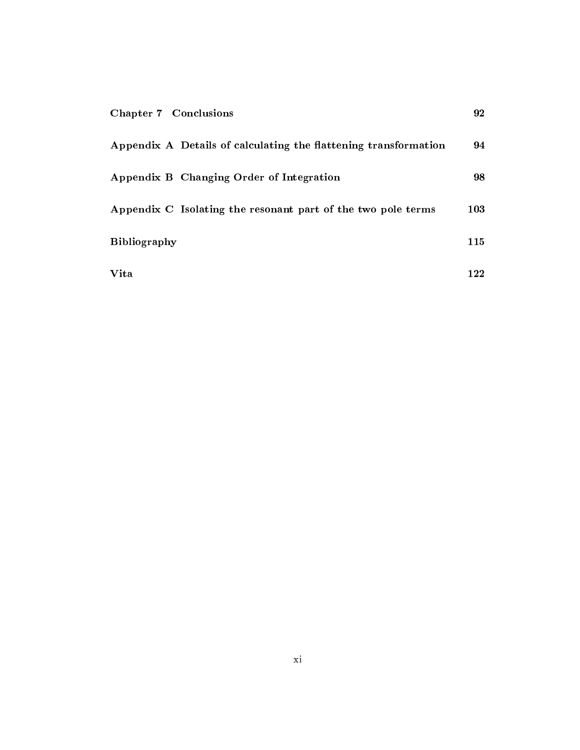| <b>Chapter 7 Conclusions</b>                                    | 92  |
|-----------------------------------------------------------------|-----|
| Appendix A Details of calculating the flattening transformation | 94  |
| Appendix B Changing Order of Integration                        | 98  |
| Appendix C Isolating the resonant part of the two pole terms    | 103 |
| <b>Bibliography</b>                                             | 115 |
| Vita                                                            | 122 |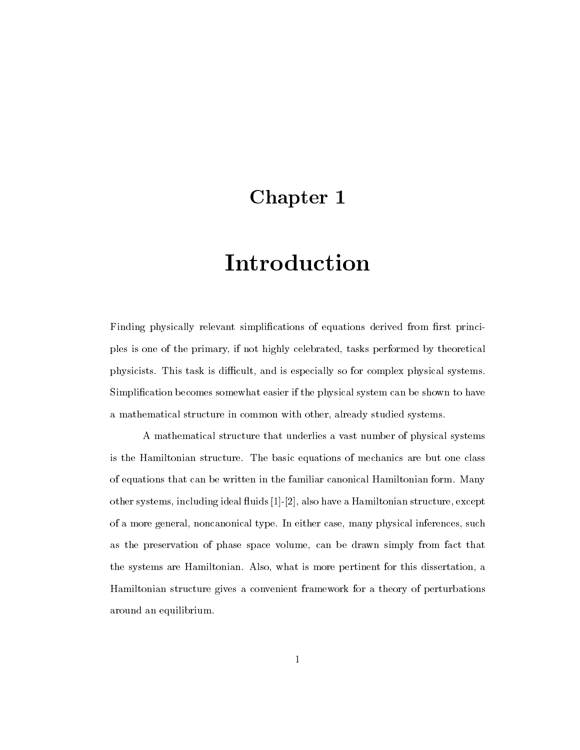## Chapter 1

# Introduction

Finding physically relevant simplifications of equations derived from first principles is one of the primary, if not highly celebrated, tasks performed by theoretical physicists. This task is difficult, and is especially so for complex physical systems. Simplication becomes somewhat easier if the physical system can be shown to have a mathematical structure in common with other, already studied systems.

A mathematical structure that underlies a vast number of physical systems is the Hamiltonian structure. The basic equations of mechanics are but one class of equations that can be written in the familiar canonical Hamiltonian form. Many other systems, including ideal 
uids [1]-[2], also have a Hamiltonian structure, except of a more general, noncanonical type. In either case, many physical inferences, such as the preservation of phase space volume, can be drawn simply from fact that the systems are Hamiltonian. Also, what is more pertinent for this dissertation, a Hamiltonian structure gives a convenient framework for a theory of perturbations around an equilibrium.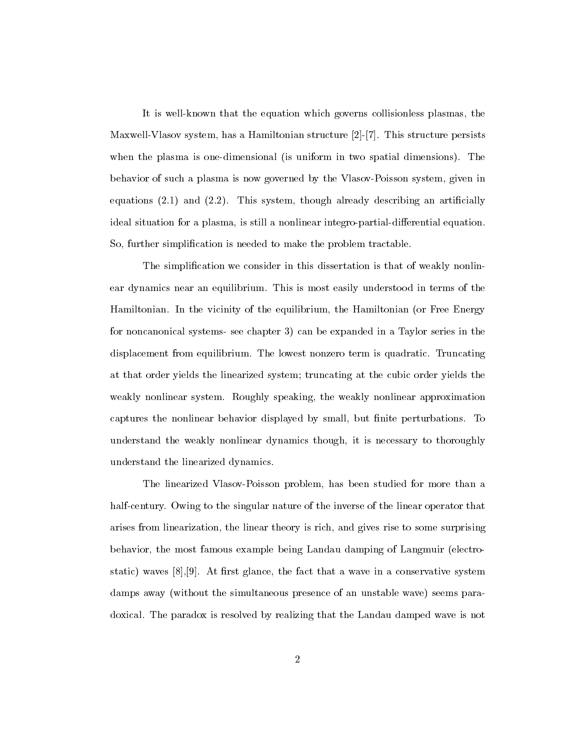It is well-known that the equation which governs collisionless plasmas, the Maxwell-Vlasov system, has a Hamiltonian structure [2]-[7]. This structure persists when the plasma is one-dimensional (is uniform in two spatial dimensions). The behavior of such a plasma is now governed by the Vlasov-Poisson system, given in equations  $(2.1)$  and  $(2.2)$ . This system, though already describing an artificially ideal situation for a plasma, is still a nonlinear integro-partial-differential equation. So, further simplication is needed to make the problem tractable.

The simplication we consider in this dissertation is that of weakly nonlinear dynamics near an equilibrium. This is most easily understood in terms of the Hamiltonian. In the vicinity of the equilibrium, the Hamiltonian (or Free Energy for noncanonical systems- see chapter 3) can be expanded in a Taylor series in the displacement from equilibrium. The lowest nonzero term is quadratic. Truncating at that order yields the linearized system; truncating at the cubic order yields the weakly nonlinear system. Roughly speaking, the weakly nonlinear approximation captures the nonlinear behavior displayed by small, but finite perturbations. To understand the weakly nonlinear dynamics though, it is necessary to thoroughly understand the linearized dynamics.

The linearized Vlasov-Poisson problem, has been studied for more than a half-century. Owing to the singular nature of the inverse of the linear operator that arises from linearization, the linear theory is rich, and gives rise to some surprising behavior, the most famous example being Landau damping of Langmuir (electrostatic) waves  $[8], [9]$ . At first glance, the fact that a wave in a conservative system damps away (without the simultaneous presence of an unstable wave) seems paradoxical. The paradox is resolved by realizing that the Landau damped wave is not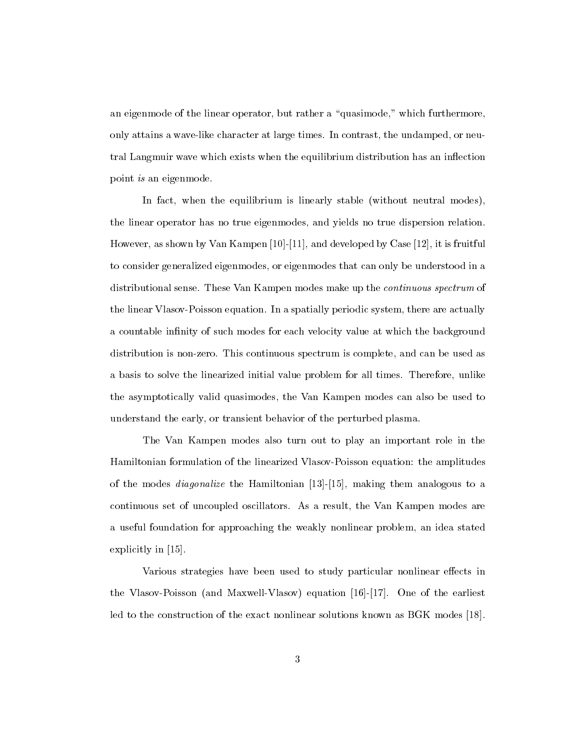an eigenmode of the linear operator, but rather a "quasimode," which furthermore, only attains a wave-like character at large times. In contrast, the undamped, or neutral Langmuir wave which exists when the equilibrium distribution has an in
ection point is an eigenmode.

In fact, when the equilibrium is linearly stable (without neutral modes), the linear operator has no true eigenmodes, and yields no true dispersion relation. However, as shown by Van Kampen [10]-[11], and developed by Case [12], it is fruitful to consider generalized eigenmodes, or eigenmodes that can only be understood in a distributional sense. These Van Kampen modes make up the continuous spectrum of the linear Vlasov-Poisson equation. In a spatially periodic system, there are actually a countable infinity of such modes for each velocity value at which the background distribution is non-zero. This continuous spectrum is complete, and can be used as a basis to solve the linearized initial value problem for all times. Therefore, unlike the asymptotically valid quasimodes, the Van Kampen modes can also be used to understand the early, or transient behavior of the perturbed plasma.

The Van Kampen modes also turn out to play an important role in the Hamiltonian formulation of the linearized Vlasov-Poisson equation: the amplitudes of the modes diagonalize the Hamiltonian [13]-[15], making them analogous to a continuous set of uncoupled oscillators. As a result, the Van Kampen modes are a useful foundation for approaching the weakly nonlinear problem, an idea stated explicitly in [15].

Various strategies have been used to study particular nonlinear effects in the Vlasov-Poisson (and Maxwell-Vlasov) equation [16]-[17]. One of the earliest led to the construction of the exact nonlinear solutions known as BGK modes [18].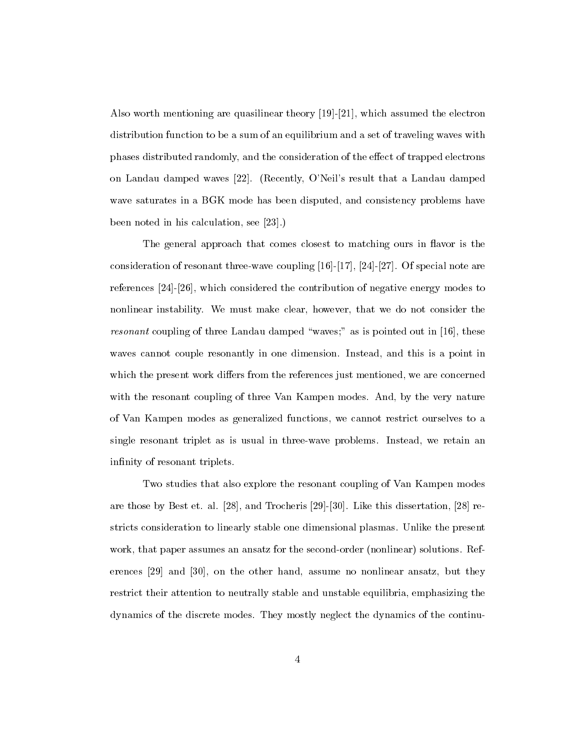Also worth mentioning are quasilinear theory [19]-[21], which assumed the electron distribution function to be a sum of an equilibrium and a set of traveling waves with phases distributed randomly, and the consideration of the effect of trapped electrons on Landau damped waves [22]. (Recently, O'Neil's result that a Landau damped wave saturates in a BGK mode has been disputed, and consistency problems have been noted in his calculation, see [23].)

The general approach that comes closest to matching ours in flavor is the consideration of resonant three-wave coupling [16]-[17], [24]-[27]. Of special note are references [24]-[26], which considered the contribution of negative energy modes to nonlinear instability. We must make clear, however, that we do not consider the *resonant* coupling of three Landau damped "waves;" as is pointed out in [16], these waves cannot couple resonantly in one dimension. Instead, and this is a point in which the present work differs from the references just mentioned, we are concerned with the resonant coupling of three Van Kampen modes. And, by the very nature of Van Kampen modes as generalized functions, we cannot restrict ourselves to a single resonant triplet as is usual in three-wave problems. Instead, we retain an infinity of resonant triplets.

Two studies that also explore the resonant coupling of Van Kampen modes are those by Best et. al. [28], and Trocheris [29]-[30]. Like this dissertation, [28] restricts consideration to linearly stable one dimensional plasmas. Unlike the present work, that paper assumes an ansatz for the second-order (nonlinear) solutions. References [29] and [30], on the other hand, assume no nonlinear ansatz, but they restrict their attention to neutrally stable and unstable equilibria, emphasizing the dynamics of the discrete modes. They mostly neglect the dynamics of the continu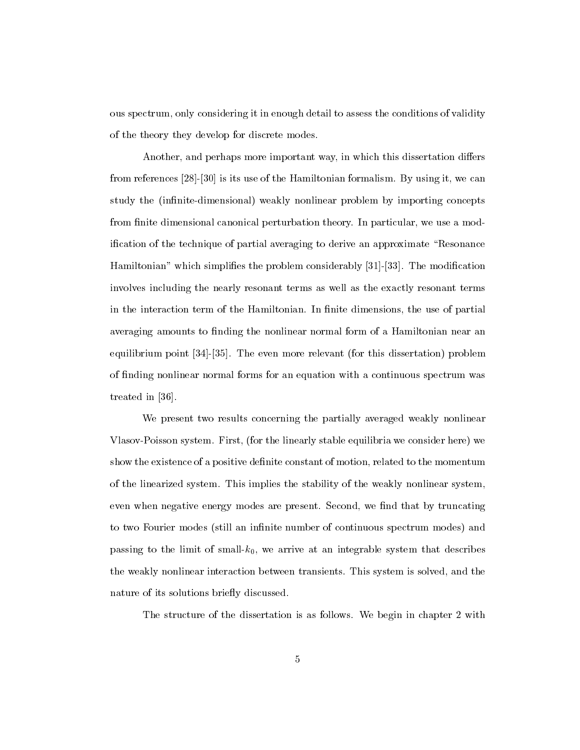ous spectrum, only considering it in enough detail to assess the conditions of validity of the theory they develop for discrete modes.

Another, and perhaps more important way, in which this dissertation differs from references [28]-[30] is its use of the Hamiltonian formalism. By using it, we can study the (infinite-dimensional) weakly nonlinear problem by importing concepts from finite dimensional canonical perturbation theory. In particular, we use a modification of the technique of partial averaging to derive an approximate "Resonance" Hamiltonian" which simplifies the problem considerably [31]-[33]. The modification involves including the nearly resonant terms as well as the exactly resonant terms in the interaction term of the Hamiltonian. In finite dimensions, the use of partial averaging amounts to finding the nonlinear normal form of a Hamiltonian near an equilibrium point [34]-[35]. The even more relevant (for this dissertation) problem of finding nonlinear normal forms for an equation with a continuous spectrum was treated in [36].

We present two results concerning the partially averaged weakly nonlinear Vlasov-Poisson system. First, (for the linearly stable equilibria we consider here) we show the existence of a positive definite constant of motion, related to the momentum of the linearized system. This implies the stability of the weakly nonlinear system, even when negative energy modes are present. Second, we find that by truncating to two Fourier modes (still an infinite number of continuous spectrum modes) and passing to the limit of small- $k_0$ , we arrive at an integrable system that describes the weakly nonlinear interaction between transients. This system is solved, and the nature of its solutions briefly discussed.

The structure of the dissertation is as follows. We begin in chapter 2 with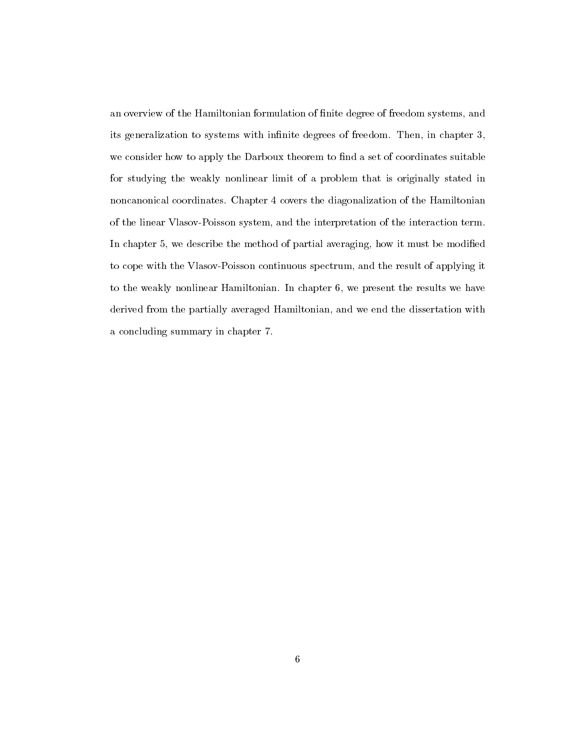an overview of the Hamiltonian formulation of nite degree of freedom systems, and its generalization to systems with infinite degrees of freedom. Then, in chapter 3, we consider how to apply the Darboux theorem to find a set of coordinates suitable for studying the weakly nonlinear limit of a problem that is originally stated in noncanonical coordinates. Chapter 4 covers the diagonalization of the Hamiltonian of the linear Vlasov-Poisson system, and the interpretation of the interaction term. In chapter 5, we describe the method of partial averaging, how it must be modied to cope with the Vlasov-Poisson continuous spectrum, and the result of applying it to the weakly nonlinear Hamiltonian. In chapter 6, we present the results we have derived from the partially averaged Hamiltonian, and we end the dissertation with a concluding summary in chapter 7.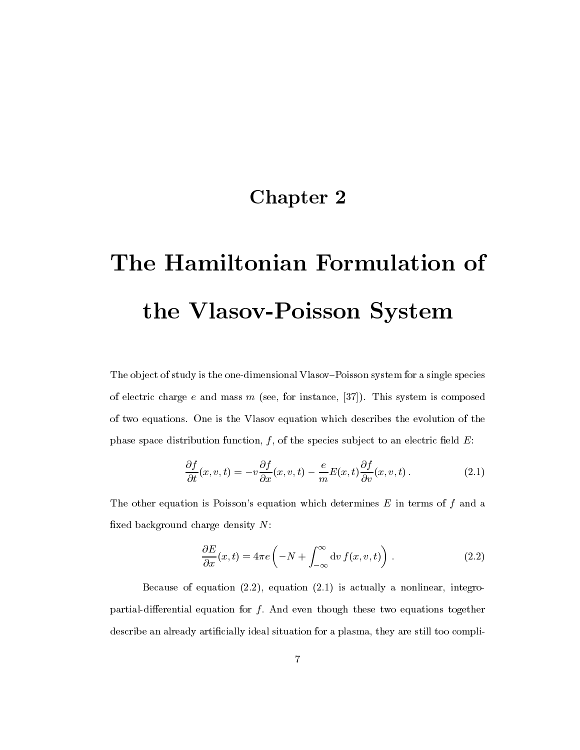## Chapter 2

# The Hamiltonian Formulation of the Vlasov-Poisson System

The object of study is the one-dimensional Vlasov-Poisson system for a single species of electric charge  $e$  and mass  $m$  (see, for instance, [37]). This system is composed of two equations. One is the Vlasov equation which describes the evolution of the phase space distribution function,  $f$ , of the species subject to an electric field  $E$ :

$$
\frac{\partial f}{\partial t}(x, v, t) = -v \frac{\partial f}{\partial x}(x, v, t) - \frac{e}{m} E(x, t) \frac{\partial f}{\partial v}(x, v, t).
$$
\n(2.1)

The other equation is Poisson's equation which determines  $E$  in terms of  $f$  and a fixed background charge density  $N$ :

$$
\frac{\partial E}{\partial x}(x,t) = 4\pi e \left( -N + \int_{-\infty}^{\infty} dv f(x,v,t) \right) . \tag{2.2}
$$

Because of equation  $(2.2)$ , equation  $(2.1)$  is actually a nonlinear, integropartial-differential equation for  $f$ . And even though these two equations together describe an already artificially ideal situation for a plasma, they are still too compli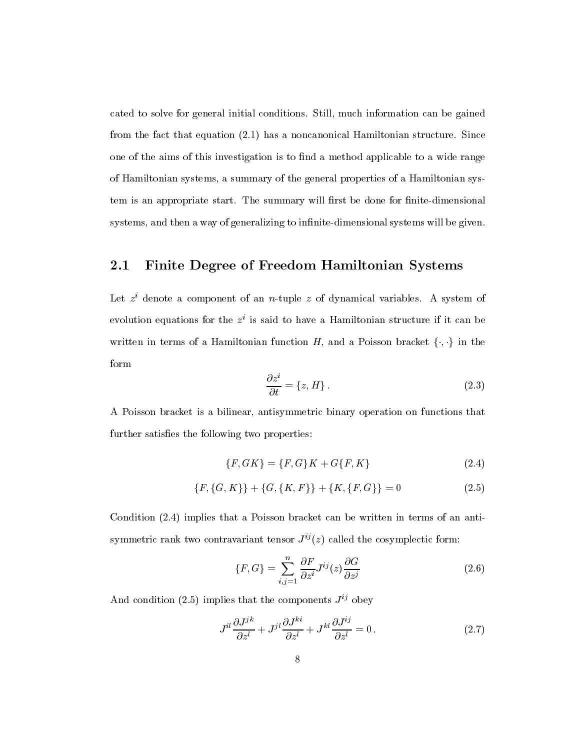cated to solve for general initial conditions. Still, much information can be gained from the fact that equation (2.1) has a noncanonical Hamiltonian structure. Since one of the aims of this investigation is to find a method applicable to a wide range of Hamiltonian systems, a summary of the general properties of a Hamiltonian system is an appropriate start. The summary will first be done for finite-dimensional systems, and then a way of generalizing to infinite-dimensional systems will be given.

### 2.1 Finite Degree of Freedom Hamiltonian Systems

Let z i denote a component of an n-tuple z of dynamical variables. A system of evolution equations for the z i is said to have a Hamiltonian structure ifit can be written in terms of a Hamiltonian function  $H$ , and a Poisson bracket  $\{\cdot,\cdot\}$  in the form

$$
\frac{\partial z^i}{\partial t} = \{z, H\}.
$$
\n(2.3)

A Poisson bracket is a bilinear, antisymmetric binary operation on functions that further satisfies the following two properties:

$$
\{F, GK\} = \{F, G\}K + G\{F, K\}
$$
\n(2.4)

$$
\{F, \{G, K\}\} + \{G, \{K, F\}\} + \{K, \{F, G\}\} = 0
$$
\n(2.5)

Condition (2.4) implies that a Poisson bracket can be written in terms of an antisymmetric rank two contravariant tensor  $J^{ij}(z)$  called the cosymplectic form:

$$
\{F, G\} = \sum_{i,j=1}^{n} \frac{\partial F}{\partial z^i} J^{ij}(z) \frac{\partial G}{\partial z^j}
$$
\n(2.6)

And condition (2.5) implies that the components  $J^{ij}$  obey

$$
J^{il}\frac{\partial J^{jk}}{\partial z^l} + J^{jl}\frac{\partial J^{ki}}{\partial z^l} + J^{kl}\frac{\partial J^{ij}}{\partial z^l} = 0.
$$
 (2.7)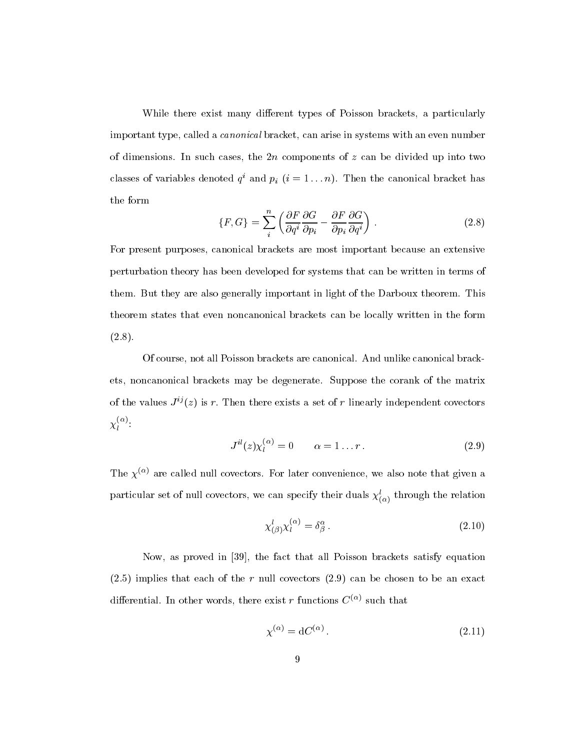While there exist many different types of Poisson brackets, a particularly important type, called a canonical bracket, can arise in systems with an even number of dimensions. In such cases, the  $2n$  components of z can be divided up into two classes of variables denoted  $q^*$  and  $p_i$   $(i = 1 \ldots n)$ . Then the canonical bracket has the form

$$
\{F, G\} = \sum_{i}^{n} \left( \frac{\partial F}{\partial q^{i}} \frac{\partial G}{\partial p_{i}} - \frac{\partial F}{\partial p_{i}} \frac{\partial G}{\partial q^{i}} \right).
$$
 (2.8)

For present purposes, canonical brackets are most important because an extensive perturbation theory has been developed for systems that can be written in terms of them. But they are also generally important in light of the Darboux theorem. This theorem states that even noncanonical brackets can be locally written in the form  $(2.8).$ 

Of course, not all Poisson brackets are canonical. And unlike canonical brackets, noncanonical brackets may be degenerate. Suppose the corank of the matrix of the values  $J^{ij}(z)$  is r. Then there exists a set of r linearly independent covectors  $\chi_l$  :

$$
J^{il}(z)\chi_l^{(\alpha)} = 0 \qquad \alpha = 1 \dots r \,. \tag{2.9}
$$

The  $\chi^{(\alpha)}$  are called null covectors. For later convenience, we also note that given a particular set of null covectors, we can specify their quals  $\chi_{(\alpha)}^{\vphantom{\dagger}}$  through the relation

$$
\chi^{l}_{(\beta)}\chi^{(\alpha)}_{l} = \delta^{\alpha}_{\beta}.
$$
\n(2.10)

Now, as proved in [39], the fact that all Poisson brackets satisfy equation  $(2.5)$  implies that each of the r null covectors  $(2.9)$  can be chosen to be an exact differential. In other words, there exist r functions  $C^{(\alpha)}$  such that

$$
\chi^{(\alpha)} = \mathrm{d}C^{(\alpha)}\,. \tag{2.11}
$$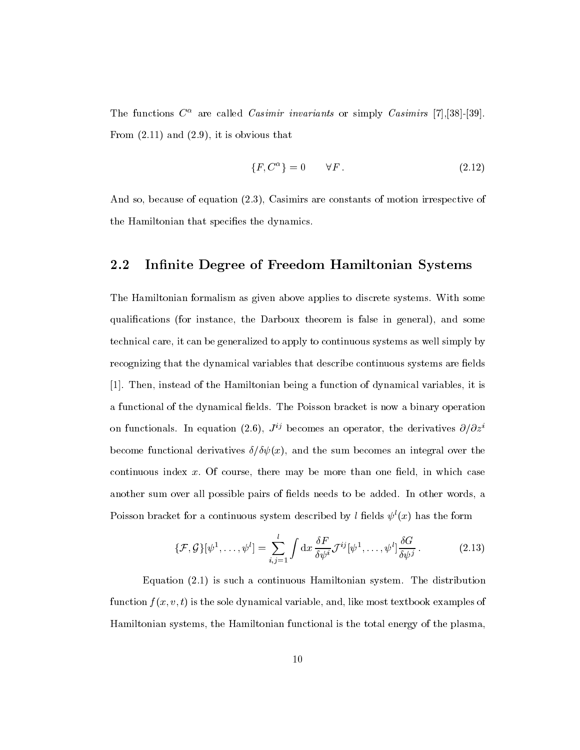The functions C are called Casimir invariants or simply Casimirs [7],[38]-[39]. From  $(2.11)$  and  $(2.9)$ , it is obvious that

$$
\{F, C^{\alpha}\} = 0 \qquad \forall F. \tag{2.12}
$$

And so, because of equation (2.3), Casimirs are constants of motion irrespective of the Hamiltonian that specifies the dynamics.

### 2.2 Infinite Degree of Freedom Hamiltonian Systems

The Hamiltonian formalism as given above applies to discrete systems. With some qualications (for instance, the Darboux theorem is false in general), and some technical care, it can be generalized to apply to continuous systems as well simply by recognizing that the dynamical variables that describe continuous systems are fields [1]. Then, instead of the Hamiltonian being a function of dynamical variables, it is a functional of the dynamical fields. The Poisson bracket is now a binary operation on functionals. In equation (2.6),  $J^{ij}$  becomes an operator, the derivatives  $\partial/\partial z^i$ become functional derivatives  $\delta/\delta\psi(x)$ , and the sum becomes an integral over the continuous index  $x$ . Of course, there may be more than one field, in which case another sum over all possible pairs of fields needs to be added. In other words, a Poisson bracket for a continuous system described by l fields  $\psi(x)$  has the form

$$
\{\mathcal{F},\mathcal{G}\}[\psi^1,\ldots,\psi^l] = \sum_{i,j=1}^l \int \mathrm{d}x \, \frac{\delta F}{\delta \psi^i} \mathcal{J}^{ij}[\psi^1,\ldots,\psi^l] \frac{\delta G}{\delta \psi^j} \,. \tag{2.13}
$$

Equation (2.1) is such a continuous Hamiltonian system. The distribution function  $f(x, v, t)$  is the sole dynamical variable, and, like most textbook examples of Hamiltonian systems, the Hamiltonian functional is the total energy of the plasma,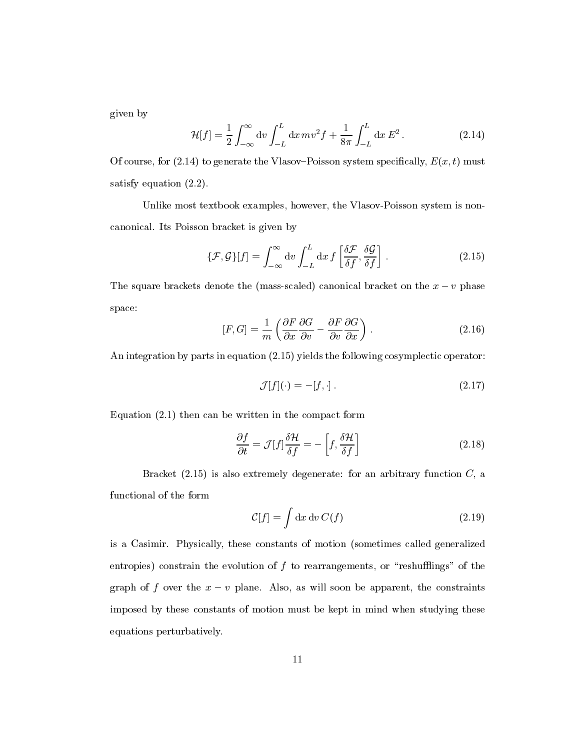given by

$$
\mathcal{H}[f] = \frac{1}{2} \int_{-\infty}^{\infty} dv \int_{-L}^{L} dx \, mv^2 f + \frac{1}{8\pi} \int_{-L}^{L} dx \, E^2 \,. \tag{2.14}
$$

Of course, for (2.14) to generate the Vlasov-Poisson system specifically,  $E(x, t)$  must satisfy equation (2.2).

Unlike most textbook examples, however, the Vlasov-Poisson system is noncanonical. Its Poisson bracket is given by

$$
\{\mathcal{F},\mathcal{G}\}[f] = \int_{-\infty}^{\infty} dv \int_{-L}^{L} dx f\left[\frac{\delta \mathcal{F}}{\delta f}, \frac{\delta \mathcal{G}}{\delta f}\right].
$$
 (2.15)

The square brackets denote the (mass-scaled) canonical bracket on the  $x - v$  phase space:

$$
[F, G] = \frac{1}{m} \left( \frac{\partial F}{\partial x} \frac{\partial G}{\partial v} - \frac{\partial F}{\partial v} \frac{\partial G}{\partial x} \right).
$$
 (2.16)

An integration by parts in equation (2.15) yields the following cosymplectic operator:

$$
\mathcal{J}[f](\cdot) = -[f, \cdot].\tag{2.17}
$$

Equation (2.1) then can be written in the compact form

$$
\frac{\partial f}{\partial t} = \mathcal{J}[f]\frac{\delta \mathcal{H}}{\delta f} = -\left[f, \frac{\delta \mathcal{H}}{\delta f}\right]
$$
\n(2.18)

Bracket  $(2.15)$  is also extremely degenerate: for an arbitrary function  $C$ , a functional of the form

$$
C[f] = \int \mathrm{d}x \, \mathrm{d}v \, C(f) \tag{2.19}
$$

is a Casimir. Physically, these constants of motion (sometimes called generalized entropies) constrain the evolution of  $f$  to rearrangements, or "reshufflings" of the graph of f over the  $x - v$  plane. Also, as will soon be apparent, the constraints imposed by these constants of motion must be kept in mind when studying these equations perturbatively.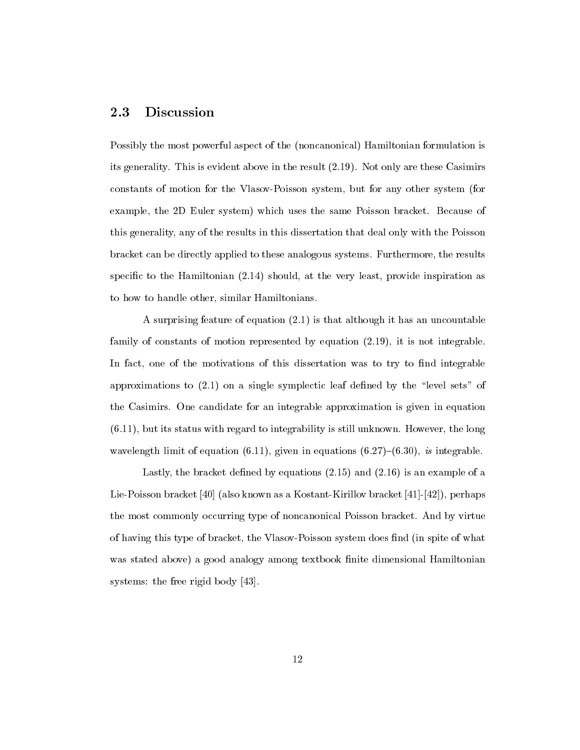#### **Discussion** 2.3

Possibly the most powerful aspect of the (noncanonical) Hamiltonian formulation is its generality. This is evident above in the result (2.19). Not only are these Casimirs constants of motion for the Vlasov-Poisson system, but for any other system (for example, the 2D Euler system) which uses the same Poisson bracket. Because of this generality, any of the results in this dissertation that deal only with the Poisson bracket can be directly applied to these analogous systems. Furthermore, the results specific to the Hamiltonian (2.14) should, at the very least, provide inspiration as to how to handle other, similar Hamiltonians.

A surprising feature of equation (2.1) is that although it has an uncountable family of constants of motion represented by equation (2.19), it is not integrable. In fact, one of the motivations of this dissertation was to try to find integrable approximations to  $(2.1)$  on a single symplectic leaf defined by the "level sets" of the Casimirs. One candidate for an integrable approximation is given in equation (6.11), but its status with regard to integrability is still unknown. However, the long wavelength limit of equation (6.11), given in equations (6.27)–(6.30), is integrable.

Lastly, the bracket defined by equations  $(2.15)$  and  $(2.16)$  is an example of a Lie-Poisson bracket [40] (also known as a Kostant-Kirillov bracket [41]-[42]), perhaps the most commonly occurring type of noncanonical Poisson bracket. And by virtue of having this type of bracket, the Vlasov-Poisson system does find (in spite of what was stated above) a good analogy among textbook finite dimensional Hamiltonian systems: the free rigid body [43].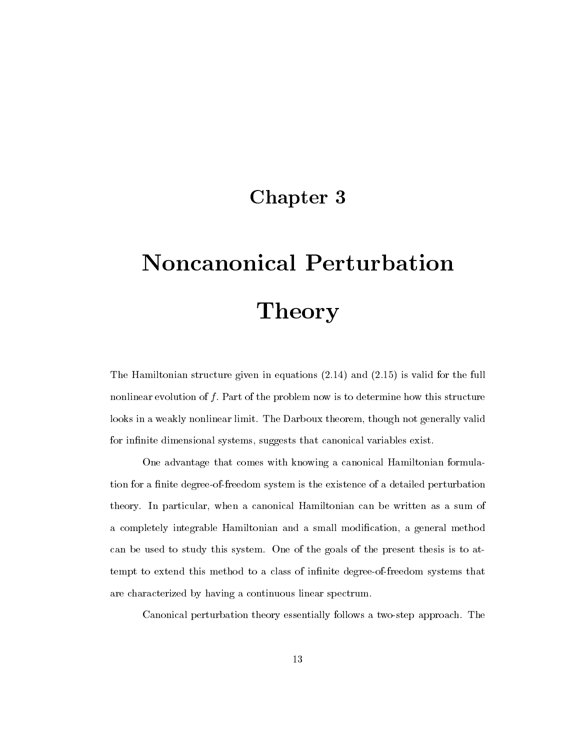## Chapter 3

# Noncanonical Perturbation Theory

The Hamiltonian structure given in equations (2.14) and (2.15) is valid for the full nonlinear evolution of  $f$ . Part of the problem now is to determine how this structure looks in a weakly nonlinear limit. The Darboux theorem, though not generally valid for infinite dimensional systems, suggests that canonical variables exist.

One advantage that comes with knowing a canonical Hamiltonian formulation for a finite degree-of-freedom system is the existence of a detailed perturbation theory. In particular, when a canonical Hamiltonian can be written as a sum of a completely integrable Hamiltonian and a small modification, a general method can be used to study this system. One of the goals of the present thesis is to attempt to extend this method to a class of infinite degree-of-freedom systems that are characterized by having a continuous linear spectrum.

Canonical perturbation theory essentially follows a two-step approach. The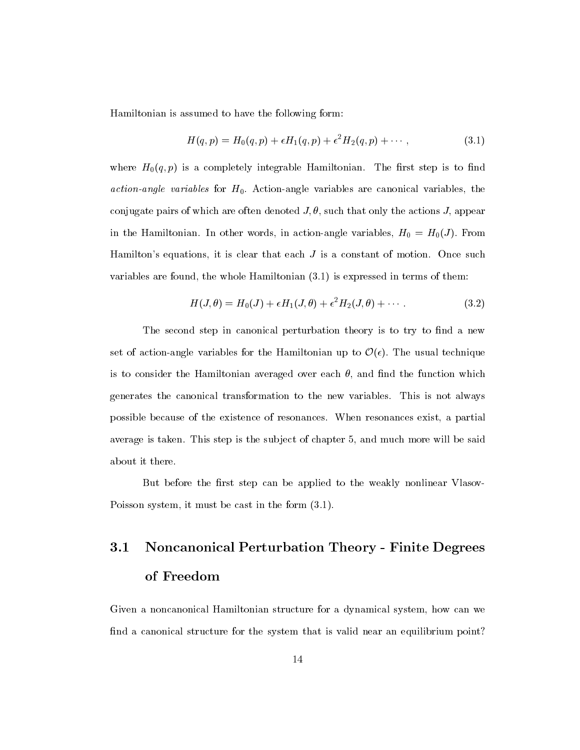Hamiltonian is assumed to have the following form:

$$
H(q, p) = H_0(q, p) + \epsilon H_1(q, p) + \epsilon^2 H_2(q, p) + \cdots,
$$
\n(3.1)

where  $H_0(q,p)$  is a completely integrable Hamiltonian. The first step is to find *action-angle variables* for  $H_0$ . Action-angle variables are canonical variables, the conjugate pairs of which are often denoted  $J, \theta$ , such that only the actions J, appear in the Hamiltonian. In other words, in action-angle variables,  $H_0 = H_0(J)$ . From Hamilton's equations, it is clear that each  $J$  is a constant of motion. Once such variables are found, the whole Hamiltonian (3.1) is expressed in terms of them:

$$
H(J,\theta) = H_0(J) + \epsilon H_1(J,\theta) + \epsilon^2 H_2(J,\theta) + \cdots
$$
\n(3.2)

The second step in canonical perturbation theory is to try to find a new set of action-angle variables for the Hamiltonian up to  $\mathcal{O}(\epsilon)$ . The usual technique is to consider the Hamiltonian averaged over each  $\theta$ , and find the function which generates the canonical transformation to the new variables. This is not always possible because of the existence of resonances. When resonances exist, a partial average is taken. This step is the subject of chapter 5, and much more will be said about it there.

But before the first step can be applied to the weakly nonlinear Vlasov-Poisson system, it must be cast in the form (3.1).

# 3.1 Noncanonical Perturbation Theory - Finite Degrees of Freedom

Given a noncanonical Hamiltonian structure for a dynamical system, how can we find a canonical structure for the system that is valid near an equilibrium point?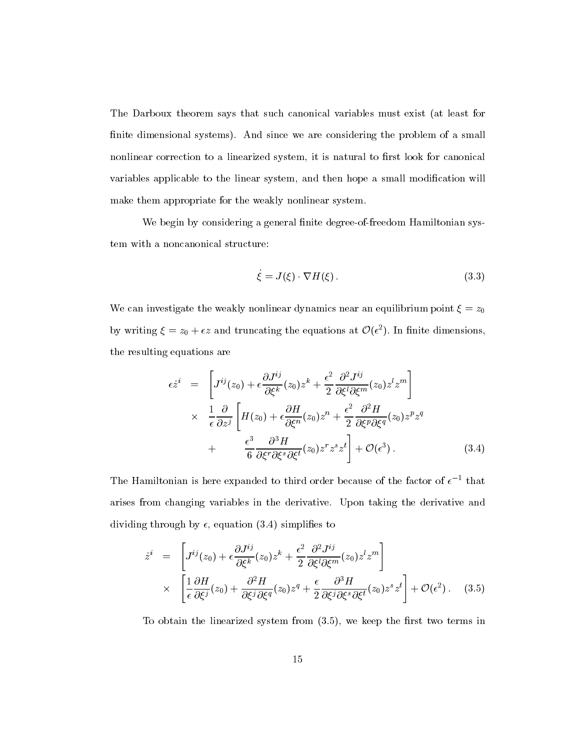The Darboux theorem says that such canonical variables must exist (at least for finite dimensional systems). And since we are considering the problem of a small nonlinear correction to a linearized system, it is natural to first look for canonical variables applicable to the linear system, and then hope a small modification will make them appropriate for the weakly nonlinear system.

We begin by considering a general finite degree-of-freedom Hamiltonian system with a noncanonical structure:

$$
\dot{\xi} = J(\xi) \cdot \nabla H(\xi). \tag{3.3}
$$

We can investigate the weakly nonlinear dynamics near an equilibrium point  $\xi = z_0$ by writing  $\xi = z_0 + \epsilon z$  and truncating the equations at  $\mathcal{O}(\epsilon^2)$ . In finite dimensions, the resulting equations are

$$
\epsilon \dot{z}^{i} = \left[ J^{ij}(z_{0}) + \epsilon \frac{\partial J^{ij}}{\partial \xi^{k}}(z_{0}) z^{k} + \frac{\epsilon^{2}}{2} \frac{\partial^{2} J^{ij}}{\partial \xi^{l} \partial \xi^{m}}(z_{0}) z^{l} z^{m} \right] \times \frac{1}{\epsilon} \frac{\partial}{\partial z^{j}} \left[ H(z_{0}) + \epsilon \frac{\partial H}{\partial \xi^{n}}(z_{0}) z^{n} + \frac{\epsilon^{2}}{2} \frac{\partial^{2} H}{\partial \xi^{p} \partial \xi^{q}}(z_{0}) z^{p} z^{q} \right] + \frac{\epsilon^{3}}{6} \frac{\partial^{3} H}{\partial \xi^{r} \partial \xi^{s} \partial \xi^{t}}(z_{0}) z^{r} z^{s} z^{t} \right] + \mathcal{O}(\epsilon^{3}). \tag{3.4}
$$

The Hamiltonian is here expanded to third order because of the factor of  $\epsilon$  -that arises from changing variables in the derivative. Upon taking the derivative and dividing through by  $\epsilon$ , equation (3.4) simplifies to

$$
\dot{z}^{i} = \left[ J^{ij}(z_{0}) + \epsilon \frac{\partial J^{ij}}{\partial \xi^{k}}(z_{0}) z^{k} + \frac{\epsilon^{2}}{2} \frac{\partial^{2} J^{ij}}{\partial \xi^{l} \partial \xi^{m}}(z_{0}) z^{l} z^{m} \right] \times \left[ \frac{1}{\epsilon} \frac{\partial H}{\partial \xi^{j}}(z_{0}) + \frac{\partial^{2} H}{\partial \xi^{j} \partial \xi^{q}}(z_{0}) z^{q} + \frac{\epsilon}{2} \frac{\partial^{3} H}{\partial \xi^{j} \partial \xi^{s} \partial \xi^{t}}(z_{0}) z^{s} z^{t} \right] + \mathcal{O}(\epsilon^{2}). \quad (3.5)
$$

To obtain the linearized system from  $(3.5)$ , we keep the first two terms in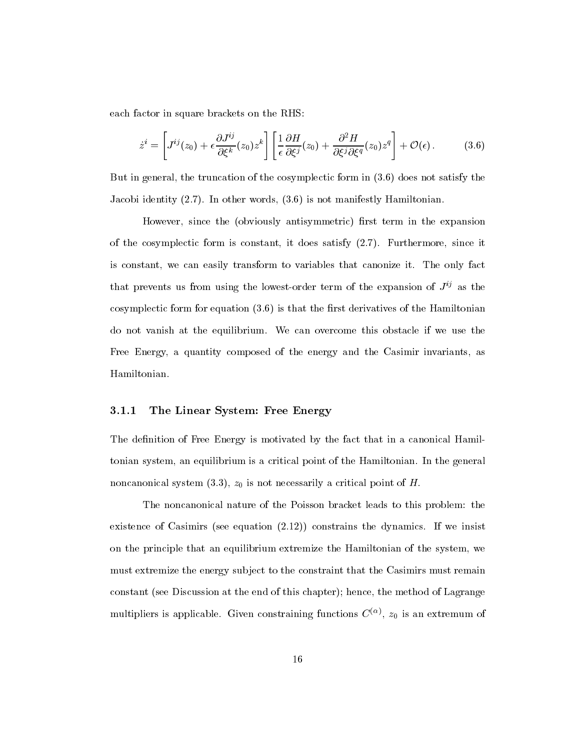each factor in square brackets on the RHS:

$$
\dot{z}^i = \left[ J^{ij}(z_0) + \epsilon \frac{\partial J^{ij}}{\partial \xi^k}(z_0) z^k \right] \left[ \frac{1}{\epsilon} \frac{\partial H}{\partial \xi^j}(z_0) + \frac{\partial^2 H}{\partial \xi^j \partial \xi^q}(z_0) z^q \right] + \mathcal{O}(\epsilon).
$$
 (3.6)

But in general, the truncation of the cosymplectic form in (3.6) does not satisfy the Jacobi identity (2.7). In other words, (3.6) is not manifestly Hamiltonian.

However, since the (obviously antisymmetric) first term in the expansion of the cosymplectic form is constant, it does satisfy (2.7). Furthermore, since it is constant, we can easily transform to variables that canonize it. The only fact that prevents us from using the lowest-order term of the expansion of  $J^{ij}$  as the cosymplectic form for equation  $(3.6)$  is that the first derivatives of the Hamiltonian do not vanish at the equilibrium. We can overcome this obstacle if we use the Free Energy, a quantity composed of the energy and the Casimir invariants, as Hamiltonian.

### 3.1.1 The Linear System: Free Energy

The definition of Free Energy is motivated by the fact that in a canonical Hamiltonian system, an equilibrium is a critical point of the Hamiltonian. In the general noncanonical system  $(3.3)$ ,  $z_0$  is not necessarily a critical point of H.

The noncanonical nature of the Poisson bracket leads to this problem: the existence of Casimirs (see equation (2.12)) constrains the dynamics. If we insist on the principle that an equilibrium extremize the Hamiltonian of the system, we must extremize the energy subject to the constraint that the Casimirs must remain constant (see Discussion at the end of this chapter); hence, the method of Lagrange multipliers is applicable. Given constraining functions  $C^{\vee}$  /,  $z_0$  is an extremum of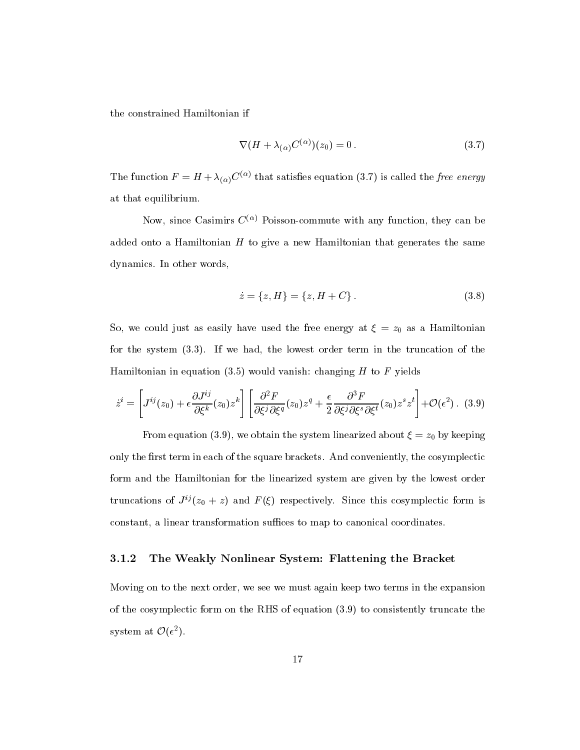the constrained Hamiltonian if

$$
\nabla (H + \lambda_{(\alpha)} C^{(\alpha)})(z_0) = 0. \tag{3.7}
$$

The function  $F = H + \lambda_{(\alpha)} C^{(\alpha)}$  that satisfies equation (3.7) is called the *free energy* at that equilibrium.

Now, since Casimirs  $C^{(\alpha)}$  Poisson-commute with any function, they can be added onto a Hamiltonian  $H$  to give a new Hamiltonian that generates the same dynamics. In other words,

$$
\dot{z} = \{z, H\} = \{z, H + C\}.
$$
\n(3.8)

So, we could just as easily have used the free energy at  $\xi = z_0$  as a Hamiltonian for the system (3.3). If we had, the lowest order term in the truncation of the Hamiltonian in equation  $(3.5)$  would vanish: changing H to F yields

$$
\dot{z}^i = \left[J^{ij}(z_0) + \epsilon \frac{\partial J^{ij}}{\partial \xi^k}(z_0) z^k\right] \left[\frac{\partial^2 F}{\partial \xi^j \partial \xi^q}(z_0) z^q + \frac{\epsilon}{2} \frac{\partial^3 F}{\partial \xi^j \partial \xi^s \partial \xi^t}(z_0) z^s z^t\right] + \mathcal{O}(\epsilon^2). \tag{3.9}
$$

From equation (3.9), we obtain the system linearized about  $\xi = z_0$  by keeping only the first term in each of the square brackets. And conveniently, the cosymplectic form and the Hamiltonian for the linearized system are given by the lowest order truncations of  $J^{ij}(z_0 + z)$  and  $F(\xi)$  respectively. Since this cosymplectic form is constant, a linear transformation suffices to map to canonical coordinates.

#### 3.1.2 The Weakly Nonlinear System: Flattening the Bracket

Moving on to the next order, we see we must again keep two terms in the expansion of the cosymplectic form on the RHS of equation (3.9) to consistently truncate the system at  $\mathcal{O}(\epsilon^2)$ .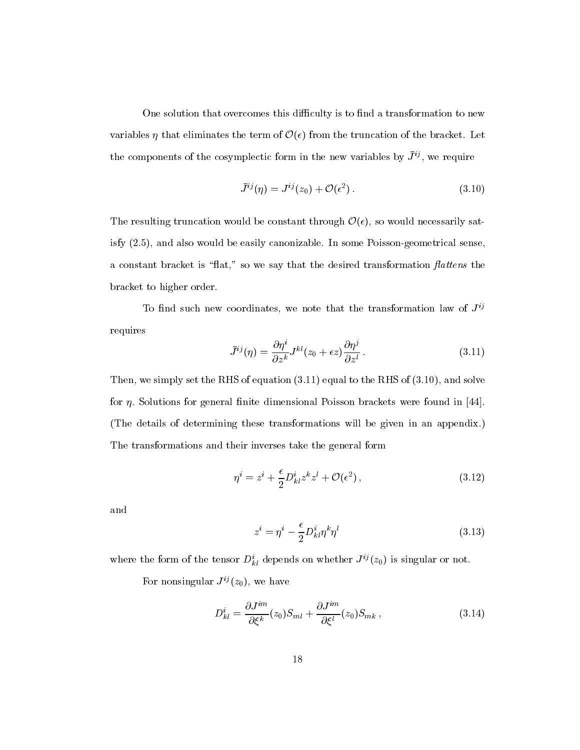One solution that overcomes this difficulty is to find a transformation to new variables  $\eta$  that eliminates the term of  $\mathcal{O}(\epsilon)$  from the truncation of the bracket. Let the components of the cosymplectic form in the new variables by  $J^{\nu}$ , we require

$$
\bar{J}^{ij}(\eta) = J^{ij}(z_0) + \mathcal{O}(\epsilon^2). \tag{3.10}
$$

The resulting truncation would be constant through  $\mathcal{O}(\epsilon)$ , so would necessarily satisfy (2.5), and also would be easily canonizable. In some Poisson-geometrical sense, a constant bracket is "flat," so we say that the desired transformation flattens the bracket to higher order.

To find such new coordinates, we note that the transformation law of  $J^{ij}$ requires

$$
\bar{J}^{ij}(\eta) = \frac{\partial \eta^i}{\partial z^k} J^{kl}(z_0 + \epsilon z) \frac{\partial \eta^j}{\partial z^l}.
$$
\n(3.11)

Then, we simply set the RHS of equation (3.11) equal to the RHS of (3.10), and solve for  $\eta$ . Solutions for general finite dimensional Poisson brackets were found in [44]. (The details of determining these transformations will be given in an appendix.) The transformations and their inverses take the general form

$$
\eta^i = z^i + \frac{\epsilon}{2} D^i_{kl} z^k z^l + \mathcal{O}(\epsilon^2) \,, \tag{3.12}
$$

and

$$
z^{i} = \eta^{i} - \frac{\epsilon}{2} D_{kl}^{i} \eta^{k} \eta^{l}
$$
\n(3.13)

where the form of the tensor  $D_{kl}^{\dagger}$  depends on whether  $J^{\prime\prime}(z_0)$  is singular or not.

For nonsingular  $J^{ij}(z_0)$ , we have

$$
D_{kl}^i = \frac{\partial J^{im}}{\partial \xi^k}(z_0) S_{ml} + \frac{\partial J^{im}}{\partial \xi^l}(z_0) S_{mk} , \qquad (3.14)
$$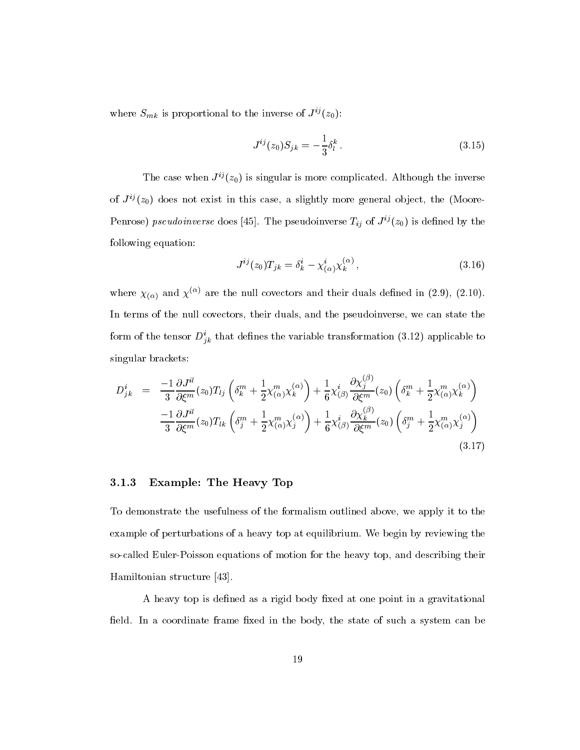where  $S_{mk}$  is proportional to the inverse of  $J^{ij}(z_0)$ :

$$
J^{ij}(z_0)S_{jk} = -\frac{1}{3}\delta_l^k.
$$
 (3.15)

The case when  $J^{ij}(z_0)$  is singular is more complicated. Although the inverse of  $J^{ij}(z_0)$  does not exist in this case, a slightly more general object, the (Moore-Penrose) pseudoinverse does [45]. The pseudoinverse  $T_{ij}$  of  $J^{ij}(z_0)$  is defined by the following equation:

$$
J^{ij}(z_0)T_{jk} = \delta^i_k - \chi^i_{(\alpha)}\chi^{(\alpha)}_k, \qquad (3.16)
$$

where  $\chi_{(\alpha)}$  and  $\chi^{(\alpha)}$  are the null covectors and their duals defined in (2.9), (2.10). In terms of the null covectors, their duals, and the pseudoinverse, we can state the form of the tensor  $D_{ik}^*$  that defines the variable transformation (3.12) applicable to singular brackets:

$$
D_{jk}^{i} = \frac{-1}{3} \frac{\partial J^{il}}{\partial \xi^{m}}(z_{0}) T_{lj} \left( \delta_{k}^{m} + \frac{1}{2} \chi_{(\alpha)}^{m} \chi_{k}^{(\alpha)} \right) + \frac{1}{6} \chi_{(\beta)}^{i} \frac{\partial \chi_{j}^{(\beta)}}{\partial \xi^{m}}(z_{0}) \left( \delta_{k}^{m} + \frac{1}{2} \chi_{(\alpha)}^{m} \chi_{k}^{(\alpha)} \right)
$$

$$
\frac{-1}{3} \frac{\partial J^{il}}{\partial \xi^{m}}(z_{0}) T_{lk} \left( \delta_{j}^{m} + \frac{1}{2} \chi_{(\alpha)}^{m} \chi_{j}^{(\alpha)} \right) + \frac{1}{6} \chi_{(\beta)}^{i} \frac{\partial \chi_{k}^{(\beta)}}{\partial \xi^{m}}(z_{0}) \left( \delta_{j}^{m} + \frac{1}{2} \chi_{(\alpha)}^{m} \chi_{j}^{(\alpha)} \right)
$$
(3.17)

### 3.1.3 Example: The Heavy Top

To demonstrate the usefulness of the formalism outlined above, we apply it to the example of perturbations of a heavy top at equilibrium. We begin by reviewing the so-called Euler-Poisson equations of motion for the heavy top, and describing their Hamiltonian structure [43].

A heavy top is defined as a rigid body fixed at one point in a gravitational field. In a coordinate frame fixed in the body, the state of such a system can be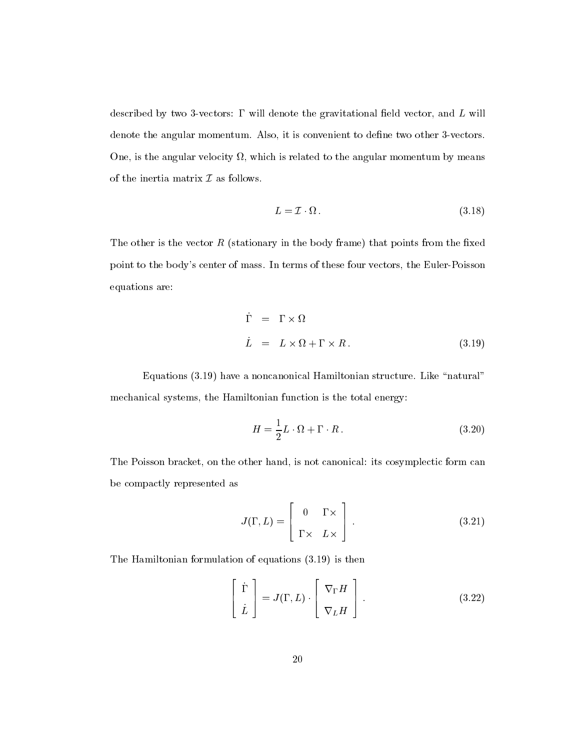described by two 3-vectors:  $\Gamma$  will denote the gravitational field vector, and  $L$  will denote the angular momentum. Also, it is convenient to define two other 3-vectors. , one, is the angular velocity of the angular momentum by means  $\alpha$  and  $\alpha$  the angular momentum by means and of the inertia matrix  $\mathcal I$  as follows.

$$
L = \mathcal{I} \cdot \Omega. \tag{3.18}
$$

The other is the vector  $R$  (stationary in the body frame) that points from the fixed point to the body's center of mass. In terms of these four vectors, the Euler-Poisson equations are:

$$
\dot{\Gamma} = \Gamma \times \Omega
$$
\n
$$
\dot{L} = L \times \Omega + \Gamma \times R. \tag{3.19}
$$

Equations (3.19) have a noncanonical Hamiltonian structure. Like "natural" mechanical systems, the Hamiltonian function is the total energy:

$$
H = \frac{1}{2}L \cdot \Omega + \Gamma \cdot R. \tag{3.20}
$$

The Poisson bracket, on the other hand, is not canonical: its cosymplectic form can be compactly represented as

$$
J(\Gamma, L) = \begin{bmatrix} 0 & \Gamma \times \\ \Gamma \times & L \times \end{bmatrix} .
$$
 (3.21)

The Hamiltonian formulation of equations (3.19) is then

$$
\begin{bmatrix} \dot{\Gamma} \\ \dot{L} \end{bmatrix} = J(\Gamma, L) \cdot \begin{bmatrix} \nabla_{\Gamma} H \\ \nabla_{L} H \end{bmatrix} .
$$
 (3.22)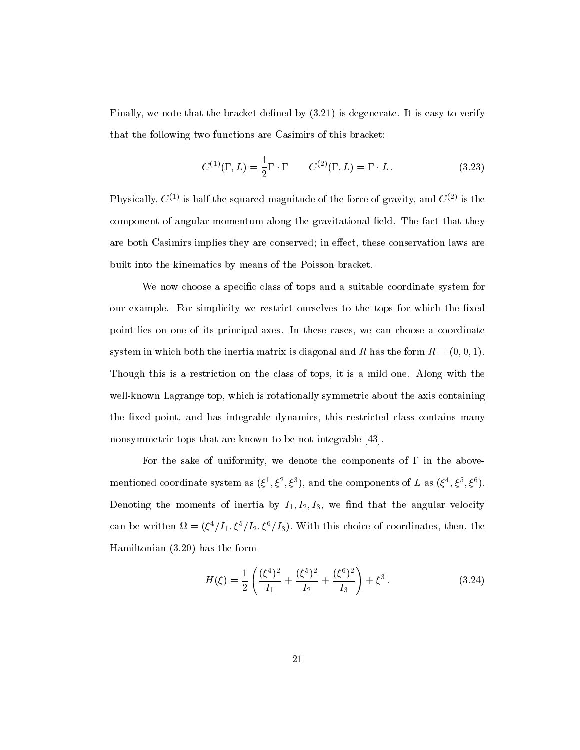Finally, we note that the bracket defined by  $(3.21)$  is degenerate. It is easy to verify that the following two functions are Casimirs of this bracket:

$$
C^{(1)}(\Gamma, L) = \frac{1}{2}\Gamma \cdot \Gamma \qquad C^{(2)}(\Gamma, L) = \Gamma \cdot L. \qquad (3.23)
$$

Physically,  $C^{(1)}$  is half the squared magnitude of the force of gravity, and  $C^{(2)}$  is the component of angular momentum along the gravitational field. The fact that they are both Casimirs implies they are conserved; in effect, these conservation laws are built into the kinematics by means of the Poisson bracket.

We now choose a specic class of tops and a suitable coordinate system for our example. For simplicity we restrict ourselves to the tops for which the fixed point lies on one of its principal axes. In these cases, we can choose a coordinate system in which both the inertia matrix is diagonal and R has the form  $R = (0, 0, 1)$ . Though this is a restriction on the class of tops, it is a mild one.Along with the well-known Lagrange top, which is rotationally symmetric about the axis containing the fixed point, and has integrable dynamics, this restricted class contains many nonsymmetric tops that are known to be not integrable [43].

For the sake of uniformity, we denote the components of  $\Gamma$  in the abovementioned coordinate system as  $(\xi^*, \xi^*, \xi^*)$ , and the components of L as  $(\xi^*, \xi^*, \xi^*)$ . Denoting the moments of inertia by  $I_1, I_2, I_3$ , we find that the angular velocity can be written  $\alpha = (\zeta^2/1, \zeta^2/12, \zeta^2/13)$ . With this choice of coordinates, then, the Hamiltonian (3.20) has the form

$$
H(\xi) = \frac{1}{2} \left( \frac{(\xi^4)^2}{I_1} + \frac{(\xi^5)^2}{I_2} + \frac{(\xi^6)^2}{I_3} \right) + \xi^3. \tag{3.24}
$$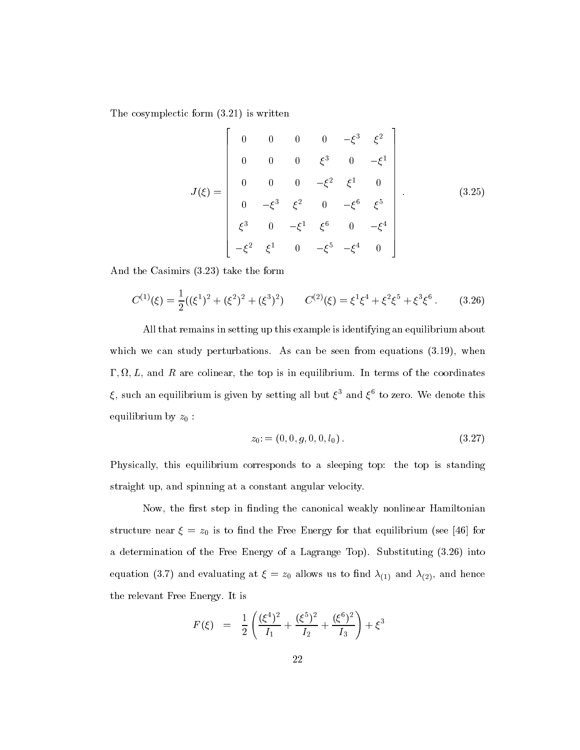The cosymplectic form (3.21) is written

**2006 2006 2006 2006** 

$$
J(\xi) = \begin{bmatrix} 0 & 0 & 0 & 0 & -\xi^3 & \xi^2 \\ 0 & 0 & 0 & \xi^3 & 0 & -\xi^1 \\ 0 & 0 & 0 & -\xi^2 & \xi^1 & 0 \\ 0 & -\xi^3 & \xi^2 & 0 & -\xi^6 & \xi^5 \\ \xi^3 & 0 & -\xi^1 & \xi^6 & 0 & -\xi^4 \\ -\xi^2 & \xi^1 & 0 & -\xi^5 & -\xi^4 & 0 \end{bmatrix} .
$$
 (3.25)

And the Casimirs (3.23) take the form

$$
C^{(1)}(\xi) = \frac{1}{2}((\xi^1)^2 + (\xi^2)^2 + (\xi^3)^2) \qquad C^{(2)}(\xi) = \xi^1 \xi^4 + \xi^2 \xi^5 + \xi^3 \xi^6 \,. \tag{3.26}
$$

All that remains in setting up this example is identifying an equilibrium about which we can study perturbations. As can be seen from equations  $(3.19)$ , when ; ; L; and R are colinear, the top is in equilibrium. In terms of the coordinates  $\zeta$ , such an equilibrium is given by setting an but  $\zeta$  and  $\zeta$  to zero. We denote this equilibrium by  $z_0$ :

$$
z_0:=(0,0,g,0,0,l_0). \hspace{1.5cm} (3.27)
$$

Physically, this equilibrium corresponds to a sleeping top: the top is standing straight up, and spinning at a constant angular velocity.

Now, the first step in finding the canonical weakly nonlinear Hamiltonian structure near  $\xi = z_0$  is to find the Free Energy for that equilibrium (see [46] for a determination of the Free Energy of a Lagrange Top). Substituting (3.26) into equation (3.7) and evaluating at  $\xi = z_0$  allows us to find  $\lambda_{(1)}$  and  $\lambda_{(2)}$ , and hence the relevant Free Energy. It is

$$
F(\xi) = \frac{1}{2} \left( \frac{(\xi^4)^2}{I_1} + \frac{(\xi^5)^2}{I_2} + \frac{(\xi^6)^2}{I_3} \right) + \xi^3
$$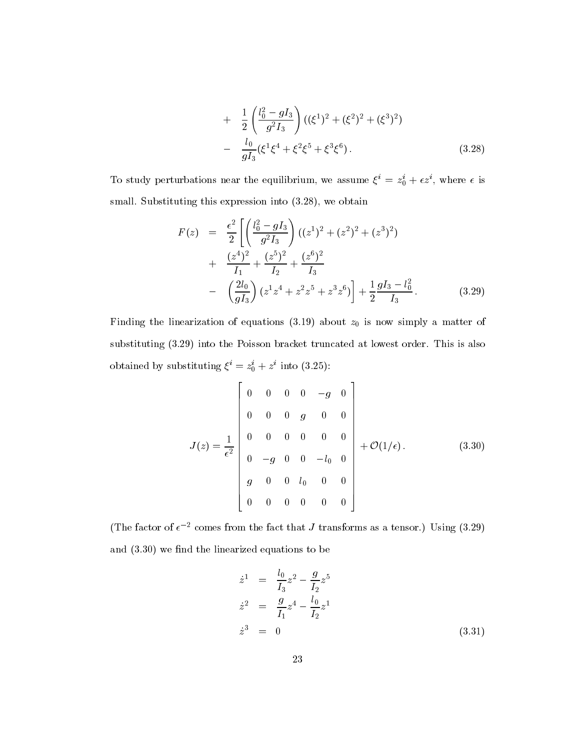+ 
$$
\frac{1}{2} \left( \frac{l_0^2 - gI_3}{g^2 I_3} \right) \left( (\xi^1)^2 + (\xi^2)^2 + (\xi^3)^2 \right)
$$
  
-  $\frac{l_0}{gI_3} (\xi^1 \xi^4 + \xi^2 \xi^5 + \xi^3 \xi^6).$  (3.28)

To study perturbations hear the equilibrium, we assume  $\zeta = z_0 + \epsilon z$ , where  $\epsilon$  is small. Substituting this expression into  $(3.28)$ , we obtain

$$
F(z) = \frac{\epsilon^2}{2} \left[ \left( \frac{l_0^2 - gI_3}{g^2 I_3} \right) \left( (z^1)^2 + (z^2)^2 + (z^3)^2 \right) + \frac{(z^4)^2}{I_1} + \frac{(z^5)^2}{I_2} + \frac{(z^6)^2}{I_3} - \left( \frac{2l_0}{gI_3} \right) \left( z^1 z^4 + z^2 z^5 + z^3 z^6 \right) \right] + \frac{1}{2} \frac{gI_3 - l_0^2}{I_3}.
$$
 (3.29)

Finding the linearization of equations (3.19) about  $z_0$  is now simply a matter of substituting (3.29) into the Poisson bracket truncated at lowest order. This is also obtained by substituting  $\zeta = z_0 + z$  into (3.25):

$$
J(z) = \frac{1}{\epsilon^2} \begin{bmatrix} 0 & 0 & 0 & 0 & -g & 0 \\ 0 & 0 & 0 & g & 0 & 0 \\ 0 & 0 & 0 & 0 & 0 & 0 \\ 0 & -g & 0 & 0 & -l_0 & 0 \\ g & 0 & 0 & l_0 & 0 & 0 \\ 0 & 0 & 0 & 0 & 0 & 0 \end{bmatrix} + \mathcal{O}(1/\epsilon).
$$
 (3.30)

(The factor of  $\epsilon^{-2}$  comes from the fact that J transforms as a tensor.) Using (3.29) and  $(3.30)$  we find the linearized equations to be

$$
\dot{z}^{1} = \frac{l_{0}}{I_{3}} z^{2} - \frac{g}{I_{2}} z^{5}
$$
\n
$$
\dot{z}^{2} = \frac{g}{I_{1}} z^{4} - \frac{l_{0}}{I_{2}} z^{1}
$$
\n
$$
\dot{z}^{3} = 0
$$
\n(3.31)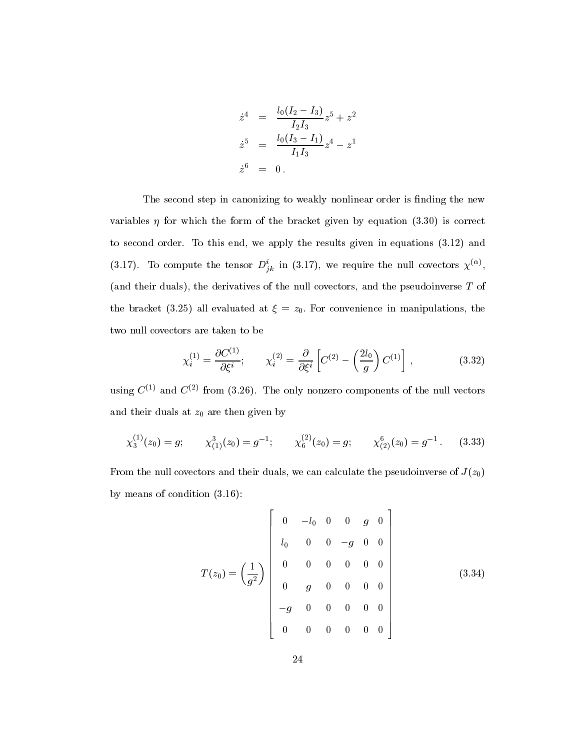$$
\dot{z}^4 = \frac{l_0(I_2 - I_3)}{I_2 I_3} z^5 + z^2
$$
  
\n
$$
\dot{z}^5 = \frac{l_0(I_3 - I_1)}{I_1 I_3} z^4 - z^1
$$
  
\n
$$
\dot{z}^6 = 0.
$$

The second step in canonizing to weakly nonlinear order is finding the new variables  $\eta$  for which the form of the bracket given by equation (3.30) is correct to second order. To this end, we apply the results given in equations (3.12) and (3.17). To compute the tensor  $D_{ik}$  in (3.17), we require the null covectors  $\chi^{\vee}$ , (and their duals), the derivatives of the null covectors, and the pseudoinverse T of the bracket (3.25) all evaluated at  $\xi = z_0$ . For convenience in manipulations, the two null covectors are taken to be

$$
\chi_i^{(1)} = \frac{\partial C^{(1)}}{\partial \xi^i}; \qquad \chi_i^{(2)} = \frac{\partial}{\partial \xi^i} \left[ C^{(2)} - \left( \frac{2l_0}{g} \right) C^{(1)} \right], \tag{3.32}
$$

using  $C^{(1)}$  and  $C^{(2)}$  from (3.26). The only nonzero components of the null vectors and their duals at  $z_0$  are then given by

$$
\chi_3^{(1)}(z_0) = g; \qquad \chi_{(1)}^3(z_0) = g^{-1}; \qquad \chi_6^{(2)}(z_0) = g; \qquad \chi_{(2)}^6(z_0) = g^{-1}. \qquad (3.33)
$$

From the null covectors and their duals, we can calculate the pseudoinverse of  $J(z_0)$ by means of condition (3.16):

$$
T(z_0) = \left(\frac{1}{g^2}\right) \begin{bmatrix} 0 & -l_0 & 0 & 0 & g & 0 \\ l_0 & 0 & 0 & -g & 0 & 0 \\ 0 & 0 & 0 & 0 & 0 & 0 \\ 0 & g & 0 & 0 & 0 & 0 \\ -g & 0 & 0 & 0 & 0 & 0 \\ 0 & 0 & 0 & 0 & 0 & 0 \end{bmatrix}
$$
(3.34)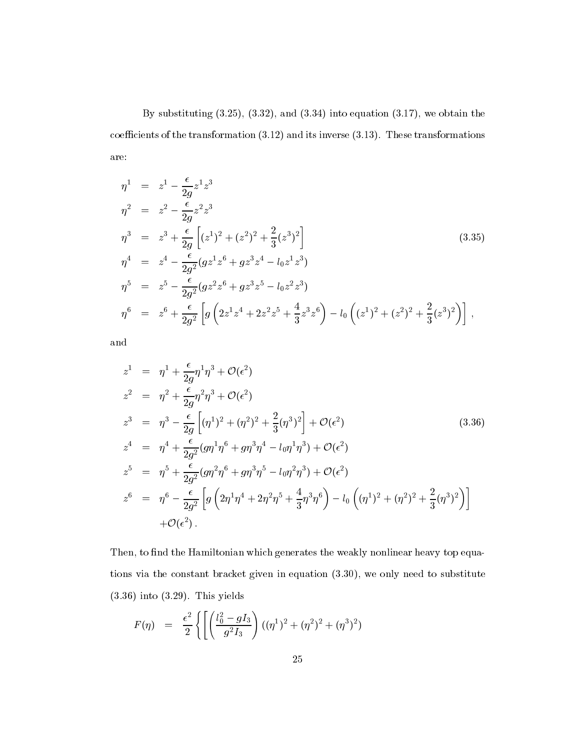By substituting  $(3.25)$ ,  $(3.32)$ , and  $(3.34)$  into equation  $(3.17)$ , we obtain the coefficients of the transformation  $(3.12)$  and its inverse  $(3.13)$ . These transformations are:

$$
\eta^{1} = z^{1} - \frac{\epsilon}{2g}z^{1}z^{3}
$$
\n
$$
\eta^{2} = z^{2} - \frac{\epsilon}{2g}z^{2}z^{3}
$$
\n
$$
\eta^{3} = z^{3} + \frac{\epsilon}{2g}\left[ (z^{1})^{2} + (z^{2})^{2} + \frac{2}{3}(z^{3})^{2} \right]
$$
\n
$$
\eta^{4} = z^{4} - \frac{\epsilon}{2g^{2}}(gz^{1}z^{6} + gz^{3}z^{4} - l_{0}z^{1}z^{3})
$$
\n
$$
\eta^{5} = z^{5} - \frac{\epsilon}{2g^{2}}(gz^{2}z^{6} + gz^{3}z^{5} - l_{0}z^{2}z^{3})
$$
\n
$$
\eta^{6} = z^{6} + \frac{\epsilon}{2g^{2}}\left[ g\left( 2z^{1}z^{4} + 2z^{2}z^{5} + \frac{4}{3}z^{3}z^{6} \right) - l_{0}\left( (z^{1})^{2} + (z^{2})^{2} + \frac{2}{3}(z^{3})^{2} \right) \right],
$$
\n(3.35)

and

$$
z^{1} = \eta^{1} + \frac{\epsilon}{2g} \eta^{1} \eta^{3} + \mathcal{O}(\epsilon^{2})
$$
  
\n
$$
z^{2} = \eta^{2} + \frac{\epsilon}{2g} \eta^{2} \eta^{3} + \mathcal{O}(\epsilon^{2})
$$
  
\n
$$
z^{3} = \eta^{3} - \frac{\epsilon}{2g} \left[ (\eta^{1})^{2} + (\eta^{2})^{2} + \frac{2}{3} (\eta^{3})^{2} \right] + \mathcal{O}(\epsilon^{2})
$$
  
\n
$$
z^{4} = \eta^{4} + \frac{\epsilon}{2g^{2}} (g \eta^{1} \eta^{6} + g \eta^{3} \eta^{4} - l_{0} \eta^{1} \eta^{3}) + \mathcal{O}(\epsilon^{2})
$$
  
\n
$$
z^{5} = \eta^{5} + \frac{\epsilon}{2g^{2}} (g \eta^{2} \eta^{6} + g \eta^{3} \eta^{5} - l_{0} \eta^{2} \eta^{3}) + \mathcal{O}(\epsilon^{2})
$$
  
\n
$$
z^{6} = \eta^{6} - \frac{\epsilon}{2g^{2}} \left[ g \left( 2 \eta^{1} \eta^{4} + 2 \eta^{2} \eta^{5} + \frac{4}{3} \eta^{3} \eta^{6} \right) - l_{0} \left( (\eta^{1})^{2} + (\eta^{2})^{2} + \frac{2}{3} (\eta^{3})^{2} \right) \right]
$$
  
\n
$$
+ \mathcal{O}(\epsilon^{2}).
$$
  
\n(3.36)

Then, to find the Hamiltonian which generates the weakly nonlinear heavy top equations via the constant bracket given in equation (3.30), we only need to substitute (3.36) into (3.29). This yields

$$
F(\eta) = \frac{\epsilon^2}{2} \left\{ \left[ \left( \frac{l_0^2 - gI_3}{g^2 I_3} \right) ((\eta^1)^2 + (\eta^2)^2 + (\eta^3)^2) \right] \right\}
$$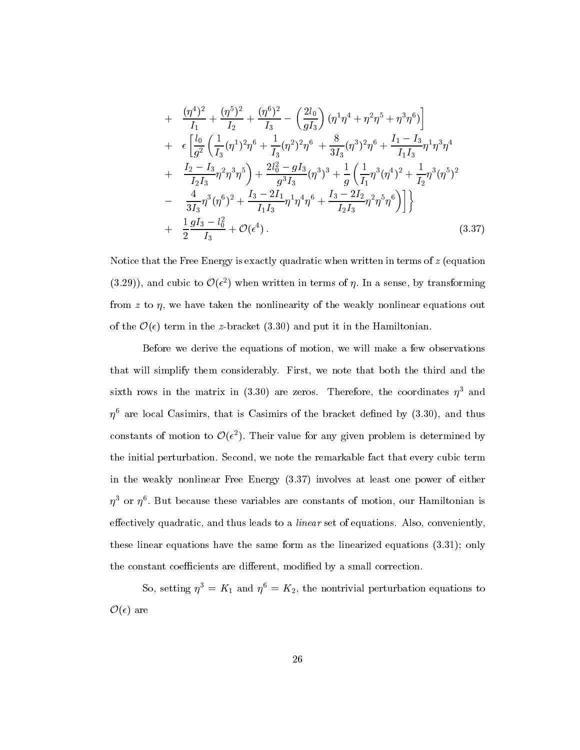+ 
$$
\frac{(\eta^4)^2}{I_1} + \frac{(\eta^5)^2}{I_2} + \frac{(\eta^6)^2}{I_3} - \left(\frac{2l_0}{gI_3}\right) (\eta^1 \eta^4 + \eta^2 \eta^5 + \eta^3 \eta^6) \Big] + 
$$
\epsilon \left[ \frac{l_0}{g^2} \left( \frac{1}{I_3} (\eta^1)^2 \eta^6 + \frac{1}{I_3} (\eta^2)^2 \eta^6 + \frac{8}{3I_3} (\eta^3)^2 \eta^6 + \frac{I_1 - I_3}{I_1 I_3} \eta^1 \eta^3 \eta^4 \right. + 
$$
\frac{I_2 - I_3}{I_2 I_3} \eta^2 \eta^3 \eta^5 \right) + \frac{2l_0^2 - gI_3}{g^3 I_3} (\eta^3)^3 + \frac{1}{g} \left( \frac{1}{I_1} \eta^3 (\eta^4)^2 + \frac{1}{I_2} \eta^3 (\eta^5)^2 \right. - 
$$
\frac{4}{3I_3} \eta^3 (\eta^6)^2 + \frac{I_3 - 2I_1}{I_1 I_3} \eta^1 \eta^4 \eta^6 + \frac{I_3 - 2I_2}{I_2 I_3} \eta^2 \eta^5 \eta^6 \Big) \Big] \Big\}
$$
  
+ 
$$
\frac{1}{2} \frac{gI_3 - l_0^2}{I_3} + \mathcal{O}(\epsilon^4).
$$
(3.37)
$$
$$
$$

Notice that the Free Energy is exactly quadratic when written in terms of  $z$  (equation (3.29)), and cubic to  $\mathcal{O}(\epsilon^2)$  when written in terms of  $\eta$ . In a sense, by transforming from z to  $\eta$ , we have taken the nonlinearity of the weakly nonlinear equations out of the  $\mathcal{O}(\epsilon)$  term in the z-bracket (3.30) and put it in the Hamiltonian.

Before we derive the equations of motion, we will make a few observations that will simplify them considerably. First, we note that both the third and the sixth rows in the matrix in (3.30) are zeros. Therefore, the coordinates  $\eta^3$  and  $\eta^6$  are local Casimirs, that is Casimirs of the bracket defined by (3.30), and thus constants of motion to  $\mathcal{O}(\epsilon^2)$ . Their value for any given problem is determined by the initial perturbation. Second, we note the remarkable fact that every cubic term in the weakly nonlinear Free Energy (3.37) involves at least one power of either  $\eta^+$  or  $\eta^+$ . But because these variables are constants of motion, our Hamiltonian is effectively quadratic, and thus leads to a *linear* set of equations. Also, conveniently, these linear equations have the same form as the linearized equations (3.31); only the constant coefficients are different, modified by a small correction.

So, setting  $\eta^3 = K_1$  and  $\eta^6 = K_2$ , the nontrivial perturbation equations to  $\mathcal{O}(\epsilon)$  are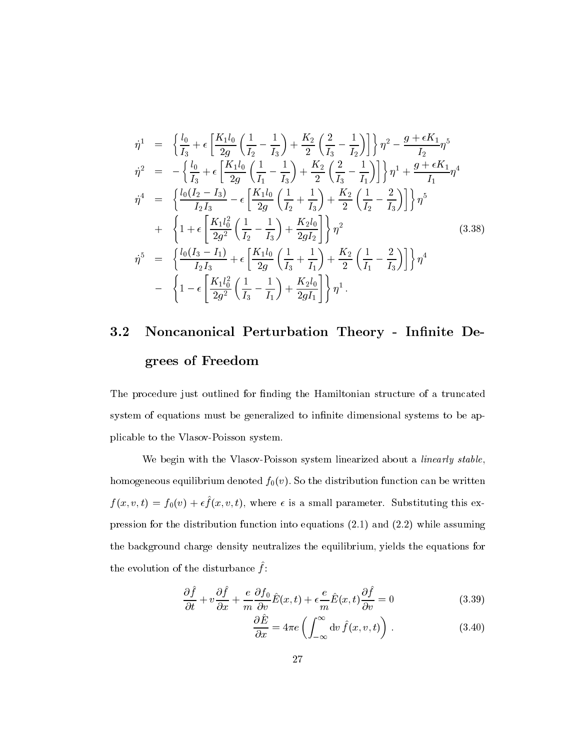$$
\dot{\eta}^{1} = \left\{ \frac{l_{0}}{I_{3}} + \epsilon \left[ \frac{K_{1}l_{0}}{2g} \left( \frac{1}{I_{2}} - \frac{1}{I_{3}} \right) + \frac{K_{2}}{2} \left( \frac{2}{I_{3}} - \frac{1}{I_{2}} \right) \right] \right\} \eta^{2} - \frac{g + \epsilon K_{1}}{I_{2}} \eta^{5}
$$
\n
$$
\dot{\eta}^{2} = -\left\{ \frac{l_{0}}{I_{3}} + \epsilon \left[ \frac{K_{1}l_{0}}{2g} \left( \frac{1}{I_{1}} - \frac{1}{I_{3}} \right) + \frac{K_{2}}{2} \left( \frac{2}{I_{3}} - \frac{1}{I_{1}} \right) \right] \right\} \eta^{1} + \frac{g + \epsilon K_{1}}{I_{1}} \eta^{4}
$$
\n
$$
\dot{\eta}^{4} = \left\{ \frac{l_{0}(I_{2} - I_{3})}{I_{2}I_{3}} - \epsilon \left[ \frac{K_{1}l_{0}}{2g} \left( \frac{1}{I_{2}} + \frac{1}{I_{3}} \right) + \frac{K_{2}}{2} \left( \frac{1}{I_{2}} - \frac{2}{I_{3}} \right) \right] \right\} \eta^{5}
$$
\n
$$
+ \left\{ 1 + \epsilon \left[ \frac{K_{1}l_{0}^{2}}{2g^{2}} \left( \frac{1}{I_{2}} - \frac{1}{I_{3}} \right) + \frac{K_{2}l_{0}}{2gI_{2}} \right] \right\} \eta^{2} \qquad (3.38)
$$
\n
$$
\dot{\eta}^{5} = \left\{ \frac{l_{0}(I_{3} - I_{1})}{I_{2}I_{3}} + \epsilon \left[ \frac{K_{1}l_{0}}{2g} \left( \frac{1}{I_{3}} + \frac{1}{I_{1}} \right) + \frac{K_{2}}{2} \left( \frac{1}{I_{1}} - \frac{2}{I_{3}} \right) \right] \right\} \eta^{4}
$$
\n
$$
- \left\{ 1 - \epsilon \left[ \frac{K_{1}l_{0}^{2}}{2g^{2}} \left( \frac{1}{I_{3}} - \frac{1}{I_{1}} \right) + \frac{K_{2}l_{0}}{2gI_{1}}
$$

### 3.2 Noncanonical Perturbation Theory - Infinite Degrees of Freedom

The procedure just outlined for finding the Hamiltonian structure of a truncated system of equations must be generalized to infinite dimensional systems to be applicable to the Vlasov-Poisson system.

We begin with the Vlasov-Poisson system linearized about a linearly stable, homogeneous equilibrium denoted  $f_0(v)$ . So the distribution function can be written  $f(x, v, v) = f(0, v) + \epsilon f(x, v, v)$ , where  $\epsilon$  is a small parameter. Substituting this expression for the distribution function into equations (2.1) and (2.2) while assuming the background charge density neutralizes the equilibrium, yields the equations for the evolution of the disturbance  $\mu$ .

$$
\frac{\partial \hat{f}}{\partial t} + v \frac{\partial \hat{f}}{\partial x} + \frac{e}{m} \frac{\partial f_0}{\partial v} \hat{E}(x, t) + \epsilon \frac{e}{m} \hat{E}(x, t) \frac{\partial \hat{f}}{\partial v} = 0 \tag{3.39}
$$

$$
\frac{\partial \hat{E}}{\partial x} = 4\pi e \left( \int_{-\infty}^{\infty} dv \, \hat{f}(x, v, t) \right) . \tag{3.40}
$$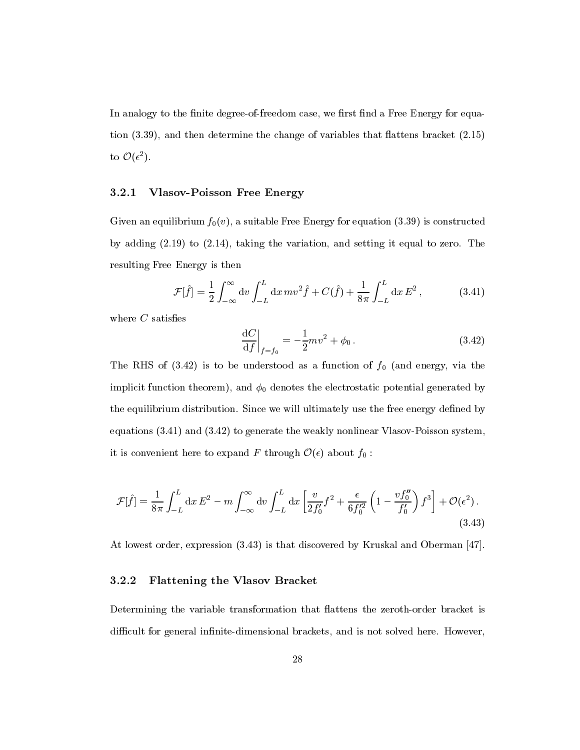In analogy to the finite degree-of-freedom case, we first find a Free Energy for equation  $(3.39)$ , and then determine the change of variables that flattens bracket  $(2.15)$ to  $\mathcal{O}(\epsilon^2)$ .

### 3.2.1 Vlasov-Poisson Free Energy

Given an equilibrium  $f_0(v)$ , a suitable Free Energy for equation (3.39) is constructed by adding (2.19) to (2.14), taking the variation, and setting it equal to zero. The resulting Free Energy is then

$$
\mathcal{F}[\hat{f}] = \frac{1}{2} \int_{-\infty}^{\infty} dv \int_{-L}^{L} dx \, mv^2 \hat{f} + C(\hat{f}) + \frac{1}{8\pi} \int_{-L}^{L} dx \, E^2, \qquad (3.41)
$$

where  $C$  satisfies

$$
\left. \frac{\mathrm{d}C}{\mathrm{d}f} \right|_{f=f_0} = -\frac{1}{2}mv^2 + \phi_0 \,. \tag{3.42}
$$

The RHS of  $(3.42)$  is to be understood as a function of  $f_0$  (and energy, via the implicit function theorem), and  $\phi_0$  denotes the electrostatic potential generated by the equilibrium distribution. Since we will ultimately use the free energy defined by equations (3.41) and (3.42) to generate the weakly nonlinear Vlasov-Poisson system, it is convenient here to expand F through  $\mathcal{O}(\epsilon)$  about  $f_0$ :

$$
\mathcal{F}[\hat{f}] = \frac{1}{8\pi} \int_{-L}^{L} dx E^2 - m \int_{-\infty}^{\infty} dv \int_{-L}^{L} dx \left[ \frac{v}{2f_0'} f^2 + \frac{\epsilon}{6f_0'^2} \left( 1 - \frac{v f_0''}{f_0'} \right) f^3 \right] + \mathcal{O}(\epsilon^2).
$$
\n(3.43)

At lowest order, expression (3.43) is that discovered by Kruskal and Oberman [47].

### 3.2.2 Flattening the Vlasov Bracket

Determining the variable transformation that flattens the zeroth-order bracket is difficult for general infinite-dimensional brackets, and is not solved here. However,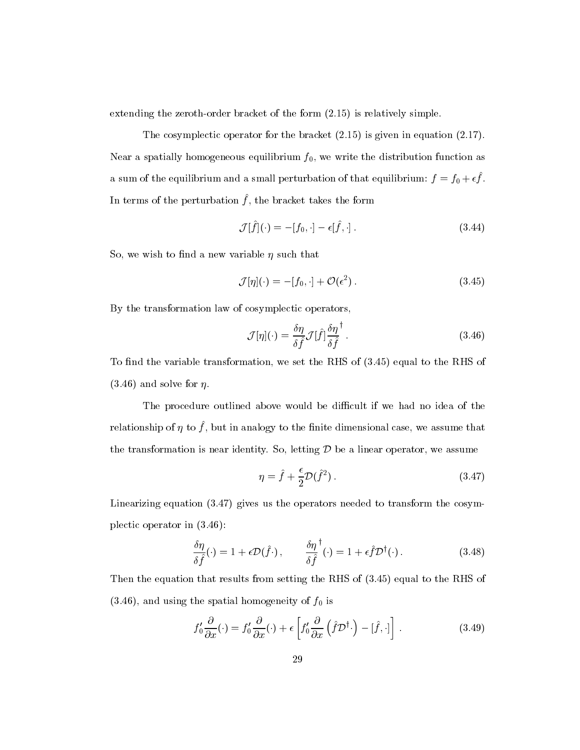extending the zeroth-order bracket of the form (2.15) is relatively simple.

The cosymplectic operator for the bracket (2.15) is given in equation (2.17). Near a spatially homogeneous equilibrium  $f_0$ , we write the distribution function as a sum of the equilibrium and a small perturbation of that equilibrium:  $f = f_0 + e f$ . In terms of the berturbation  $f$ , the bracket takes the form

$$
\mathcal{J}[\hat{f}](\cdot) = -[f_0, \cdot] - \epsilon[\hat{f}, \cdot]. \tag{3.44}
$$

So, we wish to find a new variable  $\eta$  such that

$$
\mathcal{J}[\eta](\cdot) = -[f_0, \cdot] + \mathcal{O}(\epsilon^2). \tag{3.45}
$$

By the transformation law of cosymplectic operators,

$$
\mathcal{J}[\eta](\cdot) = \frac{\delta \eta}{\delta \hat{f}} \mathcal{J}[\hat{f}] \frac{\delta \eta}{\delta \hat{f}}^{\dagger}.
$$
\n(3.46)

To find the variable transformation, we set the RHS of  $(3.45)$  equal to the RHS of  $(3.46)$  and solve for  $\eta$ .

The procedure outlined above would be difficult if we had no idea of the relationship or  $\eta$  to  $\eta$  , but in analogy to the nillite dimensional case, we assume that the transformation is near identity. So, letting  $D$  be a linear operator, we assume

$$
\eta = \hat{f} + \frac{\epsilon}{2} \mathcal{D}(\hat{f}^2). \tag{3.47}
$$

Linearizing equation (3.47) gives us the operators needed to transform the cosymplectic operator in (3.46):

$$
\frac{\delta \eta}{\delta \hat{f}}(\cdot) = 1 + \epsilon \mathcal{D}(\hat{f}\cdot), \qquad \frac{\delta \eta^{\dagger}}{\delta \hat{f}}(\cdot) = 1 + \epsilon \hat{f} \mathcal{D}^{\dagger}(\cdot). \tag{3.48}
$$

Then the equation that results from setting the RHS of (3.45) equal to the RHS of  $(3.46)$ , and using the spatial homogeneity of  $f_0$  is

$$
f'_0 \frac{\partial}{\partial x}(\cdot) = f'_0 \frac{\partial}{\partial x}(\cdot) + \epsilon \left[ f'_0 \frac{\partial}{\partial x} \left( \hat{f} \mathcal{D}^\dagger \cdot \right) - [\hat{f}, \cdot] \right]. \tag{3.49}
$$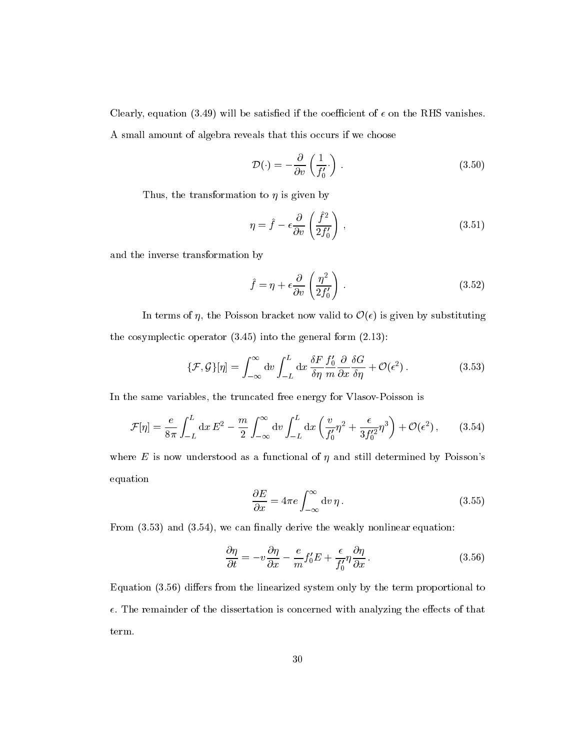Clearly, equation (3.49) will be satisfied if the coefficient of  $\epsilon$  on the RHS vanishes. A small amount of algebra reveals that this occurs if we choose

$$
\mathcal{D}(\cdot) = -\frac{\partial}{\partial v} \left( \frac{1}{f_0'} \cdot \right) . \tag{3.50}
$$

Thus, the transformation to  $\eta$  is given by

$$
\eta = \hat{f} - \epsilon \frac{\partial}{\partial v} \left( \frac{\hat{f}^2}{2f_0'} \right) , \qquad (3.51)
$$

and the inverse transformation by

$$
\hat{f} = \eta + \epsilon \frac{\partial}{\partial v} \left( \frac{\eta^2}{2f_0'} \right) . \tag{3.52}
$$

In terms of  $\eta$ , the Poisson bracket now valid to  $\mathcal{O}(\epsilon)$  is given by substituting the cosymplectic operator (3.45) into the general form (2.13):

$$
\{\mathcal{F},\mathcal{G}\}[\eta] = \int_{-\infty}^{\infty} dv \int_{-L}^{L} dx \, \frac{\delta F}{\delta \eta} \frac{f_0'}{m} \frac{\partial}{\partial x} \frac{\delta G}{\delta \eta} + \mathcal{O}(\epsilon^2).
$$
 (3.53)

In the same variables, the truncated free energy for Vlasov-Poisson is

$$
\mathcal{F}[\eta] = \frac{e}{8\pi} \int_{-L}^{L} dx E^2 - \frac{m}{2} \int_{-\infty}^{\infty} dv \int_{-L}^{L} dx \left(\frac{v}{f'_0} \eta^2 + \frac{\epsilon}{3f_0'^2} \eta^3\right) + \mathcal{O}(\epsilon^2), \qquad (3.54)
$$

where E is now understood as a functional of  $\eta$  and still determined by Poisson's equation

$$
\frac{\partial E}{\partial x} = 4\pi e \int_{-\infty}^{\infty} dv \, \eta \,. \tag{3.55}
$$

From  $(3.53)$  and  $(3.54)$ , we can finally derive the weakly nonlinear equation:

$$
\frac{\partial \eta}{\partial t} = -v \frac{\partial \eta}{\partial x} - \frac{e}{m} f'_0 E + \frac{\epsilon}{f'_0} \eta \frac{\partial \eta}{\partial x}.
$$
\n(3.56)

Equation  $(3.56)$  differs from the linearized system only by the term proportional to  $\epsilon$ . The remainder of the dissertation is concerned with analyzing the effects of that term.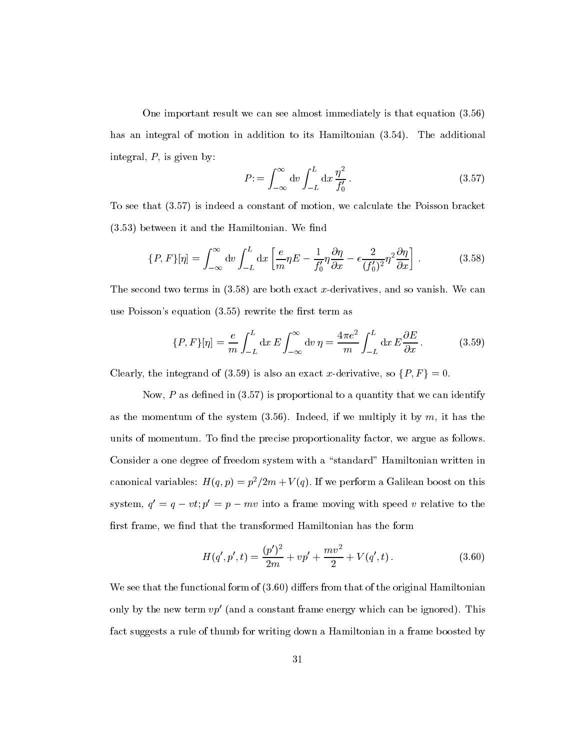One important result we can see almost immediately is that equation (3.56) has an integral of motion in addition to its Hamiltonian (3.54). The additional integral,  $P$ , is given by:

$$
P = \int_{-\infty}^{\infty} dv \int_{-L}^{L} dx \frac{\eta^2}{f_0'}.
$$
 (3.57)

To see that (3.57) is indeed a constant of motion, we calculate the Poisson bracket  $(3.53)$  between it and the Hamiltonian. We find

$$
\{P, F\}[\eta] = \int_{-\infty}^{\infty} dv \int_{-L}^{L} dx \left[ \frac{e}{m} \eta E - \frac{1}{f_0'} \eta \frac{\partial \eta}{\partial x} - \epsilon \frac{2}{(f_0')^2} \eta^2 \frac{\partial \eta}{\partial x} \right].
$$
 (3.58)

The second two terms in  $(3.58)$  are both exact x-derivatives, and so vanish. We can use Poisson's equation  $(3.55)$  rewrite the first term as

$$
\{P, F\}[\eta] = \frac{e}{m} \int_{-L}^{L} dx E \int_{-\infty}^{\infty} dv \,\eta = \frac{4\pi e^2}{m} \int_{-L}^{L} dx E \frac{\partial E}{\partial x}.
$$
 (3.59)

Clearly, the integrand of (3.59) is also an exact x-derivative, so  $\{P, F\} = 0$ .

Now,  $P$  as defined in  $(3.57)$  is proportional to a quantity that we can identify as the momentum of the system  $(3.56)$ . Indeed, if we multiply it by m, it has the units of momentum. To find the precise proportionality factor, we argue as follows. Consider a one degree of freedom system with a "standard" Hamiltonian written in canonical variables:  $H(q, p) = p^2/2m + V(q)$ . If we perform a Galilean boost on this system,  $q = q - vt$ ;  $p = p - mv$  into a frame moving with speed v relative to the first frame, we find that the transformed Hamiltonian has the form

$$
H(q',p',t) = \frac{(p')^2}{2m} + vp' + \frac{mv^2}{2} + V(q',t).
$$
 (3.60)

We see that the functional form of  $(3.60)$  differs from that of the original Hamiltonian only by the new term  $vp'$  (and a constant frame energy which can be ignored). This fact suggests a rule of thumb for writing down a Hamiltonian in a frame boosted by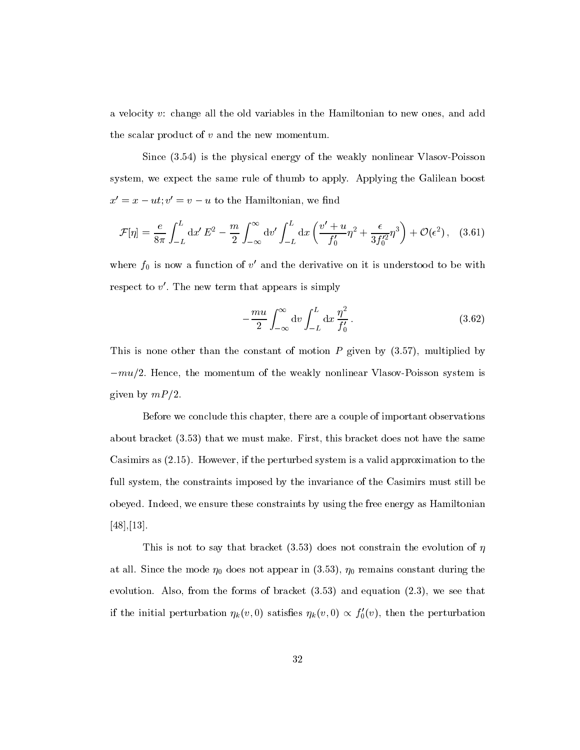a velocity v: change all the old variables in the Hamiltonian to new ones, and add the scalar product of  $v$  and the new momentum.

Since (3.54) is the physical energy of the weakly nonlinear Vlasov-Poisson system, we expect the same rule of thumb to apply. Applying the Galilean boost  $x' = x - ut; v' = v - u$  to the Hamiltonian, we find

$$
\mathcal{F}[\eta] = \frac{e}{8\pi} \int_{-L}^{L} dx' E^2 - \frac{m}{2} \int_{-\infty}^{\infty} dv' \int_{-L}^{L} dx \left( \frac{v' + u}{f'_0} \eta^2 + \frac{\epsilon}{3f_0'^2} \eta^3 \right) + \mathcal{O}(\epsilon^2), \quad (3.61)
$$

where  $f_0$  is now a function of  $v'$  and the derivative on it is understood to be with respect to  $v'$ . The new term that appears is simply

$$
-\frac{mu}{2} \int_{-\infty}^{\infty} dv \int_{-L}^{L} dx \frac{\eta^2}{f_0'}.
$$
 (3.62)

This is none other than the constant of motion P given by (3.57), multiplied by  $-mu/2$ . Hence, the momentum of the weakly nonlinear Vlasov-Poisson system is given by  $mP/2$ .

Before we conclude this chapter, there are a couple of important observations about bracket (3.53) that we must make. First, this bracket does not have the same Casimirs as (2.15). However, if the perturbed system is a valid approximation to the full system, the constraints imposed by the invariance of the Casimirs must still be obeyed. Indeed, we ensure these constraints by using the free energy as Hamiltonian [48],[13].

This is not to say that bracket (3.53) does not constrain the evolution of  $\eta$ at all. Since the mode  $\eta_0$  does not appear in (3.53),  $\eta_0$  remains constant during the evolution. Also, from the forms of bracket (3.53) and equation (2.3), we see that if the initial perturbation  $\eta_k(v, 0)$  satisfies  $\eta_k(v, 0) \propto f'_0(v)$ , then the perturbation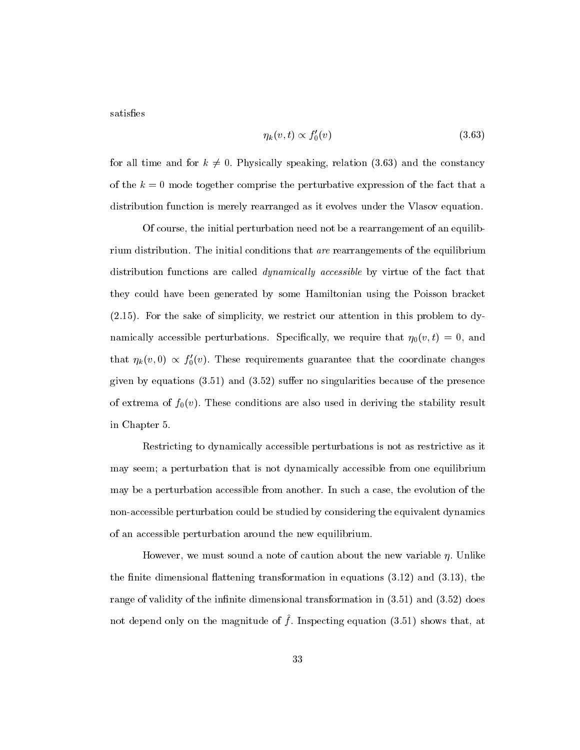satisfies

$$
\eta_k(v,t) \propto f_0'(v) \tag{3.63}
$$

for all time and for  $k \neq 0$ . Physically speaking, relation (3.63) and the constancy of the  $k = 0$  mode together comprise the perturbative expression of the fact that a distribution function is merely rearranged as it evolves under the Vlasov equation.

Of course, the initial perturbation need not be a rearrangement of an equilibrium distribution. The initial conditions that are rearrangements of the equilibrium distribution functions are called *dynamically accessible* by virtue of the fact that they could have been generated by some Hamiltonian using the Poisson bracket (2.15). For the sake of simplicity, we restrict our attention in this problem to dynamically accessible perturbations. Specifically, we require that  $\eta_0(v, t) = 0$ , and that  $\eta_k(v, 0) \propto f'_0(v)$ . These requirements guarantee that the coordinate changes given by equations  $(3.51)$  and  $(3.52)$  suffer no singularities because of the presence of extrema of  $f_0(v)$ . These conditions are also used in deriving the stability result in Chapter 5.

Restricting to dynamically accessible perturbations is not as restrictive as it may seem; a perturbation that is not dynamically accessible from one equilibrium may be a perturbation accessible from another. In such a case, the evolution of the non-accessible perturbation could be studied by considering the equivalent dynamics of an accessible perturbation around the new equilibrium.

However, we must sound a note of caution about the new variable  $\eta$ . Unlike the finite dimensional flattening transformation in equations  $(3.12)$  and  $(3.13)$ , the range of validity of the infinite dimensional transformation in  $(3.51)$  and  $(3.52)$  does not depend only on the magnitude of  $f$ . Inspecting equation (3.51) shows that, at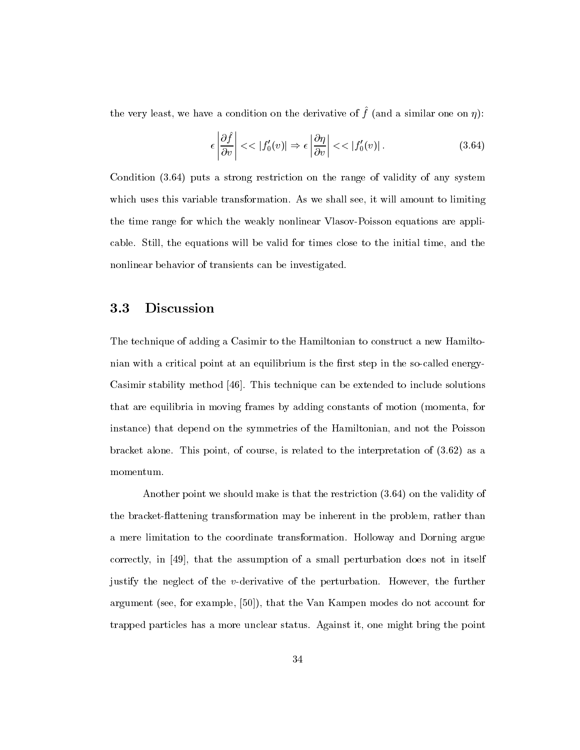the very reast, we have a condition on the derivative or  $\mu$  (and a similar one on  $\eta$ ).

$$
\epsilon \left| \frac{\partial \hat{f}}{\partial v} \right| \ll |f'_0(v)| \Rightarrow \epsilon \left| \frac{\partial \eta}{\partial v} \right| \ll |f'_0(v)|. \tag{3.64}
$$

Condition (3.64) puts a strong restriction on the range of validity of any system which uses this variable transformation. As we shall see, it will amount to limiting the time range for which the weakly nonlinear Vlasov-Poisson equations are applicable. Still, the equations will be valid for times close to the initial time, and the nonlinear behavior of transients can be investigated.

#### **Discussion** 3.3

The technique of adding a Casimir to the Hamiltonian to construct a new Hamiltonian with a critical point at an equilibrium is the first step in the so-called energy-Casimir stability method [46]. This technique can be extended to include solutions that are equilibria in moving frames by adding constants of motion (momenta, for instance) that depend on the symmetries of the Hamiltonian, and not the Poisson bracket alone. This point, of course, is related to the interpretation of (3.62) as a momentum.

Another point we should make is that the restriction (3.64) on the validity of the bracket-flattening transformation may be inherent in the problem, rather than a mere limitation to the coordinate transformation. Holloway and Dorning argue correctly, in [49], that the assumption of a small perturbation does not in itself justify the neglect of the v-derivative of the perturbation. However, the further argument (see, for example, [50]), that the Van Kampen modes do not account for trapped particles has a more unclear status. Against it, one might bring the point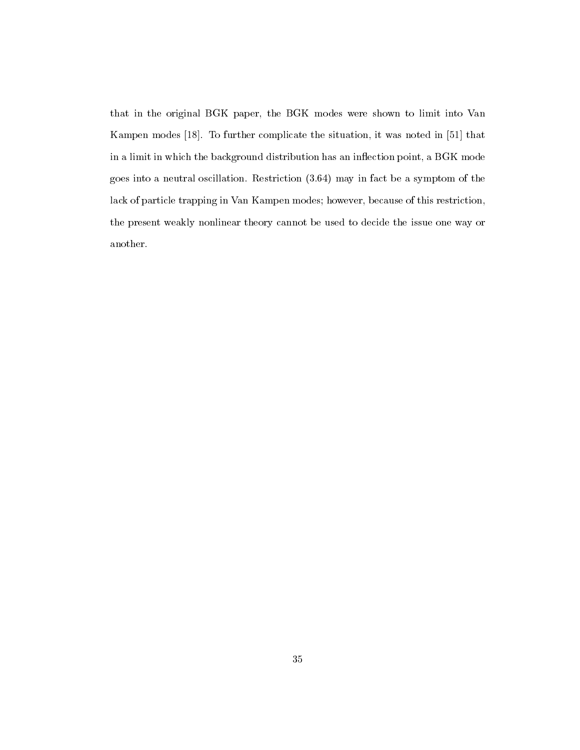that in the original BGK paper, the BGK modes were shown to limit into Van Kampen modes [18]. To further complicate the situation, it was noted in [51] that in a limit in which the background distribution has an inflection point, a BGK mode goes into a neutral oscillation. Restriction (3.64) may in fact be a symptom of the lack of particle trapping in Van Kampen modes; however, because of this restriction, the present weakly nonlinear theory cannot be used to decide the issue one way or another.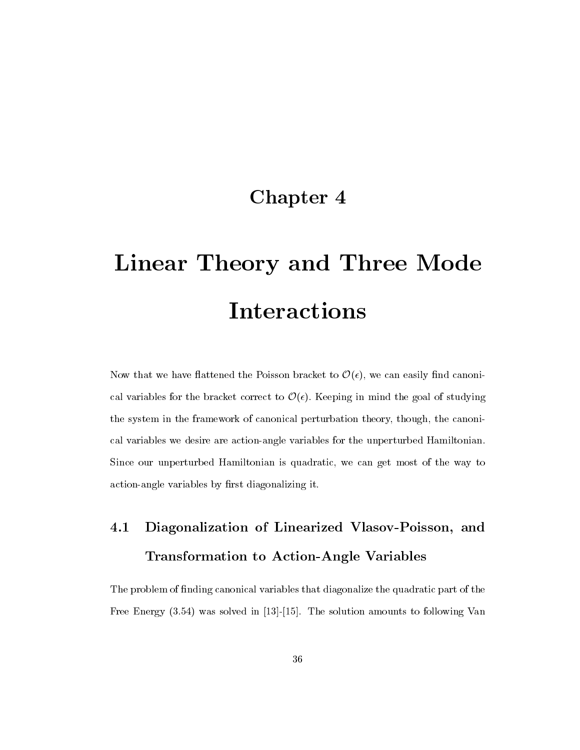### Chapter 4

# Linear Theory and Three Mode Interactions

Now that we have flattened the Poisson bracket to  $\mathcal{O}(\epsilon)$ , we can easily find canonical variables for the bracket correct to  $\mathcal{O}(\epsilon)$ . Keeping in mind the goal of studying the system in the framework of canonical perturbation theory, though, the canonical variables we desire are action-angle variables for the unperturbed Hamiltonian. Since our unperturbed Hamiltonian is quadratic, we can get most of the way to action-angle variables by first diagonalizing it.

## 4.1 Diagonalization of Linearized Vlasov-Poisson, and Transformation to Action-Angle Variables

The problem of finding canonical variables that diagonalize the quadratic part of the Free Energy (3.54) was solved in [13]-[15]. The solution amounts to following Van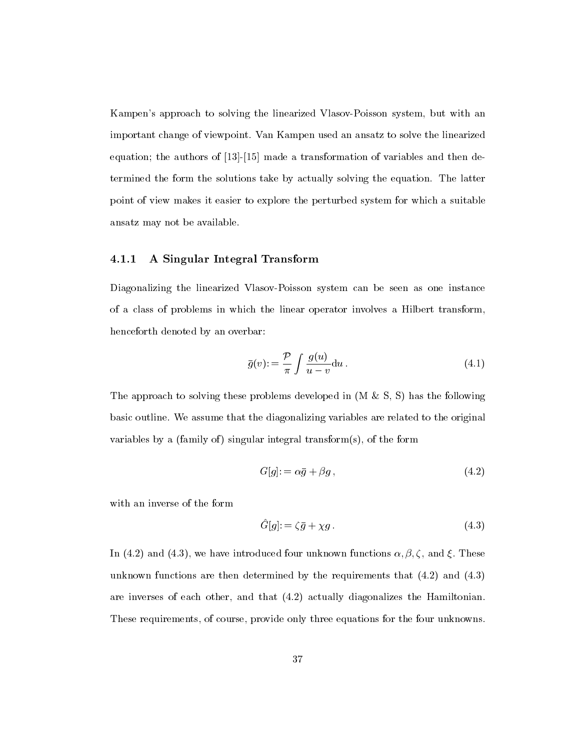Kampen's approach to solving the linearized Vlasov-Poisson system, but with an important change of viewpoint. Van Kampen used an ansatz to solve the linearized equation; the authors of [13]-[15] made a transformation of variables and then determined the form the solutions take by actually solving the equation. The latter point of view makes it easier to explore the perturbed system for which a suitable ansatz may not be available.

### 4.1.1 A Singular Integral Transform

Diagonalizing the linearized Vlasov-Poisson system canbe seen as one instance of a class of problems in which the linear operator involves a Hilbert transform, henceforth denoted by an overbar:

$$
\bar{g}(v) := \frac{\mathcal{P}}{\pi} \int \frac{g(u)}{u - v} \mathrm{d}u \,. \tag{4.1}
$$

The approach to solving these problems developed in  $(M \& S, S)$  has the following basic outline. We assume that the diagonalizing variables are related to the original variables by a (family of) singular integral transform $(s)$ , of the form

$$
G[g] = \alpha \bar{g} + \beta g \,, \tag{4.2}
$$

with an inverse of the form

$$
\hat{G}[g] = \zeta \bar{g} + \chi g. \tag{4.3}
$$

In (4.2) and (4.3), we have introduced four unknown functions  $\alpha, \beta, \zeta$ , and  $\xi$ . These unknown functions are then determined by the requirements that (4.2) and (4.3) are inverses of each other, and that (4.2) actually diagonalizes the Hamiltonian. These requirements, of course, provide only three equations for the four unknowns.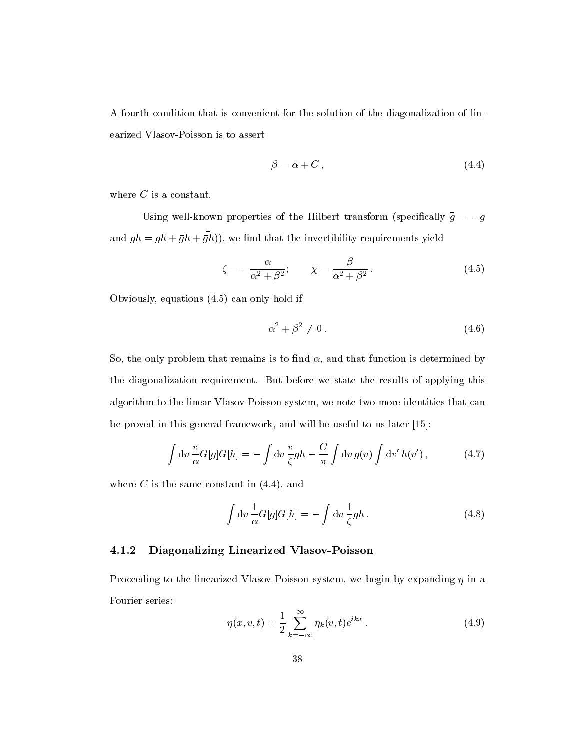A fourth condition that is convenient for the solution of the diagonalization of linearized Vlasov-Poisson is to assert

$$
\beta = \bar{\alpha} + C, \tag{4.4}
$$

where  $C$  is a constant.

Using well-known properties of the Hilbert transform (specifically  $\bar{g} = -g$ and  $gn = gn + gn + gn$ ), we find that the invertibility requirements yield

$$
\zeta = -\frac{\alpha}{\alpha^2 + \beta^2}; \qquad \chi = \frac{\beta}{\alpha^2 + \beta^2}.
$$
\n(4.5)

Obviously, equations (4.5) can only hold if

$$
\alpha^2 + \beta^2 \neq 0. \tag{4.6}
$$

So, the only problem that remains is to find  $\alpha$ , and that function is determined by the diagonalization requirement. But before we state the results of applying this algorithm to the linear Vlasov-Poisson system, we note two more identities that can be proved in this general framework, and will be useful to us later [15]:

$$
\int dv \frac{v}{\alpha} G[g] G[h] = -\int dv \frac{v}{\zeta} gh - \frac{C}{\pi} \int dv g(v) \int dv' h(v'), \qquad (4.7)
$$

where  $C$  is the same constant in  $(4.4)$ , and

$$
\int dv \frac{1}{\alpha} G[g] G[h] = - \int dv \frac{1}{\zeta} gh.
$$
\n(4.8)

### 4.1.2 Diagonalizing Linearized Vlasov-Poisson

Proceeding to the linearized Vlasov-Poisson system, we begin by expanding  $\eta$  in a Fourier series:

$$
\eta(x, v, t) = \frac{1}{2} \sum_{k=-\infty}^{\infty} \eta_k(v, t) e^{ikx} .
$$
\n(4.9)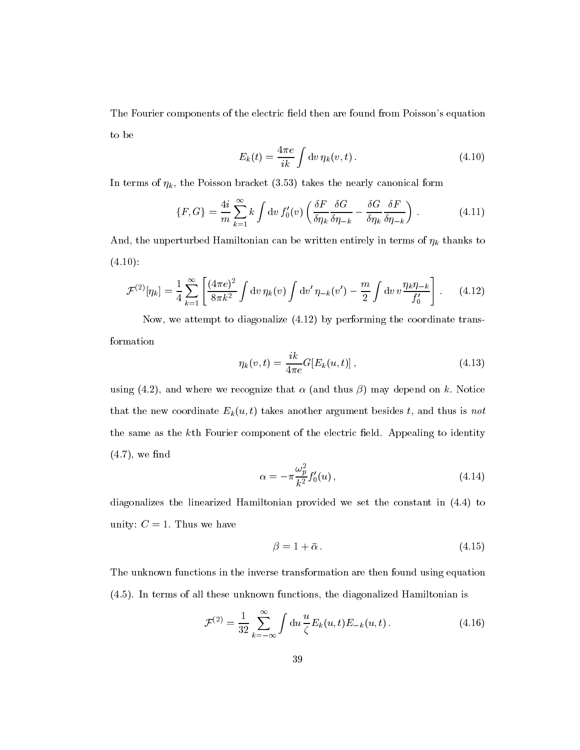The Fourier components of the electric field then are found from Poisson's equation to be

$$
E_k(t) = \frac{4\pi e}{ik} \int \mathrm{d}v \,\eta_k(v,t) \,. \tag{4.10}
$$

In terms of  $\eta_k$ , the Poisson bracket (3.53) takes the nearly canonical form

$$
\{F, G\} = \frac{4i}{m} \sum_{k=1}^{\infty} k \int \mathrm{d}v \, f_0'(v) \left( \frac{\delta F}{\delta \eta_k} \frac{\delta G}{\delta \eta_{-k}} - \frac{\delta G}{\delta \eta_k} \frac{\delta F}{\delta \eta_{-k}} \right) \,. \tag{4.11}
$$

And, the unperturbed Hamiltonian can be written entirely in terms of  $\eta_k$  thanks to  $(4.10):$ 

$$
\mathcal{F}^{(2)}[\eta_k] = \frac{1}{4} \sum_{k=1}^{\infty} \left[ \frac{(4\pi e)^2}{8\pi k^2} \int \mathrm{d}v \, \eta_k(v) \int \mathrm{d}v' \, \eta_{-k}(v') - \frac{m}{2} \int \mathrm{d}v \, v \frac{\eta_k \eta_{-k}}{f_0'} \right]. \tag{4.12}
$$

Now, we attempt to diagonalize (4.12) by performing the coordinate transformation

$$
\eta_k(v, t) = \frac{ik}{4\pi e} G[E_k(u, t)],
$$
\n(4.13)

using (4.2), and where we recognize that  $\alpha$  (and thus  $\beta$ ) may depend on k. Notice that the new coordinate  $E_k(u, t)$  takes another argument besides t, and thus is not the same as the k<sup>th</sup> Fourier component of the electric field. Appealing to identity  $(4.7)$ , we find

$$
\alpha = -\pi \frac{\omega_p^2}{k^2} f_0'(u) \,, \tag{4.14}
$$

diagonalizes the linearized Hamiltonian provided we set the constant in (4.4) to unity:  $C = 1$ . Thus we have

$$
\beta = 1 + \bar{\alpha} \,. \tag{4.15}
$$

The unknown functions in the inverse transformation are then found using equation (4.5). In terms of all these unknown functions, the diagonalized Hamiltonian is

$$
\mathcal{F}^{(2)} = \frac{1}{32} \sum_{k=-\infty}^{\infty} \int \mathrm{d}u \, \frac{u}{\zeta} E_k(u, t) E_{-k}(u, t).
$$
 (4.16)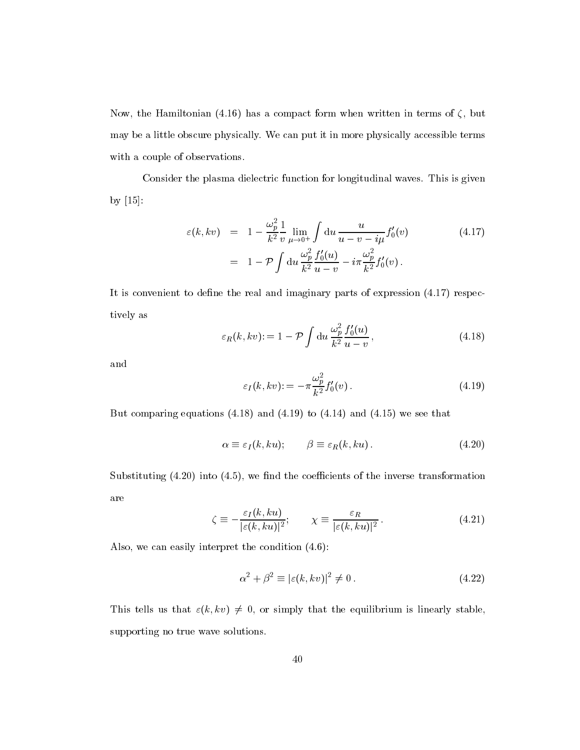Now, the Hamiltonian (4.16) has a compact form when written in terms of  $\zeta$ , but may be a little obscure physically. We can put it in more physically accessible terms with a couple of observations.

Consider the plasma dielectric function for longitudinal waves. This is given by [15]:

$$
\varepsilon(k, kv) = 1 - \frac{\omega_p^2}{k^2} \frac{1}{v} \lim_{\mu \to 0^+} \int du \frac{u}{u - v - i\mu} f_0'(v) \qquad (4.17)
$$

$$
= 1 - \mathcal{P} \int du \frac{\omega_p^2}{k^2} \frac{f_0'(u)}{u - v} - i\pi \frac{\omega_p^2}{k^2} f_0'(v) \, .
$$

It is convenient to define the real and imaginary parts of expression  $(4.17)$  respectively as

$$
\varepsilon_R(k, kv) := 1 - \mathcal{P} \int \mathrm{d}u \, \frac{\omega_p^2}{k^2} \frac{f_0'(u)}{u - v},\tag{4.18}
$$

and

$$
\varepsilon_I(k, kv) := -\pi \frac{\omega_p^2}{k^2} f_0'(v) \,. \tag{4.19}
$$

But comparing equations  $(4.18)$  and  $(4.19)$  to  $(4.14)$  and  $(4.15)$  we see that

$$
\alpha \equiv \varepsilon_I(k, ku); \qquad \beta \equiv \varepsilon_R(k, ku). \tag{4.20}
$$

Substituting  $(4.20)$  into  $(4.5)$ , we find the coefficients of the inverse transformation are

$$
\zeta \equiv -\frac{\varepsilon_I(k, ku)}{|\varepsilon(k, ku)|^2}; \qquad \chi \equiv \frac{\varepsilon_R}{|\varepsilon(k, ku)|^2}.
$$
 (4.21)

Also, we can easily interpret the condition (4.6):

$$
\alpha^2 + \beta^2 \equiv |\varepsilon(k, kv)|^2 \neq 0. \tag{4.22}
$$

This tells us that  $\varepsilon(k, kv) \neq 0$ , or simply that the equilibrium is linearly stable, supporting no true wave solutions.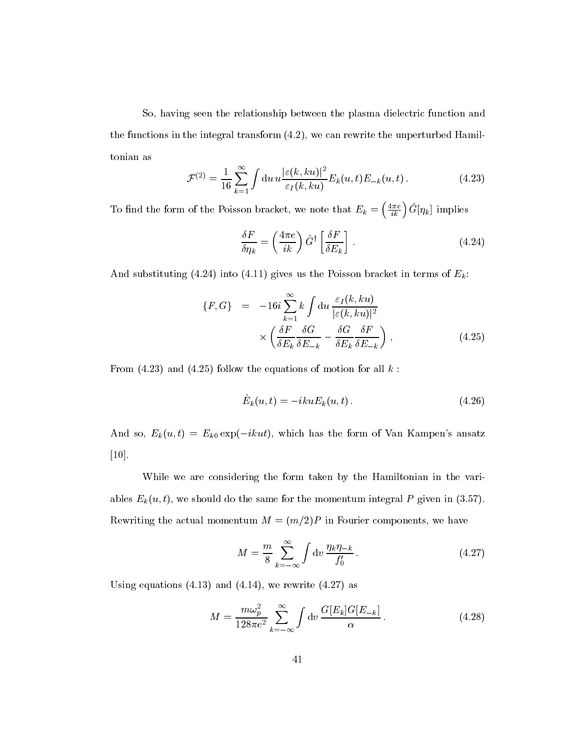So, having seen the relationship between the plasma dielectric function and the functions in the integral transform (4.2), we can rewrite the unperturbed Hamiltonian as

$$
\mathcal{F}^{(2)} = \frac{1}{16} \sum_{k=1}^{\infty} \int \mathrm{d}u \, u \frac{|\varepsilon(k, ku)|^2}{\varepsilon_I(k, ku)} E_k(u, t) E_{-k}(u, t).
$$
 (4.23)

 $\overline{N}$  and the form of the form of the form of the  $\overline{N}$  $\left(\frac{4\pi e}{ik}\right)\hat{G}[\eta_k]$  implies

$$
\frac{\delta F}{\delta \eta_k} = \left(\frac{4\pi e}{ik}\right) \hat{G}^\dagger \left[\frac{\delta F}{\delta E_k}\right] \,. \tag{4.24}
$$

And substituting (4.24) into (4.11) gives us the Poisson bracket in terms of  $E_k$ :

$$
\{F, G\} = -16i \sum_{k=1}^{\infty} k \int du \frac{\varepsilon_I(k, ku)}{|\varepsilon(k, ku)|^2} \times \left( \frac{\delta F}{\delta E_k} \frac{\delta G}{\delta E_{-k}} - \frac{\delta G}{\delta E_k} \frac{\delta F}{\delta E_{-k}} \right) ,
$$
\n(4.25)

From  $(4.23)$  and  $(4.25)$  follow the equations of motion for all  $k$ :

$$
\dot{E}_k(u,t) = -ikuE_k(u,t). \qquad (4.26)
$$

And so,  $E_k(u, t) = E_{k0} \exp(-ikut)$ , which has the form of Van Kampen's ansatz [10].

While we are considering the form taken by the Hamiltonian in the variables  $E_k(u, t)$ , we should do the same for the momentum integral P given in (3.57). Rewriting the actual momentum  $M = (m/2)P$  in Fourier components, we have

$$
M = \frac{m}{8} \sum_{k=-\infty}^{\infty} \int \mathrm{d}v \, \frac{\eta_k \eta_{-k}}{f_0'} \,. \tag{4.27}
$$

Using equations  $(4.13)$  and  $(4.14)$ , we rewrite  $(4.27)$  as

$$
M = \frac{m\omega_p^2}{128\pi e^2} \sum_{k=-\infty}^{\infty} \int \mathrm{d}v \, \frac{G[E_k]G[E_{-k}]}{\alpha} \,. \tag{4.28}
$$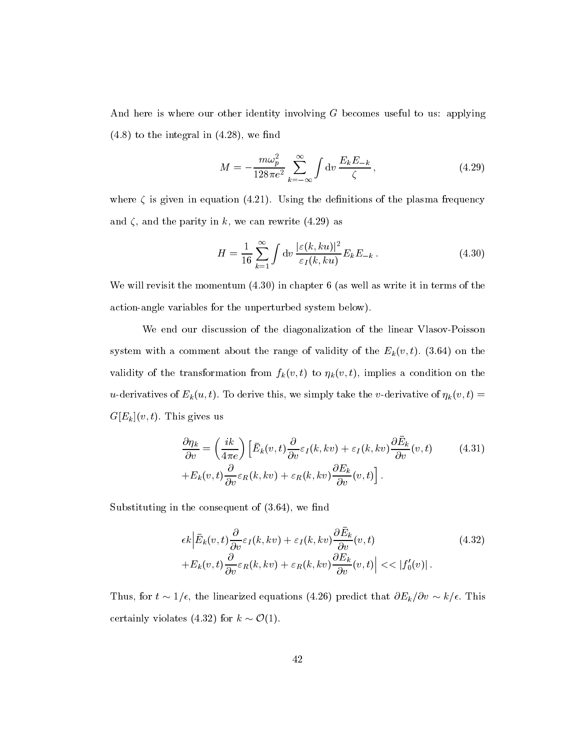And here is where our other identity involving  $G$  becomes useful to us: applying  $(4.8)$  to the integral in  $(4.28)$ , we find

$$
M = -\frac{m\omega_p^2}{128\pi e^2} \sum_{k=-\infty}^{\infty} \int \mathrm{d}v \, \frac{E_k E_{-k}}{\zeta} \,,\tag{4.29}
$$

where  $\zeta$  is given in equation (4.21). Using the definitions of the plasma frequency and  $\zeta$ , and the parity in k, we can rewrite (4.29) as

$$
H = \frac{1}{16} \sum_{k=1}^{\infty} \int \mathrm{d}v \, \frac{|\varepsilon(k, ku)|^2}{\varepsilon_I(k, ku)} E_k E_{-k} \,. \tag{4.30}
$$

We will revisit the momentum  $(4.30)$  in chapter 6 (as well as write it in terms of the action-angle variables for the unperturbed system below).

We end our discussion of the diagonalization of the linear Vlasov-Poisson system with a comment about the range of validity of the  $E_k(v, t)$ . (3.64) on the validity of the transformation from  $f_k(v, t)$  to  $\eta_k(v, t)$ , implies a condition on the u-derivatives of  $E_k(u, t)$ . To derive this, we simply take the v-derivative of  $\eta_k(v, t) =$  $G[E_k](v, t)$ . This gives us

$$
\frac{\partial \eta_k}{\partial v} = \left(\frac{ik}{4\pi e}\right) \left[\bar{E}_k(v,t)\frac{\partial}{\partial v}\varepsilon_I(k,kv) + \varepsilon_I(k,kv)\frac{\partial \bar{E}_k}{\partial v}(v,t) \right] + E_k(v,t)\frac{\partial}{\partial v}\varepsilon_R(k,kv) + \varepsilon_R(k,kv)\frac{\partial E_k}{\partial v}(v,t)\right].
$$
\n(4.31)

Substituting in the consequent of  $(3.64)$ , we find

$$
\epsilon k \left| \bar{E}_k(v,t) \frac{\partial}{\partial v} \varepsilon_I(k,kv) + \varepsilon_I(k,kv) \frac{\partial \bar{E}_k}{\partial v}(v,t) \right|
$$
\n
$$
+ E_k(v,t) \frac{\partial}{\partial v} \varepsilon_R(k,kv) + \varepsilon_R(k,kv) \frac{\partial E_k}{\partial v}(v,t) \left| \right| << |f'_0(v)|. \tag{4.32}
$$

Thus, for  $t \sim 1/\epsilon$ , the linearized equations (4.26) predict that  $\partial E_k/\partial v \sim k/\epsilon$ . This certainly violates (4.32) for  $k \sim \mathcal{O}(1)$ .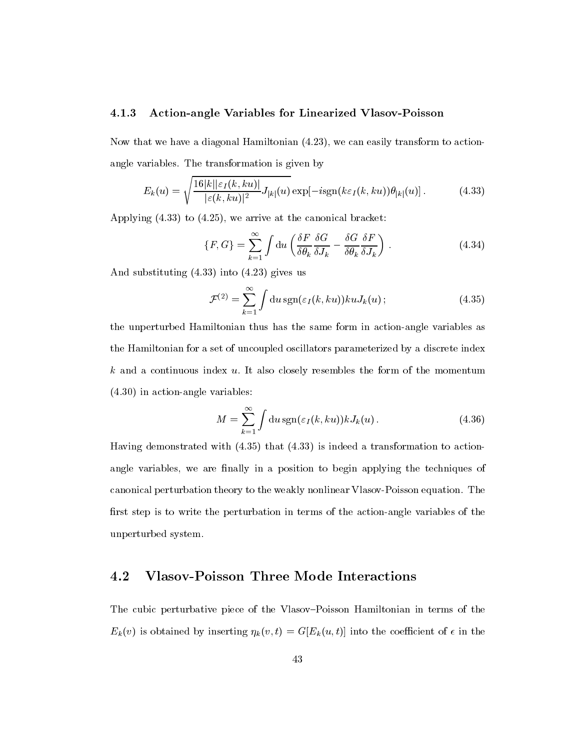#### 4.1.3 Action-angle Variables for Linearized Vlasov-Poisson

Now that we have a diagonal Hamiltonian (4.23), we can easily transform to actionangle variables. The transformation is given by

$$
E_k(u) = \sqrt{\frac{16|k||\varepsilon_I(k, ku)|}{|\varepsilon(k, ku)|^2} J_{|k|}(u)} \exp[-i \text{sgn}(k\varepsilon_I(k, ku)) \theta_{|k|}(u)]. \tag{4.33}
$$

Applying (4.33) to (4.25), we arrive at the canonical bracket:

$$
\{F, G\} = \sum_{k=1}^{\infty} \int \mathrm{d}u \left( \frac{\delta F}{\delta \theta_k} \frac{\delta G}{\delta J_k} - \frac{\delta G}{\delta \theta_k} \frac{\delta F}{\delta J_k} \right) \,. \tag{4.34}
$$

And substituting (4.33) into (4.23) gives us

$$
\mathcal{F}^{(2)} = \sum_{k=1}^{\infty} \int \mathrm{d}u \, \mathrm{sgn}(\varepsilon_I(k, ku)) ku J_k(u) \, ; \tag{4.35}
$$

the unperturbed Hamiltonian thus has the same form in action-angle variables as the Hamiltonian for a set of uncoupled oscillators parameterized by a discrete index  $k$  and a continuous index  $u$ . It also closely resembles the form of the momentum (4.30) in action-angle variables:

$$
M = \sum_{k=1}^{\infty} \int \mathrm{d}u \, \mathrm{sgn}(\varepsilon_I(k, ku)) k J_k(u) \,. \tag{4.36}
$$

Having demonstrated with (4.35) that (4.33) is indeed a transformation to actionangle variables, we are finally in a position to begin applying the techniques of canonical perturbation theory to the weakly nonlinear Vlasov-Poisson equation. The first step is to write the perturbation in terms of the action-angle variables of the unperturbed system.

### 4.2 Vlasov-Poisson Three Mode Interactions

The cubic perturbative piece of the Vlasov-Poisson Hamiltonian in terms of the  $E_k(v)$  is obtained by inserting  $\eta_k(v, t) = G[E_k(u, t)]$  into the coefficient of  $\epsilon$  in the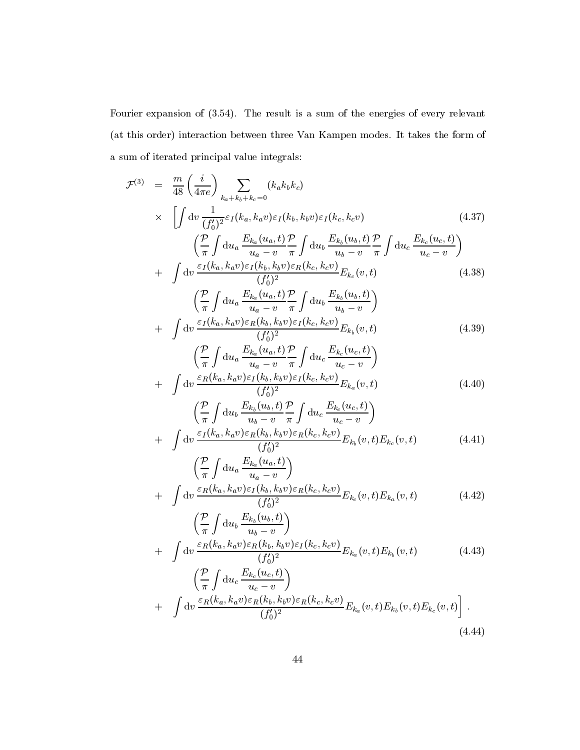Fourier expansion of (3.54). The result is a sum of the energies of every relevant (at this order) interaction between three Van Kampen modes. It takes the form of a sum of iterated principal value integrals:

$$
\mathcal{F}^{(3)} = \frac{m}{48} \left( \frac{i}{4\pi e} \right) \sum_{k_a + k_b + k_c = 0} (k_a k_b k_c) \times \left[ \int dv \frac{1}{(f_0^t)^2} \varepsilon_I (k_a, k_a v) \varepsilon_I (k_b, k_b v) \varepsilon_I (k_c, k_c v) \right. \left. \left( \frac{P}{T} \int du_a \frac{E_{k_a}(u_a, t)}{u_a - v} \frac{P}{\pi} \int du_b \frac{E_{k_b}(u_b, t)}{u_b - v} \frac{P}{\pi} \int du_c \frac{E_{k_c}(u_c, t)}{u_c - v} \right) \right. \left. + \int dv \frac{\varepsilon_I (k_a, k_a v) \varepsilon_I (k_b, k_b v) \varepsilon_R (k_c, k_c v)}{(f_0^t)^2} E_{k_c}(v, t) \right. \left. \left( \frac{P}{\pi} \int du_a \frac{E_{k_a}(u_a, t)}{u_a - v} \frac{P}{\pi} \int du_b \frac{E_{k_b}(u_b, t)}{u_b - v} \right) \right. \left. + \int dv \frac{\varepsilon_I (k_a, k_a v) \varepsilon_I (k_b, k_b v) \varepsilon_I (k_c, k_c v)}{(f_0^t)^2} E_{k_b}(v, t) \right. \left. \left( \frac{P}{\pi} \int du_a \frac{E_{k_a}(u_a, t)}{u_b - v} \frac{P}{\pi} \int du_c \frac{E_{k_c}(u_c, t)}{u_c - v} \right) \right. \left. + \int dv \frac{\varepsilon_R (k_a, k_a v) \varepsilon_I (k_b, k_b v) \varepsilon_I (k_c, k_c v)}{(f_0^t)^2} E_{k_a}(v, t) \right. \left. \left( \frac{P}{\pi} \int du_b \frac{E_{k_b}(u_b, t)}{u_b - v} \frac{P}{\pi} \int du_c \frac{E_{k_c}(u_c, t)}{u_c - v} \right) \right. \left. + \int dv \frac{\varepsilon_I (k_a, k_a v) \varepsilon_R (k_b, k_b v) \varepsilon_R (k_c, k_c v)}{(f_0^t)^2} E_{k_b}(v, t) E_{k_c}(v, t) \right. \left. \left( \frac
$$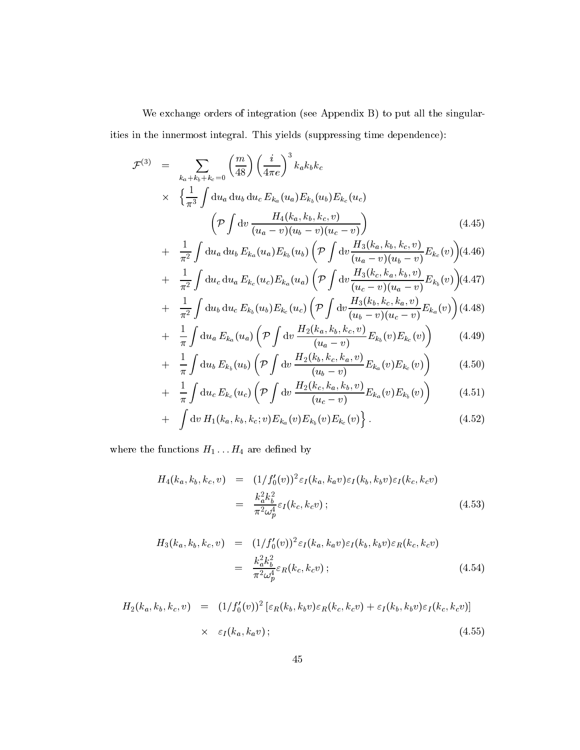We exchange orders of integration (see Appendix B) to put all the singularities in the innermost integral. This yields (suppressing time dependence):

$$
\mathcal{F}^{(3)} = \sum_{k_a + k_b + k_c = 0} {m \choose 48} \left(\frac{i}{4\pi e}\right)^3 k_a k_b k_c
$$
  
 
$$
\times \left\{ \frac{1}{\pi^3} \int du_a du_b du_c E_{k_a}(u_a) E_{k_b}(u_b) E_{k_c}(u_c) \right\}
$$
  
\n
$$
\left(\mathcal{P} \int dv \frac{H_4(k_a, k_b, k_c, v)}{(u_a - v)(u_b - v)(u_c - v)}\right)
$$
  
\n
$$
+ \frac{1}{\pi^2} \int du_a du_b E_{k_a}(u_a) E_{k_b}(u_b) \left(\mathcal{P} \int dv \frac{H_3(k_a, k_b, k_c, v)}{(u_a - v)(u_b - v)} E_{k_c}(v)\right) (4.46)
$$

$$
+ \frac{1}{\pi^2} \int du_c du_a E_{k_c}(u_c) E_{k_a}(u_a) \left( \mathcal{P} \int dv \frac{H_3(k_c, k_a, k_b, v)}{(u_c - v)(u_a - v)} E_{k_b}(v) \right) (4.47)
$$

+ 
$$
\frac{1}{\pi^2} \int du_b du_c E_{k_b}(u_b) E_{k_c}(u_c) \left( \mathcal{P} \int dv \frac{H_3(k_b, k_c, k_a, v)}{(u_b - v)(u_c - v)} E_{k_a}(v) \right)
$$
(4.48)

$$
+ \frac{1}{\pi} \int \mathrm{d}u_a \, E_{k_a}(u_a) \left( \mathcal{P} \int \mathrm{d}v \, \frac{H_2(k_a, k_b, k_c, v)}{(u_a - v)} E_{k_b}(v) E_{k_c}(v) \right) \tag{4.49}
$$

$$
+ \frac{1}{\pi} \int du_b E_{k_b}(u_b) \left( \mathcal{P} \int dv \frac{H_2(k_b, k_c, k_a, v)}{(u_b - v)} E_{k_a}(v) E_{k_c}(v) \right) \tag{4.50}
$$

+ 
$$
\frac{1}{\pi} \int du_c E_{k_c}(u_c) \left( \mathcal{P} \int dv \frac{H_2(k_c, k_a, k_b, v)}{(u_c - v)} E_{k_a}(v) E_{k_b}(v) \right)
$$
 (4.51)

+ 
$$
\int dv H_1(k_a, k_b, k_c; v) E_{k_a}(v) E_{k_b}(v) E_{k_c}(v) \}
$$
. (4.52)

where the functions  $H_1 \dots H_4$  are defined by

$$
H_4(k_a, k_b, k_c, v) = (1/f'_0(v))^2 \varepsilon_I(k_a, k_a v) \varepsilon_I(k_b, k_b v) \varepsilon_I(k_c, k_c v)
$$
  

$$
= \frac{k_a^2 k_b^2}{\pi^2 \omega_p^4} \varepsilon_I(k_c, k_c v) ;
$$
 (4.53)

$$
H_3(k_a, k_b, k_c, v) = (1/f'_0(v))^2 \varepsilon_I(k_a, k_a v) \varepsilon_I(k_b, k_b v) \varepsilon_R(k_c, k_c v)
$$
  
= 
$$
\frac{k_a^2 k_b^2}{\pi^2 \omega_p^4} \varepsilon_R(k_c, k_c v) ;
$$
 (4.54)

$$
H_2(k_a, k_b, k_c, v) = (1/f'_0(v))^2 \left[\varepsilon_R(k_b, k_b v)\varepsilon_R(k_c, k_c v) + \varepsilon_I(k_b, k_b v)\varepsilon_I(k_c, k_c v)\right]
$$
  
 
$$
\times \varepsilon_I(k_a, k_a v); \qquad (4.55)
$$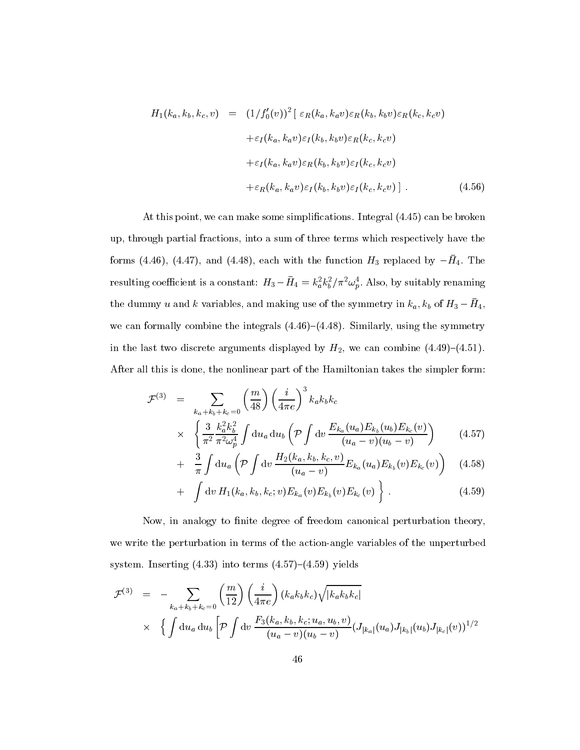$$
H_1(k_a, k_b, k_c, v) = (1/f'_0(v))^2 [\varepsilon_R(k_a, k_a v)\varepsilon_R(k_b, k_b v)\varepsilon_R(k_c, k_c v)
$$
  
+
$$
\varepsilon_I(k_a, k_a v)\varepsilon_I(k_b, k_b v)\varepsilon_R(k_c, k_c v)
$$
  
+
$$
\varepsilon_I(k_a, k_a v)\varepsilon_R(k_b, k_b v)\varepsilon_I(k_c, k_c v)
$$
  
+
$$
\varepsilon_R(k_a, k_a v)\varepsilon_I(k_b, k_b v)\varepsilon_I(k_c, k_c v)]
$$
. (4.56)

At this point, we can make some simplications. Integral (4.45) can be broken up, through partial fractions, into a sum of three terms which respectively have the forms  $(4.40)$ ,  $(4.47)$ , and  $(4.40)$ , each with the function H3 replaced by  $-114$ . The resulting coemcient is a constant:  $H_3 - H_4 = k_a^2 k_b^2 / \pi^2 \omega_p^2$ . Also, by suitably renaming the dummy  $u$  and  $\kappa$  variables, and making use of the symmetry in  $\kappa_a, \kappa_b$  of  $H_3 = H_4,$ we can formally combine the integrals  $(4.46)-(4.48)$ . Similarly, using the symmetry in the last two discrete arguments displayed by  $H_2$ , we can combine (4.49)-(4.51). After all this is done, the nonlinear part of the Hamiltonian takes the simpler form:

$$
\mathcal{F}^{(3)} = \sum_{k_a + k_b + k_c = 0} \left(\frac{m}{48}\right) \left(\frac{i}{4\pi e}\right)^3 k_a k_b k_c
$$
  
 
$$
\times \left\{\frac{3}{\pi^2} \frac{k_a^2 k_b^2}{\pi^2 \omega_p^4} \int du_a du_b \left(\mathcal{P} \int dv \frac{E_{k_a}(u_a) E_{k_b}(u_b) E_{k_c}(v)}{(u_a - v)(u_b - v)}\right) \right\}
$$
(4.57)

+ 
$$
\frac{3}{\pi} \int du_a \left( \mathcal{P} \int dv \frac{H_2(k_a, k_b, k_c, v)}{(u_a - v)} E_{k_a}(u_a) E_{k_b}(v) E_{k_c}(v) \right)
$$
 (4.58)

+ 
$$
\int dv H_1(k_a, k_b, k_c; v) E_{k_a}(v) E_{k_b}(v) E_{k_c}(v) \Big\}
$$
 (4.59)

Now, in analogy to finite degree of freedom canonical perturbation theory, we write the perturbation in terms of the action-angle variables of the unperturbed system. Inserting  $(4.33)$  into terms  $(4.57)-(4.59)$  yields

$$
\mathcal{F}^{(3)} = - \sum_{k_a + k_b + k_c = 0} {m \choose 12} \left(\frac{i}{4\pi e}\right) (k_a k_b k_c) \sqrt{|k_a k_b k_c|} \times \left\{ \int du_a du_b \left[ \mathcal{P} \int dv \frac{F_3(k_a, k_b, k_c; u_a, u_b, v)}{(u_a - v)(u_b - v)} (J_{|k_a|}(u_a) J_{|k_b|}(u_b) J_{|k_c|}(v))^{1/2} \right. \right\}
$$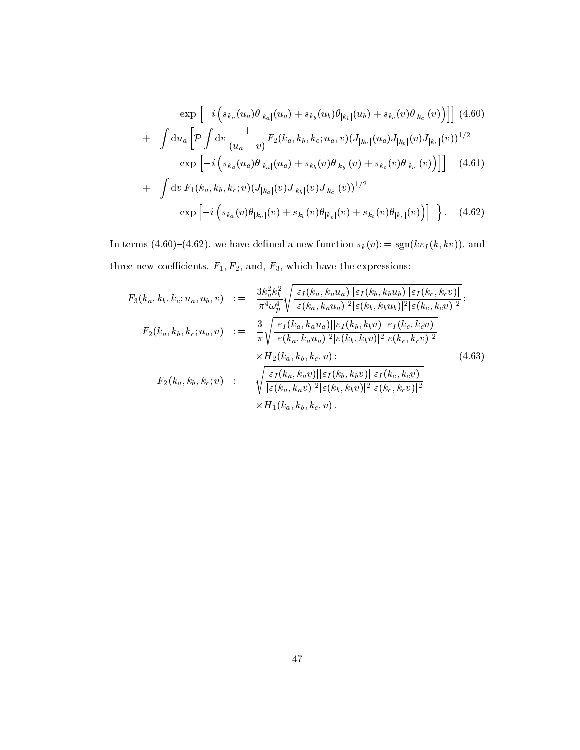$$
\exp\left[-i\left(s_{k_a}(u_a)\theta_{|k_a|}(u_a) + s_{k_b}(u_b)\theta_{|k_b|}(u_b) + s_{k_c}(v)\theta_{|k_c|}(v)\right)\right] \tag{4.60}
$$

$$
+ \int du_a \left[\mathcal{P} \int dv \frac{1}{(u_a - v)} F_2(k_a, k_b, k_c; u_a, v) (J_{|k_a|}(u_a) J_{|k_b|}(v) J_{|k_c|}(v))^{1/2} \right. \exp\left[-i\left(s_{k_a}(u_a)\theta_{|k_a|}(u_a) + s_{k_b}(v)\theta_{|k_b|}(v) + s_{k_c}(v)\theta_{|k_c|}(v)\right)\right] \right] \tag{4.61}
$$

$$
+ \int dv F_1(k_a, k_b, k_c; v) (J_{|k_a|}(v) J_{|k_b|}(v) J_{|k_c|}(v))^{1/2}
$$

$$
\exp\left[-i\left(s_{k_a}(v)\theta_{|k_a|}(v) + s_{k_b}(v)\theta_{|k_b|}(v) + s_{k_c}(v)\theta_{|k_c|}(v)\right)\right] \right]. \tag{4.62}
$$

In terms (4.60)–(4.62), we have defined a new function  $s_k(v)$ : = sgn( $k\varepsilon_I(k, kv)$ ), and three new coefficients,  $F_1, F_2$ , and,  $F_3$ , which have the expressions:

$$
F_{3}(k_{a},k_{b},k_{c};u_{a},u_{b},v) := \frac{3k_{a}^{2}k_{b}^{2}}{\pi^{4}\omega_{p}^{4}} \sqrt{\frac{|\varepsilon_{I}(k_{a},k_{a}u_{a})||\varepsilon_{I}(k_{b},k_{b}u_{b})||\varepsilon_{I}(k_{c},k_{c}v)|}{|\varepsilon(k_{a},k_{a}u_{a})|^{2}|\varepsilon(k_{b},k_{b}u_{b})|^{2}|\varepsilon(k_{c},k_{c}v)|^{2}}};
$$
\n
$$
F_{2}(k_{a},k_{b},k_{c};u_{a},v) := \frac{3}{\pi} \sqrt{\frac{|\varepsilon_{I}(k_{a},k_{a}u_{a})||\varepsilon_{I}(k_{b},k_{b}v)||\varepsilon_{I}(k_{c},k_{c}v)|}{|\varepsilon(k_{a},k_{a}u_{a})|^{2}|\varepsilon(k_{b},k_{b}v)|^{2}|\varepsilon(k_{c},k_{c}v)|^{2}}}
$$
\n
$$
\times H_{2}(k_{a},k_{b},k_{c},v);
$$
\n
$$
F_{2}(k_{a},k_{b},k_{c};v) := \sqrt{\frac{|\varepsilon_{I}(k_{a},k_{a}v)||\varepsilon_{I}(k_{b},k_{b}v)||\varepsilon_{I}(k_{c},k_{c}v)|}{|\varepsilon(k_{a},k_{a}v)|^{2}|\varepsilon(k_{b},k_{b}v)|^{2}|\varepsilon(k_{c},k_{c}v)|^{2}}}
$$
\n
$$
\times H_{1}(k_{a},k_{b},k_{c},v).
$$
\n(4.63)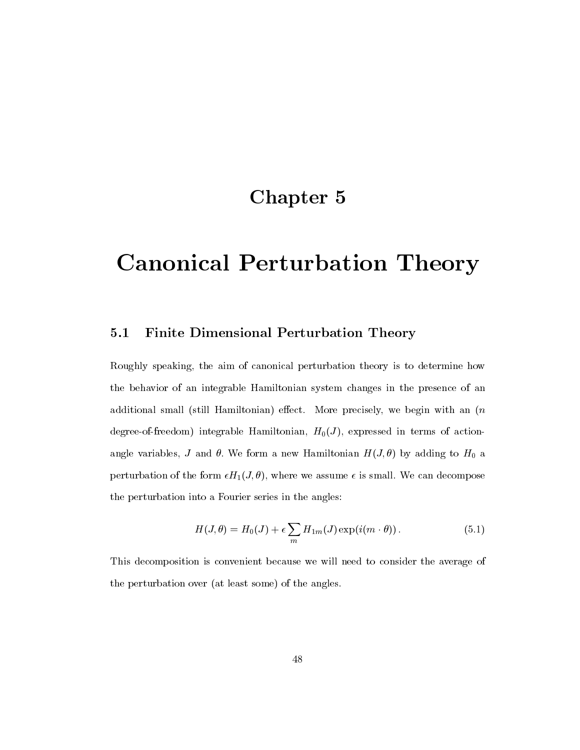### Chapter 5

# Canonical Perturbation Theory

### 5.1 Finite Dimensional Perturbation Theory

Roughly speaking, the aim of canonical perturbation theory is to determine how the behavior of an integrable Hamiltonian system changes in the presence of an additional small (still Hamiltonian) effect. More precisely, we begin with an  $(n)$ degree-of-freedom) integrable Hamiltonian,  $H_0(J)$ , expressed in terms of actionangle variables, J and  $\theta$ . We form a new Hamiltonian  $H(J,\theta)$  by adding to  $H_0$  a perturbation of the form  $\epsilon H_1(J, \theta)$ , where we assume  $\epsilon$  is small. We can decompose the perturbation into a Fourier series in the angles:

$$
H(J,\theta) = H_0(J) + \epsilon \sum_m H_{1m}(J) \exp(i(m \cdot \theta)). \tag{5.1}
$$

This decomposition is convenient because we will need to consider the average of the perturbation over (at least some) of the angles.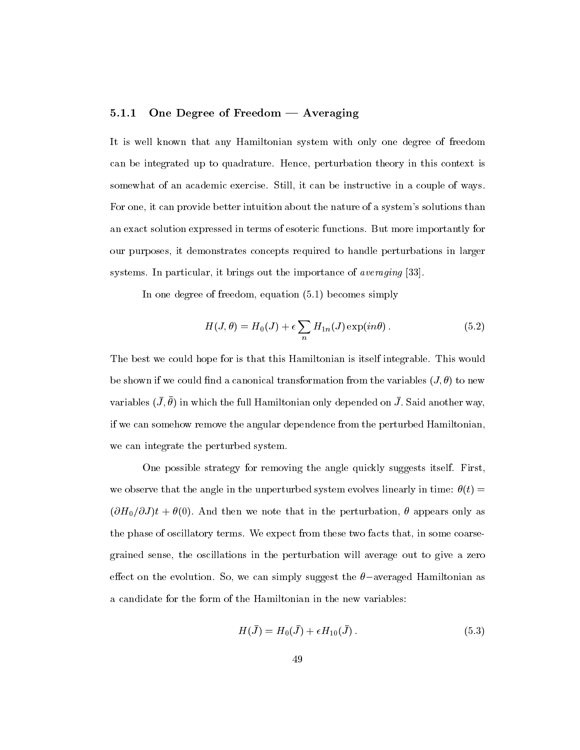### 5.1.1 One Degree of Freedom  $-$  Averaging

It is well known that any Hamiltonian system with only one degree of freedom can be integrated up to quadrature. Hence, perturbation theory in this context is somewhat of an academic exercise. Still, it can be instructive in a couple of ways. For one, it can provide better intuition about the nature of a system's solutions than an exact solution expressed in terms of esoteric functions. But more importantly for our purposes, it demonstrates concepts required to handle perturbations in larger systems. In particular, it brings out the importance of *averaging* [33].

In one degree of freedom, equation (5.1) becomes simply

$$
H(J,\theta) = H_0(J) + \epsilon \sum_n H_{1n}(J) \exp(in\theta).
$$
 (5.2)

The best we could hope for is that this Hamiltonian is itself integrable. This would be shown if we could find a canonical transformation from the variables  $(J, \theta)$  to new variables  $(J, \nu)$  in which the full Hamiltonian only depended on  $J$  . Said another way, if we can somehow remove the angular dependence from the perturbed Hamiltonian, we can integrate the perturbed system.

One possible strategy for removing the angle quickly suggests itself. First, we observe that the angle in the unperturbed system evolves linearly in time:  $\theta(t)$  =  $(\partial H_0/\partial J)t + \theta(0)$ . And then we note that in the perturbation,  $\theta$  appears only as the phase of oscillatory terms. We expect from these two facts that, in some coarsegrained sense, the oscillations in the perturbation willaverage out to give a zero effect on the evolution. So, we can simply suggest the  $\theta$ -averaged Hamiltonian as a candidate for the form of the Hamiltonian in the new variables:

$$
H(\bar{J}) = H_0(\bar{J}) + \epsilon H_{10}(\bar{J}). \tag{5.3}
$$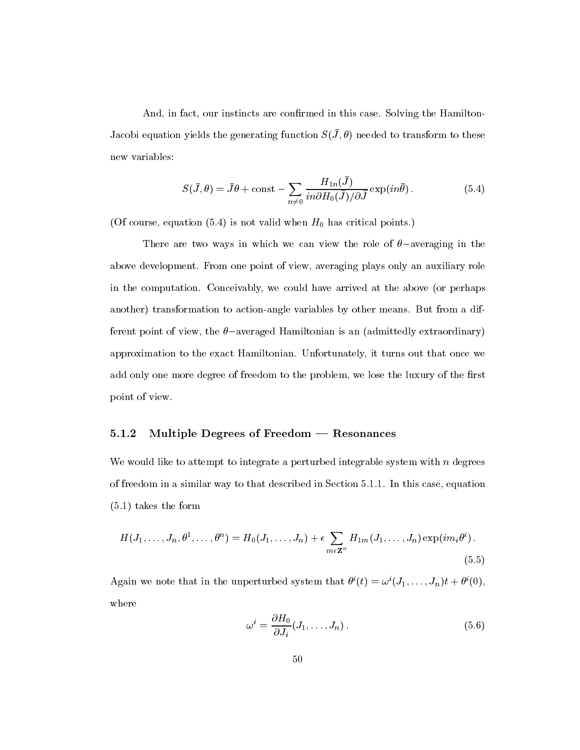And, in fact, our instincts are confirmed in this case. Solving the Hamilton- $J$ acobi equation yields the generating function  $D(J,U)$  heeded to transform to these new variables:

$$
S(\bar{J}, \theta) = \bar{J}\theta + \text{const} - \sum_{n \neq 0} \frac{H_{1n}(\bar{J})}{in \partial H_0(\bar{J})/\partial \bar{J}} \exp(in\bar{\theta}). \tag{5.4}
$$

(Of course, equation  $(5.4)$  is not valid when  $H_0$  has critical points.)

There are two ways in which we can view the role of  $\theta$ -averaging in the above development. From one point of view, averaging plays only an auxiliary role in the computation. Conceivably, we could have arrived atthe above (or perhaps another) transformation to action-angle variables by other means. But from a different point of view, the  $\theta$ -averaged Hamiltonian is an (admittedly extraordinary) approximation to the exact Hamiltonian. Unfortunately, it turns out that once we add only one more degree of freedom to the problem, we lose the luxury of the first point of view.

### 5.1.2 Multiple Degrees of Freedom  $-$  Resonances

We would like to attempt to integrate a perturbed integrable system with  $n$  degrees of freedom in a similar way to that described in Section 5.1.1. In this case, equation (5.1) takes the form

$$
H(J_1,\ldots,J_n,\theta^1,\ldots,\theta^n) = H_0(J_1,\ldots,J_n) + \epsilon \sum_{m\epsilon \mathbf{Z}^n} H_{1m}(J_1,\ldots,J_n) \exp(im_i\theta^i).
$$
\n(5.5)

Again we note that in the unperturbed system that  $\sigma'(t) = \omega'(J_1, \ldots, J_n)t + \sigma'(0)$ , where

$$
\omega^i = \frac{\partial H_0}{\partial J_i}(J_1, \dots, J_n). \tag{5.6}
$$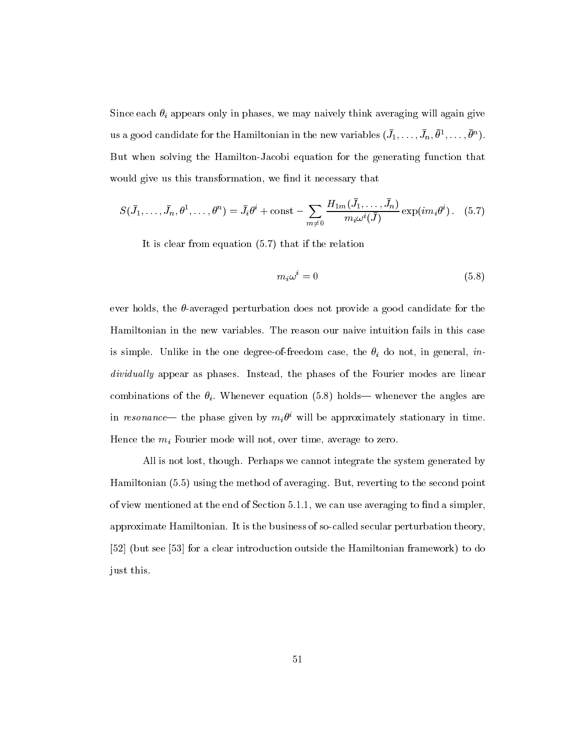Since each  $\theta_i$  appears only in phases, we may naively think averaging will again give us a good candidate for the Hamiltonian in the new variables  $(J_1,\ldots,J_n,\theta^*,\ldots,\theta^*)$ . But when solving the Hamilton-Jacobi equation for the generating function that would give us this transformation, we find it necessary that

$$
S(\bar{J}_1,\ldots,\bar{J}_n,\theta^1,\ldots,\theta^n)=\bar{J}_i\theta^i+\text{const}-\sum_{m\neq 0}\frac{H_{1m}(J_1,\ldots,J_n)}{m_i\omega^i(\bar{J})}\exp(im_i\theta^i).
$$
 (5.7)

It is clear from equation (5.7) that if the relation

$$
m_i \omega^i = 0 \tag{5.8}
$$

ever holds, the  $\theta$ -averaged perturbation does not provide a good candidate for the Hamiltonian in the new variables. The reason our naive intuition fails in this case is simple. Unlike in the one degree-of-freedom case, the  $\theta_i$  do not, in general, individually appear as phases. Instead, the phases of the Fourier modes are linear combinations of the  $\theta_i$ . Whenever equation (5.8) holds— whenever the angles are in resonance— the phase given by  $m_i\sigma$  will be approximately stationary in time. Hence the  $m_i$  Fourier mode will not, over time, average to zero.

All is not lost, though. Perhaps we cannot integrate the system generated by Hamiltonian (5.5) using the method of averaging. But, reverting to the second point of view mentioned at the end of Section  $5.1.1$ , we can use averaging to find a simpler, approximate Hamiltonian. It is the business of so-called secular perturbation theory, [52] (but see [53] for a clear introduction outside the Hamiltonian framework) to do just this.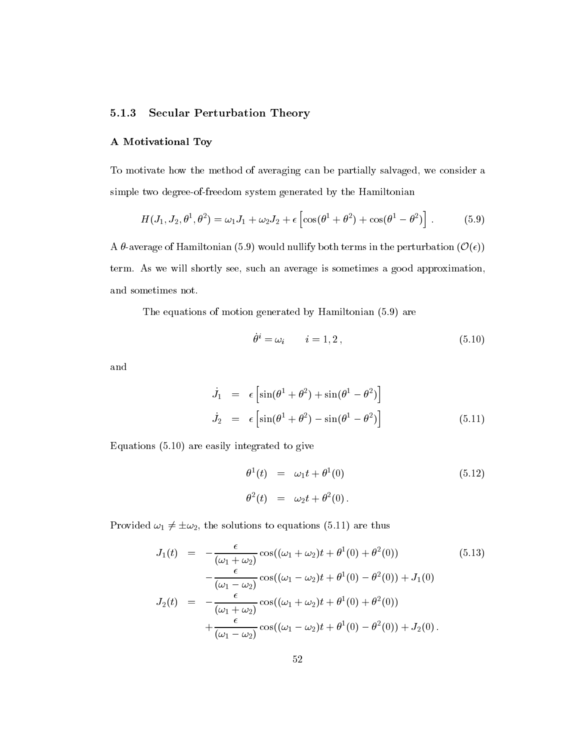### 5.1.3 Secular Perturbation Theory

### A Motivational Toy

To motivate how the method of averaging can be partially salvaged, we consider a simple two degree-of-freedom system generated by the Hamiltonian

$$
H(J_1, J_2, \theta^1, \theta^2) = \omega_1 J_1 + \omega_2 J_2 + \epsilon \left[ \cos(\theta^1 + \theta^2) + \cos(\theta^1 - \theta^2) \right].
$$
 (5.9)

A  $\theta$ -average of Hamiltonian (5.9) would nullify both terms in the perturbation  $(\mathcal{O}(\epsilon))$ term. As we will shortly see, such an average is sometimes a good approximation, and sometimes not.

The equations of motion generated by Hamiltonian (5.9) are

$$
\theta^i = \omega_i \qquad i = 1, 2 \,, \tag{5.10}
$$

and

$$
\dot{J}_1 = \epsilon \left[ \sin(\theta^1 + \theta^2) + \sin(\theta^1 - \theta^2) \right]
$$
  
\n
$$
\dot{J}_2 = \epsilon \left[ \sin(\theta^1 + \theta^2) - \sin(\theta^1 - \theta^2) \right]
$$
\n(5.11)

Equations (5.10) are easily integrated to give

$$
\theta^{1}(t) = \omega_{1}t + \theta^{1}(0)
$$
\n(5.12)\n  
\n
$$
\theta^{2}(t) = \omega_{2}t + \theta^{2}(0).
$$

Provided  $\omega_1 \neq \pm \omega_2$ , the solutions to equations (5.11) are thus

$$
J_1(t) = -\frac{\epsilon}{(\omega_1 + \omega_2)} \cos((\omega_1 + \omega_2)t + \theta^1(0) + \theta^2(0))
$$
(5.13)  

$$
-\frac{\epsilon}{(\omega_1 - \omega_2)} \cos((\omega_1 - \omega_2)t + \theta^1(0) - \theta^2(0)) + J_1(0)
$$
  

$$
J_2(t) = -\frac{\epsilon}{(\omega_1 + \omega_2)} \cos((\omega_1 + \omega_2)t + \theta^1(0) + \theta^2(0))
$$
  

$$
+\frac{\epsilon}{(\omega_1 - \omega_2)} \cos((\omega_1 - \omega_2)t + \theta^1(0) - \theta^2(0)) + J_2(0).
$$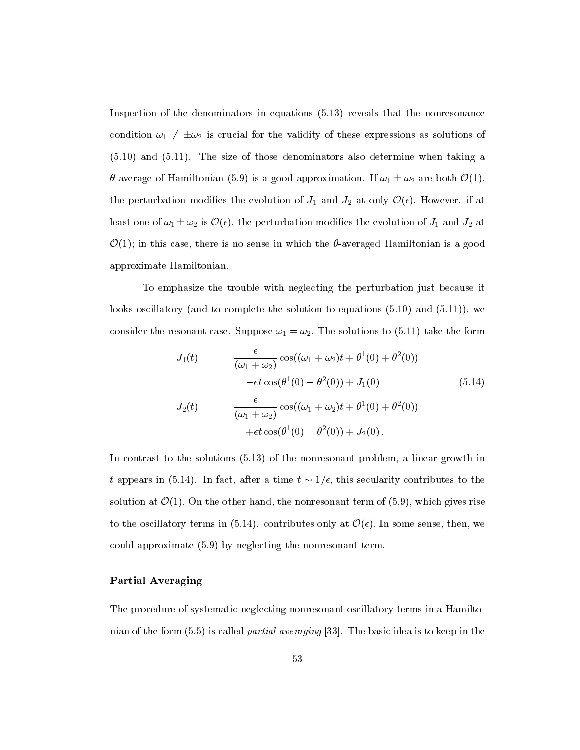Inspection of the denominators in equations (5.13) reveals that the nonresonance condition  $\omega_1 \neq \pm \omega_2$  is crucial for the validity of these expressions as solutions of (5.10) and (5.11). The size of those denominators also determine when taking a  $\theta$ -average of Hamiltonian (5.9) is a good approximation. If  $\omega_1 \pm \omega_2$  are both  $\mathcal{O}(1)$ , the perturbation modifies the evolution of  $J_1$  and  $J_2$  at only  $\mathcal{O}(\epsilon)$ . However, if at least one of  $\omega_1 \pm \omega_2$  is  $\mathcal{O}(\epsilon)$ , the perturbation modifies the evolution of  $J_1$  and  $J_2$  at  $\mathcal{O}(1)$ ; in this case, there is no sense in which the  $\theta$ -averaged Hamiltonian is a good approximate Hamiltonian.

To emphasize the trouble with neglecting the perturbation just because it looks oscillatory (and to complete the solution to equations (5.10) and (5.11)), we consider the resonant case. Suppose  $\omega_1 = \omega_2$ . The solutions to (5.11) take the form

$$
J_1(t) = -\frac{\epsilon}{(\omega_1 + \omega_2)} \cos((\omega_1 + \omega_2)t + \theta^1(0) + \theta^2(0))
$$
  

$$
-\epsilon t \cos(\theta^1(0) - \theta^2(0)) + J_1(0)
$$
  

$$
J_2(t) = -\frac{\epsilon}{(\omega_1 + \omega_2)} \cos((\omega_1 + \omega_2)t + \theta^1(0) + \theta^2(0))
$$
  

$$
+ \epsilon t \cos(\theta^1(0) - \theta^2(0)) + J_2(0).
$$
 (5.14)

In contrast to the solutions (5.13) of the nonresonant problem, a linear growth in t appears in (5.14). In fact, after a time  $t \sim 1/\epsilon$ , this secularity contributes to the solution at  $\mathcal{O}(1)$ . On the other hand, the nonresonant term of (5.9), which gives rise to the oscillatory terms in (5.14). contributes only at  $\mathcal{O}(\epsilon)$ . In some sense, then, we could approximate (5.9) by neglecting the nonresonant term.

### Partial Averaging

The procedure of systematic neglecting nonresonant oscillatory terms in a Hamiltonian of the form  $(5.5)$  is called *partial averaging* [33]. The basic idea is to keep in the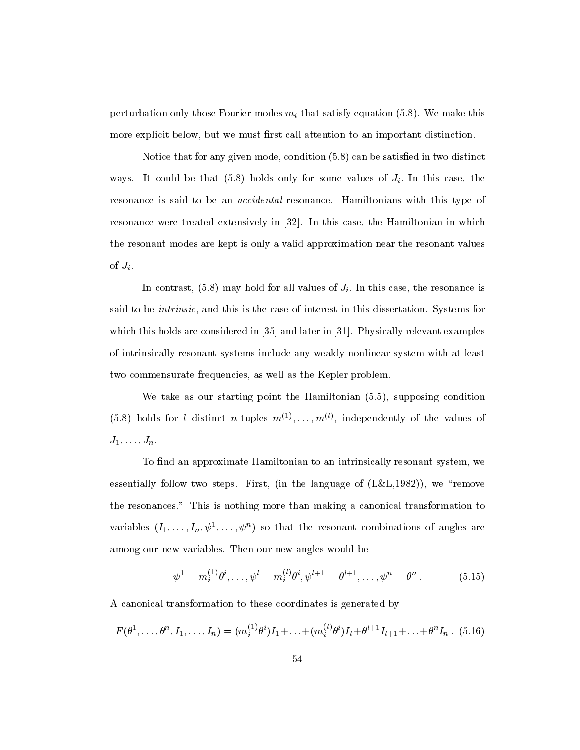perturbation only those Fourier modes  $m_i$  that satisfy equation (5.8). We make this more explicit below, but we must first call attention to an important distinction.

Notice that for any given mode, condition (5.8) can be satised in two distinct ways. It could be that  $(5.8)$  holds only for some values of  $J_i$ . In this case, the resonance is said to be an accidental resonance. Hamiltonians with this type of resonance were treated extensively in [32]. In this case, the Hamiltonian in which the resonant modes are kept is only a valid approximation near the resonant values of  $J_i$ .

In contrast,  $(5.8)$  may hold for all values of  $J_i$ . In this case, the resonance is said to be *intrinsic*, and this is the case of interest in this dissertation. Systems for which this holds are considered in [35] and later in [31]. Physically relevant examples of intrinsically resonant systems include any weakly-nonlinear system with at least two commensurate frequencies, as well as the Kepler problem.

We take as our starting point the Hamiltonian (5.5), supposing condition (5.8) holds for *t* distinct *n*-tuples  $m_{\gamma_1}, \ldots, m_{\gamma_{\gamma_n}}$  independently of the values of  $J_1,\ldots,J_n.$ 

To find an approximate Hamiltonian to an intrinsically resonant system, we essentially follow two steps. First, (in the language of  $(L&L,1982)$ ), we "remove the resonances." This is nothing more than making a canonical transformation to variables  $(1_1,\ldots,1_n,\psi^{\scriptscriptstyle -},\ldots,\psi^{\scriptscriptstyle -})$  so that the resonant combinations of angles are among our new variables. Then our new angles would be

$$
\psi^1 = m_i^{(1)} \theta^i, \dots, \psi^l = m_i^{(l)} \theta^i, \psi^{l+1} = \theta^{l+1}, \dots, \psi^n = \theta^n. \tag{5.15}
$$

A canonical transformation to these coordinates is generated by

$$
F(\theta^1, \ldots, \theta^n, I_1, \ldots, I_n) = (m_i^{(1)} \theta^i) I_1 + \ldots + (m_i^{(l)} \theta^i) I_l + \theta^{l+1} I_{l+1} + \ldots + \theta^n I_n.
$$
 (5.16)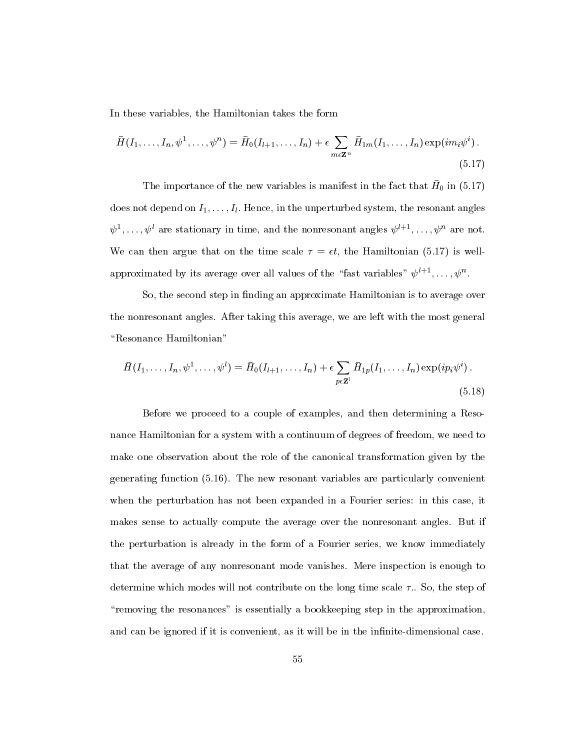In these variables, the Hamiltonian takes the form

$$
\bar{H}(I_1,\ldots,I_n,\psi^1,\ldots,\psi^n) = \bar{H}_0(I_{l+1},\ldots,I_n) + \epsilon \sum_{m\in\mathbf{Z}^n} \bar{H}_{1m}(I_1,\ldots,I_n) \exp(im_i\psi^i).
$$
\n(5.17)

The importance of the new variables is manifest in the fact that H<sub>0</sub> in (0.17) does not depend on  $I_1,\ldots,I_l$ . Hence, in the unperturbed system, the resonant angles  $\psi$  ,...,  $\psi$  are stationary in time, and the nonresonant angles  $\psi$   $\cdots$  ,  $\psi$  are not. We can then argue that on the time scale  $\tau = \epsilon t$ , the Hamiltonian (5.17) is wellapproximated by its average over all values of the allist variables  $\psi$  if  $\ldots, \psi$  .

So, the second step in finding an approximate Hamiltonian is to average over the nonresonant angles. After taking this average, we are left with the most general "Resonance Hamiltonian"

$$
\bar{H}(I_1,\ldots,I_n,\psi^1,\ldots,\psi^l)=\bar{H}_0(I_{l+1},\ldots,I_n)+\epsilon\sum_{p\in\mathbf{Z}^l}\bar{H}_{1p}(I_1,\ldots,I_n)\exp(ip_i\psi^i).
$$
\n(5.18)

Before we proceed to a couple of examples, and then determining a Resonance Hamiltonian for a system with a continuum of degrees of freedom, we need to make one observation about the role of the canonical transformation given by the generating function (5.16). The new resonant variables are particularly convenient when the perturbation has not been expanded in a Fourier series: in this case, it makes sense to actually compute the average over the nonresonant angles. But if the perturbation is already in the form of a Fourier series, we know immediately that the average of any nonresonant mode vanishes. Mere inspection is enough to determine which modes will not contribute on the long time scale  $\tau$ .. So, the step of "removing the resonances" is essentially a bookkeeping step in the approximation, and can be ignored if it is convenient, as it will be in the infinite-dimensional case.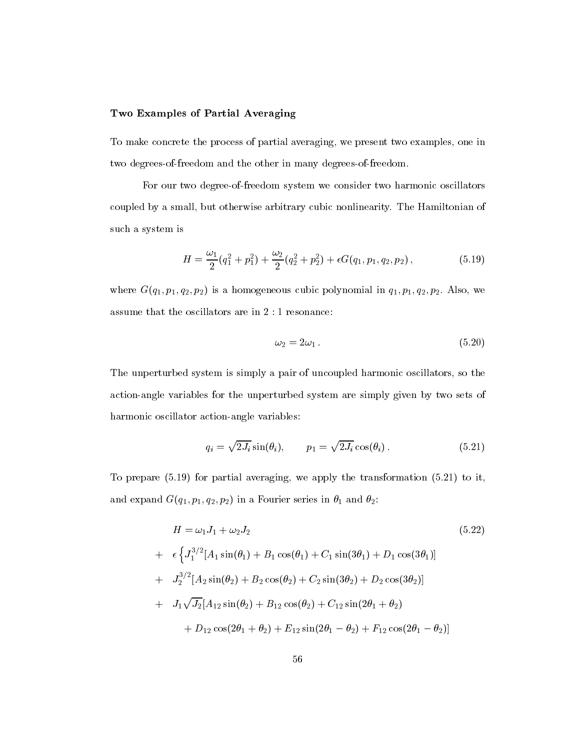### Two Examples of Partial Averaging

To make concrete the process of partial averaging, we present two examples, one in two degrees-of-freedom and the other in many degrees-of-freedom.

For our two degree-of-freedom system we consider two harmonic oscillators coupled by a small, but otherwise arbitrary cubic nonlinearity. The Hamiltonian of such a system is

$$
H = \frac{\omega_1}{2}(q_1^2 + p_1^2) + \frac{\omega_2}{2}(q_2^2 + p_2^2) + \epsilon G(q_1, p_1, q_2, p_2), \qquad (5.19)
$$

where  $G(q_1, p_1, q_2, p_2)$  is a homogeneous cubic polynomial in  $q_1, p_1, q_2, p_2$ . Also, we assume that the oscillators are in 2 : 1 resonance:

$$
\omega_2 = 2\omega_1 \,. \tag{5.20}
$$

The unperturbed system is simply a pair of uncoupled harmonic oscillators, so the action-angle variables for the unperturbed system are simply given by two sets of harmonic oscillator action-angle variables:

$$
q_i = \sqrt{2J_i} \sin(\theta_i), \qquad p_1 = \sqrt{2J_i} \cos(\theta_i). \tag{5.21}
$$

To prepare (5.19) for partial averaging, we apply the transformation (5.21) to it, and expand  $G(q_1, p_1, q_2, p_2)$  in a Fourier series in  $\theta_1$  and  $\theta_2$ :

$$
H = \omega_1 J_1 + \omega_2 J_2
$$
\n
$$
+ \epsilon \left\{ J_1^{3/2} [A_1 \sin(\theta_1) + B_1 \cos(\theta_1) + C_1 \sin(3\theta_1) + D_1 \cos(3\theta_1)] \right\}
$$
\n
$$
+ J_2^{3/2} [A_2 \sin(\theta_2) + B_2 \cos(\theta_2) + C_2 \sin(3\theta_2) + D_2 \cos(3\theta_2)]
$$
\n
$$
+ J_1 \sqrt{J_2} [A_{12} \sin(\theta_2) + B_{12} \cos(\theta_2) + C_{12} \sin(2\theta_1 + \theta_2) + D_{12} \cos(2\theta_1 + \theta_2)]
$$
\n
$$
(5.22)
$$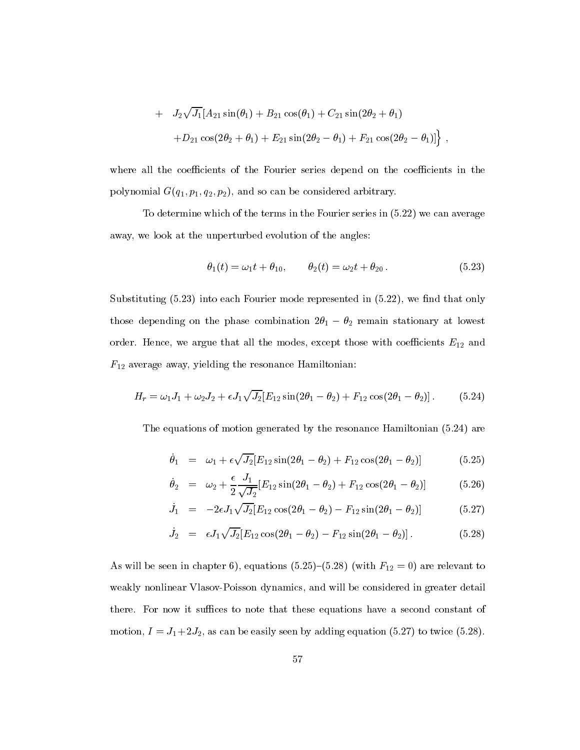+ 
$$
J_2\sqrt{J_1}[A_{21}\sin(\theta_1) + B_{21}\cos(\theta_1) + C_{21}\sin(2\theta_2 + \theta_1)
$$
  
+ $D_{21}\cos(2\theta_2 + \theta_1) + E_{21}\sin(2\theta_2 - \theta_1) + F_{21}\cos(2\theta_2 - \theta_1)]$ ,

where all the coefficients of the Fourier series depend on the coefficients in the polynomial  $G(q_1, p_1, q_2, p_2)$ , and so can be considered arbitrary.

To determine which of the terms in the Fourier series in (5.22) we can average away, we look at the unperturbed evolution of the angles:

$$
\theta_1(t) = \omega_1 t + \theta_{10}, \qquad \theta_2(t) = \omega_2 t + \theta_{20}. \qquad (5.23)
$$

Substituting  $(5.23)$  into each Fourier mode represented in  $(5.22)$ , we find that only those depending on the phase combination  $2\theta_1 - \theta_2$  remain stationary at lowest order. Hence, we argue that all the modes, except those with coefficients  $E_{12}$  and  $F_{12}$  average away, yielding the resonance Hamiltonian:

$$
H_r = \omega_1 J_1 + \omega_2 J_2 + \epsilon J_1 \sqrt{J_2} [E_{12} \sin(2\theta_1 - \theta_2) + F_{12} \cos(2\theta_1 - \theta_2)]. \tag{5.24}
$$

The equations of motion generated by the resonance Hamiltonian (5.24) are

$$
\dot{\theta}_1 = \omega_1 + \epsilon \sqrt{J_2} [E_{12} \sin(2\theta_1 - \theta_2) + F_{12} \cos(2\theta_1 - \theta_2)] \tag{5.25}
$$

$$
\dot{\theta}_2 = \omega_2 + \frac{\epsilon}{2} \frac{J_1}{\sqrt{J_2}} [E_{12} \sin(2\theta_1 - \theta_2) + F_{12} \cos(2\theta_1 - \theta_2)] \tag{5.26}
$$

$$
\dot{J}_1 = -2\epsilon J_1 \sqrt{J_2} [E_{12} \cos(2\theta_1 - \theta_2) - F_{12} \sin(2\theta_1 - \theta_2)] \tag{5.27}
$$

$$
\dot{J}_2 = \epsilon J_1 \sqrt{J_2} [E_{12} \cos(2\theta_1 - \theta_2) - F_{12} \sin(2\theta_1 - \theta_2)]. \tag{5.28}
$$

As will be seen in chapter 6), equations (5.25)-(5.28) (with  $F_{12} = 0$ ) are relevant to weakly nonlinear Vlasov-Poisson dynamics, and will be considered in greater detail there. For now it suffices to note that these equations have a second constant of motion,  $I = J_1 + 2J_2$ , as can be easily seen by adding equation (5.27) to twice (5.28).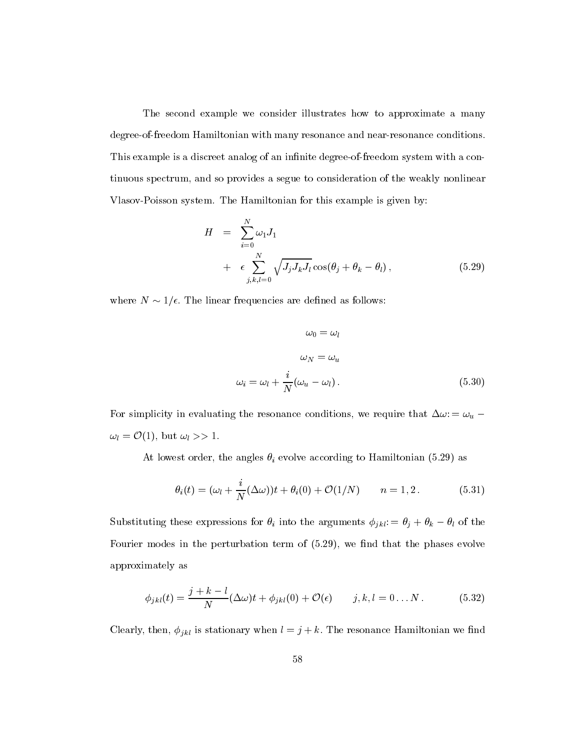The second example we consider illustrates how to approximate a many degree-of-freedom Hamiltonian with many resonance and near-resonance conditions. This example is a discreet analog of an infinite degree-of-freedom system with a continuous spectrum, and so provides a segue to consideration of the weakly nonlinear Vlasov-Poisson system. The Hamiltonian for this example is given by:

$$
H = \sum_{i=0}^{N} \omega_1 J_1
$$
  
+  $\epsilon \sum_{j,k,l=0}^{N} \sqrt{J_j J_k J_l} \cos(\theta_j + \theta_k - \theta_l)$ , (5.29)

where  $N \sim 1/\epsilon$ . The linear frequencies are defined as follows:

$$
\omega_0 = \omega_l
$$
  

$$
\omega_N = \omega_u
$$
  

$$
\omega_i = \omega_l + \frac{i}{N}(\omega_u - \omega_l).
$$
 (5.30)

For simplicity in evaluating the resonance conditions, we require that  $\Delta \omega = \omega_u$ .  $\omega_l = \mathcal{O}(1)$ , but  $\omega_l >> 1$ .

At lowest order, the angles  $\theta_i$  evolve according to Hamiltonian (5.29) as

$$
\theta_i(t) = (\omega_l + \frac{i}{N}(\Delta\omega))t + \theta_i(0) + \mathcal{O}(1/N) \qquad n = 1, 2.
$$
 (5.31)

Substituting these expressions for  $\theta_i$  into the arguments  $\phi_{jkl} := \theta_j + \theta_k - \theta_l$  of the Fourier modes in the perturbation term of  $(5.29)$ , we find that the phases evolve approximately as

$$
\phi_{jkl}(t) = \frac{j+k-l}{N} (\Delta \omega)t + \phi_{jkl}(0) + \mathcal{O}(\epsilon) \qquad j,k,l = 0...N. \qquad (5.32)
$$

Clearly, then,  $\phi_{jkl}$  is stationary when  $l = j + k$ . The resonance Hamiltonian we find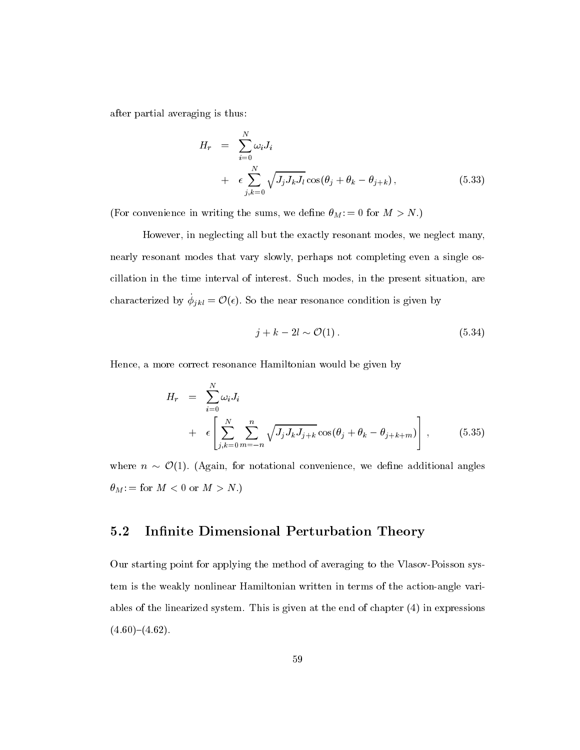after partial averaging is thus:

$$
H_r = \sum_{i=0}^{N} \omega_i J_i
$$
  
+  $\epsilon \sum_{j,k=0}^{N} \sqrt{J_j J_k J_l} \cos(\theta_j + \theta_k - \theta_{j+k}),$  (5.33)

(For convenience in writing the sums, we define  $\theta_M$ : = 0 for  $M > N$ .)

However, in neglecting all but the exactly resonant modes, we neglect many, nearly resonant modes that vary slowly, perhaps not completing even a single oscillation in the time interval of interest. Such modes, in the present situation, are characterized by  $\phi_{ikl} = \mathcal{O}(\epsilon)$ . So the near resonance condition is given by

$$
j + k - 2l \sim \mathcal{O}(1). \tag{5.34}
$$

Hence, a more correct resonance Hamiltonian would be given by

$$
H_r = \sum_{i=0}^{N} \omega_i J_i
$$
  
+  $\epsilon \left[ \sum_{j,k=0}^{N} \sum_{m=-n}^{n} \sqrt{J_j J_k J_{j+k}} \cos(\theta_j + \theta_k - \theta_{j+k+m}) \right],$  (5.35)

where  $n \sim \mathcal{O}(1)$ . (Again, for notational convenience, we define additional angles  $\theta_M\text{:}= \text{ for } M < 0 \text{ or } M > N.)$ 

### 5.2 Infinite Dimensional Perturbation Theory

Our starting point for applying the method of averaging to the Vlasov-Poisson system is the weakly nonlinear Hamiltonian written in terms of the action-angle variables of the linearized system. This is given at the end of chapter (4) in expressions  $(4.60)-(4.62).$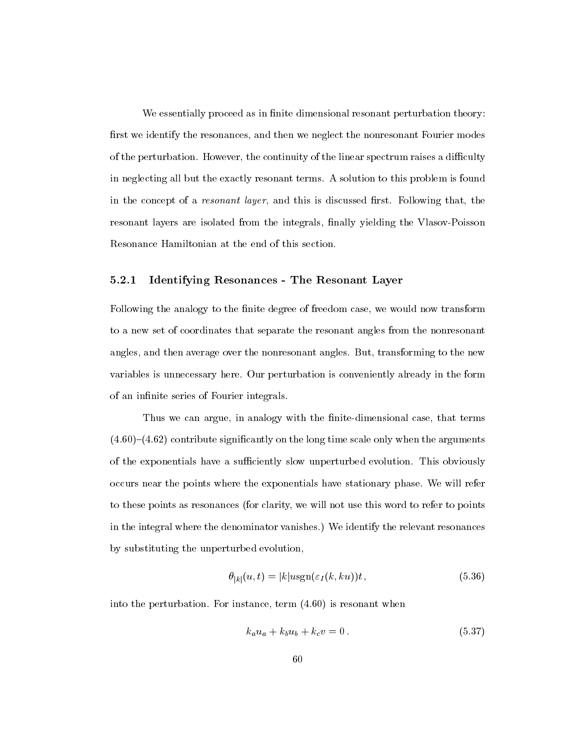We essentially proceed as in finite dimensional resonant perturbation theory: first we identify the resonances, and then we neglect the nonresonant Fourier modes of the perturbation. However, the continuity of the linear spectrum raises a difficulty in neglecting all but the exactly resonant terms. A solution to this problem is found in the concept of a *resonant layer*, and this is discussed first. Following that, the resonant layers are isolated from the integrals, finally yielding the Vlasov-Poisson Resonance Hamiltonian at the end of this section.

#### $5.2.1$ 5.2.1 Identifying Resonances - The Resonant Layer

Following the analogy to the finite degree of freedom case, we would now transform to a new set of coordinates that separate the resonant angles from the nonresonant angles, and then average over the nonresonant angles. But, transforming to the new variables is unnecessary here. Our perturbation is conveniently already in the form of an infinite series of Fourier integrals.

Thus we can argue, in analogy with the finite-dimensional case, that terms  $(4.60)$ – $(4.62)$  contribute significantly on the long time scale only when the arguments of the exponentials have a sufficiently slow unperturbed evolution. This obviously occurs near the points where the exponentials have stationary phase. We will refer to these points as resonances (for clarity, we will not use this word to refer to points in the integral where the denominator vanishes.) We identify the relevant resonances by substituting the unperturbed evolution,

$$
\theta_{|k|}(u,t) = |k|u \operatorname{sgn}(\varepsilon_I(k,ku))t,\tag{5.36}
$$

into the perturbation. For instance, term (4.60) is resonant when

$$
k_a u_a + k_b u_b + k_c v = 0.
$$
\n(5.37)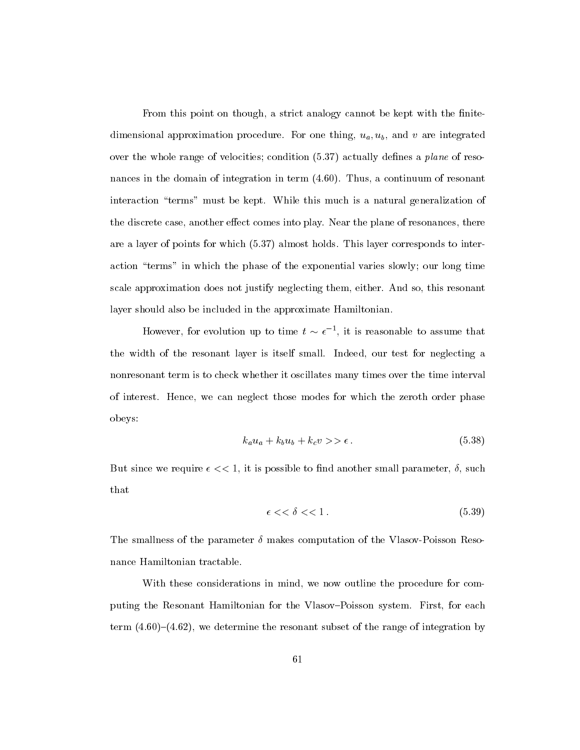From this point on though, a strict analogy cannot be kept with the finitedimensional approximation procedure. For one thing,  $u_a, u_b$ , and v are integrated over the whole range of velocities; condition  $(5.37)$  actually defines a plane of resonances in the domain of integration in term (4.60). Thus, a continuum of resonant interaction "terms" must be kept. While this much is a natural generalization of the discrete case, another effect comes into play. Near the plane of resonances, there are a layer of points for which (5.37) almost holds. This layer corresponds to interaction "terms" in which the phase of the exponential varies slowly; our long time scale approximation does not justify neglecting them, either. And so, this resonant layer should also be included in the approximate Hamiltonian.

However, for evolution up to time  $t \sim \epsilon^{-1}$ , it is reasonable to assume that the width of the resonant layer is itself small. Indeed, our test for neglecting a nonresonant term is to check whether it oscillates many times over the time interval of interest. Hence, we can neglect those modes for which the zeroth order phase obeys:

$$
k_a u_a + k_b u_b + k_c v \gg \epsilon. \tag{5.38}
$$

But since we require  $\epsilon \ll 1$ , it is possible to find another small parameter,  $\delta$ , such that

$$
\epsilon \, << \delta \, << \, 1 \,. \tag{5.39}
$$

The smallness of the parameter  $\delta$  makes computation of the Vlasov-Poisson Resonance Hamiltonian tractable.

With these considerations in mind, we now outline the procedure for computing the Resonant Hamiltonian for the Vlasov-Poisson system. First, for each term  $(4.60)-(4.62)$ , we determine the resonant subset of the range of integration by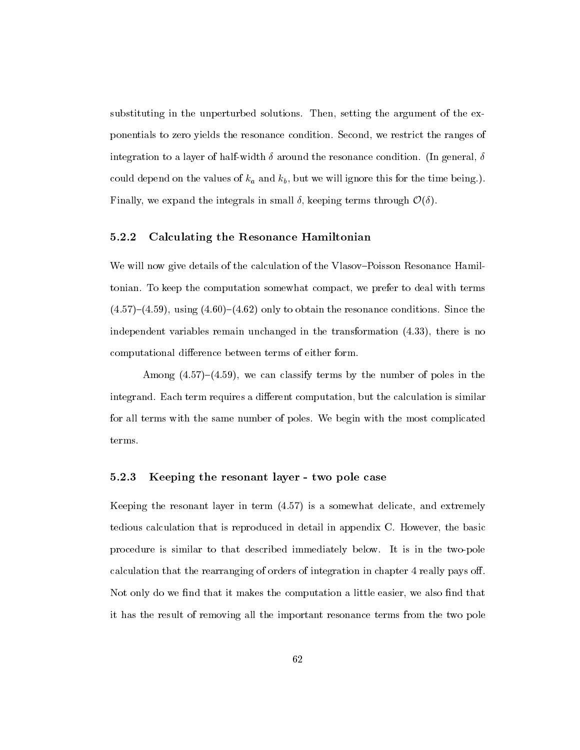substituting in the unperturbed solutions. Then, setting the argument of the exponentials to zero yields the resonance condition. Second, we restrict the ranges of integration to a layer of half-width  $\delta$  around the resonance condition. (In general,  $\delta$ could depend on the values of  $k_a$  and  $k_b$ , but we will ignore this for the time being.). Finally, we expand the integrals in small  $\delta$ , keeping terms through  $\mathcal{O}(\delta)$ .

#### 5.2.2 Calculating the Resonance Hamiltonian

We will now give details of the calculation of the Vlasov-Poisson Resonance Hamiltonian. To keep the computation somewhat compact, we prefer to deal with terms  $(4.57)-(4.59)$ , using  $(4.60)-(4.62)$  only to obtain the resonance conditions. Since the independent variables remain unchanged in the transformation (4.33), there is no computational difference between terms of either form.

Among  $(4.57)-(4.59)$ , we can classify terms by the number of poles in the integrand. Each term requires a different computation, but the calculation is similar for all terms with the same number of poles. We begin with the most complicated terms.

#### 5.2.3 Keeping the resonant layer - two pole case

Keeping the resonant layer in term (4.57) is a somewhat delicate, and extremely tedious calculation that is reproduced in detail in appendix C. However, the basic procedure is similar to that described immediately below. It is in the two-pole calculation that the rearranging of orders of integration in chapter 4 really pays off. Not only do we find that it makes the computation a little easier, we also find that it has the result of removing all the important resonance terms from the two pole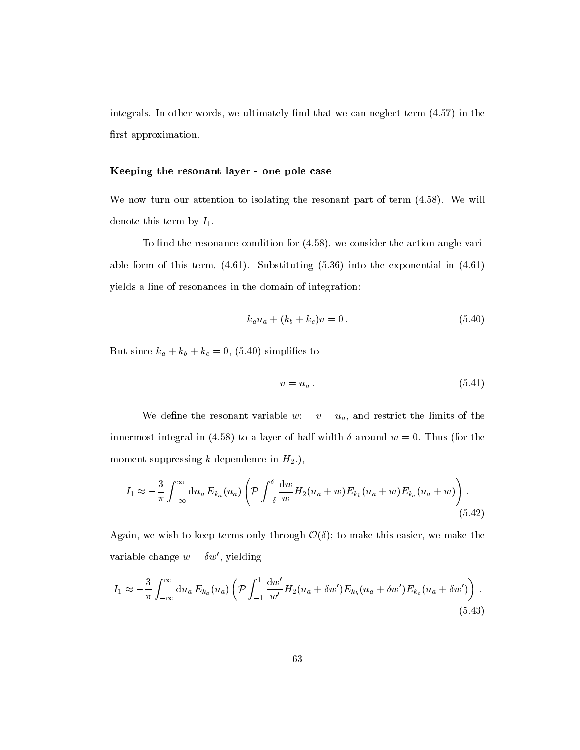integrals. In other words, we ultimately find that we can neglect term  $(4.57)$  in the first approximation.

#### Keeping the resonant layer - one pole case

We now turn our attention to isolating the resonant part of term  $(4.58)$ . We will denote this term by  $I_1$ .

To find the resonance condition for  $(4.58)$ , we consider the action-angle variable form of this term,  $(4.61)$ . Substituting  $(5.36)$  into the exponential in  $(4.61)$ yields a line of resonances in the domain of integration:

$$
k_a u_a + (k_b + k_c)v = 0.
$$
\n(5.40)

But since  $k_a + k_b + k_c = 0$ , (5.40) simplifies to

$$
v = u_a. \tag{5.41}
$$

We define the resonant variable  $w = v - u_a$ , and restrict the limits of the innermost integral in (4.58) to a layer of half-width  $\delta$  around  $w = 0$ . Thus (for the moment suppressing k dependence in  $H_2$ .),

$$
I_1 \approx -\frac{3}{\pi} \int_{-\infty}^{\infty} \mathrm{d}u_a E_{k_a}(u_a) \left( \mathcal{P} \int_{-\delta}^{\delta} \frac{\mathrm{d}w}{w} H_2(u_a+w) E_{k_b}(u_a+w) E_{k_c}(u_a+w) \right). \tag{5.42}
$$

Again, we wish to keep terms only through  $\mathcal{O}(\delta)$ ; to make this easier, we make the variable change  $w = \delta w'$ , yielding

$$
I_1 \approx -\frac{3}{\pi} \int_{-\infty}^{\infty} du_a E_{k_a}(u_a) \left( \mathcal{P} \int_{-1}^1 \frac{dw'}{w'} H_2(u_a + \delta w') E_{k_b}(u_a + \delta w') E_{k_c}(u_a + \delta w') \right) . \tag{5.43}
$$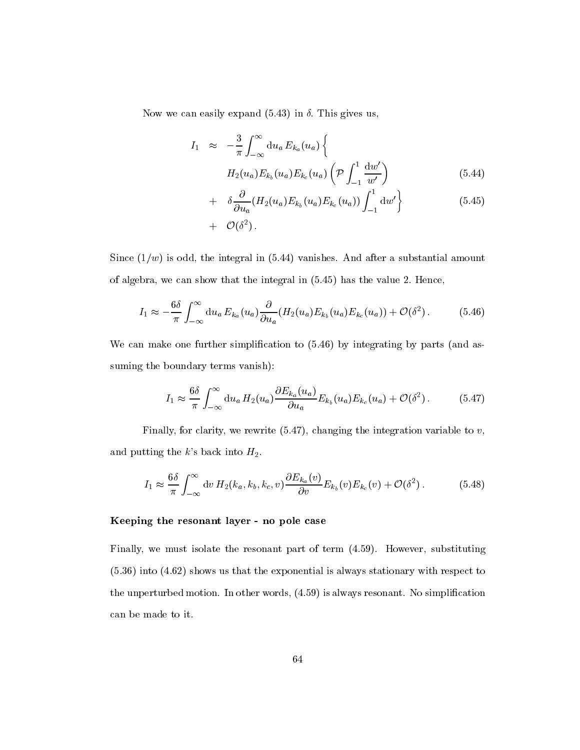Now we can easily expand  $(5.43)$  in  $\delta$ . This gives us,

$$
I_1 \approx -\frac{3}{\pi} \int_{-\infty}^{\infty} \mathrm{d}u_a E_{k_a}(u_a) \left\{ H_2(u_a) E_{k_b}(u_a) E_{k_c}(u_a) \left( \mathcal{P} \int_{-1}^1 \frac{\mathrm{d}w'}{w'} \right) \right\}
$$
(5.44)

+ 
$$
\delta \frac{\partial}{\partial u_a} (H_2(u_a) E_{k_b}(u_a) E_{k_c}(u_a)) \int_{-1}^1 \mathrm{d}w' \}
$$
 (5.45)  
+  $\mathcal{O}(\delta^2)$ .

Since  $(1/w)$  is odd, the integral in (5.44) vanishes. And after a substantial amount of algebra, we can show that the integral in (5.45) has the value 2: Hence,

$$
I_1 \approx -\frac{6\delta}{\pi} \int_{-\infty}^{\infty} \mathrm{d}u_a \, E_{k_a}(u_a) \frac{\partial}{\partial u_a}(H_2(u_a) E_{k_b}(u_a) E_{k_c}(u_a)) + \mathcal{O}(\delta^2). \tag{5.46}
$$

We can make one further simplification to  $(5.46)$  by integrating by parts (and assuming the boundary terms vanish):

$$
I_1 \approx \frac{6\delta}{\pi} \int_{-\infty}^{\infty} \mathrm{d}u_a \, H_2(u_a) \frac{\partial E_{k_a}(u_a)}{\partial u_a} E_{k_b}(u_a) E_{k_c}(u_a) + \mathcal{O}(\delta^2). \tag{5.47}
$$

Finally, for clarity, we rewrite  $(5.47)$ , changing the integration variable to v, and putting the k's back into  $H_2$ .

$$
I_1 \approx \frac{6\delta}{\pi} \int_{-\infty}^{\infty} \mathrm{d}v \, H_2(k_a, k_b, k_c, v) \frac{\partial E_{k_a}(v)}{\partial v} E_{k_b}(v) E_{k_c}(v) + \mathcal{O}(\delta^2). \tag{5.48}
$$

#### Keeping the resonant layer - no pole case

Finally, we must isolate the resonant part of term (4.59). However, substituting (5.36) into (4.62) shows us that the exponential is always stationary with respect to the unperturbed motion. In other words,  $(4.59)$  is always resonant. No simplification can be made to it.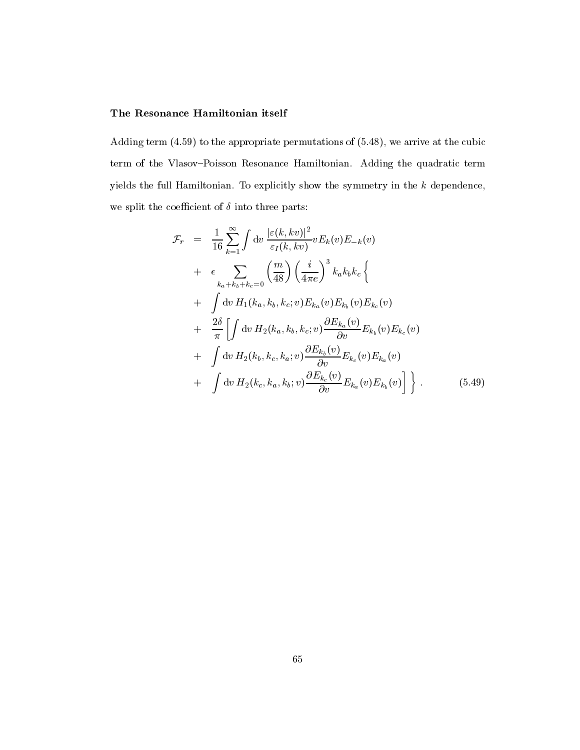#### The Resonance Hamiltonian itself

Adding term (4.59) to the appropriate permutations of (5.48), we arrive at the cubic term of the Vlasov-Poisson Resonance Hamiltonian. Adding the quadratic term yields the full Hamiltonian. To explicitly show the symmetry in the  $k$  dependence, we split the coefficient of  $\delta$  into three parts:

$$
\mathcal{F}_{r} = \frac{1}{16} \sum_{k=1}^{\infty} \int dv \frac{|\varepsilon(k, kv)|^{2}}{\varepsilon_{I}(k, kv)} v E_{k}(v) E_{-k}(v) \n+ \epsilon \sum_{k_{a}+k_{b}+k_{c}=0} \left(\frac{m}{48}\right) \left(\frac{i}{4\pi e}\right)^{3} k_{a} k_{b} k_{c} \left\{ \n+ \int dv H_{1}(k_{a}, k_{b}, k_{c}; v) E_{k_{a}}(v) E_{k_{b}}(v) E_{k_{c}}(v) \n+ \frac{2\delta}{\pi} \left[ \int dv H_{2}(k_{a}, k_{b}, k_{c}; v) \frac{\partial E_{k_{a}}(v)}{\partial v} E_{k_{b}}(v) E_{k_{c}}(v) \right. \n+ \int dv H_{2}(k_{b}, k_{c}, k_{a}; v) \frac{\partial E_{k_{b}}(v)}{\partial v} E_{k_{c}}(v) E_{k_{a}}(v) \n+ \int dv H_{2}(k_{c}, k_{a}, k_{b}; v) \frac{\partial E_{k_{c}}(v)}{\partial v} E_{k_{a}}(v) E_{k_{b}}(v) \right] \bigg\}.
$$
\n(5.49)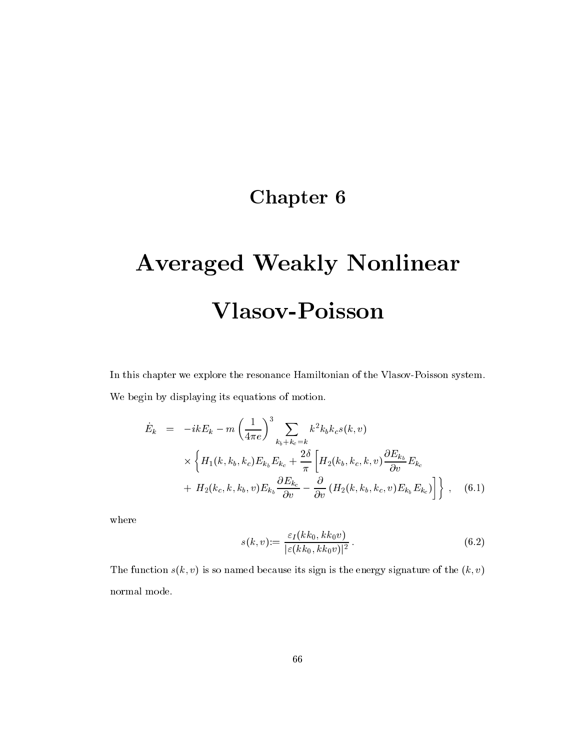## Chapter 6

# Averaged Weakly Nonlinear Vlasov-Poisson

In this chapter we explore the resonance Hamiltonian of the Vlasov-Poisson system. We begin by displaying its equations of motion.

$$
\dot{E}_k = -ikE_k - m\left(\frac{1}{4\pi e}\right)^3 \sum_{k_b + k_c = k} k^2 k_b k_c s(k, v)
$$
  
 
$$
\times \left\{ H_1(k, k_b, k_c) E_{k_b} E_{k_c} + \frac{2\delta}{\pi} \left[ H_2(k_b, k_c, k, v) \frac{\partial E_{k_b}}{\partial v} E_{k_c} \right. \right. \\ \left. + H_2(k_c, k, k_b, v) E_{k_b} \frac{\partial E_{k_c}}{\partial v} - \frac{\partial}{\partial v} \left( H_2(k, k_b, k_c, v) E_{k_b} E_{k_c} \right) \right] \right\} , \quad (6.1)
$$

where

$$
s(k, v) := \frac{\varepsilon_I(kk_0, kk_0v)}{|\varepsilon(kk_0, kk_0v)|^2}.
$$
\n(6.2)

The function  $s(k, v)$  is so named because its sign is the energy signature of the  $(k, v)$ normal mode.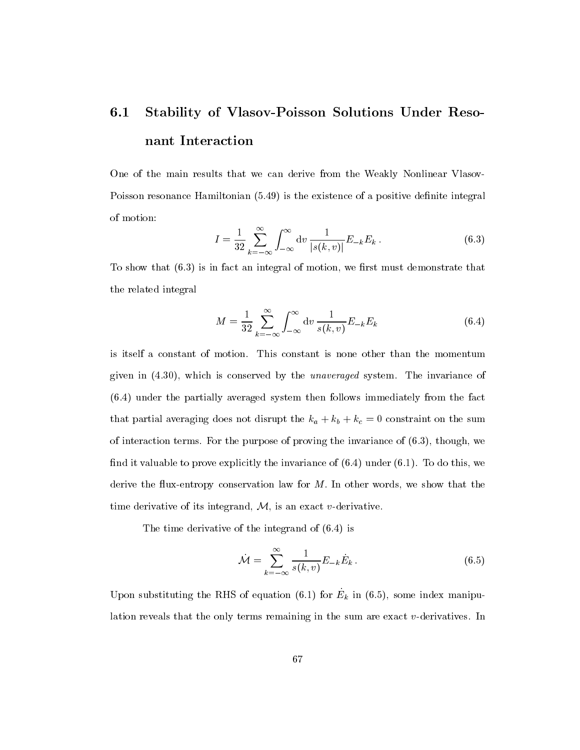# 6.1 Stability of Vlasov-Poisson Solutions Under Resonant Interaction

One of the main results that we can derive from the Weakly Nonlinear Vlasov-Poisson resonance Hamiltonian (5.49) is the existence of a positive definite integral of motion:

$$
I = \frac{1}{32} \sum_{k=-\infty}^{\infty} \int_{-\infty}^{\infty} dv \, \frac{1}{|s(k, v)|} E_{-k} E_k .
$$
 (6.3)

To show that  $(6.3)$  is in fact an integral of motion, we first must demonstrate that the related integral

$$
M = \frac{1}{32} \sum_{k=-\infty}^{\infty} \int_{-\infty}^{\infty} dv \frac{1}{s(k, v)} E_{-k} E_k
$$
 (6.4)

is itself a constant of motion. This constant is none other than the momentum given in (4.30), which is conserved by the unaveraged system. The invariance of (6.4) under the partially averaged system then follows immediately from the fact that partial averaging does not disrupt the  $k_a + k_b + k_c = 0$  constraint on the sum of interaction terms. For the purpose of proving the invariance of (6.3), though, we find it valuable to prove explicitly the invariance of  $(6.4)$  under  $(6.1)$ . To do this, we derive the flux-entropy conservation law for  $M$ . In other words, we show that the time derivative of its integrand,  $M$ , is an exact v-derivative.

The time derivative of the integrand of (6.4) is

$$
\dot{\mathcal{M}} = \sum_{k=-\infty}^{\infty} \frac{1}{s(k,v)} E_{-k} \dot{E}_k .
$$
\n(6.5)

Upon substituting the RHS of equation  $(0.1)$  for  $E_k$  in  $(0.5)$ , some index manipulation reveals that the only terms remaining in the sum are exact v-derivatives. In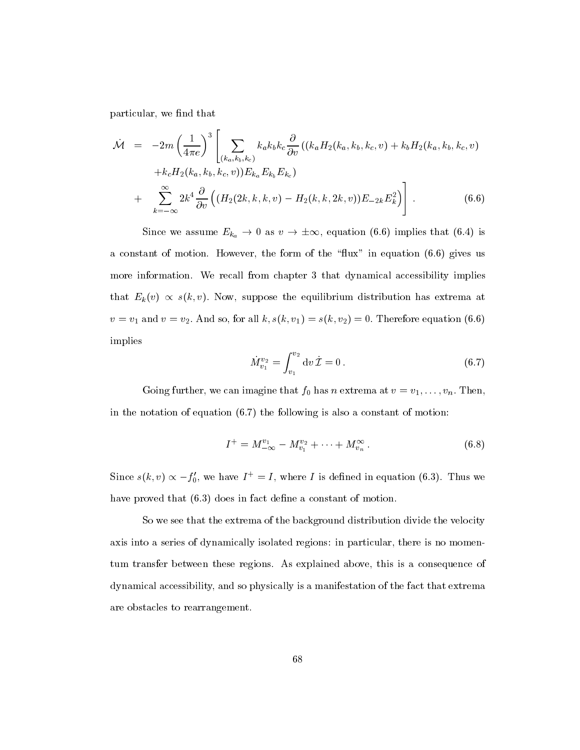particular, we find that

$$
\dot{\mathcal{M}} = -2m \left(\frac{1}{4\pi e}\right)^3 \left[ \sum_{(k_a, k_b, k_c)} k_a k_b k_c \frac{\partial}{\partial v} \left( (k_a H_2(k_a, k_b, k_c, v) + k_b H_2(k_a, k_b, k_c, v) \right) \right. \\ \left. + k_c H_2(k_a, k_b, k_c, v) \right) E_{k_a} E_{k_b} E_{k_c} \right] \\ + \sum_{k=-\infty}^{\infty} 2k^4 \frac{\partial}{\partial v} \left( (H_2(2k, k, k, v) - H_2(k, k, 2k, v)) E_{-2k} E_k^2 \right) \right]. \tag{6.6}
$$

Since we assume  $E_{k_a} \to 0$  as  $v \to \pm \infty$ , equation (6.6) implies that (6.4) is a constant of motion. However, the form of the "flux" in equation  $(6.6)$  gives us more information. We recall from chapter 3 that dynamical accessibility implies that  $E_k(v) \propto s(k, v)$ . Now, suppose the equilibrium distribution has extrema at  $v = v_1$  and  $v = v_2$ . And so, for all  $k, s(k, v_1) = s(k, v_2) = 0$ . Therefore equation (6.6) implies

$$
\dot{M}_{v_1}^{v_2} = \int_{v_1}^{v_2} dv \, \dot{\mathcal{I}} = 0. \tag{6.7}
$$

Going further, we can imagine that  $f_0$  has n extrema at  $v = v_1, \ldots, v_n$ . Then, in the notation of equation  $(6.7)$  the following is also a constant of motion:

$$
I^{+} = M_{-\infty}^{v_1} - M_{v_1}^{v_2} + \dots + M_{v_n}^{\infty}.
$$
 (6.8)

Since  $s(k, v) \propto -f_0'$ , we have  $I^+ = I$ , where I is defined in equation (6.3). Thus we have proved that  $(6.3)$  does in fact define a constant of motion.

So we see that the extrema of the background distribution divide the velocity axis into a series of dynamically isolated regions: in particular, there is no momentum transfer between these regions. As explained above, this is a consequence of dynamical accessibility, and so physically is a manifestation of the fact that extrema are obstacles to rearrangement.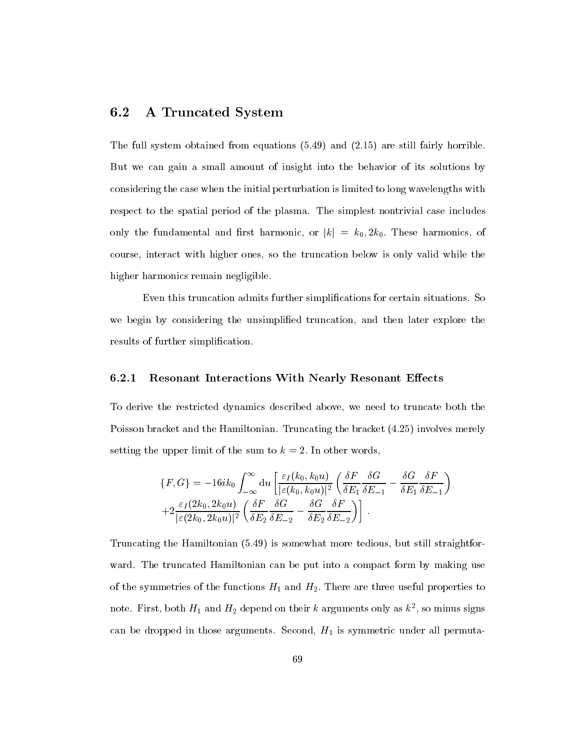#### 6.2 A Truncated System

The full system obtained from equations (5.49) and (2.15) are still fairly horrible. But we can gain a small amount of insight into the behavior of its solutions by considering the case when the initial perturbation is limited to long wavelengths with respect to the spatial period of the plasma. The simplest nontrivial case includes only the fundamental and first harmonic, or  $|k| = k_0, 2k_0$ . These harmonics, of course, interact with higher ones, so the truncation below is only valid while the higher harmonics remain negligible.

Even this truncation admits further simplications for certain situations. So we begin by considering the unsimplied truncation, and then later explore the results of further simplification.

#### 6.2.1 Resonant Interactions With Nearly Resonant Effects

To derive the restricted dynamics described above, we need to truncate both the Poisson bracket and the Hamiltonian. Truncating the bracket (4.25) involves merely setting the upper limit of the sum to  $k = 2$ . In other words,

$$
\{F, G\} = -16ik_0 \int_{-\infty}^{\infty} du \left[ \frac{\varepsilon_I(k_0, k_0 u)}{|\varepsilon(k_0, k_0 u)|^2} \left( \frac{\delta F}{\delta E_1} \frac{\delta G}{\delta E_{-1}} - \frac{\delta G}{\delta E_1} \frac{\delta F}{\delta E_{-1}} \right) \right] + 2 \frac{\varepsilon_I(2k_0, 2k_0 u)}{|\varepsilon(2k_0, 2k_0 u)|^2} \left( \frac{\delta F}{\delta E_2} \frac{\delta G}{\delta E_{-2}} - \frac{\delta G}{\delta E_2} \frac{\delta F}{\delta E_{-2}} \right) \right].
$$

Truncating the Hamiltonian (5.49) is somewhat more tedious, but still straightforward. The truncated Hamiltonian can be put into a compact form by making use of the symmetries of the functions  $H_1$  and  $H_2$ . There are three useful properties to note. First, both  $H_1$  and  $H_2$  depend on their  $\kappa$  arguments only as  $\kappa^-,$  so minus signs can be dropped in those arguments. Second,  $H_1$  is symmetric under all permuta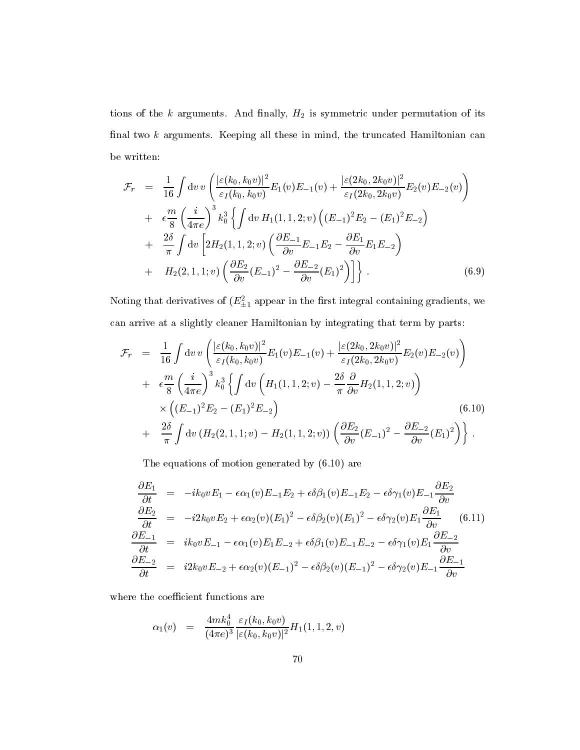tions of the  $k$  arguments. And finally,  $H_2$  is symmetric under permutation of its final two  $k$  arguments. Keeping all these in mind, the truncated Hamiltonian can be written:

$$
\mathcal{F}_{r} = \frac{1}{16} \int \mathrm{d}v \, v \left( \frac{|\varepsilon(k_{0}, k_{0} v)|^{2}}{\varepsilon_{I}(k_{0}, k_{0} v)} E_{1}(v) E_{-1}(v) + \frac{|\varepsilon(2k_{0}, 2k_{0} v)|^{2}}{\varepsilon_{I}(2k_{0}, 2k_{0} v)} E_{2}(v) E_{-2}(v) \right) \n+ \epsilon \frac{m}{8} \left( \frac{i}{4\pi e} \right)^{3} k_{0}^{3} \left\{ \int \mathrm{d}v \, H_{1}(1, 1, 2; v) \left( (E_{-1})^{2} E_{2} - (E_{1})^{2} E_{-2} \right) \right. \n+ \frac{2\delta}{\pi} \int \mathrm{d}v \left[ 2H_{2}(1, 1, 2; v) \left( \frac{\partial E_{-1}}{\partial v} E_{-1} E_{2} - \frac{\partial E_{1}}{\partial v} E_{1} E_{-2} \right) \right. \n+ H_{2}(2, 1, 1; v) \left( \frac{\partial E_{2}}{\partial v} (E_{-1})^{2} - \frac{\partial E_{-2}}{\partial v} (E_{1})^{2} \right) \right\} . \tag{6.9}
$$

ivoting that derivatives of  $(E_{\pm 1}^{\pm 1}$  appear in the first integral containing gradients, we can arrive at a slightly cleaner Hamiltonian by integrating that term by parts:

$$
\mathcal{F}_{r} = \frac{1}{16} \int \mathrm{d}v \, v \left( \frac{|\varepsilon(k_{0}, k_{0}v)|^{2}}{\varepsilon_{I}(k_{0}, k_{0}v)} E_{1}(v) E_{-1}(v) + \frac{|\varepsilon(2k_{0}, 2k_{0}v)|^{2}}{\varepsilon_{I}(2k_{0}, 2k_{0}v)} E_{2}(v) E_{-2}(v) \right) \n+ \epsilon \frac{m}{8} \left( \frac{i}{4\pi e} \right)^{3} k_{0}^{3} \left\{ \int \mathrm{d}v \left( H_{1}(1, 1, 2; v) - \frac{2\delta}{\pi} \frac{\partial}{\partial v} H_{2}(1, 1, 2; v) \right) \times \left( (E_{-1})^{2} E_{2} - (E_{1})^{2} E_{-2} \right) \right. \n+ \frac{2\delta}{\pi} \int \mathrm{d}v \left( H_{2}(2, 1, 1; v) - H_{2}(1, 1, 2; v) \right) \left( \frac{\partial E_{2}}{\partial v} (E_{-1})^{2} - \frac{\partial E_{-2}}{\partial v} (E_{1})^{2} \right) \right\}.
$$
\n(6.10)

The equations of motion generated by (6.10) are

$$
\begin{aligned}\n\frac{\partial E_1}{\partial t} &= -ik_0vE_1 - \epsilon \alpha_1(v)E_{-1}E_2 + \epsilon \delta \beta_1(v)E_{-1}E_2 - \epsilon \delta \gamma_1(v)E_{-1}\frac{\partial E_2}{\partial v} \\
\frac{\partial E_2}{\partial t} &= -i2k_0vE_2 + \epsilon \alpha_2(v)(E_1)^2 - \epsilon \delta \beta_2(v)(E_1)^2 - \epsilon \delta \gamma_2(v)E_1\frac{\partial E_1}{\partial v} \tag{6.11} \\
\frac{\partial E_{-1}}{\partial t} &= ik_0vE_{-1} - \epsilon \alpha_1(v)E_1E_{-2} + \epsilon \delta \beta_1(v)E_{-1}E_{-2} - \epsilon \delta \gamma_1(v)E_1\frac{\partial E_{-2}}{\partial v} \\
\frac{\partial E_{-2}}{\partial t} &= i2k_0vE_{-2} + \epsilon \alpha_2(v)(E_{-1})^2 - \epsilon \delta \beta_2(v)(E_{-1})^2 - \epsilon \delta \gamma_2(v)E_{-1}\frac{\partial E_{-1}}{\partial v}\n\end{aligned}
$$

where the coefficient functions are

$$
\alpha_1(v) \;\; = \;\; \frac{4 m k_0^4}{(4 \pi e)^3} \frac{\varepsilon_I(k_0,k_0 v)}{|\varepsilon(k_0,k_0 v)|^2} H_1(1,1,2,v)
$$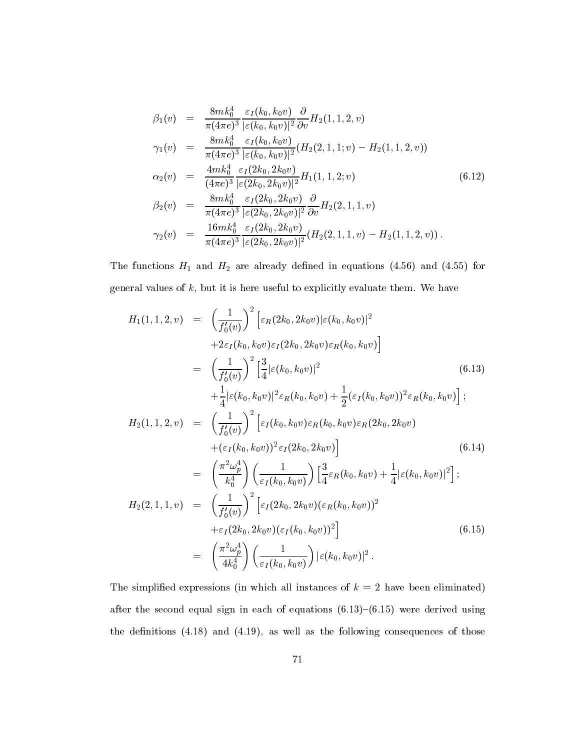$$
\beta_1(v) = \frac{8mk_0^4}{\pi(4\pi e)^3} \frac{\varepsilon_I(k_0, k_0 v)}{|\varepsilon(k_0, k_0 v)|^2} \frac{\partial}{\partial v} H_2(1, 1, 2, v) \n\gamma_1(v) = \frac{8mk_0^4}{\pi(4\pi e)^3} \frac{\varepsilon_I(k_0, k_0 v)}{|\varepsilon(k_0, k_0 v)|^2} (H_2(2, 1, 1; v) - H_2(1, 1, 2, v)) \n\alpha_2(v) = \frac{4mk_0^4}{(4\pi e)^3} \frac{\varepsilon_I(2k_0, 2k_0 v)}{|\varepsilon(2k_0, 2k_0 v)|^2} H_1(1, 1, 2; v) \n\beta_2(v) = \frac{8mk_0^4}{\pi(4\pi e)^3} \frac{\varepsilon_I(2k_0, 2k_0 v)}{|\varepsilon(2k_0, 2k_0 v)|^2} \frac{\partial}{\partial v} H_2(2, 1, 1, v) \n\gamma_2(v) = \frac{16mk_0^4}{\pi(4\pi e)^3} \frac{\varepsilon_I(2k_0, 2k_0 v)}{|\varepsilon(2k_0, 2k_0 v)|^2} (H_2(2, 1, 1, v) - H_2(1, 1, 2, v)).
$$
\n(6.12)

The functions  $H_1$  and  $H_2$  are already defined in equations (4.56) and (4.55) for general values of  $k$ , but it is here useful to explicitly evaluate them. We have

$$
H_{1}(1,1,2,v) = \left(\frac{1}{f'_{0}(v)}\right)^{2} \left[\varepsilon_{R}(2k_{0},2k_{0}v)|\varepsilon(k_{0},k_{0}v)|^{2} + 2\varepsilon_{I}(k_{0},k_{0}v)\varepsilon_{I}(2k_{0},2k_{0}v)\varepsilon_{R}(k_{0},k_{0}v)\right]
$$
  
\n
$$
= \left(\frac{1}{f'_{0}(v)}\right)^{2} \left[\frac{3}{4}|\varepsilon(k_{0},k_{0}v)|^{2} - \left(\frac{1}{4}|\varepsilon(k_{0},k_{0}v)|^{2} - \frac{1}{2}|\varepsilon_{I}(k_{0},k_{0}v)|^{2}\varepsilon_{R}(k_{0},k_{0}v)\right] \right]
$$
  
\n
$$
H_{2}(1,1,2,v) = \left(\frac{1}{f'_{0}(v)}\right)^{2} \left[\varepsilon_{I}(k_{0},k_{0}v)\varepsilon_{R}(k_{0},k_{0}v)\varepsilon_{R}(2k_{0},2k_{0}v) - \left(\frac{1}{f'_{0}(v)}\right)^{2}\varepsilon_{I}(2k_{0},2k_{0}v)\right] + (\varepsilon_{I}(k_{0},k_{0}v))^{2}\varepsilon_{I}(2k_{0},2k_{0}v) - \left(\frac{1}{k_{0}^{4}}\right)\left(\frac{1}{\varepsilon_{I}(k_{0},k_{0}v)}\right) \left[\frac{3}{4}\varepsilon_{R}(k_{0},k_{0}v) + \frac{1}{4}|\varepsilon(k_{0},k_{0}v)|^{2}\right];
$$
  
\n
$$
H_{2}(2,1,1,v) = \left(\frac{1}{f'_{0}(v)}\right)^{2} \left[\varepsilon_{I}(2k_{0},2k_{0}v)(\varepsilon_{R}(k_{0},k_{0}v))^{2} - \varepsilon_{I}(2k_{0},2k_{0}v)(\varepsilon_{I}(k_{0},k_{0}v))^{2}\right]
$$
  
\n
$$
= \left(\frac{\pi^{2}\omega_{p}^{4}}{4k_{0}^{4}}\right) \left(\frac{1}{\varepsilon_{I}(k_{0},k_{0}v)}\right) |\varepsilon(k_{0},k_{0}v)|^{2}.
$$
  
\n(6.15)

The simplified expressions (in which all instances of  $k = 2$  have been eliminated) after the second equal sign in each of equations  $(6.13)-(6.15)$  were derived using the definitions  $(4.18)$  and  $(4.19)$ , as well as the following consequences of those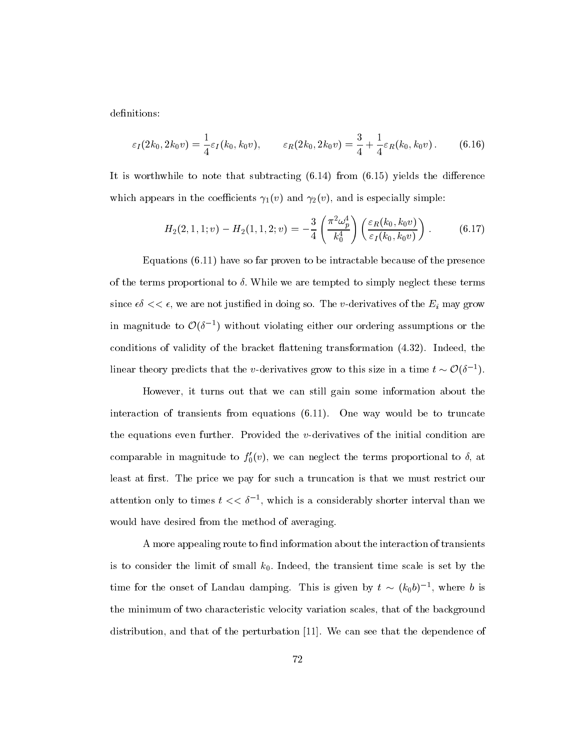definitions:

$$
\varepsilon_I(2k_0, 2k_0v) = \frac{1}{4}\varepsilon_I(k_0, k_0v), \qquad \varepsilon_R(2k_0, 2k_0v) = \frac{3}{4} + \frac{1}{4}\varepsilon_R(k_0, k_0v).
$$
 (6.16)

It is worthwhile to note that subtracting  $(6.14)$  from  $(6.15)$  yields the difference which appears in the coefficients  $\gamma_1(v)$  and  $\gamma_2(v)$ , and is especially simple:

$$
H_2(2, 1, 1; v) - H_2(1, 1, 2; v) = -\frac{3}{4} \left( \frac{\pi^2 \omega_p^4}{k_0^4} \right) \left( \frac{\varepsilon_R(k_0, k_0 v)}{\varepsilon_I(k_0, k_0 v)} \right).
$$
 (6.17)

Equations (6.11) have so far proven to be intractable because of the presence of the terms proportional to  $\delta$ . While we are tempted to simply neglect these terms since  $\epsilon \delta \ll \epsilon$ , we are not justified in doing so. The *v*-derivatives of the  $E_i$  may grow in magnitude to  $\mathcal{O}(\delta^{-1})$  without violating either our ordering assumptions or the conditions of validity of the bracket flattening transformation  $(4.32)$ . Indeed, the linear theory predicts that the v-derivatives grow to this size in a time  $t \sim \mathcal{O}(\delta^{-1})$ .

However, it turns out that we can still gain some information about the interaction of transients from equations (6.11). One way would be to truncate the equations even further. Provided the  $v$ -derivatives of the initial condition are comparable in magnitude to  $f_0'(v)$ , we can neglect the terms proportional to  $\delta$ , at least at first. The price we pay for such a truncation is that we must restrict our attention only to times  $t \ll v^{-1}$ , which is a considerably shorter interval than we would have desired from the method of averaging.

A more appealing route to find information about the interaction of transients is to consider the limit of small  $k_0$ . Indeed, the transient time scale is set by the time for the onset of Landau damping. This is given by  $\iota \sim (\kappa_0 \sigma)^{-1}$ , where  $\sigma$  is the minimum of two characteristic velocity variation scales, that of the background distribution, and that of the perturbation [11]. We can see that the dependence of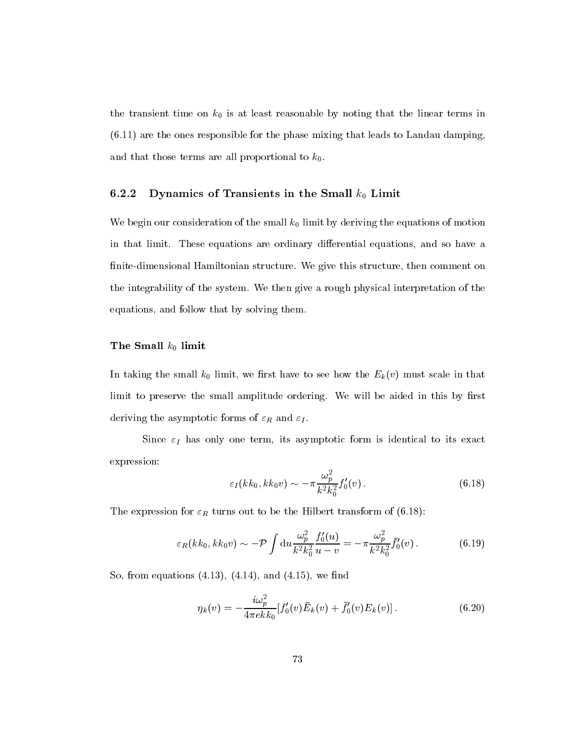the transient time on  $k_0$  is at least reasonable by noting that the linear terms in (6.11) are the ones responsible for the phase mixing that leads to Landau damping, and that those terms are all proportional to  $k_0$ .

#### 6.2.2 Dynamics of Transients in the Small  $k_0$  Limit

We begin our consideration of the small  $k_0$  limit by deriving the equations of motion in that limit. These equations are ordinary differential equations, and so have a finite-dimensional Hamiltonian structure. We give this structure, then comment on the integrability of the system. We then give a rough physical interpretation of the equations, and follow that by solving them.

#### The Small  $k_0$  limit

In taking the small  $k_0$  limit, we first have to see how the  $E_k(v)$  must scale in that limit to preserve the small amplitude ordering. We will be aided in this by first deriving the asymptotic forms of  $\varepsilon_R$  and  $\varepsilon_I$ .

Since  $\varepsilon_I$  has only one term, its asymptotic form is identical to its exact expression:

$$
\varepsilon_I(kk_0, kk_0v) \sim -\pi \frac{\omega_p^2}{k^2 k_0^2} f_0'(v) \,. \tag{6.18}
$$

The expression for  $\varepsilon_R$  turns out to be the Hilbert transform of (6.18):

$$
\varepsilon_R(kk_0, kk_0 v) \sim -\mathcal{P} \int \mathrm{d}u \frac{\omega_p^2}{k^2 k_0^2} \frac{f_0'(u)}{u - v} = -\pi \frac{\omega_p^2}{k^2 k_0^2} \bar{f}_0'(v) \,. \tag{6.19}
$$

So, from equations  $(4.13)$ ,  $(4.14)$ , and  $(4.15)$ , we find

$$
\eta_k(v) = -\frac{i\omega_p^2}{4\pi ek k_0} [f'_0(v)\bar{E}_k(v) + \bar{f}'_0(v)E_k(v)].
$$
\n(6.20)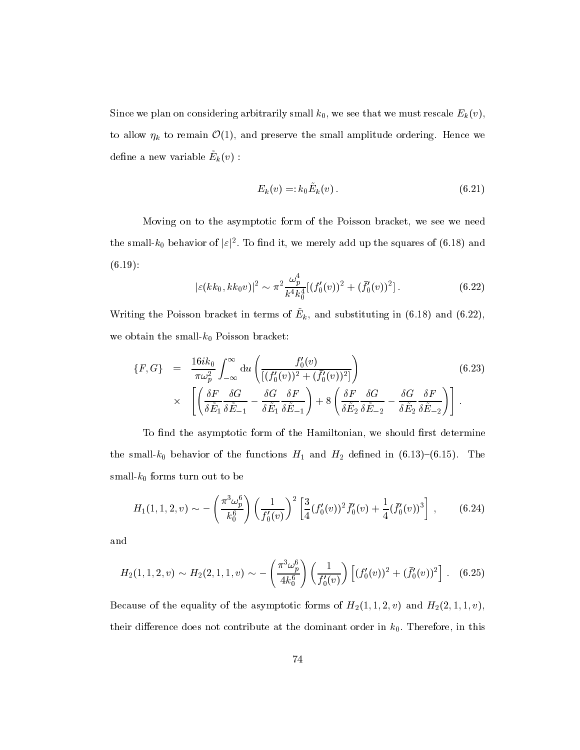Since we plan on considering arbitrarily small  $k_0$ , we see that we must rescale  $E_k(v)$ , to allow  $\eta_k$  to remain  $\mathcal{O}(1)$ , and preserve the small amplitude ordering. Hence we define a new variable  $E_k(v)$ .

$$
E_k(v) =: k_0 \dot{E}_k(v).
$$
\n(6.21)

Moving on to the asymptotic form of the Poisson bracket, we see we need the small- $k_0$  behavior of  $|\varepsilon|^2$ . To find it, we merely add up the squares of  $(6.18)$  and (6.19):

$$
|\varepsilon(kk_0, kk_0v)|^2 \sim \pi^2 \frac{\omega_p^4}{k^4 k_0^4} [(f_0'(v))^2 + (\bar{f}_0'(v))^2]. \tag{6.22}
$$

Writing the Poisson bracket in terms of  $E_{k}$ , and substituting in (6.18) and (6.22), we obtain the small- $k_0$  Poisson bracket:

$$
\{F, G\} = \frac{16ik_0}{\pi\omega_p^2} \int_{-\infty}^{\infty} du \left( \frac{f_0'(v)}{[(f_0'(v))^2 + (\bar{f}_0'(v))^2]} \right) \times \left[ \left( \frac{\delta F}{\delta \tilde{E}_1} \frac{\delta G}{\delta \tilde{E}_{-1}} - \frac{\delta G}{\delta \tilde{E}_1} \frac{\delta F}{\delta \tilde{E}_{-1}} \right) + 8 \left( \frac{\delta F}{\delta \tilde{E}_2} \frac{\delta G}{\delta \tilde{E}_{-2}} - \frac{\delta G}{\delta \tilde{E}_2} \frac{\delta F}{\delta \tilde{E}_{-2}} \right) \right].
$$
\n(6.23)

To find the asymptotic form of the Hamiltonian, we should first determine the small- $k_0$  behavior of the functions  $H_1$  and  $H_2$  defined in (6.13)-(6.15). The small- $k_0$  forms turn out to be

$$
H_1(1,1,2,v) \sim -\left(\frac{\pi^3 \omega_p^6}{k_0^6}\right) \left(\frac{1}{f_0'(v)}\right)^2 \left[\frac{3}{4} (f_0'(v))^2 \bar{f}_0'(v) + \frac{1}{4} (\bar{f}_0'(v))^3\right],\tag{6.24}
$$

and

$$
H_2(1,1,2,v) \sim H_2(2,1,1,v) \sim -\left(\frac{\pi^3 \omega_p^6}{4k_0^6}\right) \left(\frac{1}{f_0'(v)}\right) \left[ (f_0'(v))^2 + (\bar{f}_0'(v))^2 \right].
$$
 (6.25)

Because of the equality of the asymptotic forms of  $H_2(1, 1, 2, v)$  and  $H_2(2, 1, 1, v)$ , their difference does not contribute at the dominant order in  $k_0$ . Therefore, in this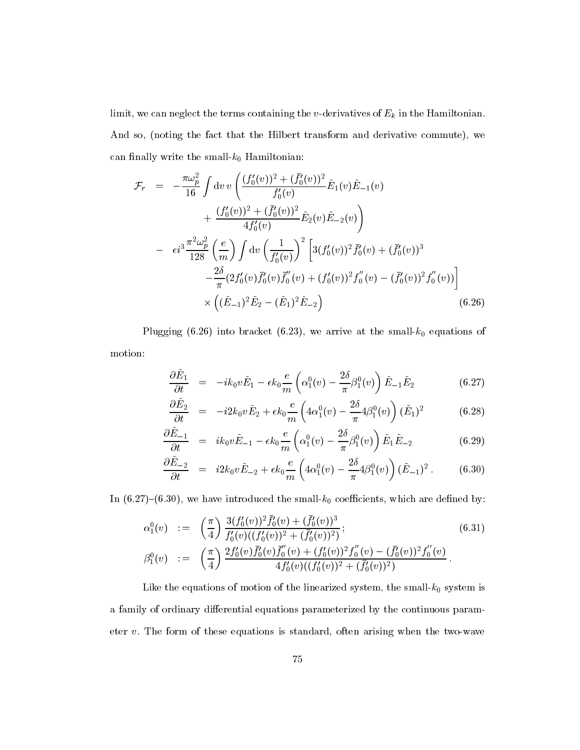limit, we can neglect the terms containing the *v*-derivatives of  $E_k$  in the Hamiltonian. And so, (noting the fact that the Hilbert transform and derivative commute), we can finally write the small- $k_0$  Hamiltonian:

$$
\mathcal{F}_{r} = -\frac{\pi \omega_{p}^{2}}{16} \int \mathrm{d}v \, v \left( \frac{(f_{0}'(v))^{2} + (\bar{f}_{0}'(v))^{2}}{f_{0}'(v)} \tilde{E}_{1}(v) \tilde{E}_{-1}(v) \right. \\
\left. + \frac{(f_{0}'(v))^{2} + (\bar{f}_{0}'(v))^{2}}{4f_{0}'(v)} \tilde{E}_{2}(v) \tilde{E}_{-2}(v) \right) \\
- \left. \epsilon i^{3} \frac{\pi^{2} \omega_{p}^{2}}{128} \left( \frac{e}{m} \right) \int \mathrm{d}v \left( \frac{1}{f_{0}'(v)} \right)^{2} \left[ 3(f_{0}'(v))^{2} \bar{f}_{0}'(v) + (\bar{f}_{0}'(v))^{3} \right. \\
\left. - \frac{2\delta}{\pi} (2f_{0}'(v) \bar{f}_{0}'(v) \bar{f}_{0}'(v) + (f_{0}'(v))^{2} f_{0}''(v) - (\bar{f}_{0}'(v))^{2} f_{0}''(v)) \right] \\
\times \left( (\tilde{E}_{-1})^{2} \tilde{E}_{2} - (\tilde{E}_{1})^{2} \tilde{E}_{-2} \right) \tag{6.26}
$$

Plugging (6.26) into bracket (6.23), we arrive at the small- $k_0$  equations of motion:

$$
\frac{\partial \tilde{E}_1}{\partial t} = -ik_0 v \tilde{E}_1 - \epsilon k_0 \frac{e}{m} \left( \alpha_1^0(v) - \frac{2\delta}{\pi} \beta_1^0(v) \right) \tilde{E}_{-1} \tilde{E}_2 \tag{6.27}
$$

$$
\frac{\partial \tilde{E}_2}{\partial t} = -i2k_0 v \tilde{E}_2 + \epsilon k_0 \frac{e}{m} \left( 4\alpha_1^0(v) - \frac{2\delta}{\pi} 4\beta_1^0(v) \right) (\tilde{E}_1)^2 \tag{6.28}
$$

$$
\frac{\partial \tilde{E}_{-1}}{\partial t} = ik_0 v \tilde{E}_{-1} - \epsilon k_0 \frac{e}{m} \left( \alpha_1^0(v) - \frac{2\delta}{\pi} \beta_1^0(v) \right) \tilde{E}_1 \tilde{E}_{-2} \tag{6.29}
$$

$$
\frac{\partial \tilde{E}_{-2}}{\partial t} = i2k_0 v \tilde{E}_{-2} + \epsilon k_0 \frac{e}{m} \left( 4\alpha_1^0(v) - \frac{2\delta}{\pi} 4\beta_1^0(v) \right) (\tilde{E}_{-1})^2. \tag{6.30}
$$

In  $(6.27)-(6.30)$ , we have introduced the small- $k_0$  coefficients, which are defined by:

$$
\alpha_1^0(v) := \left(\frac{\pi}{4}\right) \frac{3(f_0'(v))^2 \bar{f}_0'(v) + (\bar{f}_0'(v))^3}{f_0'(v)((f_0'(v))^2 + (\bar{f}_0'(v))^2)}; \n\beta_1^0(v) := \left(\frac{\pi}{4}\right) \frac{2f_0'(v)\bar{f}_0'(v)\bar{f}_0'(v) + (f_0'(v))^2 f_0''(v) - (\bar{f}_0'(v))^2 f_0''(v)}{4f_0'(v)((f_0'(v))^2 + (\bar{f}_0'(v))^2)}.
$$
\n(6.31)

Like the equations of motion of the linearized system, the small- $k_0$  system is a family of ordinary differential equations parameterized by the continuous parameter  $v$ . The form of these equations is standard, often arising when the two-wave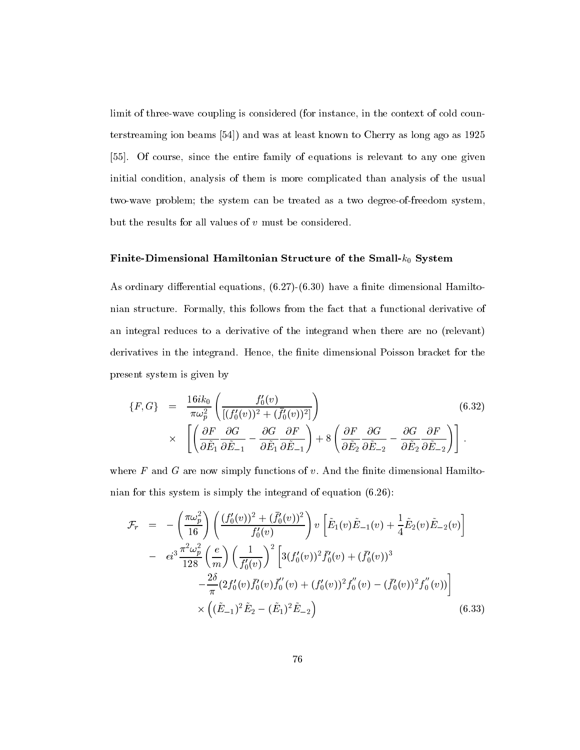limit of three-wave coupling is considered (for instance, in the context of cold counterstreaming ion beams [54]) and was at least known to Cherry as long ago as 1925 [55]. Of course, since the entire family of equations is relevant to any one given initial condition, analysis of them is more complicated than analysis of the usual two-wave problem; the system can be treated as a two degree-of-freedom system, but the results for all values of v must be considered.

#### Finite-Dimensional Hamiltonian Structure of the Small- $k_0$  System

As ordinary differential equations,  $(6.27)-(6.30)$  have a finite dimensional Hamiltonian structure. Formally, this follows from the fact that a functional derivative of an integral reduces to a derivative of the integrand when there are no (relevant) derivatives in the integrand. Hence, the finite dimensional Poisson bracket for the present system is given by

$$
\{F, G\} = \frac{16ik_0}{\pi\omega_p^2} \left( \frac{f_0'(v)}{[(f_0'(v))^2 + (\bar{f}_0'(v))^2]} \right)
$$
\n
$$
\times \left[ \left( \frac{\partial F}{\partial \tilde{E}_1} \frac{\partial G}{\partial \tilde{E}_{-1}} - \frac{\partial G}{\partial \tilde{E}_1} \frac{\partial F}{\partial \tilde{E}_{-1}} \right) + 8 \left( \frac{\partial F}{\partial \tilde{E}_2} \frac{\partial G}{\partial \tilde{E}_{-2}} - \frac{\partial G}{\partial \tilde{E}_2} \frac{\partial F}{\partial \tilde{E}_{-2}} \right) \right].
$$
\n(6.32)

where  $F$  and  $G$  are now simply functions of  $v$ . And the finite dimensional Hamiltonian for this system is simply the integrand of equation (6.26):

$$
\mathcal{F}_r = -\left(\frac{\pi \omega_p^2}{16}\right) \left(\frac{(f_0'(v))^2 + (\bar{f}_0'(v))^2}{f_0'(v)}\right) v \left[\tilde{E}_1(v)\tilde{E}_{-1}(v) + \frac{1}{4}\tilde{E}_2(v)\tilde{E}_{-2}(v)\right]
$$
  
\n
$$
- \epsilon i^3 \frac{\pi^2 \omega_p^2}{128} \left(\frac{e}{m}\right) \left(\frac{1}{f_0'(v)}\right)^2 \left[3(f_0'(v))^2 \bar{f}_0'(v) + (\bar{f}_0'(v))^3 - \frac{2\delta}{\pi} (2f_0'(v)\bar{f}_0'(v) \bar{f}_0'(v) + (f_0'(v))^2 f_0''(v) - (\bar{f}_0'(v))^2 f_0''(v))\right]
$$
  
\n
$$
\times \left((\tilde{E}_{-1})^2 \tilde{E}_2 - (\tilde{E}_1)^2 \tilde{E}_{-2}\right)
$$
(6.33)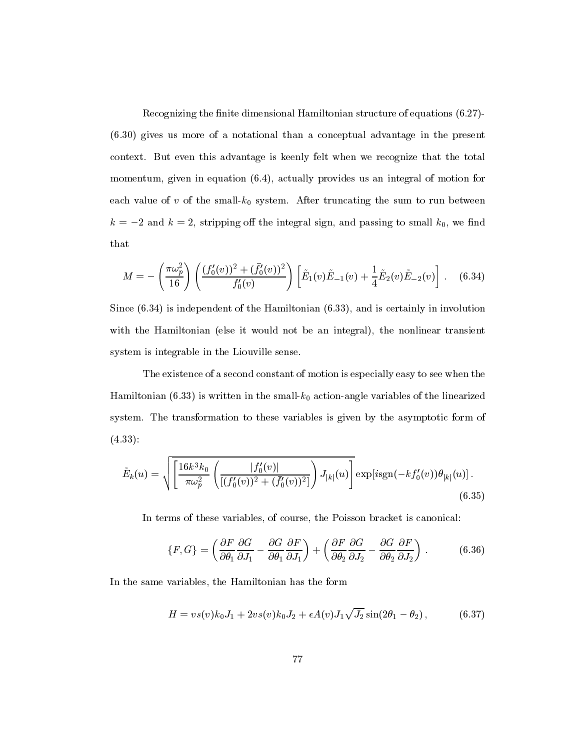Recognizing the finite dimensional Hamiltonian structure of equations  $(6.27)$ -(6.30) gives us more of a notational than a conceptual advantage in the present context. But even this advantage is keenly felt when we recognize that the total momentum, given in equation (6.4), actually provides us an integral of motion for each value of v of the small- $k_0$  system. After truncating the sum to run between  $k = -2$  and  $k = 2$ , stripping off the integral sign, and passing to small  $k_0$ , we find that

$$
M = -\left(\frac{\pi \omega_p^2}{16}\right) \left(\frac{(f_0'(v))^2 + (\bar{f}_0'(v))^2}{f_0'(v)}\right) \left[\tilde{E}_1(v)\tilde{E}_{-1}(v) + \frac{1}{4}\tilde{E}_2(v)\tilde{E}_{-2}(v)\right].
$$
 (6.34)

Since (6.34) is independent of the Hamiltonian (6.33), and is certainly in involution with the Hamiltonian (else it would not be an integral), the nonlinear transient system is integrable in the Liouville sense.

The existence of a second constant of motion is especially easy to see when the Hamiltonian (6.33) is written in the small- $k_0$  action-angle variables of the linearized system. The transformation to these variables is given by the asymptotic form of (4.33):

$$
\tilde{E}_k(u) = \sqrt{\left[\frac{16k^3k_0}{\pi\omega_p^2} \left(\frac{|f'_0(v)|}{[(f'_0(v))^2 + (\bar{f}'_0(v))^2]}\right) J_{|k|}(u)\right]} \exp[i\text{sgn}(-kf'_0(v))\theta_{|k|}(u)].
$$
\n(6.35)

In terms of these variables, of course, the Poisson bracket is canonical:

$$
\{F, G\} = \left(\frac{\partial F}{\partial \theta_1} \frac{\partial G}{\partial J_1} - \frac{\partial G}{\partial \theta_1} \frac{\partial F}{\partial J_1}\right) + \left(\frac{\partial F}{\partial \theta_2} \frac{\partial G}{\partial J_2} - \frac{\partial G}{\partial \theta_2} \frac{\partial F}{\partial J_2}\right) .
$$
 (6.36)

In the same variables, the Hamiltonian has the form

$$
H = vs(v)k_0J_1 + 2vs(v)k_0J_2 + \epsilon A(v)J_1\sqrt{J_2}\sin(2\theta_1 - \theta_2), \qquad (6.37)
$$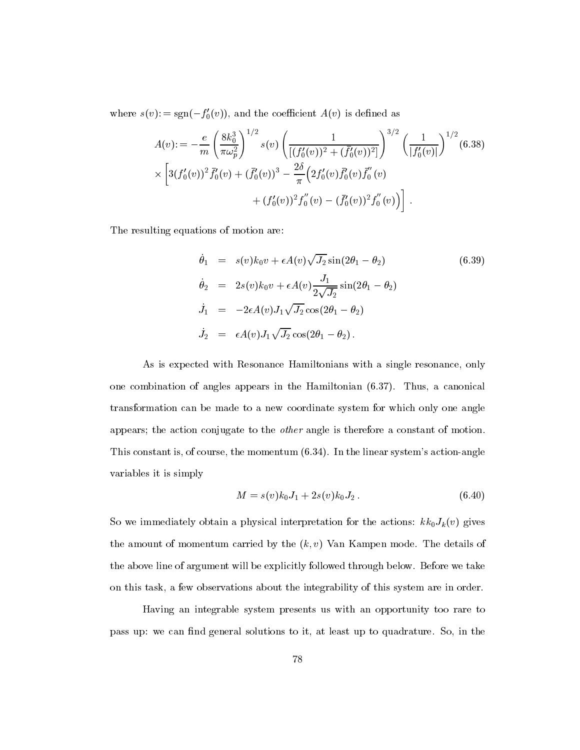where  $s(v)$ : = sgn( $-f'_0(v)$ ), and the coefficient  $A(v)$  is defined as

$$
A(v) := -\frac{e}{m} \left(\frac{8k_0^3}{\pi \omega_p^2}\right)^{1/2} s(v) \left(\frac{1}{[(f_0'(v))^2 + (\bar{f}_0'(v))^2]}\right)^{3/2} \left(\frac{1}{|f_0'(v)|}\right)^{1/2} (6.38)
$$
  
 
$$
\times \left[3(f_0'(v))^2 \bar{f}_0'(v) + (\bar{f}_0'(v))^3 - \frac{2\delta}{\pi} \left(2f_0'(v) \bar{f}_0'(v) \bar{f}_0'(v)\right) + (f_0'(v))^2 f_0''(v) - (\bar{f}_0'(v))^2 f_0''(v) \right].
$$

The resulting equations of motion are:

$$
\dot{\theta}_1 = s(v)k_0v + \epsilon A(v)\sqrt{J_2}\sin(2\theta_1 - \theta_2)
$$
\n
$$
\dot{\theta}_2 = 2s(v)k_0v + \epsilon A(v)\frac{J_1}{2\sqrt{J_2}}\sin(2\theta_1 - \theta_2)
$$
\n
$$
\dot{J}_1 = -2\epsilon A(v)J_1\sqrt{J_2}\cos(2\theta_1 - \theta_2)
$$
\n
$$
\dot{J}_2 = \epsilon A(v)J_1\sqrt{J_2}\cos(2\theta_1 - \theta_2).
$$
\n(6.39)

As is expected with Resonance Hamiltonians with a single resonance, only one combination of angles appears in the Hamiltonian (6.37). Thus, a canonical transformation can be made to a new coordinate system for which only one angle appears; the action conjugate to the other angle is therefore a constant of motion. This constant is, of course, the momentum (6.34). In the linear system's action-angle variables it is simply

$$
M = s(v)k_0 J_1 + 2s(v)k_0 J_2.
$$
\n(6.40)

So we immediately obtain a physical interpretation for the actions:  $kk_0J_k(v)$  gives the amount of momentum carried by the  $(k, v)$  Van Kampen mode. The details of the above line of argument will be explicitly followed through below. Before we take on this task, a few observations about the integrability of this system are in order.

Having an integrable system presents us with an opportunity too rare to pass up: we can find general solutions to it, at least up to quadrature. So, in the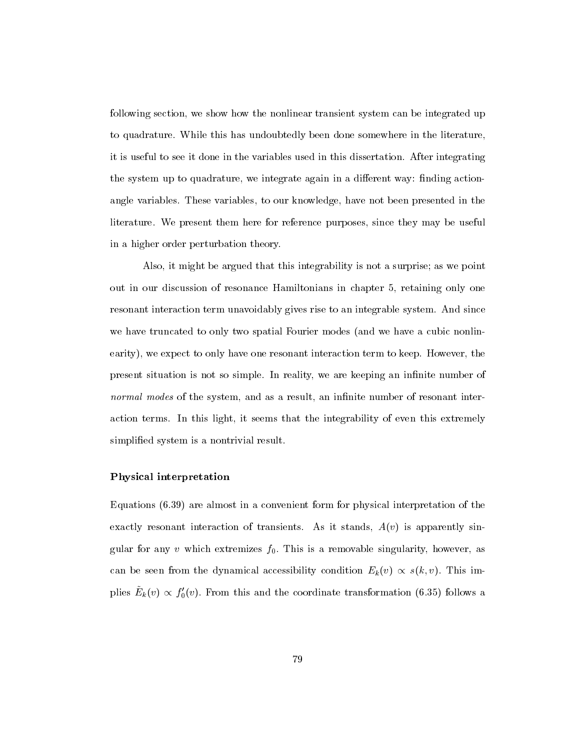following section, we show how the nonlinear transient system can be integrated up to quadrature. While this has undoubtedly been done somewhere in the literature, it is useful to see it done in the variables used in this dissertation. After integrating the system up to quadrature, we integrate again in a different way: finding actionangle variables. These variables, to our knowledge, have not been presented in the literature. We present them here for reference purposes, since they may be useful in a higher order perturbation theory.

Also, it might be argued that this integrability is not a surprise; as we point out in our discussion of resonance Hamiltonians in chapter 5, retaining only one resonant interaction term unavoidably gives rise to an integrable system. And since we have truncated to only two spatial Fourier modes (and we have a cubic nonlinearity), we expect to only have one resonant interaction term to keep. However, the present situation is not so simple. In reality, we are keeping an infinite number of normal modes of the system, and as a result, an infinite number of resonant interaction terms. In this light, it seems that the integrability of even this extremely simplied system is a nontrivial result.

#### Physical interpretation

Equations (6.39) are almost in a convenient form for physical interpretation of the exactly resonant interaction of transients. As it stands,  $A(v)$  is apparently singular for any v which extremizes  $f_0$ . This is a removable singularity, however, as can be seen from the dynamical accessibility condition  $E_k(v) \propto s(k, v)$ . This implies  $E_k(v) \propto f_0(v)$ . From this and the coordinate transformation (6.35) follows a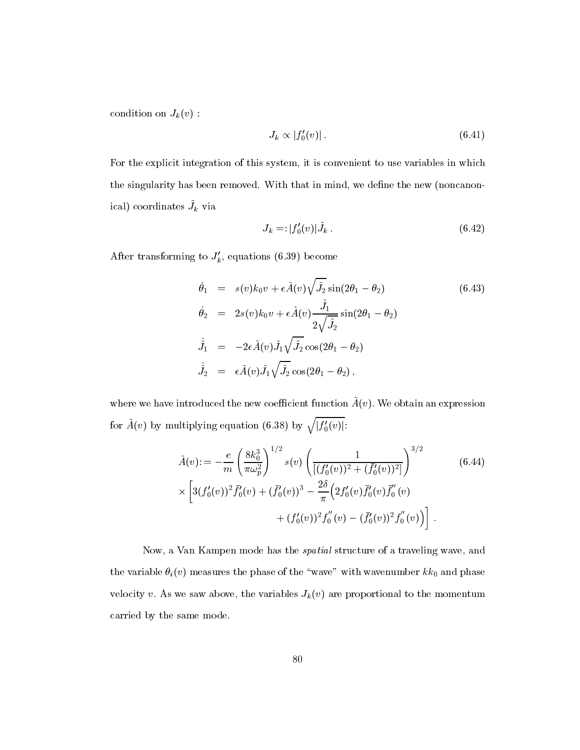condition on  $J_k(v)$ :

$$
J_k \propto |f_0'(v)|. \tag{6.41}
$$

For the explicit integration of this system, it is convenient to use variables in which the singularity has been removed. With that in mind, we define the new (noncanon- $\lceil \text{real} \rceil$  coordinates  $J_k$  via

$$
J_k = |f'_0(v)| \tilde{J}_k . \tag{6.42}
$$

After transforming to  $J'_k$ , equations (6.39) become

$$
\dot{\theta}_1 = s(v)k_0v + \epsilon \tilde{A}(v)\sqrt{\tilde{J}_2} \sin(2\theta_1 - \theta_2)
$$
\n
$$
\dot{\theta}_2 = 2s(v)k_0v + \epsilon \tilde{A}(v)\frac{\tilde{J}_1}{2\sqrt{\tilde{J}_2}}\sin(2\theta_1 - \theta_2)
$$
\n
$$
\dot{\tilde{J}}_1 = -2\epsilon \tilde{A}(v)\tilde{J}_1\sqrt{\tilde{J}_2}\cos(2\theta_1 - \theta_2)
$$
\n
$$
\dot{\tilde{J}}_2 = \epsilon \tilde{A}(v)\tilde{J}_1\sqrt{\tilde{J}_2}\cos(2\theta_1 - \theta_2),
$$
\n(6.43)

where we have introduced the new coemcient function  $A(\theta)$ . We obtain an expression for  $\tilde{A}(v)$  by multiplying equation (6.38) by  $\sqrt{|f'_0(v)|}$ :

$$
\tilde{A}(v) := -\frac{e}{m} \left( \frac{8k_0^3}{\pi \omega_p^2} \right)^{1/2} s(v) \left( \frac{1}{[(f_0'(v))^2 + (\bar{f}_0'(v))^2]} \right)^{3/2}
$$
\n
$$
\times \left[ 3(f_0'(v))^2 \bar{f}_0'(v) + (\bar{f}_0'(v))^3 - \frac{2\delta}{\pi} \left( 2f_0'(v) \bar{f}_0'(v) \bar{f}_0'(v) \right) + (f_0'(v))^2 f_0''(v) - (\bar{f}_0'(v))^2 f_0''(v) \right].
$$
\n(6.44)

Now, a Van Kampen mode has the spatial structure of a traveling wave, and the variable  $\theta_i(v)$  measures the phase of the "wave" with wavenumber  $kk_0$  and phase velocity v. As we saw above, the variables  $J_k(v)$  are proportional to the momentum carried by the same mode.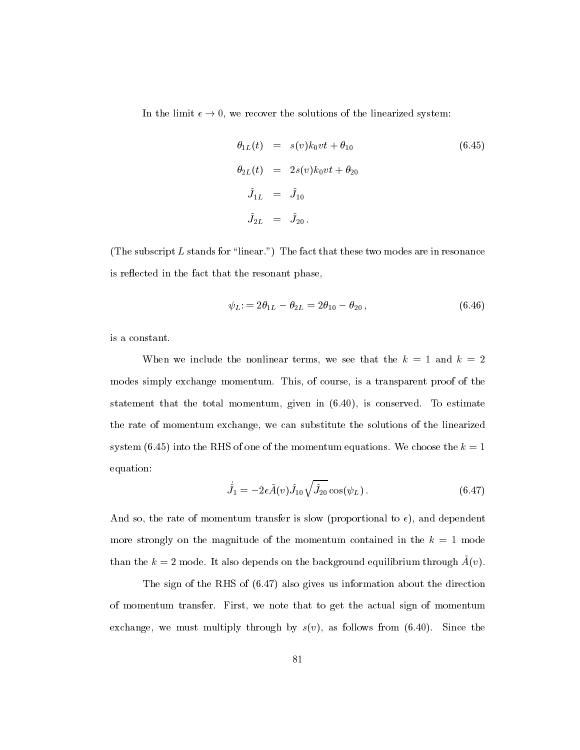In the limit  $\epsilon \to 0$ , we recover the solutions of the linearized system:

$$
\theta_{1L}(t) = s(v)k_0vt + \theta_{10}
$$
\n
$$
\theta_{2L}(t) = 2s(v)k_0vt + \theta_{20}
$$
\n
$$
\tilde{J}_{1L} = \tilde{J}_{10}
$$
\n
$$
\tilde{J}_{2L} = \tilde{J}_{20}
$$
\n(6.45)

(The subscript  $L$  stands for "linear.") The fact that these two modes are in resonance is reflected in the fact that the resonant phase,

$$
\psi_L = 2\theta_{1L} - \theta_{2L} = 2\theta_{10} - \theta_{20}, \qquad (6.46)
$$

is a constant.

When we include the nonlinear terms, we see that the  $k = 1$  and  $k = 2$ modes simply exchange momentum. This, of course, is a transparent proof of the statement that the total momentum, given in (6.40), is conserved. To estimate the rate of momentum exchange, we can substitute the solutions of the linearized system (6.45) into the RHS of one of the momentum equations. We choose the  $k = 1$ equation:

$$
\dot{\tilde{J}}_1 = -2\epsilon \tilde{A}(v)\tilde{J}_{10}\sqrt{\tilde{J}_{20}}\cos(\psi_L). \qquad (6.47)
$$

And so, the rate of momentum transfer is slow (proportional to  $\epsilon$ ), and dependent more strongly on the magnitude of the momentum contained in the  $k = 1$  mode  $\frac{1}{2}$  and the k  $\frac{1}{2}$  mode. It also depends on the background equilibrium through  $A(t)$ .

The sign of the RHS of (6.47) also gives us information about the direction of momentum transfer. First, we note that to get the actual sign of momentum exchange, we must multiply through by  $s(v)$ , as follows from (6.40). Since the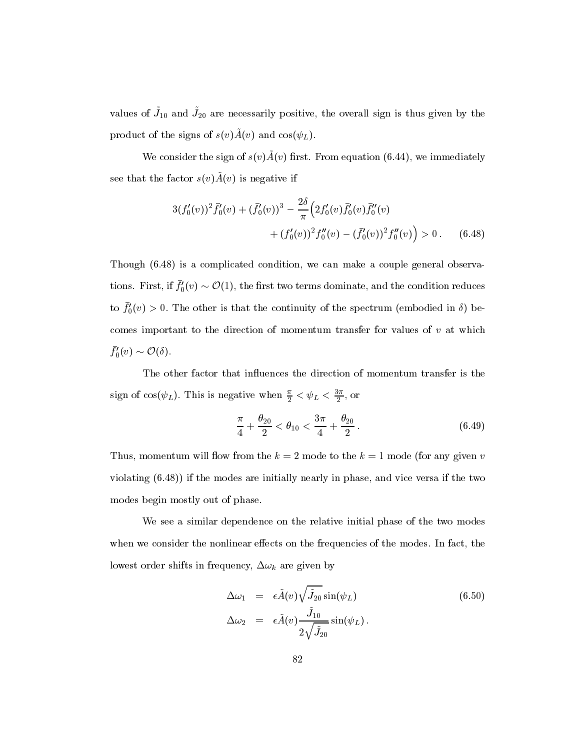values of  $J_{10}$  and  $J_{20}$  are necessarily positive, the overall sign is thus given by the product of the signs of  $s(v)A(v)$  and cos( $\psi_L$ ).

We consider the sign of  $s(v)A(v)$  hist. From equation (6.44), we immediately see that the factor  $s(v)A(v)$  is negative if

$$
3(f'_0(v))^2 \bar{f}'_0(v) + (\bar{f}'_0(v))^3 - \frac{2\delta}{\pi} \left( 2f'_0(v)\bar{f}'_0(v)\bar{f}''_0(v) + (f'_0(v))^2 f''_0(v) - (\bar{f}'_0(v))^2 f''_0(v) \right) > 0. \quad (6.48)
$$

Though (6.48) is a complicated condition, we can make a couple general observations. First, if  $f_0(v) \sim \mathcal{O}(1)$ , the first two terms dominate, and the condition reduces to  $f_0(v) > 0$ . The other is that the continuity of the spectrum (embodied in  $\delta$ ) becomes important to the direction of momentum transfer for values of  $v$  at which  $f_0'(v) \sim \mathcal{O}(\delta).$ 

The other factor that influences the direction of momentum transfer is the sign of  $cos(\psi_L)$ . This is negative when  $\frac{\pi}{2} < \psi_L < \frac{\pi}{2}$ , or

$$
\frac{\pi}{4} + \frac{\theta_{20}}{2} < \theta_{10} < \frac{3\pi}{4} + \frac{\theta_{20}}{2} \,. \tag{6.49}
$$

Thus, momentum will flow from the  $k = 2$  mode to the  $k = 1$  mode (for any given v violating (6.48)) if the modes are initially nearly in phase, and vice versa if the two modes begin mostly out of phase.

We see a similar dependence on the relative initial phase of the two modes when we consider the nonlinear effects on the frequencies of the modes. In fact, the lowest order shifts in frequency,  $\Delta \omega_k$  are given by

$$
\Delta \omega_1 = \epsilon \tilde{A}(v) \sqrt{\tilde{J}_{20}} \sin(\psi_L) \qquad (6.50)
$$
  
\n
$$
\Delta \omega_2 = \epsilon \tilde{A}(v) \frac{\tilde{J}_{10}}{2\sqrt{\tilde{J}_{20}}} \sin(\psi_L).
$$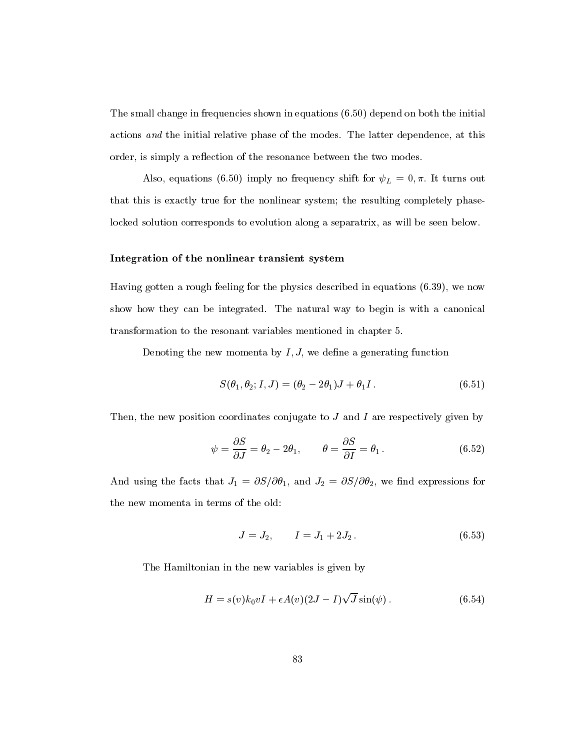The small change in frequencies shown in equations (6.50) depend on both the initial actions and the initial relative phase of the modes. The latter dependence, at this order, is simply a reflection of the resonance between the two modes.

Also, equations (6.50) imply no frequency shift for  $\psi_L = 0, \pi$ . It turns out that this is exactly true for the nonlinear system; the resulting completely phaselocked solution corresponds to evolution along a separatrix, as will be seen below.

#### Integration of the nonlinear transient system

Having gotten a rough feeling for the physics described in equations (6.39), we now show how they can be integrated. The natural way to begin is with a canonical transformation to the resonant variables mentioned in chapter 5.

Denoting the new momenta by  $I, J$ , we define a generating function

$$
S(\theta_1, \theta_2; I, J) = (\theta_2 - 2\theta_1)J + \theta_1 I. \tag{6.51}
$$

Then, the new position coordinates conjugate to  $J$  and  $I$  are respectively given by

$$
\psi = \frac{\partial S}{\partial J} = \theta_2 - 2\theta_1, \qquad \theta = \frac{\partial S}{\partial I} = \theta_1.
$$
 (6.52)

And using the facts that  $J_1 = \partial S/\partial \theta_1$ , and  $J_2 = \partial S/\partial \theta_2$ , we find expressions for the new momenta in terms of the old:

$$
J = J_2, \qquad I = J_1 + 2J_2. \tag{6.53}
$$

The Hamiltonian in the new variables is given by

$$
H = s(v)k_0vI + \epsilon A(v)(2J - I)\sqrt{J}\sin(\psi).
$$
 (6.54)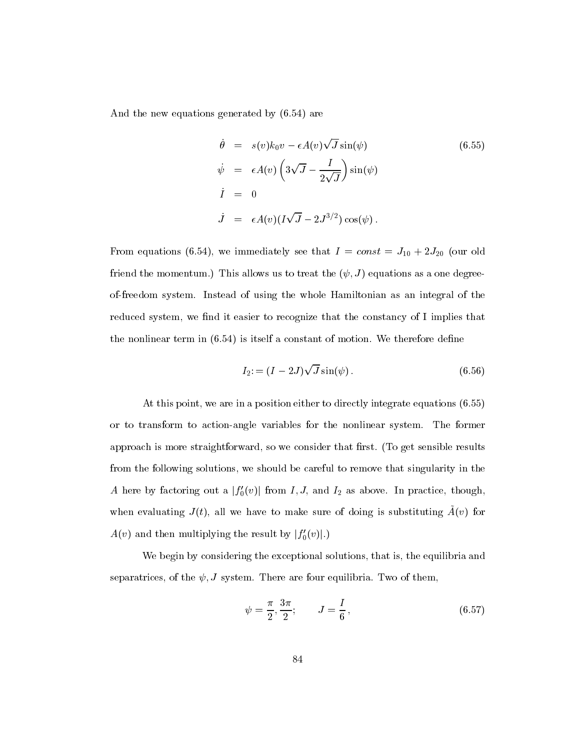And the new equations generated by (6.54) are

$$
\dot{\theta} = s(v)k_0v - \epsilon A(v)\sqrt{J}\sin(\psi)
$$
\n
$$
\dot{\psi} = \epsilon A(v)\left(3\sqrt{J} - \frac{I}{2\sqrt{J}}\right)\sin(\psi)
$$
\n
$$
\dot{I} = 0
$$
\n
$$
\dot{J} = \epsilon A(v)(I\sqrt{J} - 2J^{3/2})\cos(\psi).
$$
\n(6.55)

From equations (6.54), we immediately see that  $I = const = J_{10} + 2J_{20}$  (our old friend the momentum.) This allows us to treat the  $(\psi, J)$  equations as a one degreeof-freedom system. Instead of using the whole Hamiltonian as an integral of the reduced system, we find it easier to recognize that the constancy of I implies that the nonlinear term in  $(6.54)$  is itself a constant of motion. We therefore define

$$
I_2 = (I - 2J)\sqrt{J}\sin(\psi).
$$
 (6.56)

At this point, we are in a position either to directly integrate equations (6.55) or to transform to action-angle variables for the nonlinear system. The former approach is more straightforward, so we consider that first. (To get sensible results from the following solutions, we should be careful to remove that singularity in the A here by factoring out a  $|f_0'(v)|$  from I, J, and I<sub>2</sub> as above. In practice, though, when evaluating  $J(t)$ , all we have to make sure of doing is substituting  $A(v)$  for  $A(v)$  and then multiplying the result by  $|f_0^{\prime}(v)|.)$ 

We begin by considering the exceptional solutions, that is, the equilibria and separatrices, of the  $\psi$ , J system. There are four equilibria. Two of them,

$$
\psi = \frac{\pi}{2}, \frac{3\pi}{2}; \qquad J = \frac{I}{6}, \qquad (6.57)
$$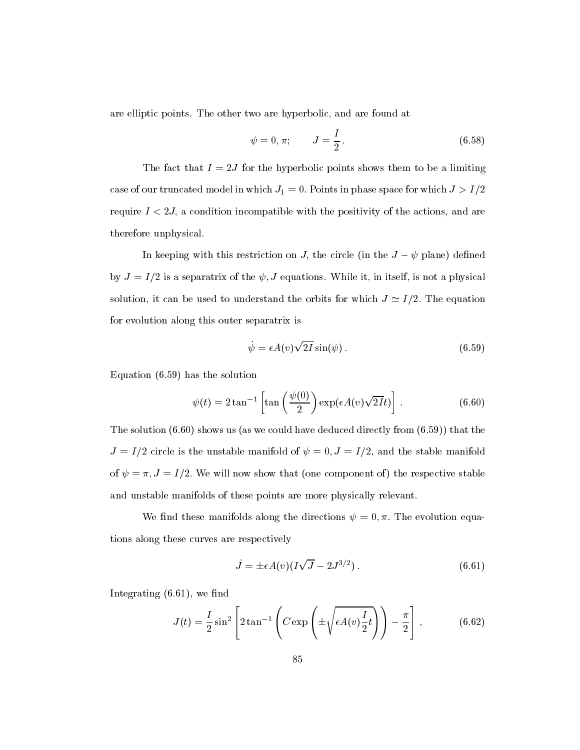are elliptic points. The other two are hyperbolic, and are found at

$$
\psi = 0, \pi;
$$
\n $J = \frac{I}{2}.$ \n(6.58)

The fact that  $I = 2J$  for the hyperbolic points shows them to be a limiting case of our truncated model in which  $J_1 = 0$ . Points in phase space for which  $J > I/2$ require  $I < 2J$ , a condition incompatible with the positivity of the actions, and are therefore unphysical.

In keeping with this restriction on J, the circle (in the  $J - \psi$  plane) defined by  $J = I/2$  is a separatrix of the  $\psi$ , J equations. While it, in itself, is not a physical solution, it can be used to understand the orbits for which  $J \simeq I/2$ . The equation for evolution along this outer separatrix is

$$
\dot{\psi} = \epsilon A(v) \sqrt{2I} \sin(\psi). \tag{6.59}
$$

Equation (6.59) has the solution

$$
\psi(t) = 2 \tan^{-1} \left[ \tan \left( \frac{\psi(0)}{2} \right) \exp(\epsilon A(v) \sqrt{2I} t) \right]. \tag{6.60}
$$

The solution  $(6.60)$  shows us (as we could have deduced directly from  $(6.59)$ ) that the  $J = I/2$  circle is the unstable manifold of  $\psi = 0, J = I/2$ , and the stable manifold of  $\psi = \pi$ ,  $J = I/2$ . We will now show that (one component of) the respective stable and unstable manifolds of these points are more physically relevant.

We find these manifolds along the directions  $\psi = 0, \pi$ . The evolution equations along these curves are respectively

$$
\dot{J} = \pm \epsilon A(v) (I\sqrt{J} - 2J^{3/2}). \tag{6.61}
$$

Integrating  $(6.61)$ , we find

$$
J(t) = \frac{I}{2} \sin^2 \left[ 2 \tan^{-1} \left( C \exp \left( \pm \sqrt{\epsilon A(v) \frac{I}{2} t} \right) \right) - \frac{\pi}{2} \right],
$$
 (6.62)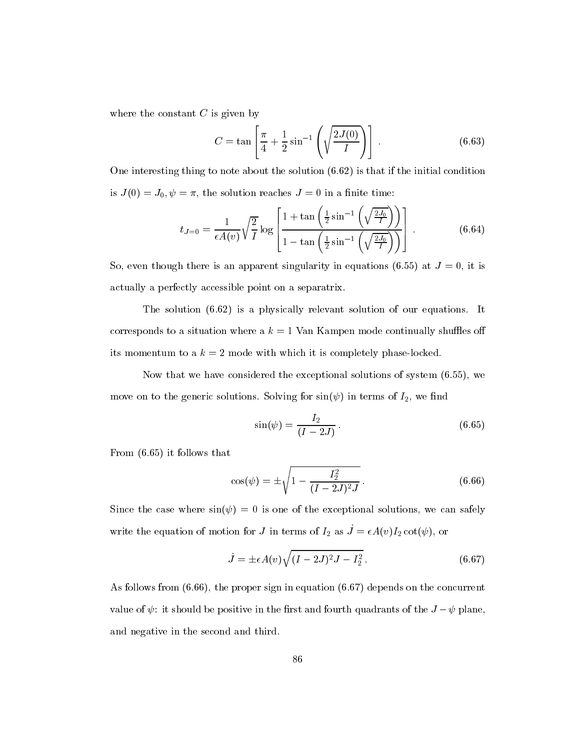where the constant  $C$  is given by

$$
C = \tan\left[\frac{\pi}{4} + \frac{1}{2}\sin^{-1}\left(\sqrt{\frac{2J(0)}{I}}\right)\right].
$$
 (6.63)

One interesting thing to note about the solution (6.62) is that if the initial condition is  $J(0) = J_0, \psi = \pi$ , the solution reaches  $J = 0$  in a finite time:

$$
t_{J=0} = \frac{1}{\epsilon A(v)} \sqrt{\frac{2}{I}} \log \left[ \frac{1 + \tan\left(\frac{1}{2}\sin^{-1}\left(\sqrt{\frac{2J_0}{I}}\right)\right)}{1 - \tan\left(\frac{1}{2}\sin^{-1}\left(\sqrt{\frac{2J_0}{I}}\right)\right)} \right].
$$
 (6.64)

So, even though there is an apparent singularity in equations (6.55) at  $J = 0$ , it is actually a perfectly accessible point on a separatrix.

The solution (6.62) is a physically relevant solution of our equations. It corresponds to a situation where a  $k = 1$  Van Kampen mode continually shuffles off its momentum to a  $k = 2$  mode with which it is completely phase-locked.

Now that we have considered the exceptional solutions of system (6.55), we move on to the generic solutions. Solving for  $sin(\psi)$  in terms of  $I_2$ , we find

$$
\sin(\psi) = \frac{I_2}{(I - 2J)}.
$$
\n(6.65)

From (6.65) it follows that

$$
\cos(\psi) = \pm \sqrt{1 - \frac{I_2^2}{(I - 2J)^2 J}}.
$$
\n(6.66)

Since the case where  $sin(\psi) = 0$  is one of the exceptional solutions, we can safely write the equation of motion for J in terms of  $I_2$  as  $\dot{J} = \epsilon A(v)I_2 \cot(\psi)$ , or

$$
\dot{J} = \pm \epsilon A(v) \sqrt{(I - 2J)^2 J - I_2^2} \,. \tag{6.67}
$$

As follows from (6.66), the proper sign in equation (6.67) depends on the concurrent value of  $\psi$ : it should be positive in the first and fourth quadrants of the  $J-\psi$  plane, and negative in the second and third.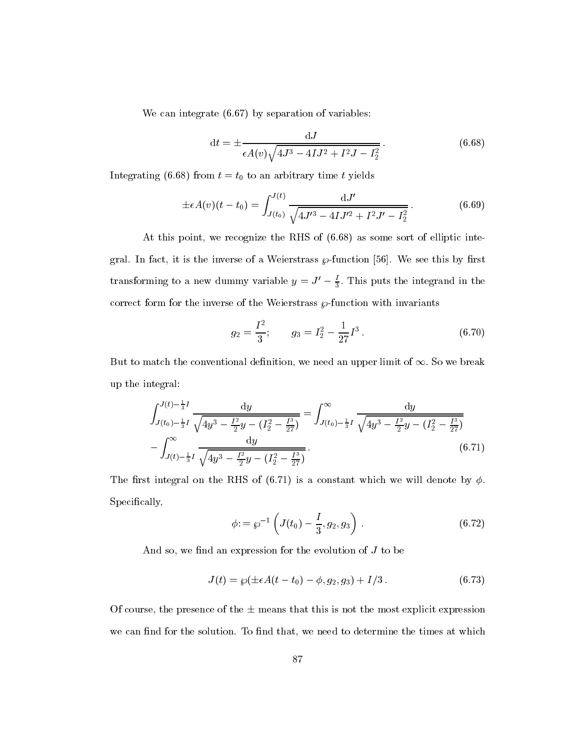We can integrate  $(6.67)$  by separation of variables:

$$
dt = \pm \frac{dJ}{\epsilon A(v)\sqrt{4J^3 - 4IJ^2 + I^2J - I_2^2}}.
$$
\n(6.68)

Integrating (6.68) from  $t = t_0$  to an arbitrary time t yields

$$
\pm \epsilon A(v)(t - t_0) = \int_{J(t_0)}^{J(t)} \frac{\mathrm{d}J'}{\sqrt{4J'^3 - 4IJ'^2 + I^2J' - I_2^2}}.\tag{6.69}
$$

At this point, we recognize the RHS of (6.68) as some sort of elliptic integral. In fact, it is the inverse of a Weierstrass  $\wp$ -function [56]. We see this by first transforming to a new dummy variable  $y = J_0 - \frac{1}{3}$ . This puts the integrand in the correct form for the inverse of the Weierstrass  $\wp$ -function with invariants

$$
g_2 = \frac{I^2}{3}; \qquad g_3 = I_2^2 - \frac{1}{27}I^3. \tag{6.70}
$$

But to match the conventional definition, we need an upper limit of  $\infty$ . So we break up the integral:

$$
\int_{J(t_0) - \frac{1}{3}I}^{J(t) - \frac{1}{3}I} \frac{dy}{\sqrt{4y^3 - \frac{I^2}{2}y - (I_2^2 - \frac{I^3}{27})}} = \int_{J(t_0) - \frac{1}{3}I}^{\infty} \frac{dy}{\sqrt{4y^3 - \frac{I^2}{2}y - (I_2^2 - \frac{I^3}{27})}}
$$

$$
-\int_{J(t) - \frac{1}{3}I}^{\infty} \frac{dy}{\sqrt{4y^3 - \frac{I^2}{2}y - (I_2^2 - \frac{I^3}{27})}}.
$$
(6.71)

The first integral on the RHS of (6.71) is a constant which we will denote by  $\phi$ . Specifically,

$$
\phi: = \wp^{-1}\left(J(t_0) - \frac{I}{3}, g_2, g_3\right). \tag{6.72}
$$

And so, we find an expression for the evolution of  $J$  to be

$$
J(t) = \wp(\pm \epsilon A(t - t_0) - \phi, g_2, g_3) + I/3. \tag{6.73}
$$

Of course, the presence of the  $\pm$  means that this is not the most explicit expression we can find for the solution. To find that, we need to determine the times at which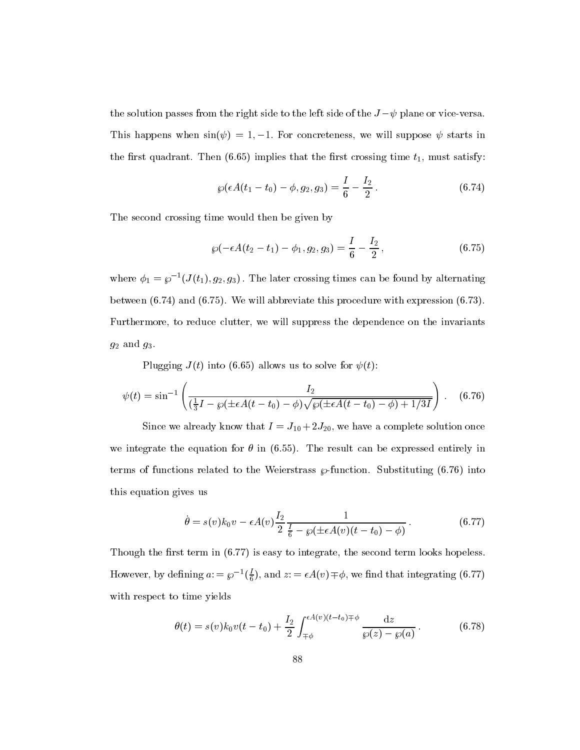the solution passes from the right side to the left side of the  $J-\psi$  plane or vice-versa. This happens when  $sin(\psi) = 1, -1$ . For concreteness, we will suppose  $\psi$  starts in the first quadrant. Then  $(6.65)$  implies that the first crossing time  $t_1$ , must satisfy:

$$
\wp(\epsilon A(t_1-t_0)-\phi,g_2,g_3)=\frac{I}{6}-\frac{I_2}{2}.
$$
\n(6.74)

The second crossing time would then be given by

$$
\wp(-\epsilon A(t_2-t_1)-\phi_1,g_2,g_3)=\frac{I}{6}-\frac{I_2}{2},\qquad(6.75)
$$

where  $\varphi_1 = \varphi^{-1}(J(t_1), g_2, g_3)$ . The later crossing times can be found by alternating between (6.74) and (6.75). We will abbreviate this procedure with expression (6.73). Furthermore, to reduce clutter, we will suppress the dependence on the invariants  $g_2$  and  $g_3$ .

Plugging  $J(t)$  into (6.65) allows us to solve for  $\psi(t)$ :

$$
\psi(t) = \sin^{-1}\left(\frac{I_2}{(\frac{1}{3}I - \wp(\pm \epsilon A(t - t_0) - \phi)\sqrt{\wp(\pm \epsilon A(t - t_0) - \phi) + 1/3I}}\right). \quad (6.76)
$$

Since we already know that  $I = J_{10} + 2J_{20}$ , we have a complete solution once we integrate the equation for  $\theta$  in (6.55). The result can be expressed entirely in terms of functions related to the Weierstrass  $\varphi$ -function. Substituting (6.76) into this equation gives us

$$
\dot{\theta} = s(v)k_0v - \epsilon A(v)\frac{I_2}{2}\frac{1}{\frac{I}{6} - \wp(\pm \epsilon A(v)(t - t_0) - \phi)}.
$$
\n(6.77)

Though the first term in  $(6.77)$  is easy to integrate, the second term looks hopeless. However, by defining  $a := \wp^{-1}(\tau)$ , and  $\frac{1}{6}$ ), and  $z = \epsilon A(v) \mp \phi$ , we find that integrating (6.77) with respect to time yields

$$
\theta(t) = s(v)k_0 v(t - t_0) + \frac{I_2}{2} \int_{\mp\phi}^{\epsilon A(v)(t - t_0)\mp\phi} \frac{dz}{\wp(z) - \wp(a)}.
$$
 (6.78)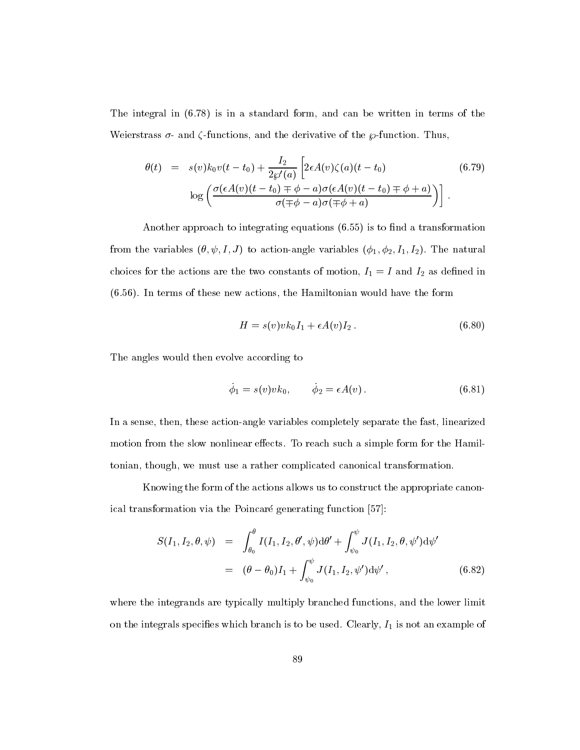The integral in (6.78) is in a standard form, and can be written in terms of the Weierstrass  $\sigma$ - and  $\zeta$ -functions, and the derivative of the  $\wp$ -function. Thus,

$$
\theta(t) = s(v)k_0v(t-t_0) + \frac{I_2}{2\wp'(a)} \left[ 2\epsilon A(v)\zeta(a)(t-t_0) \right]
$$
\n
$$
\log \left( \frac{\sigma(\epsilon A(v)(t-t_0) \mp \phi - a)\sigma(\epsilon A(v)(t-t_0) \mp \phi + a)}{\sigma(\mp \phi - a)\sigma(\mp \phi + a)} \right) \right].
$$
\n(6.79)

Another approach to integrating equations  $(6.55)$  is to find a transformation from the variables  $(\theta, \psi, I, J)$  to action-angle variables  $(\phi_1, \phi_2, I_1, I_2)$ . The natural choices for the actions are the two constants of motion,  $I_1 = I$  and  $I_2$  as defined in (6.56). In terms of these new actions, the Hamiltonian would have the form

$$
H = s(v)v k_0 I_1 + \epsilon A(v)I_2.
$$
\n
$$
(6.80)
$$

The angles would then evolve according to

$$
\dot{\phi}_1 = s(v)v k_0, \qquad \dot{\phi}_2 = \epsilon A(v). \tag{6.81}
$$

In a sense, then, these action-angle variables completely separate the fast, linearized motion from the slow nonlinear effects. To reach such a simple form for the Hamiltonian, though, we must use a rather complicated canonical transformation.

Knowing the form of the actions allows us to construct the appropriate canonical transformation via the Poincaré generating function [57]:

$$
S(I_1, I_2, \theta, \psi) = \int_{\theta_0}^{\theta} I(I_1, I_2, \theta', \psi) d\theta' + \int_{\psi_0}^{\psi} J(I_1, I_2, \theta, \psi') d\psi'
$$
  
= 
$$
(\theta - \theta_0)I_1 + \int_{\psi_0}^{\psi} J(I_1, I_2, \psi') d\psi', \qquad (6.82)
$$

where the integrands are typically multiply branched functions, and the lower limit on the integrals specifies which branch is to be used. Clearly,  $I_1$  is not an example of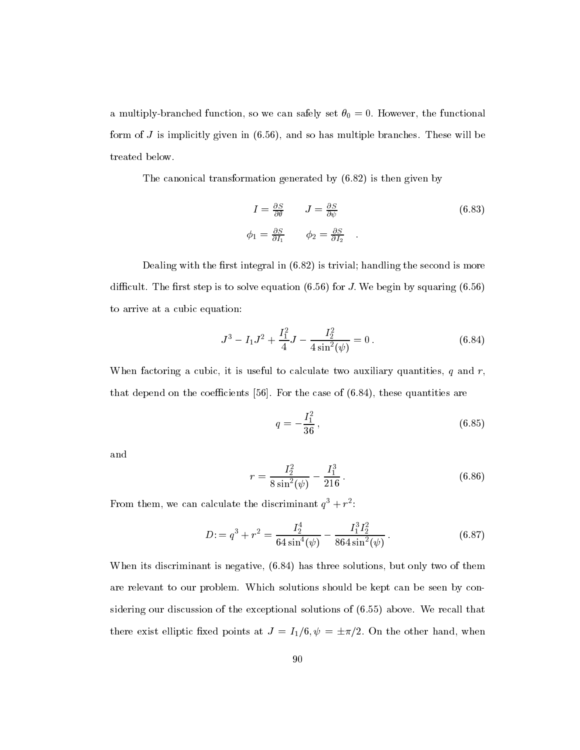a multiply-branched function, so we can safely set  $\theta_0 = 0$ . However, the functional form of  $J$  is implicitly given in  $(6.56)$ , and so has multiple branches. These will be treated below.

The canonical transformation generated by (6.82) is then given by

$$
I = \frac{\partial S}{\partial \theta} \qquad J = \frac{\partial S}{\partial \psi} \qquad (6.83)
$$
  

$$
\phi_1 = \frac{\partial S}{\partial I_1} \qquad \phi_2 = \frac{\partial S}{\partial I_2} \qquad (6.84)
$$

Dealing with the first integral in  $(6.82)$  is trivial; handling the second is more difficult. The first step is to solve equation  $(6.56)$  for J. We begin by squaring  $(6.56)$ to arrive at a cubic equation:

$$
J^3 - I_1 J^2 + \frac{I_1^2}{4} J - \frac{I_2^2}{4 \sin^2(\psi)} = 0.
$$
 (6.84)

When factoring a cubic, it is useful to calculate two auxiliary quantities,  $q$  and  $r$ , that depend on the coefficients [56]. For the case of  $(6.84)$ , these quantities are

$$
q = -\frac{I_1^2}{36},\tag{6.85}
$$

and

$$
r = \frac{I_2^2}{8\sin^2(\psi)} - \frac{I_1^3}{216}.
$$
\n(6.86)

 $\Gamma$  rom them, we can calculate the discriminant  $q^+ + r^-$ :

$$
D = q^{3} + r^{2} = \frac{I_{2}^{4}}{64\sin^{4}(\psi)} - \frac{I_{1}^{3}I_{2}^{2}}{864\sin^{2}(\psi)}.
$$
 (6.87)

When its discriminant is negative, (6.84) has three solutions, but only two of them are relevant to our problem. Which solutions should be kept can be seen by considering our discussion of the exceptional solutions of (6.55) above. We recall that there exist elliptic fixed points at  $J = I_1/6, \psi = \pm \pi/2$ . On the other hand, when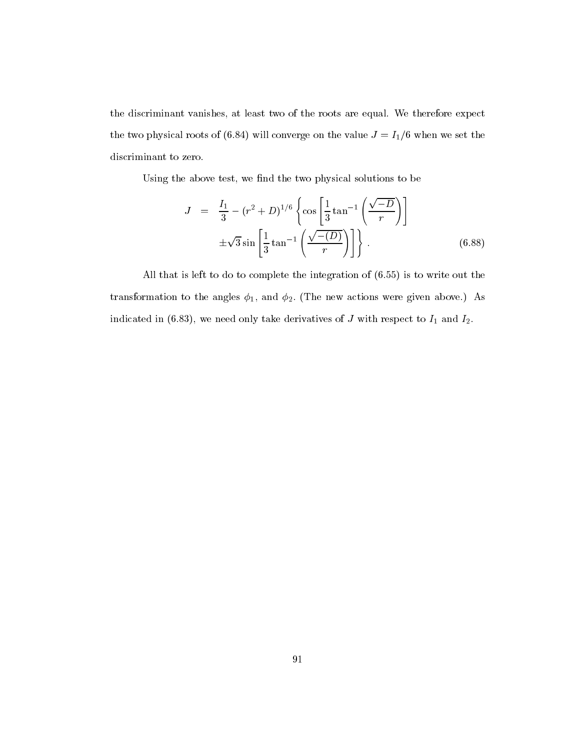the discriminant vanishes, at least two of the roots are equal. We therefore expect the two physical roots of (6.84) will converge on the value  $J = I_1/6$  when we set the discriminant to zero.

Using the above test, we find the two physical solutions to be

$$
J = \frac{I_1}{3} - (r^2 + D)^{1/6} \left\{ \cos \left[ \frac{1}{3} \tan^{-1} \left( \frac{\sqrt{-D}}{r} \right) \right] \right\} \n\pm \sqrt{3} \sin \left[ \frac{1}{3} \tan^{-1} \left( \frac{\sqrt{-(D)}}{r} \right) \right] \right\}.
$$
\n(6.88)

All that is left to do to complete the integration of (6.55) is to write out the transformation to the angles  $\phi_1$ , and  $\phi_2$ . (The new actions were given above.) As indicated in (6.83), we need only take derivatives of  $J$  with respect to  $I_1$  and  $I_2$ .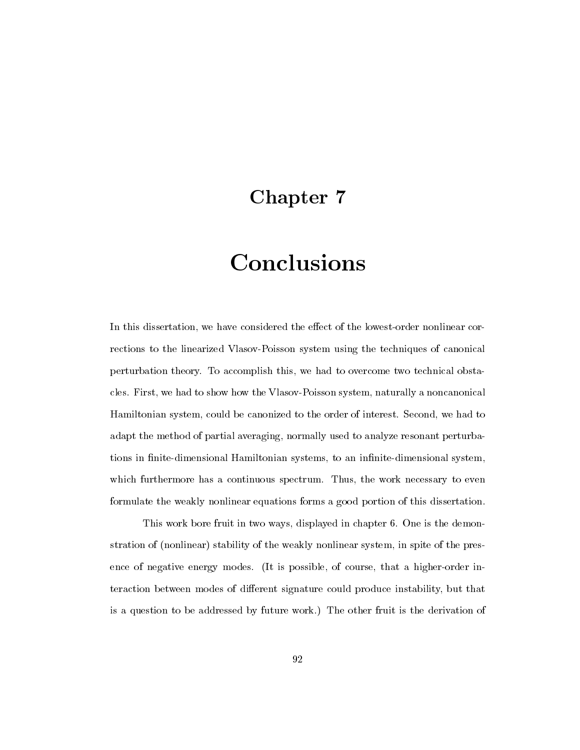### Chapter 7

# Conclusions

In this dissertation, we have considered the effect of the lowest-order nonlinear corrections to the linearized Vlasov-Poisson system using the techniques of canonical perturbation theory. To accomplish this, we had to overcome two technical obstacles. First, we had to show how the Vlasov-Poisson system, naturally a noncanonical Hamiltonian system, could be canonized to the order of interest. Second, we had to adapt the method of partial averaging, normally used to analyze resonant perturbations in finite-dimensional Hamiltonian systems, to an infinite-dimensional system, which furthermore has a continuous spectrum. Thus, the work necessary to even formulate the weakly nonlinear equations forms a good portion of this dissertation.

This work bore fruit in two ways, displayed in chapter 6. One is the demonstration of (nonlinear) stability of the weakly nonlinear system, in spite of the presence of negative energy modes. (It is possible, of course, that a higher-order interaction between modes of different signature could produce instability, but that is a question to be addressed by future work.) The other fruit is the derivation of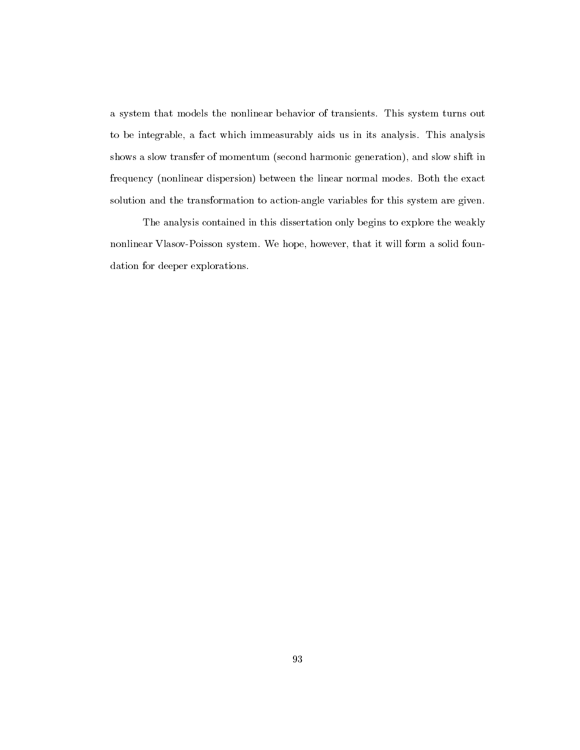a system that models the nonlinear behavior of transients. This system turns out to be integrable, a fact which immeasurably aids us in its analysis. This analysis shows a slow transfer of momentum (second harmonic generation), and slow shift in frequency (nonlinear dispersion) between the linear normal modes. Both the exact solution and the transformation to action-angle variables for this system are given.

The analysis contained in this dissertation only begins to explore the weakly nonlinear Vlasov-Poisson system. We hope, however, that it will form a solid foundation for deeper explorations.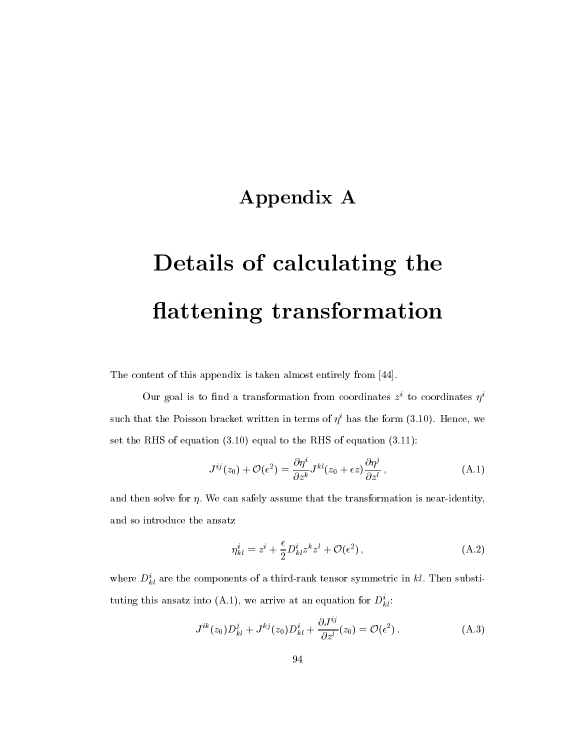### Appendix A

# Details of calculating the attening transformation

The content of this appendix is taken almost entirely from [44].

Our goal is to find a transformation from coordinates  $z^*$  to coordinates  $\eta^*$ such that the Poisson bracket written in terms of  $\eta^i$  has the form (3.10). Hence, we set the RHS of equation (3.10) equal to the RHS of equation (3.11):

$$
J^{ij}(z_0) + \mathcal{O}(\epsilon^2) = \frac{\partial \eta^i}{\partial z^k} J^{kl}(z_0 + \epsilon z) \frac{\partial \eta^j}{\partial z^l}, \qquad (A.1)
$$

and then solve for  $\eta$ . We can safely assume that the transformation is near-identity, and so introduce the ansatz

$$
\eta_{kl}^i = z^i + \frac{\epsilon}{2} D_{kl}^i z^k z^l + \mathcal{O}(\epsilon^2) \,, \tag{A.2}
$$

where  $D_{kl}^{\perp}$  are the components of a third-rank tensor symmetric in  $\kappa\iota$ . Then substituting this ansatz into (A.1), we arrive at an equation for  $D_{kl}$ :

$$
J^{ik}(z_0)D^j_{kl}+J^{kj}(z_0)D^i_{kl}+\frac{\partial J^{ij}}{\partial z^l}(z_0)=\mathcal{O}(\epsilon^2).
$$
 (A.3)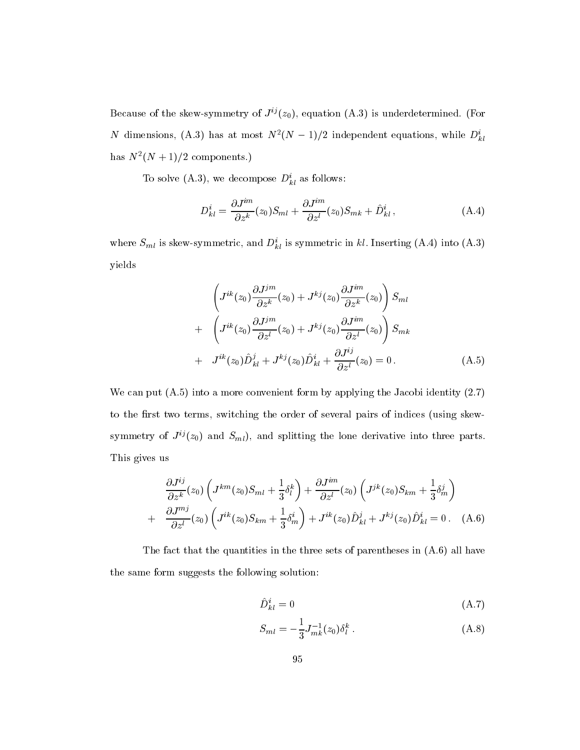Because of the skew-symmetry of  $J^{ij}(z_0)$ , equation (A.3) is underdetermined. (For *N* dimensions, (A.3) has at most  $N^-(N-1)/2$  independent equations, while  $D_{kl}^*$  $\max$   $\left\{ N_{+} + 1 \right\}$  components.)

To solve  $(A.5)$ , we decompose  $D_{kl}$  as follows:

$$
D_{kl}^i = \frac{\partial J^{im}}{\partial z^k}(z_0)S_{ml} + \frac{\partial J^{im}}{\partial z^l}(z_0)S_{mk} + \hat{D}_{kl}^i,
$$
 (A.4)

where  $S_{ml}$  is skew-symmetric, and  $D_{kl}$  is symmetric in  $\kappa_l$ . Inserting (A.4) into (A.5) yields

$$
\left(J^{ik}(z_0)\frac{\partial J^{jm}}{\partial z^k}(z_0) + J^{kj}(z_0)\frac{\partial J^{im}}{\partial z^k}(z_0)\right)S_{ml}
$$
  
+ 
$$
\left(J^{ik}(z_0)\frac{\partial J^{jm}}{\partial z^l}(z_0) + J^{kj}(z_0)\frac{\partial J^{im}}{\partial z^l}(z_0)\right)S_{mk}
$$
  
+ 
$$
J^{ik}(z_0)\hat{D}_{kl}^j + J^{kj}(z_0)\hat{D}_{kl}^i + \frac{\partial J^{ij}}{\partial z^l}(z_0) = 0.
$$
 (A.5)

We can put  $(A.5)$  into a more convenient form by applying the Jacobi identity  $(2.7)$ to the first two terms, switching the order of several pairs of indices (using skewsymmetry of  $J^{ij}(z_0)$  and  $S_{ml}$ ), and splitting the lone derivative into three parts. This gives us

$$
\frac{\partial J^{ij}}{\partial z^k}(z_0) \left( J^{km}(z_0)S_{ml} + \frac{1}{3}\delta_l^k \right) + \frac{\partial J^{im}}{\partial z^l}(z_0) \left( J^{jk}(z_0)S_{km} + \frac{1}{3}\delta_m^j \right) \n+ \frac{\partial J^{mj}}{\partial z^l}(z_0) \left( J^{ik}(z_0)S_{km} + \frac{1}{3}\delta_m^i \right) + J^{ik}(z_0)\hat{D}_{kl}^j + J^{kj}(z_0)\hat{D}_{kl}^i = 0.
$$
 (A.6)

The fact that the quantities in the three sets of parentheses in (A.6) all have the same form suggests the following solution:

$$
\hat{D}_{kl}^i = 0 \tag{A.7}
$$

$$
S_{ml} = -\frac{1}{3} J_{mk}^{-1}(z_0) \delta_l^k . \tag{A.8}
$$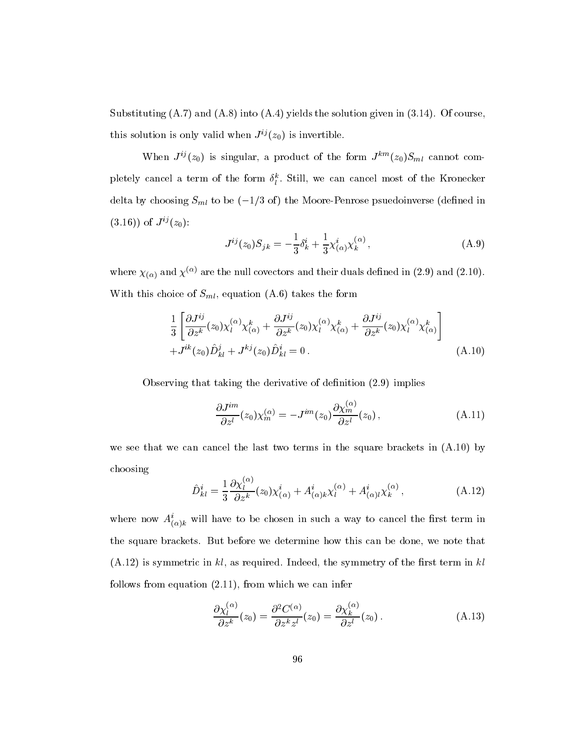Substituting (A.7) and (A.8) into (A.4) yields the solution given in (3.14). Of course, this solution is only valid when  $J^{ij}(z_0)$  is invertible.

When  $J^{ij}(z_0)$  is singular, a product of the form  $J^{km}(z_0)S_{ml}$  cannot completely cancel a term of the form  $\theta_l^*$ . Still, we can cancel most of the Kronecker delta by choosing  $S_{ml}$  to be  $(-1/3 \text{ of})$  the Moore-Penrose psuedoinverse (defined in  $(3.16)$ ) of  $J^{ij}(z_0)$ :

$$
J^{ij}(z_0)S_{jk} = -\frac{1}{3}\delta^i_k + \frac{1}{3}\chi^i_{(\alpha)}\chi^{(\alpha)}_k,
$$
\n(A.9)

where  $\chi_{(\alpha)}$  and  $\chi^{(\alpha)}$  are the null covectors and their duals defined in (2.9) and (2.10). With this choice of  $S_{ml}$ , equation (A.6) takes the form

$$
\frac{1}{3} \left[ \frac{\partial J^{ij}}{\partial z^k} (z_0) \chi_l^{(\alpha)} \chi_{(\alpha)}^k + \frac{\partial J^{ij}}{\partial z^k} (z_0) \chi_l^{(\alpha)} \chi_{(\alpha)}^k + \frac{\partial J^{ij}}{\partial z^k} (z_0) \chi_l^{(\alpha)} \chi_{(\alpha)}^k \right] + J^{ik}(z_0) \hat{D}_{kl}^j + J^{kj}(z_0) \hat{D}_{kl}^i = 0.
$$
\n(A.10)

Observing that taking the derivative of definition  $(2.9)$  implies

$$
\frac{\partial J^{im}}{\partial z^l}(z_0)\chi_m^{(\alpha)} = -J^{im}(z_0)\frac{\partial \chi_m^{(\alpha)}}{\partial z^l}(z_0)\,,\tag{A.11}
$$

we see that we can cancel the last two terms in the square brackets in (A.10) by choosing  $\sqrt{2}$ 

$$
\hat{D}_{kl}^i = \frac{1}{3} \frac{\partial \chi_l^{(\alpha)}}{\partial z^k}(z_0) \chi_{(\alpha)}^i + A_{(\alpha)k}^i \chi_l^{(\alpha)} + A_{(\alpha)l}^i \chi_k^{(\alpha)}, \tag{A.12}
$$

where now  $A_{(\alpha)k}$  will have to be chosen in such a way to cancel the first term in the square brackets. But before we determine how this can be done, we note that  $(A.12)$  is symmetric in kl, as required. Indeed, the symmetry of the first term in kl follows from equation (2.11), from which we can infer

$$
\frac{\partial \chi_l^{(\alpha)}}{\partial z^k}(z_0) = \frac{\partial^2 C^{(\alpha)}}{\partial z^k z^l}(z_0) = \frac{\partial \chi_k^{(\alpha)}}{\partial z^l}(z_0).
$$
\n(A.13)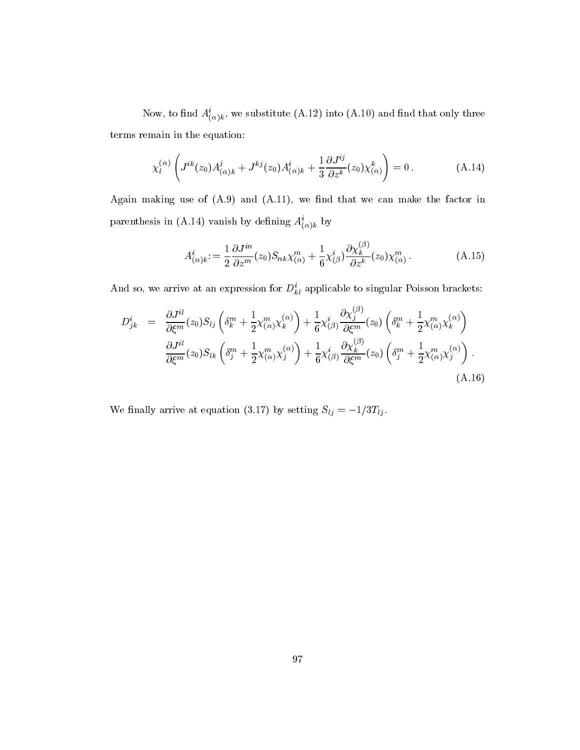Now, to find  $A_{(\alpha)k}^{\vphantom{\dagger}}$ , we substitute (A.12) find (A.10) and find that only three terms remain in the equation:

$$
\chi_l^{(\alpha)}\left(J^{ik}(z_0)A^j_{(\alpha)k} + J^{kj}(z_0)A^i_{(\alpha)k} + \frac{1}{3}\frac{\partial J^{ij}}{\partial z^k}(z_0)\chi^k_{(\alpha)}\right) = 0.
$$
 (A.14)

Again making use of  $(A.9)$  and  $(A.11)$ , we find that we can make the factor in parenthesis in (A.14) vanish by defining  $A_{(\alpha)k}$  by

$$
A^i_{(\alpha)k} := \frac{1}{2} \frac{\partial J^{in}}{\partial z^m} (z_0) S_{nk} \chi^m_{(\alpha)} + \frac{1}{6} \chi^i_{(\beta)} \frac{\partial \chi^{(\beta)}_k}{\partial z^k} (z_0) \chi^m_{(\alpha)}.
$$
 (A.15)

And so, we arrive at an expression for  $D_{kl}^{\perp}$  applicable to singular Poisson brackets:

$$
D_{jk}^{i} = \frac{\partial J^{il}}{\partial \xi^{m}}(z_{0})S_{lj}\left(\delta_{k}^{m} + \frac{1}{2}\chi^{m}_{(\alpha)}\chi^{(\alpha)}_{k}\right) + \frac{1}{6}\chi^{i}_{(\beta)}\frac{\partial\chi^{(\beta)}_{j}}{\partial \xi^{m}}(z_{0})\left(\delta_{k}^{m} + \frac{1}{2}\chi^{m}_{(\alpha)}\chi^{(\alpha)}_{k}\right)
$$

$$
\frac{\partial J^{il}}{\partial \xi^{m}}(z_{0})S_{lk}\left(\delta_{j}^{m} + \frac{1}{2}\chi^{m}_{(\alpha)}\chi^{(\alpha)}_{j}\right) + \frac{1}{6}\chi^{i}_{(\beta)}\frac{\partial\chi^{(\beta)}_{k}}{\partial \xi^{m}}(z_{0})\left(\delta_{j}^{m} + \frac{1}{2}\chi^{m}_{(\alpha)}\chi^{(\alpha)}_{j}\right).
$$
(A.16)

We finally arrive at equation (3.17) by setting  $S_{lj} = -1/3T_{lj}$ .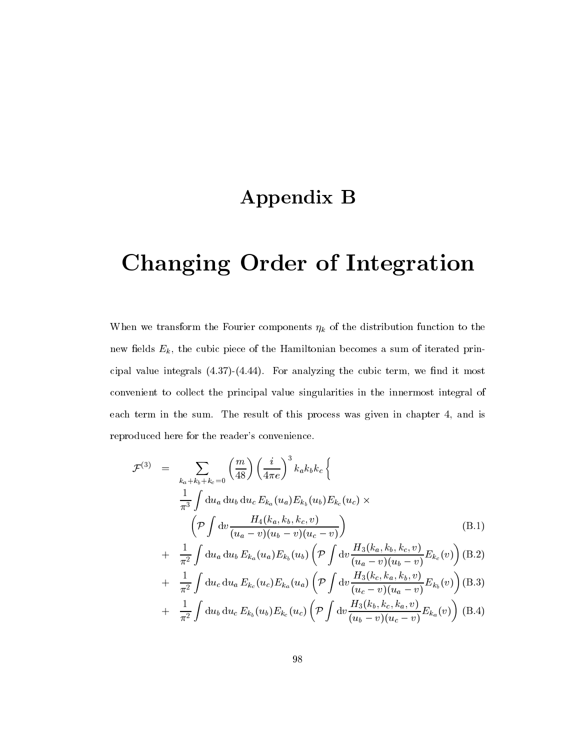## Appendix B

# Changing Order of Integration

When we transform the Fourier components  $\eta_k$  of the distribution function to the new fields  $E_k$ , the cubic piece of the Hamiltonian becomes a sum of iterated principal value integrals  $(4.37)-(4.44)$ . For analyzing the cubic term, we find it most convenient to collect the principal value singularities in the innermost integral of each term in the sum. The result of this process was given in chapter 4, and is reproduced here for the reader's convenience.

$$
\mathcal{F}^{(3)} = \sum_{k_a + k_b + k_c = 0} {m \choose 48} \left(\frac{i}{4\pi e}\right)^3 k_a k_b k_c \left\{ \frac{1}{\pi^3} \int du_a du_b du_c E_{k_a}(u_a) E_{k_b}(u_b) E_{k_c}(u_c) \times \left( \mathcal{P} \int dv \frac{H_4(k_a, k_b, k_c, v)}{(u_a - v)(u_b - v)(u_c - v)} \right) + \frac{1}{\pi^2} \int du_a du_b E_{k_a}(u_a) E_{k_b}(u_b) \left( \mathcal{P} \int dv \frac{H_3(k_a, k_b, k_c, v)}{(u_a - v)(u_b - v)} E_{k_c}(v) \right) (B.2)
$$

$$
\pi^{2} \int \mathrm{d}u_{c} \, \mathrm{d}u_{a} \, E_{k_{c}}(u_{c}) E_{k_{a}}(u_{a}) \left( \mathcal{P} \int \mathrm{d}v \frac{H_{3}(k_{c}, k_{a}, k_{b}, v)}{(u_{c} - v)(u_{a} - v)} E_{k_{b}}(v) \right) (B.3) \n+ \frac{1}{\pi^{2}} \int \mathrm{d}u_{b} \, \mathrm{d}u_{c} \, E_{k_{b}}(u_{b}) E_{k_{c}}(u_{c}) \left( \mathcal{P} \int \mathrm{d}v \frac{H_{3}(k_{b}, k_{c}, k_{a}, v)}{(u_{b} - v)(u_{c} - v)} E_{k_{a}}(v) \right) (B.4)
$$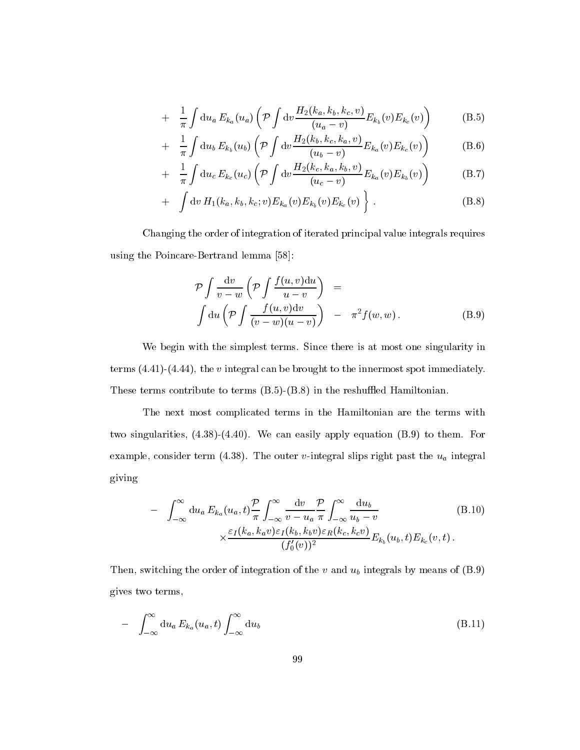$$
+ \frac{1}{\pi} \int \mathrm{d}u_a \, E_{k_a}(u_a) \left( \mathcal{P} \int \mathrm{d}v \frac{H_2(k_a, k_b, k_c, v)}{(u_a - v)} E_{k_b}(v) E_{k_c}(v) \right) \tag{B.5}
$$

$$
+ \frac{1}{\pi} \int du_b E_{k_b}(u_b) \left(\mathcal{P} \int dv \frac{H_2(k_b, k_c, k_a, v)}{(u_b - v)} E_{k_a}(v) E_{k_c}(v)\right) \tag{B.6}
$$

$$
+ \frac{1}{\pi} \int \mathrm{d}u_c \, E_{k_c}(u_c) \left( \mathcal{P} \int \mathrm{d}v \frac{H_2(k_c, k_a, k_b, v)}{(u_c - v)} E_{k_a}(v) E_{k_b}(v) \right) \tag{B.7}
$$

+ 
$$
\int dv H_1(k_a, k_b, k_c; v) E_{k_a}(v) E_{k_b}(v) E_{k_c}(v) \}
$$
. (B.8)

Changing the order of integration of iterated principal value integrals requires using the Poincare-Bertrand lemma [58]:

$$
\mathcal{P} \int \frac{\mathrm{d}v}{v - w} \left( \mathcal{P} \int \frac{f(u, v) \mathrm{d}u}{u - v} \right) =
$$
\n
$$
\int \mathrm{d}u \left( \mathcal{P} \int \frac{f(u, v) \mathrm{d}v}{(v - w)(u - v)} \right) - \pi^2 f(w, w).
$$
\n(B.9)

We begin with the simplest terms. Since there is at most one singularity in terms  $(4.41)$ - $(4.44)$ , the v integral can be brought to the innermost spot immediately. These terms contribute to terms  $(B.5)-(B.8)$  in the reshuffled Hamiltonian.

The next most complicated terms in the Hamiltonian are the terms with two singularities, (4.38)-(4.40). We can easily apply equation (B.9) to them. For example, consider term (4.38). The outer v-integral slips right past the  $u_a$  integral giving

$$
- \int_{-\infty}^{\infty} du_a E_{k_a}(u_a, t) \frac{\mathcal{P}}{\pi} \int_{-\infty}^{\infty} \frac{dv}{v - u_a} \frac{\mathcal{P}}{\pi} \int_{-\infty}^{\infty} \frac{du_b}{u_b - v}
$$
(B.10)  

$$
\times \frac{\varepsilon_I(k_a, k_a v)\varepsilon_I(k_b, k_b v)\varepsilon_R(k_c, k_c v)}{(f'_0(v))^2} E_{k_b}(u_b, t) E_{k_c}(v, t).
$$

Then, switching the order of integration of the v and  $u<sub>b</sub>$  integrals by means of (B.9) gives two terms,

$$
- \int_{-\infty}^{\infty} du_a E_{k_a}(u_a, t) \int_{-\infty}^{\infty} du_b \tag{B.11}
$$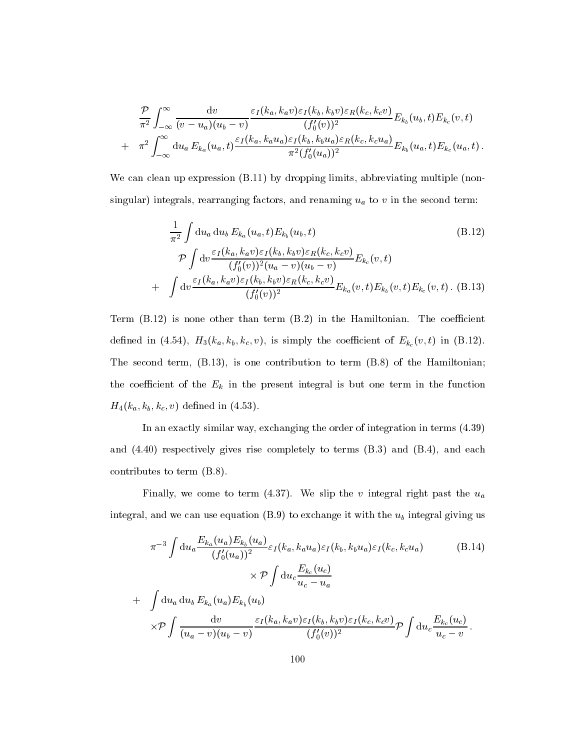$$
\frac{\mathcal{P}}{\pi^2} \int_{-\infty}^{\infty} \frac{dv}{(v - u_a)(u_b - v)} \frac{\varepsilon_I(k_a, k_a v) \varepsilon_I(k_b, k_b v) \varepsilon_R(k_c, k_c v)}{(f'_0(v))^2} E_{k_b}(u_b, t) E_{k_c}(v, t) \n+ \pi^2 \int_{-\infty}^{\infty} du_a E_{k_a}(u_a, t) \frac{\varepsilon_I(k_a, k_a u_a) \varepsilon_I(k_b, k_b u_a) \varepsilon_R(k_c, k_c u_a)}{\pi^2 (f'_0(u_a))^2} E_{k_b}(u_a, t) E_{k_c}(u_a, t).
$$

We can clean up expression  $(B.11)$  by dropping limits, abbreviating multiple (nonsingular) integrals, rearranging factors, and renaming  $u_a$  to v in the second term:

$$
\frac{1}{\pi^2} \int du_a du_b E_{k_a}(u_a, t) E_{k_b}(u_b, t) \qquad (B.12)
$$
\n
$$
\mathcal{P} \int dv \frac{\varepsilon_I(k_a, k_a v) \varepsilon_I(k_b, k_b v) \varepsilon_R(k_c, k_c v)}{(f_0'(v))^2 (u_a - v)(u_b - v)} E_{k_c}(v, t)
$$
\n
$$
+ \int dv \frac{\varepsilon_I(k_a, k_a v) \varepsilon_I(k_b, k_b v) \varepsilon_R(k_c, k_c v)}{(f_0'(v))^2} E_{k_a}(v, t) E_{k_b}(v, t) E_{k_c}(v, t). \quad (B.13)
$$

Term  $(B.12)$  is none other than term  $(B.2)$  in the Hamiltonian. The coefficient defined in (4.54),  $H_3(k_a, k_b, k_c, v)$ , is simply the coefficient of  $E_{k_c}(v, t)$  in (B.12). The second term, (B.13), is one contribution to term (B.8) of the Hamiltonian; the coefficient of the  $E_k$  in the present integral is but one term in the function  $H_4(k_a, k_b, k_c, v)$  defined in (4.53).

In an exactly similar way, exchanging the order of integration in terms (4.39) and (4.40) respectively gives rise completely to terms (B.3) and (B.4), and each contributes to term (B.8).

Finally, we come to term (4.37). We slip the v integral right past the  $u_a$ integral, and we can use equation  $(B.9)$  to exchange it with the  $u<sub>b</sub>$  integral giving us

$$
\pi^{-3} \int du_a \frac{E_{k_a}(u_a) E_{k_b}(u_a)}{(f'_0(u_a))^2} \varepsilon_I(k_a, k_a u_a) \varepsilon_I(k_b, k_b u_a) \varepsilon_I(k_c, k_c u_a)
$$
\n
$$
\times \mathcal{P} \int du_c \frac{E_{k_c}(u_c)}{u_c - u_a}
$$
\n+ 
$$
\int du_a du_b E_{k_a}(u_a) E_{k_b}(u_b)
$$
\n
$$
\times \mathcal{P} \int \frac{dv}{(u_a - v)(u_b - v)} \frac{\varepsilon_I(k_a, k_a v) \varepsilon_I(k_b, k_b v) \varepsilon_I(k_c, k_c v)}{(f'_0(v))^2} \mathcal{P} \int du_c \frac{E_{k_c}(u_c)}{u_c - v}.
$$
\n(B.14)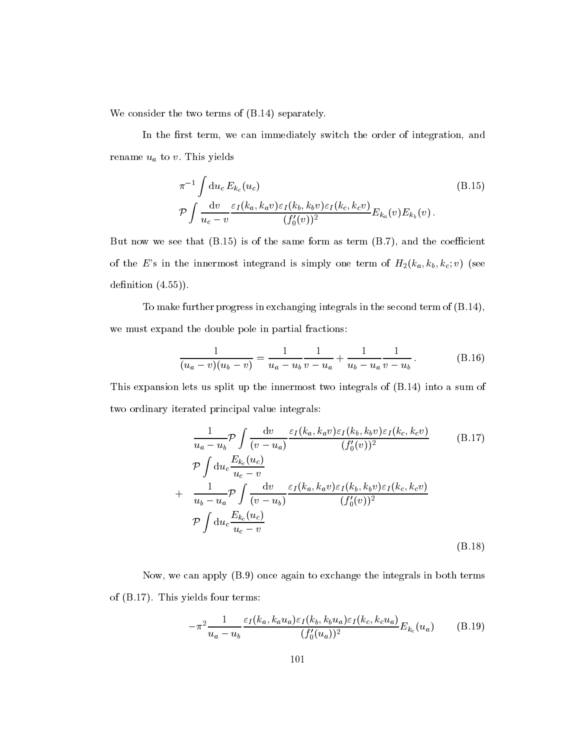We consider the two terms of (B.14) separately.

In the first term, we can immediately switch the order of integration, and rename  $u_a$  to v. This yields

$$
\pi^{-1} \int du_c E_{k_c}(u_c) \qquad (B.15)
$$
\n
$$
\mathcal{P} \int \frac{dv}{u_c - v} \frac{\varepsilon_I(k_a, k_a v) \varepsilon_I(k_b, k_b v) \varepsilon_I(k_c, k_c v)}{(f_0'(v))^2} E_{k_a}(v) E_{k_b}(v).
$$

But now we see that  $(B.15)$  is of the same form as term  $(B.7)$ , and the coefficient of the E's in the innermost integrand is simply one term of  $H_2(k_a, k_b, k_c; v)$  (see definition  $(4.55)$ ).

To make further progress in exchanging integrals in the second term of (B.14), we must expand the double pole in partial fractions:

$$
\frac{1}{(u_a - v)(u_b - v)} = \frac{1}{u_a - u_b} \frac{1}{v - u_a} + \frac{1}{u_b - u_a} \frac{1}{v - u_b}.
$$
 (B.16)

This expansion lets us split up the innermost two integrals of (B.14) into a sum of two ordinary iterated principal value integrals:

$$
\frac{1}{u_a - u_b} \mathcal{P} \int \frac{\mathrm{d}v}{(v - u_a)} \frac{\varepsilon_I(k_a, k_a v) \varepsilon_I(k_b, k_b v) \varepsilon_I(k_c, k_c v)}{(f'_0(v))^2}
$$
(B.17)  

$$
\mathcal{P} \int \mathrm{d}u_c \frac{E_{k_c}(u_c)}{u_c - v}
$$
  
+ 
$$
\frac{1}{u_b - u_a} \mathcal{P} \int \frac{\mathrm{d}v}{(v - u_b)} \frac{\varepsilon_I(k_a, k_a v) \varepsilon_I(k_b, k_b v) \varepsilon_I(k_c, k_c v)}{(f'_0(v))^2}
$$
  

$$
\mathcal{P} \int \mathrm{d}u_c \frac{E_{k_c}(u_c)}{u_c - v}
$$
(B.18)

Now, we can apply (B.9) once again to exchange the integrals in both terms of (B.17). This yields four terms:

$$
-\pi^2 \frac{1}{u_a - u_b} \frac{\varepsilon_I(k_a, k_a u_a) \varepsilon_I(k_b, k_b u_a) \varepsilon_I(k_c, k_c u_a)}{(f_0'(u_a))^2} E_{k_c}(u_a) \tag{B.19}
$$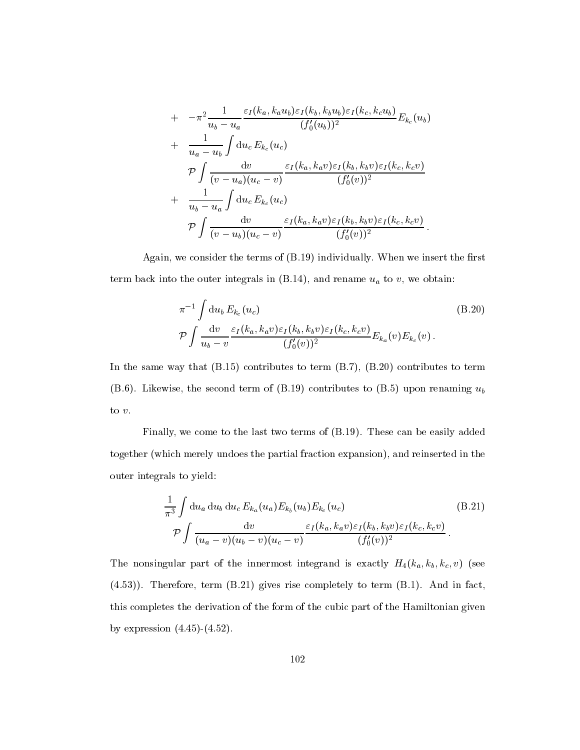+ 
$$
-\pi^2 \frac{1}{u_b - u_a} \frac{\varepsilon_I(k_a, k_a u_b) \varepsilon_I(k_b, k_b u_b) \varepsilon_I(k_c, k_c u_b)}{(f'_0(u_b))^2} E_{k_c}(u_b)
$$
  
+  $\frac{1}{u_a - u_b} \int du_c E_{k_c}(u_c)$   

$$
\mathcal{P} \int \frac{dv}{(v - u_a)(u_c - v)} \frac{\varepsilon_I(k_a, k_a v) \varepsilon_I(k_b, k_b v) \varepsilon_I(k_c, k_c v)}{(f'_0(v))^2}
$$
  
+  $\frac{1}{u_b - u_a} \int du_c E_{k_c}(u_c)$   

$$
\mathcal{P} \int \frac{dv}{(v - u_b)(u_c - v)} \frac{\varepsilon_I(k_a, k_a v) \varepsilon_I(k_b, k_b v) \varepsilon_I(k_c, k_c v)}{(f'_0(v))^2}.
$$

Again, we consider the terms of  $(B.19)$  individually. When we insert the first term back into the outer integrals in  $(B.14)$ , and rename  $u_a$  to v, we obtain:

$$
\pi^{-1} \int du_b E_{k_c}(u_c) \tag{B.20}
$$
\n
$$
\mathcal{P} \int \frac{dv}{u_b - v} \frac{\varepsilon_I(k_a, k_a v) \varepsilon_I(k_b, k_b v) \varepsilon_I(k_c, k_c v)}{(f_0'(v))^2} E_{k_a}(v) E_{k_c}(v).
$$

In the same way that  $(B.15)$  contributes to term  $(B.7)$ ,  $(B.20)$  contributes to term (B.6). Likewise, the second term of (B.19) contributes to (B.5) upon renaming  $u_b$ to v:

Finally, we come to the last two terms of (B.19). These can be easily added together (which merely undoes the partial fraction expansion), and reinserted in the outer integrals to yield:

$$
\frac{1}{\pi^3} \int du_a du_b du_c E_{k_a}(u_a) E_{k_b}(u_b) E_{k_c}(u_c)
$$
\n
$$
\mathcal{P} \int \frac{dv}{(u_a - v)(u_b - v)(u_c - v)} \frac{\varepsilon_I(k_a, k_a v) \varepsilon_I(k_b, k_b v) \varepsilon_I(k_c, k_c v)}{(f'_0(v))^2}.
$$
\n(B.21)

The nonsingular part of the innermost integrand is exactly  $H_4(k_a, k_b, k_c, v)$  (see (4.53)). Therefore, term (B.21) gives rise completely to term (B.1). And in fact, this completes the derivation of the form of the cubic part of the Hamiltonian given by expression  $(4.45)-(4.52)$ .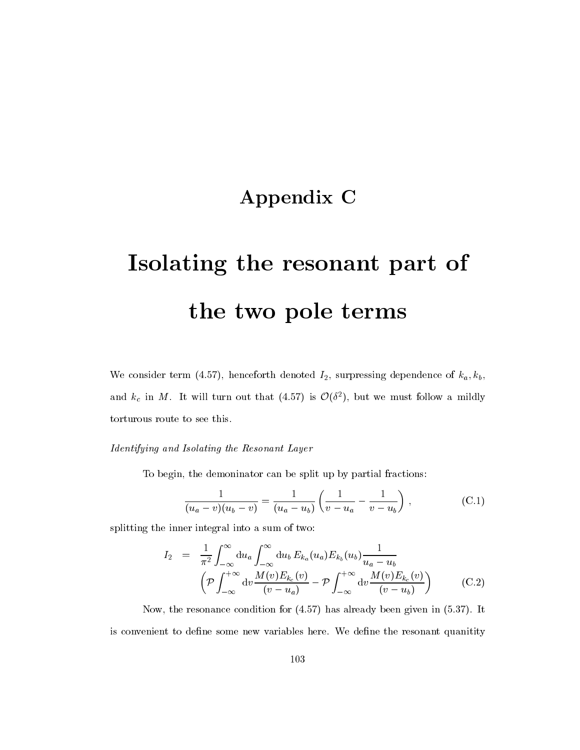## Appendix C

# Isolating the resonant part of the two pole terms

We consider term (4.57), henceforth denoted  $I_2$ , surpressing dependence of  $k_a, k_b$ , and  $k_c$  in M. It will turn out that (4.57) is  $\mathcal{O}(\delta^2)$ , but we must follow a mildly torturous route to see this.

#### Identifying and Isolating the Resonant Layer

To begin, the demoninator can be split up by partial fractions:

$$
\frac{1}{(u_a - v)(u_b - v)} = \frac{1}{(u_a - u_b)} \left( \frac{1}{v - u_a} - \frac{1}{v - u_b} \right), \qquad (C.1)
$$

splitting the inner integral into a sum of two:

$$
I_2 = \frac{1}{\pi^2} \int_{-\infty}^{\infty} du_a \int_{-\infty}^{\infty} du_b E_{k_a}(u_a) E_{k_b}(u_b) \frac{1}{u_a - u_b}
$$
  
\n
$$
\left(\mathcal{P} \int_{-\infty}^{+\infty} dv \frac{M(v) E_{k_c}(v)}{(v - u_a)} - \mathcal{P} \int_{-\infty}^{+\infty} dv \frac{M(v) E_{k_c}(v)}{(v - u_b)}\right)
$$
 (C.2)

Now, the resonance condition for (4.57) has already been given in (5.37). It is convenient to define some new variables here. We define the resonant quanitity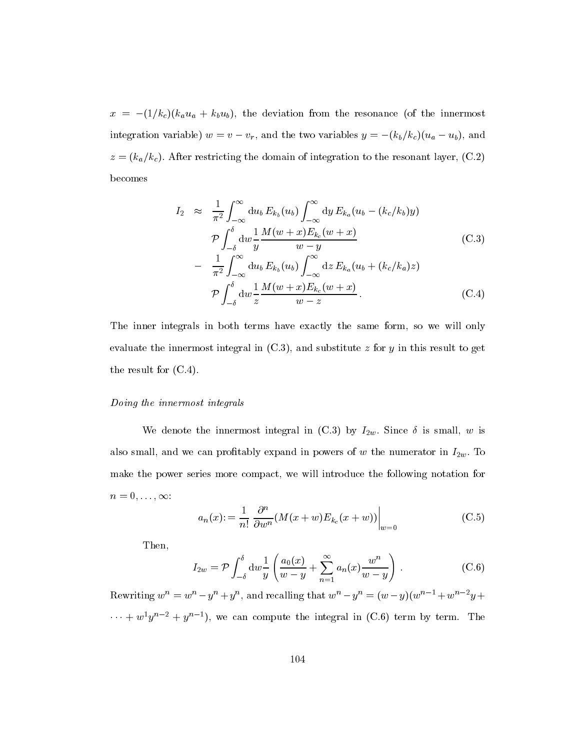$x = -(1/k_c)(k_a u_a + k_b u_b)$ , the deviation from the resonance (of the innermost integration variable)  $w = v - v_r$ , and the two variables  $y = -(k_b/k_c)(u_a - u_b)$ , and  $z = (k_a/k_c)$ . After restricting the domain of integration to the resonant layer, (C.2) becomes

$$
I_2 \approx \frac{1}{\pi^2} \int_{-\infty}^{\infty} du_b E_{k_b}(u_b) \int_{-\infty}^{\infty} dy E_{k_a}(u_b - (k_c/k_b)y)
$$
  
\n
$$
\mathcal{P} \int_{-\delta}^{\delta} dw \frac{1}{y} \frac{M(w+x)E_{k_c}(w+x)}{w-y}
$$
(C.3)  
\n
$$
- \frac{1}{\pi^2} \int_{-\infty}^{\infty} du_b E_{k_b}(u_b) \int_{-\infty}^{\infty} dz E_{k_a}(u_b + (k_c/k_a)z)
$$
  
\n
$$
\mathcal{P} \int_{-\delta}^{\delta} dw \frac{1}{z} \frac{M(w+x)E_{k_c}(w+x)}{w-z}.
$$
(C.4)

The inner integrals in both terms have exactly the same form, so we will only evaluate the innermost integral in  $(C.3)$ , and substitute z for y in this result to get the result for (C.4).

#### Doing the innermost integrals

We denote the innermost integral in (C.3) by  $I_{2w}$ . Since  $\delta$  is small, w is also small, and we can profitably expand in powers of  $w$  the numerator in  $I_{2w}$ . To make the power series more compact, we will introduce the following notation for  $n = 0, \ldots, \infty$ :

$$
a_n(x) := \frac{1}{n!} \left. \frac{\partial^n}{\partial w^n} (M(x+w) E_{k_c}(x+w)) \right|_{w=0}
$$
 (C.5)

Then,

$$
I_{2w} = \mathcal{P} \int_{-\delta}^{\delta} \mathrm{d}w \frac{1}{y} \left( \frac{a_0(x)}{w - y} + \sum_{n=1}^{\infty} a_n(x) \frac{w^n}{w - y} \right) . \tag{C.6}
$$

Rewriting  $w_1 = w_2 - y_1 + y_2$ , and recalling that  $w_2 - y_1 = (w_2 - y_1)(w_2 - w_1 + w_2 - w_1 + w_2 - w_2)$  $\cdots + w^*y^*$  =  $+y^*$  = ), we can compute the integral in (C.6) term by term. The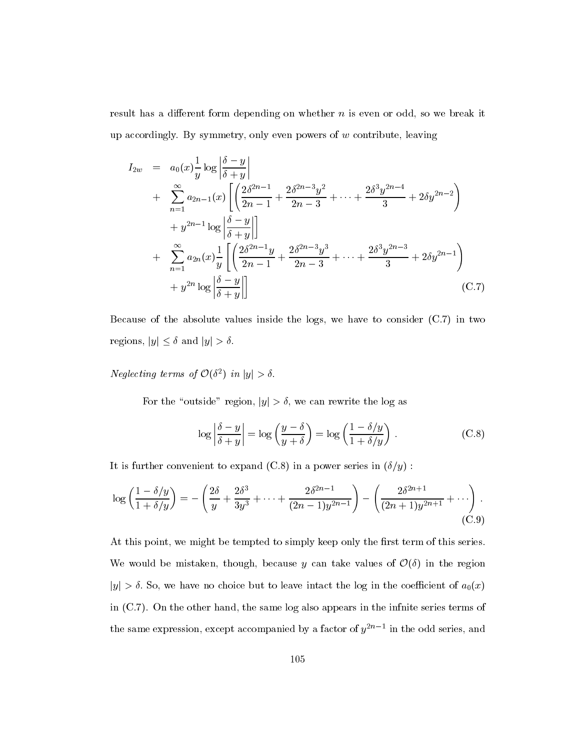result has a different form depending on whether  $n$  is even or odd, so we break it up accordingly. By symmetry, only even powers of  $w$  contribute, leaving

$$
I_{2w} = a_0(x)\frac{1}{y}\log\left|\frac{\delta-y}{\delta+y}\right|
$$
  
+ 
$$
\sum_{n=1}^{\infty} a_{2n-1}(x) \left[ \left(\frac{2\delta^{2n-1}}{2n-1} + \frac{2\delta^{2n-3}y^2}{2n-3} + \dots + \frac{2\delta^3 y^{2n-4}}{3} + 2\delta y^{2n-2}\right) + y^{2n-1}\log\left|\frac{\delta-y}{\delta+y}\right|\right]
$$
  
+ 
$$
\sum_{n=1}^{\infty} a_{2n}(x)\frac{1}{y} \left[ \left(\frac{2\delta^{2n-1}y}{2n-1} + \frac{2\delta^{2n-3}y^3}{2n-3} + \dots + \frac{2\delta^3 y^{2n-3}}{3} + 2\delta y^{2n-1}\right) + y^{2n}\log\left|\frac{\delta-y}{\delta+y}\right|\right]
$$
(C.7)

Because of the absolute values inside the logs, we have to consider (C.7) in two regions,  $|y| \leq \delta$  and  $|y| > \delta$ .

Neglecting terms of  $\mathcal{O}(\delta^2)$  in  $|y| > \delta$ .

For the "outside" region,  $|y| > \delta$ , we can rewrite the log as

$$
\log \left| \frac{\delta - y}{\delta + y} \right| = \log \left( \frac{y - \delta}{y + \delta} \right) = \log \left( \frac{1 - \delta/y}{1 + \delta/y} \right) . \tag{C.8}
$$

It is further convenient to expand (C.8) in a power series in  $(\delta/y)$  :

$$
\log\left(\frac{1-\delta/y}{1+\delta/y}\right) = -\left(\frac{2\delta}{y} + \frac{2\delta^3}{3y^3} + \dots + \frac{2\delta^{2n-1}}{(2n-1)y^{2n-1}}\right) - \left(\frac{2\delta^{2n+1}}{(2n+1)y^{2n+1}} + \dots\right).
$$
\n(C.9)

At this point, we might be tempted to simply keep only the first term of this series. We would be mistaken, though, because y can take values of  $\mathcal{O}(\delta)$  in the region  $|y| > \delta$ . So, we have no choice but to leave intact the log in the coefficient of  $a_0(x)$ in (C.7). On the other hand, the same log also appears in the infnite series terms of the same expression, except accompanied by a factor of  $y_2$  and the odd series, and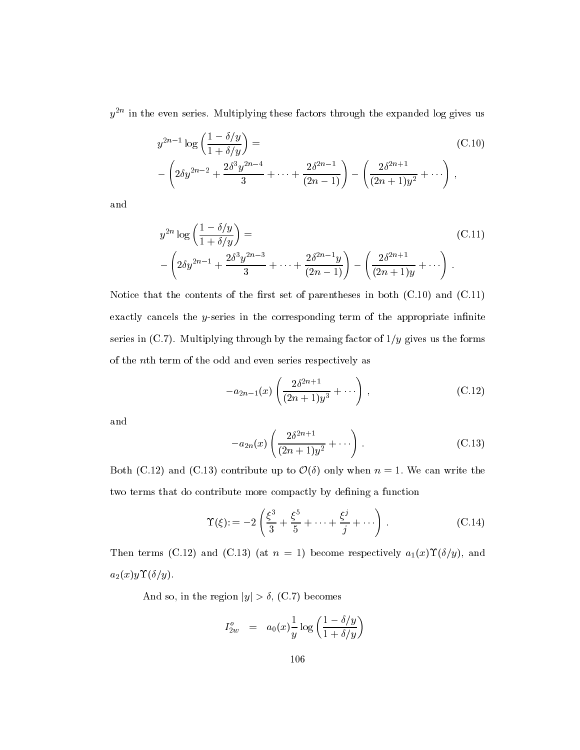$y^{-1}$  in the even series. Multiplying these factors through the expanded log gives us

$$
y^{2n-1} \log \left( \frac{1 - \delta/y}{1 + \delta/y} \right) =
$$
\n
$$
- \left( 2\delta y^{2n-2} + \frac{2\delta^3 y^{2n-4}}{3} + \dots + \frac{2\delta^{2n-1}}{(2n-1)} \right) - \left( \frac{2\delta^{2n+1}}{(2n+1)y^2} + \dots \right),
$$
\n(C.10)

and

$$
y^{2n} \log \left( \frac{1 - \delta/y}{1 + \delta/y} \right) =
$$
\n
$$
- \left( 2\delta y^{2n-1} + \frac{2\delta^3 y^{2n-3}}{3} + \dots + \frac{2\delta^{2n-1} y}{(2n-1)} \right) - \left( \frac{2\delta^{2n+1}}{(2n+1)y} + \dots \right).
$$
\n(C.11)

Notice that the contents of the first set of parentheses in both  $(C.10)$  and  $(C.11)$ exactly cancels the  $y$ -series in the corresponding term of the appropriate infinite series in (C.7). Multiplying through by the remaing factor of  $1/y$  gives us the forms of the nth term of the odd and even series respectively as

$$
-a_{2n-1}(x)\left(\frac{2\delta^{2n+1}}{(2n+1)y^3}+\cdots\right),\tag{C.12}
$$

and

$$
-a_{2n}(x)\left(\frac{2\delta^{2n+1}}{(2n+1)y^2}+\cdots\right).
$$
 (C.13)

Both (C.12) and (C.13) contribute up to  $\mathcal{O}(\delta)$  only when  $n = 1$ . We can write the two terms that do contribute more compactly by defining a function

$$
\Upsilon(\xi) := -2\left(\frac{\xi^3}{3} + \frac{\xi^5}{5} + \dots + \frac{\xi^j}{j} + \dots\right). \tag{C.14}
$$

Then terms (C.12) and (C.13) (at  $n = 1$ ) become respectively  $a_1(x) \Upsilon(\delta/y)$ , and  $a_2(x)y\Upsilon(\delta/y).$ 

And so, in the region  $|y| > \delta$ , (C.7) becomes

$$
I_{2w}^o \quad = \quad a_0(x)\frac{1}{y}\log\left(\frac{1-\delta/y}{1+\delta/y}\right)
$$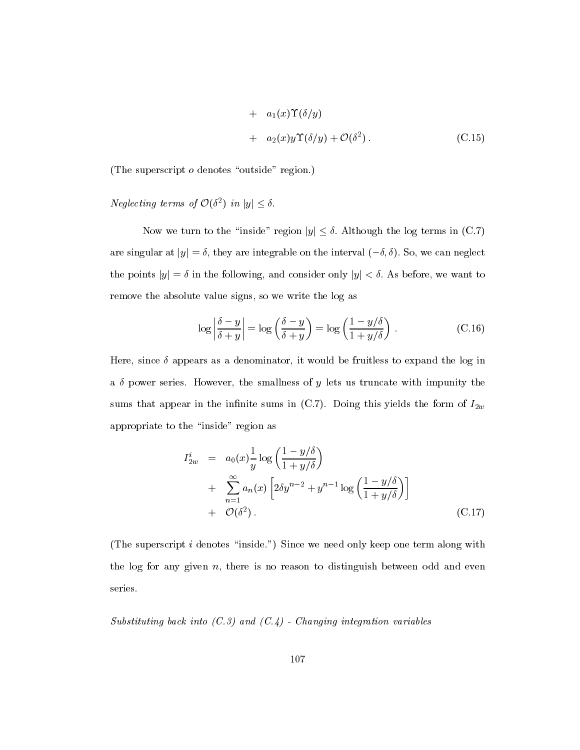+ 
$$
a_1(x)\Upsilon(\delta/y)
$$
  
+  $a_2(x)y\Upsilon(\delta/y) + \mathcal{O}(\delta^2)$ . (C.15)

(The superscript  $o$  denotes "outside" region.)

#### Neglecting terms of  $\mathcal{O}(\delta^2)$  in  $|y| \leq \delta$ .

Now we turn to the "inside" region  $|y| \leq \delta$ . Although the log terms in (C.7) are singular at  $|y| = \delta$ , they are integrable on the interval  $(-\delta, \delta)$ . So, we can neglect the points  $|y| = \delta$  in the following, and consider only  $|y| < \delta$ . As before, we want to remove the absolute value signs, so we write the log as

$$
\log \left| \frac{\delta - y}{\delta + y} \right| = \log \left( \frac{\delta - y}{\delta + y} \right) = \log \left( \frac{1 - y/\delta}{1 + y/\delta} \right) . \tag{C.16}
$$

Here, since  $\delta$  appears as a denominator, it would be fruitless to expand the log in a  $\delta$  power series. However, the smallness of y lets us truncate with impunity the sums that appear in the infinite sums in (C.7). Doing this yields the form of  $I_{2w}$ appropriate to the "inside" region as

$$
I_{2w}^{i} = a_0(x)\frac{1}{y}\log\left(\frac{1-y/\delta}{1+y/\delta}\right)
$$
  
+ 
$$
\sum_{n=1}^{\infty} a_n(x)\left[2\delta y^{n-2} + y^{n-1}\log\left(\frac{1-y/\delta}{1+y/\delta}\right)\right]
$$
  
+ 
$$
\mathcal{O}(\delta^2).
$$
 (C.17)

(The superscript  $i$  denotes "inside.") Since we need only keep one term along with the log for any given  $n$ , there is no reason to distinguish between odd and even series.

Substituting back into  $(C.3)$  and  $(C.4)$  - Changing integration variables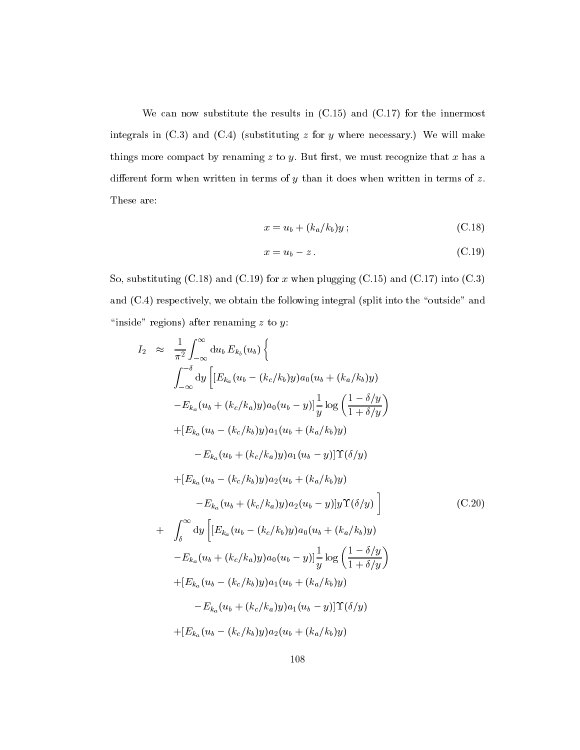We can now substitute the results in  $(C.15)$  and  $(C.17)$  for the innermost integrals in  $(C.3)$  and  $(C.4)$  (substituting z for y where necessary.) We will make things more compact by renaming  $z$  to  $y$ . But first, we must recognize that  $x$  has a different form when written in terms of  $y$  than it does when written in terms of  $z$ . These are:

$$
x = u_b + (k_a/k_b)y;
$$
 (C.18)

$$
x = u_b - z. \tag{C.19}
$$

So, substituting  $(C.18)$  and  $(C.19)$  for x when plugging  $(C.15)$  and  $(C.17)$  into  $(C.3)$ and  $(C.4)$  respectively, we obtain the following integral (split into the "outside" and "inside" regions) after renaming  $z$  to  $y$ :

$$
I_{2} \approx \frac{1}{\pi^{2}} \int_{-\infty}^{\infty} du_{b} E_{k_{b}}(u_{b}) \Big\{
$$
  
\n
$$
\int_{-\infty}^{-\delta} dy \Big[ [E_{k_{a}}(u_{b} - (k_{c}/k_{b})y) a_{0}(u_{b} + (k_{a}/k_{b})y) - E_{k_{a}}(u_{b} + (k_{c}/k_{a})y) a_{0}(u_{b} - y)] \frac{1}{y} \log \Big( \frac{1 - \delta/y}{1 + \delta/y} \Big)
$$
  
\n
$$
+ [E_{k_{a}}(u_{b} - (k_{c}/k_{b})y) a_{1}(u_{b} + (k_{a}/k_{b})y) - E_{k_{a}}(u_{b} + (k_{c}/k_{a})y) a_{1}(u_{b} - y)] \Upsilon(\delta/y)
$$
  
\n
$$
+ [E_{k_{a}}(u_{b} - (k_{c}/k_{b})y) a_{2}(u_{b} + (k_{a}/k_{b})y) - E_{k_{a}}(u_{b} + (k_{c}/k_{a})y) a_{2}(u_{b} - y)] y \Upsilon(\delta/y) \Big]
$$
  
\n
$$
+ \int_{\delta}^{\infty} dy \Big[ [E_{k_{a}}(u_{b} - (k_{c}/k_{b})y) a_{0}(u_{b} + (k_{a}/k_{b})y) - E_{k_{a}}(u_{b} + (k_{c}/k_{a})y) a_{0}(u_{b} + (k_{a}/k_{b})y) - E_{k_{a}}(u_{b} + (k_{c}/k_{a})y) a_{0}(u_{b} - y)] \frac{1}{y} \log \Big( \frac{1 - \delta/y}{1 + \delta/y} \Big)
$$
  
\n
$$
+ [E_{k_{a}}(u_{b} - (k_{c}/k_{b})y) a_{1}(u_{b} + (k_{a}/k_{b})y) - E_{k_{a}}(u_{b} + (k_{c}/k_{a})y) a_{1}(u_{b} - y)] \Upsilon(\delta/y)
$$
  
\n
$$
+ [E_{k_{a}}(u_{b} - (k_{c}/k_{b})y) a_{2}(u_{b} + (k_{a}/k_{b})y) - E_{k_{a}}(u_{b} - (k_{c}/k_{b})y) a_{2}(u_{b} + (k_{a}/k_{b})y
$$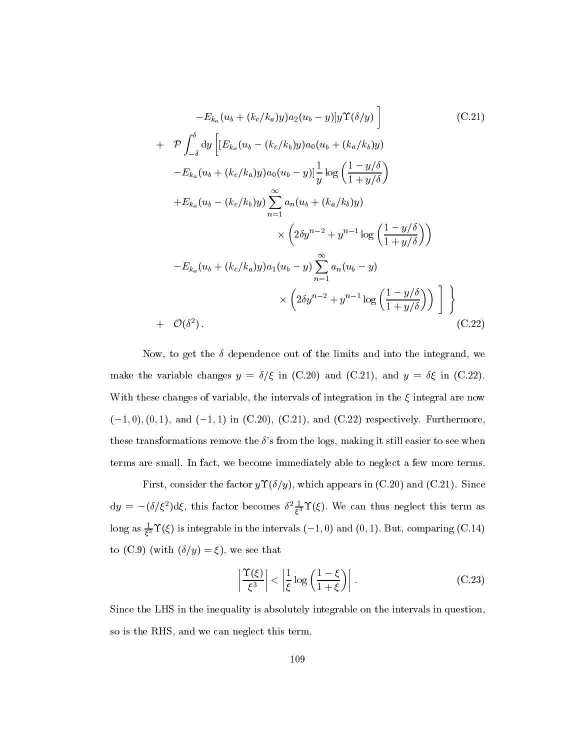$$
-E_{k_a}(u_b + (k_c/k_a)y)a_2(u_b - y)]y\Upsilon(\delta/y)
$$
\n
$$
+ \mathcal{P} \int_{-\delta}^{\delta} dy \left[ [E_{k_a}(u_b - (k_c/k_b)y)a_0(u_b + (k_a/k_b)y) - E_{k_a}(u_b + (k_c/k_a)y)a_0(u_b - y)] \frac{1}{y} \log \left( \frac{1 - y/\delta}{1 + y/\delta} \right) \right]
$$
\n
$$
+ E_{k_a}(u_b - (k_c/k_b)y) \sum_{n=1}^{\infty} a_n(u_b + (k_a/k_b)y)
$$
\n
$$
\times \left( 2\delta y^{n-2} + y^{n-1} \log \left( \frac{1 - y/\delta}{1 + y/\delta} \right) \right)
$$
\n
$$
-E_{k_a}(u_b + (k_c/k_a)y)a_1(u_b - y) \sum_{n=1}^{\infty} a_n(u_b - y)
$$
\n
$$
\times \left( 2\delta y^{n-2} + y^{n-1} \log \left( \frac{1 - y/\delta}{1 + y/\delta} \right) \right) \Bigg] \Bigg\}
$$
\n
$$
+ \mathcal{O}(\delta^2).
$$
\n(C.22)

Now, to get the  $\delta$  dependence out of the limits and into the integrand, we make the variable changes  $y = \delta/\xi$  in (C.20) and (C.21), and  $y = \delta\xi$  in (C.22). With these changes of variable, the intervals of integration in the  $\xi$  integral are now  $(-1, 0), (0, 1),$  and  $(-1, 1)$  in  $(C.20), (C.21),$  and  $(C.22)$  respectively. Furthermore, these transformations remove the  $\delta$ 's from the logs, making it still easier to see when terms are small. In fact, we become immediately able to neglect a few more terms.

First, consider the factor  $y\Upsilon(\delta/y)$ , which appears in (C.20) and (C.21). Since  $dy = -(\theta/\xi^{-})d\xi$ , this factor becomes  $\theta^{-1}$   $\overline{\xi^{3}}$  1( $\xi$ ). We can thus neglect this term as long as  $\frac{1}{63}$  1( $\zeta$ ) is integrable in the intervals (-1, 0) and (0, 1). But, comparing (C.14) to (C.9) (with  $(\delta/y) = \xi$ ), we see that

$$
\left|\frac{\Upsilon(\xi)}{\xi^3}\right| < \left|\frac{1}{\xi}\log\left(\frac{1-\xi}{1+\xi}\right)\right| \,. \tag{C.23}
$$

Since the LHS in the inequality is absolutely integrable on the intervals in question, so is the RHS, and we can neglect this term.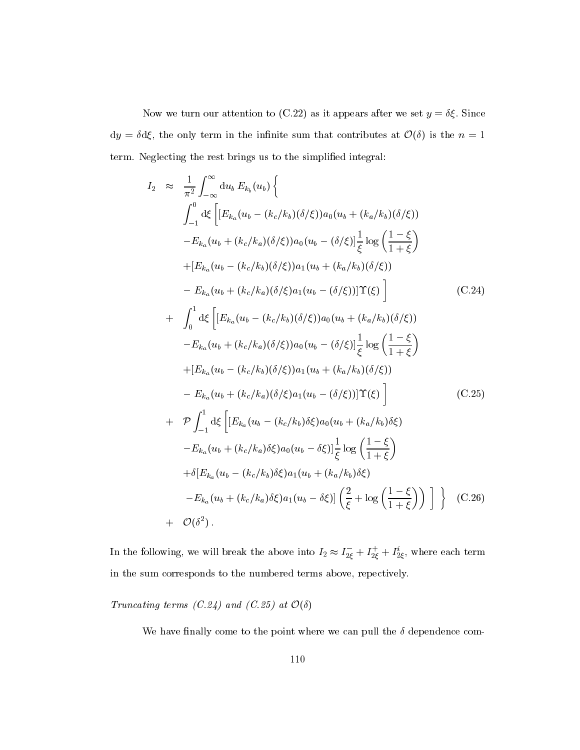Now we turn our attention to (C.22) as it appears after we set  $y = \delta \xi$ . Since  $dy = \delta d\xi$ , the only term in the infinite sum that contributes at  $\mathcal{O}(\delta)$  is the  $n = 1$ term. Neglecting the rest brings us to the simplified integral:

$$
I_{2} \approx \frac{1}{\pi^{2}} \int_{-\infty}^{\infty} du_{b} E_{k_{b}}(u_{b}) \Big\{ \n\int_{-1}^{0} d\xi \Big[ [E_{k_{a}}(u_{b} - (k_{c}/k_{b})(\delta/\xi))a_{0}(u_{b} + (k_{a}/k_{b})(\delta/\xi)) \n- E_{k_{a}}(u_{b} + (k_{c}/k_{a})(\delta/\xi))a_{0}(u_{b} - (\delta/\xi)] \frac{1}{\xi} \log \Big( \frac{1-\xi}{1+\xi} \Big) \n+ [E_{k_{a}}(u_{b} - (k_{c}/k_{b})(\delta/\xi))a_{1}(u_{b} + (k_{a}/k_{b})(\delta/\xi)) \n- E_{k_{a}}(u_{b} + (k_{c}/k_{a})(\delta/\xi)a_{1}(u_{b} - (\delta/\xi))] \Upsilon(\xi) \Big] \qquad (C.24)
$$
\n
$$
+ \int_{0}^{1} d\xi \Big[ [E_{k_{a}}(u_{b} - (k_{c}/k_{b})(\delta/\xi))a_{0}(u_{b} + (k_{a}/k_{b})(\delta/\xi)) \n- E_{k_{a}}(u_{b} + (k_{c}/k_{a})(\delta/\xi))a_{0}(u_{b} - (\delta/\xi)] \frac{1}{\xi} \log \Big( \frac{1-\xi}{1+\xi} \Big) \n+ [E_{k_{a}}(u_{b} - (k_{c}/k_{b})(\delta/\xi))a_{1}(u_{b} + (k_{a}/k_{b})(\delta/\xi)) \n- E_{k_{a}}(u_{b} + (k_{c}/k_{a})(\delta/\xi)a_{1}(u_{b} - (\delta/\xi))] \Upsilon(\xi) \Big] \qquad (C.25)
$$
\n
$$
+ \mathcal{P} \int_{-1}^{1} d\xi \Big[ [E_{k_{a}}(u_{b} - (k_{c}/k_{b})\delta\xi)a_{0}(u_{b} + (k_{a}/k_{b})\delta\xi) \n- E_{k_{a}}(u_{b} + (k_{c}/k_{a})\delta\xi)a_{0}(u_{b} - \delta\xi)] \frac{1}{\xi} \log \Big( \frac{1-\xi}{1+\xi} \Big) \n+ \delta [E_{k_{a}}(u_{b} - (k_{c}/k_{b})\delta\xi)a_{1}(u_{b
$$

In the following, we will break the above into  $I_2 \approx I_{2\xi} + I_{2\xi} + I_{2\xi}$ , where each term in the sum corresponds to the numbered terms above, repectively.

Truncating terms (C.24) and (C.25) at  $\mathcal{O}(\delta)$ 

We have finally come to the point where we can pull the  $\delta$  dependence com-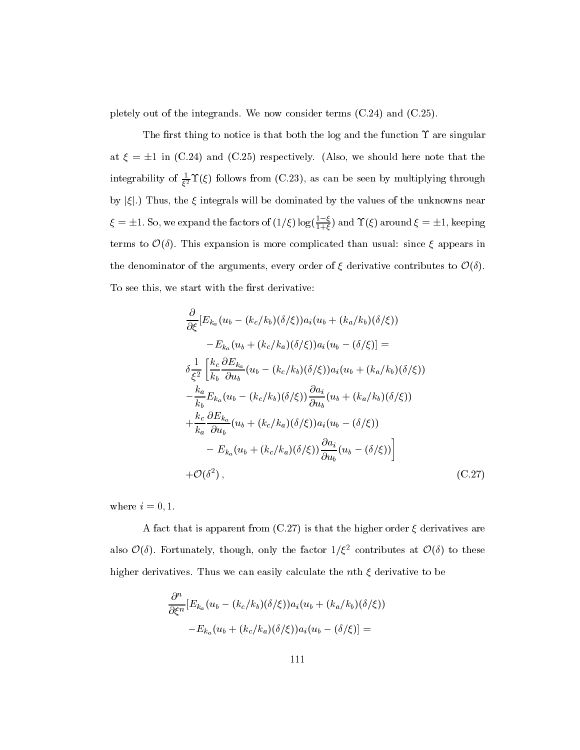pletely out of the integrands. We now consider terms (C.24) and (C.25).

The first thing to notice is that both the log and the function  $\Upsilon$  are singular at  $\xi = \pm 1$  in (C.24) and (C.25) respectively. (Also, we should here note that the integrability of  $\frac{1}{\ell^2}$  ( $\zeta$ ) follows from (C.23), as can be seen by multiplying through by  $|\xi|$ .) Thus, the  $\xi$  integrals will be dominated by the values of the unknowns near  $\xi = \pm 1$ . So, we expand the factors of  $(1/\xi) \log(\frac{1-\xi}{1+\xi})$  and  $\Upsilon(\xi)$  around  $\xi = \pm 1$ , keeping terms to  $\mathcal{O}(\delta)$ . This expansion is more complicated than usual: since  $\xi$  appears in the denominator of the arguments, every order of  $\xi$  derivative contributes to  $\mathcal{O}(\delta)$ . To see this, we start with the first derivative:

$$
\frac{\partial}{\partial \xi} \left[ E_{k_a}(u_b - (k_c/k_b)(\delta/\xi)) a_i(u_b + (k_a/k_b)(\delta/\xi)) \right.\n- E_{k_a}(u_b + (k_c/k_a)(\delta/\xi)) a_i(u_b - (\delta/\xi)] =\n\delta \frac{1}{\xi^2} \left[ \frac{k_c}{k_b} \frac{\partial E_{k_a}}{\partial u_b}(u_b - (k_c/k_b)(\delta/\xi)) a_i(u_b + (k_a/k_b)(\delta/\xi)) \right.\n- \frac{k_a}{k_b} E_{k_a}(u_b - (k_c/k_b)(\delta/\xi)) \frac{\partial a_i}{\partial u_b}(u_b + (k_a/k_b)(\delta/\xi)) \n+ \frac{k_c}{k_a} \frac{\partial E_{k_a}}{\partial u_b}(u_b + (k_c/k_a)(\delta/\xi)) a_i(u_b - (\delta/\xi)) \n- E_{k_a}(u_b + (k_c/k_a)(\delta/\xi)) \frac{\partial a_i}{\partial u_b}(u_b - (\delta/\xi)) \right]\n+ \mathcal{O}(\delta^2), \qquad (C.27)
$$

where  $i = 0, 1$ .

A fact that is apparent from  $(C.27)$  is that the higher order  $\xi$  derivatives are also  $\mathcal{O}(\delta)$ . Fortunately, though, only the factor  $1/\xi^2$  contributes at  $\mathcal{O}(\delta)$  to these higher derivatives. Thus we can easily calculate the nth  $\xi$  derivative to be

$$
\frac{\partial^n}{\partial \xi^n} [E_{k_a}(u_b - (k_c/k_b)(\delta/\xi))a_i(u_b + (k_a/k_b)(\delta/\xi))
$$
  
-
$$
-E_{k_a}(u_b + (k_c/k_a)(\delta/\xi))a_i(u_b - (\delta/\xi)] =
$$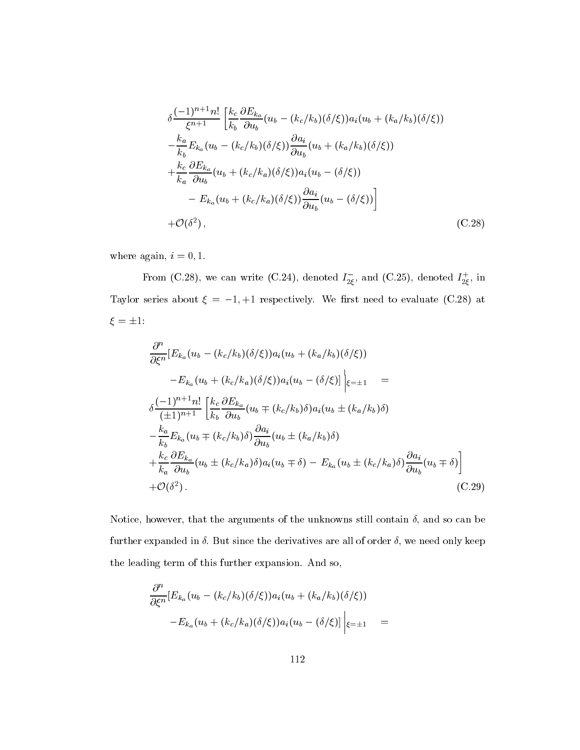$$
\delta \frac{(-1)^{n+1}n!}{\xi^{n+1}} \left[ \frac{k_c}{k_b} \frac{\partial E_{k_a}}{\partial u_b} (u_b - (k_c/k_b)(\delta/\xi)) a_i (u_b + (k_a/k_b)(\delta/\xi)) - \frac{k_a}{k_b} E_{k_a} (u_b - (k_c/k_b)(\delta/\xi)) \frac{\partial a_i}{\partial u_b} (u_b + (k_a/k_b)(\delta/\xi)) + \frac{k_c}{k_a} \frac{\partial E_{k_a}}{\partial u_b} (u_b + (k_c/k_a)(\delta/\xi)) a_i (u_b - (\delta/\xi)) - E_{k_a} (u_b + (k_c/k_a)(\delta/\xi)) \frac{\partial a_i}{\partial u_b} (u_b - (\delta/\xi)) \right]
$$
  
+  $\mathcal{O}(\delta^2)$ , (C.28)

where again,  $i=0,1.$ 

From (C.28), we can write (C.24), denoted  $I_{2\xi}$ , and (C.25), denoted  $I_{2\xi}$ , in Taylor series about  $\xi = -1, +1$  respectively. We first need to evaluate (C.28) at  $\xi = \pm 1:$ 

$$
\frac{\partial^n}{\partial \xi^n} [E_{k_a}(u_b - (k_c/k_b)(\delta/\xi))a_i(u_b + (k_a/k_b)(\delta/\xi))
$$
\n
$$
-E_{k_a}(u_b + (k_c/k_a)(\delta/\xi))a_i(u_b - (\delta/\xi)]\Big|_{\xi=\pm 1} =
$$
\n
$$
\delta \frac{(-1)^{n+1}n!}{(\pm 1)^{n+1}} \Big[ \frac{k_c}{k_b} \frac{\partial E_{k_a}}{\partial u_b}(u_b \mp (k_c/k_b)\delta)a_i(u_b \pm (k_a/k_b)\delta)
$$
\n
$$
- \frac{k_a}{k_b} E_{k_a}(u_b \mp (k_c/k_b)\delta) \frac{\partial a_i}{\partial u_b}(u_b \pm (k_a/k_b)\delta)
$$
\n
$$
+ \frac{k_c}{k_a} \frac{\partial E_{k_a}}{\partial u_b}(u_b \pm (k_c/k_a)\delta)a_i(u_b \mp \delta) - E_{k_a}(u_b \pm (k_c/k_a)\delta) \frac{\partial a_i}{\partial u_b}(u_b \mp \delta)
$$
\n
$$
+ \mathcal{O}(\delta^2).
$$
\n(C.29)

Notice, however, that the arguments of the unknowns still contain  $\delta$ , and so can be further expanded in  $\delta$ . But since the derivatives are all of order  $\delta$ , we need only keep the leading term of this further expansion. And so,

$$
\frac{\partial^n}{\partial \xi^n} [E_{k_a}(u_b - (k_c/k_b)(\delta/\xi))a_i(u_b + (k_a/k_b)(\delta/\xi))
$$
  

$$
-E_{k_a}(u_b + (k_c/k_a)(\delta/\xi))a_i(u_b - (\delta/\xi)]\Big|_{\xi=\pm 1} =
$$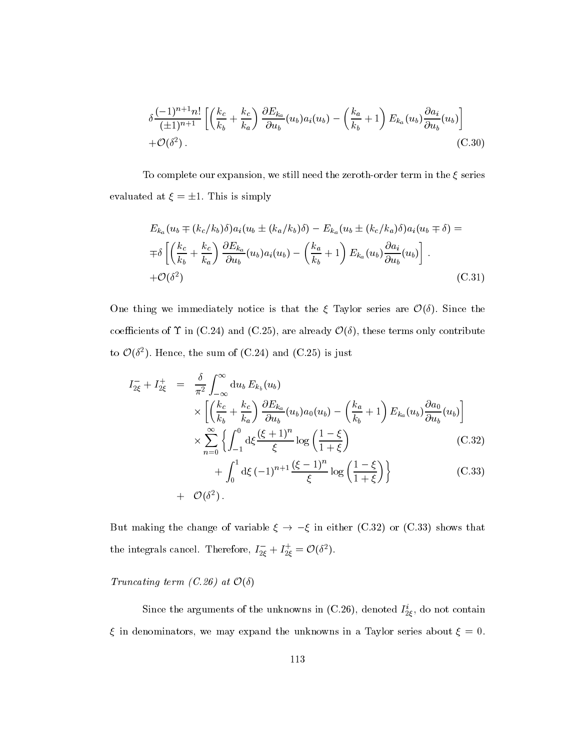$$
\delta \frac{(-1)^{n+1}n!}{(\pm 1)^{n+1}} \left[ \left( \frac{k_c}{k_b} + \frac{k_c}{k_a} \right) \frac{\partial E_{k_a}}{\partial u_b} (u_b) a_i(u_b) - \left( \frac{k_a}{k_b} + 1 \right) E_{k_a}(u_b) \frac{\partial a_i}{\partial u_b} (u_b) \right] + \mathcal{O}(\delta^2). \tag{C.30}
$$

To complete our expansion, we still need the zeroth-order term in the  $\xi$  series evaluated at  $\xi = \pm 1$ . This is simply

$$
E_{k_a}(u_b \mp (k_c/k_b)\delta)a_i(u_b \pm (k_a/k_b)\delta) - E_{k_a}(u_b \pm (k_c/k_a)\delta)a_i(u_b \mp \delta) =
$$
  

$$
\mp \delta \left[ \left( \frac{k_c}{k_b} + \frac{k_c}{k_a} \right) \frac{\partial E_{k_a}}{\partial u_b}(u_b) a_i(u_b) - \left( \frac{k_a}{k_b} + 1 \right) E_{k_a}(u_b) \frac{\partial a_i}{\partial u_b}(u_b) \right].
$$
  

$$
+ \mathcal{O}(\delta^2) \tag{C.31}
$$

One thing we immediately notice is that the  $\xi$  Taylor series are  $\mathcal{O}(\delta)$ . Since the coefficients of  $\Upsilon$  in (C.24) and (C.25), are already  $\mathcal{O}(\delta)$ , these terms only contribute to  $\mathcal{O}(\delta^2)$ . Hence, the sum of (C.24) and (C.25) is just

$$
I_{2\xi}^{-} + I_{2\xi}^{+} = \frac{\delta}{\pi^{2}} \int_{-\infty}^{\infty} du_{b} E_{k_{b}}(u_{b})
$$
  
\n
$$
\times \left[ \left( \frac{k_{c}}{k_{b}} + \frac{k_{c}}{k_{a}} \right) \frac{\partial E_{k_{a}}}{\partial u_{b}}(u_{b}) a_{0}(u_{b}) - \left( \frac{k_{a}}{k_{b}} + 1 \right) E_{k_{a}}(u_{b}) \frac{\partial a_{0}}{\partial u_{b}}(u_{b}) \right]
$$
  
\n
$$
\times \sum_{n=0}^{\infty} \left\{ \int_{-1}^{0} d\xi \frac{(\xi + 1)^{n}}{\xi} \log \left( \frac{1 - \xi}{1 + \xi} \right) \right\} \qquad (C.32)
$$
  
\n
$$
+ \int_{0}^{1} d\xi (-1)^{n+1} \frac{(\xi - 1)^{n}}{\xi} \log \left( \frac{1 - \xi}{1 + \xi} \right) \right\} \qquad (C.33)
$$
  
\n
$$
+ \mathcal{O}(\delta^{2}).
$$

But making the change of variable  $\xi \to -\xi$  in either (C.32) or (C.33) shows that the integrals cancel. Therefore,  $I_{2\xi}^- + I_{2\xi}^+ = \mathcal{O}(\delta^2)$ .

Truncating term (C.26) at  $\mathcal{O}(\delta)$ 

Since the arguments of the unknowns in (C.20), denoted  $I_{2\xi}$ , do not contain  $\xi$  in denominators, we may expand the unknowns in a Taylor series about  $\xi = 0$ .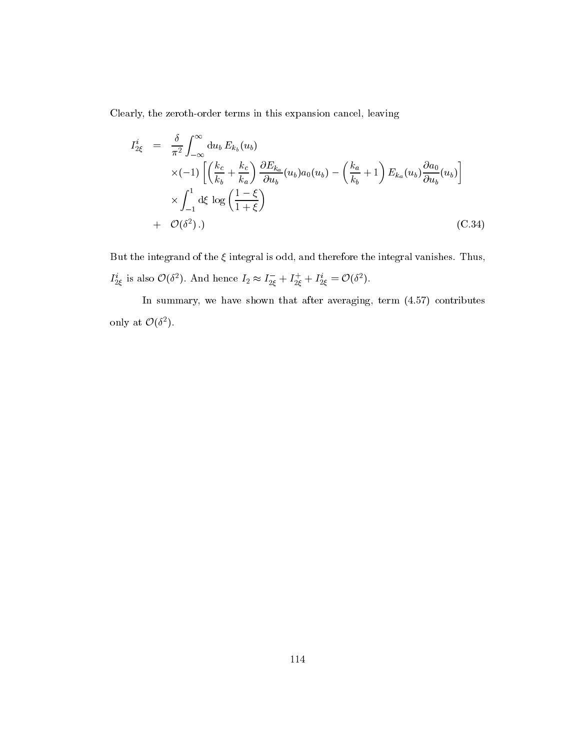Clearly, the zeroth-order terms in this expansion cancel, leaving

$$
I_{2\xi}^{i} = \frac{\delta}{\pi^{2}} \int_{-\infty}^{\infty} du_{b} E_{k_{b}}(u_{b})
$$
  
 
$$
\times (-1) \left[ \left( \frac{k_{c}}{k_{b}} + \frac{k_{c}}{k_{a}} \right) \frac{\partial E_{k_{a}}}{\partial u_{b}}(u_{b}) a_{0}(u_{b}) - \left( \frac{k_{a}}{k_{b}} + 1 \right) E_{k_{a}}(u_{b}) \frac{\partial a_{0}}{\partial u_{b}}(u_{b}) \right]
$$
  
 
$$
\times \int_{-1}^{1} d\xi \log \left( \frac{1 - \xi}{1 + \xi} \right)
$$
  
+  $\mathcal{O}(\delta^{2}).$  (C.34)

But the integrand of the  $\xi$  integral is odd, and therefore the integral vanishes. Thus,  $I_{2\xi}^i$  is also  $\mathcal{O}(\delta^2)$ . And hence  $I_2 \approx I_{2\xi}^- + I_{2\xi}^+ + I_{2\xi}^i = \mathcal{O}(\delta^2)$ .

In summary, we have shown that after averaging, term (4.57) contributes only at  $\mathcal{O}(\delta^2)$ .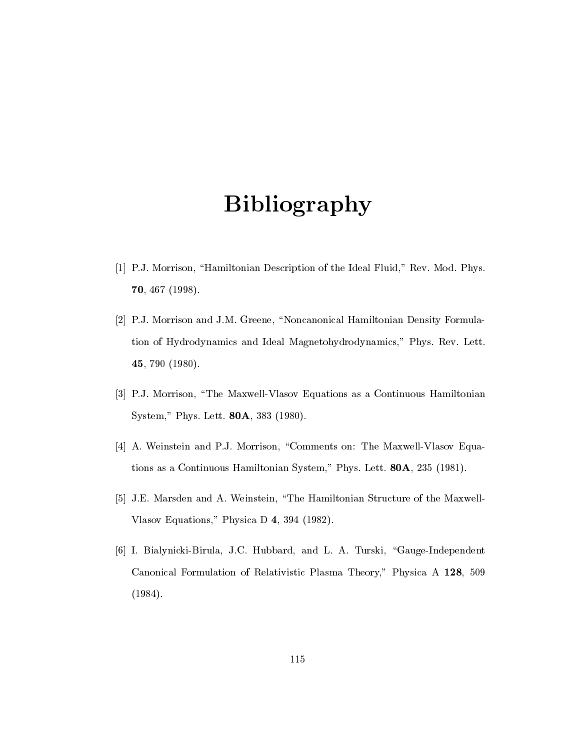## Bibliography

- [1] P.J. Morrison, "Hamiltonian Description of the Ideal Fluid," Rev. Mod. Phys. 70, 467 (1998).
- [2] P.J. Morrison and J.M. Greene, "Noncanonical Hamiltonian Density Formulation of Hydrodynamics and Ideal Magnetohydrodynamics," Phys. Rev. Lett. 45, 790 (1980).
- [3] P.J. Morrison, \The Maxwell-Vlasov Equations as a Continuous Hamiltonian System," Phys. Lett. 80A, 383 (1980).
- [4] A. Weinstein and P.J. Morrison, "Comments on: The Maxwell-Vlasov Equations as a Continuous Hamiltonian System," Phys. Lett. 80A, 235 (1981).
- [5] J.E. Marsden and A. Weinstein, \The Hamiltonian Structure of the Maxwell-Vlasov Equations," Physica D 4, 394 (1982).
- [6] I. Bialynicki-Birula, J.C. Hubbard, and L. A. Turski, "Gauge-Independent Canonical Formulation of Relativistic Plasma Theory," Physica A 128, 509 (1984).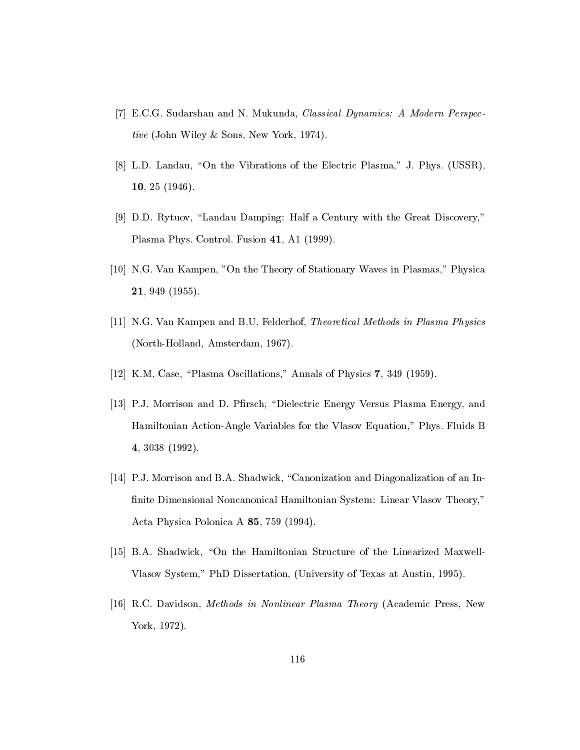- [7] E.C.G. Sudarshan and N. Mukunda, Classical Dynamics: A Modern Perspective (John Wiley & Sons, New York, 1974).
- [8] L.D. Landau, "On the Vibrations of the Electric Plasma," J. Phys. (USSR), 10, 25 (1946).
- [9] D.D. Rytuov, "Landau Damping: Half a Century with the Great Discovery," Plasma Phys. Control. Fusion 41, A1 (1999).
- [10] N.G. Van Kampen, "On the Theory of Stationary Waves in Plasmas," Physica 21, 949 (1955).
- [11] N.G. Van Kampen and B.U. Felderhof, Theoretical Methods in Plasma Physics (North-Holland, Amsterdam, 1967).
- [12] K.M. Case, "Plasma Oscillations," Annals of Physics 7, 349 (1959).
- [13] P.J. Morrison and D. Pfirsch, "Dielectric Energy Versus Plasma Energy, and Hamiltonian Action-Angle Variables for the Vlasov Equation," Phys. Fluids B 4, 3038 (1992).
- [14] P.J. Morrison and B.A. Shadwick, "Canonization and Diagonalization of an Innite Dimensional Noncanonical Hamiltonian System: Linear Vlasov Theory," Acta Physica Polonica A 85, 759 (1994).
- [15] B.A. Shadwick, "On the Hamiltonian Structure of the Linearized Maxwell-Vlasov System," PhD Dissertation, (University of Texas at Austin, 1995).
- [16] R.C. Davidson, Methods in Nonlinear Plasma Theory (Academic Press, New York, 1972).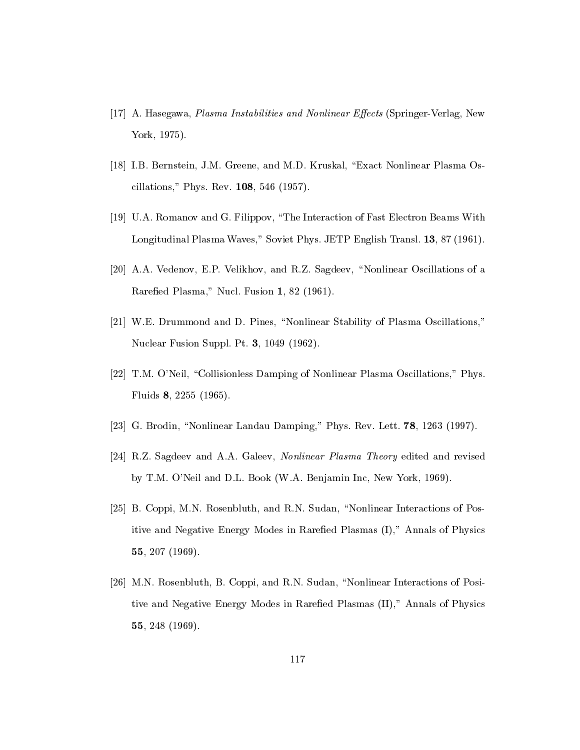- [17] A. Hasegawa, *Plasma Instabilities and Nonlinear Effects* (Springer-Verlag, New York, 1975).
- [18] I.B. Bernstein, J.M. Greene, and M.D. Kruskal, "Exact Nonlinear Plasma Oscillations," Phys. Rev. 108, 546 (1957).
- [19] U.A. Romanov and G. Filippov, \The Interaction of Fast Electron Beams With Longitudinal Plasma Waves," Soviet Phys. JETP English Transl. 13, 87 (1961).
- [20] A.A. Vedenov, E.P. Velikhov, and R.Z. Sagdeev, \Nonlinear Oscillations of a Rarefied Plasma," Nucl. Fusion 1, 82 (1961).
- [21] W.E. Drummond and D. Pines, \Nonlinear Stability of Plasma Oscillations," Nuclear Fusion Suppl. Pt. 3, 1049 (1962).
- [22] T.M. O'Neil, "Collisionless Damping of Nonlinear Plasma Oscillations," Phys. Fluids 8, 2255 (1965).
- [23] G. Brodin, "Nonlinear Landau Damping," Phys. Rev. Lett.  $78$ , 1263 (1997).
- [24] R.Z. Sagdeev and A.A. Galeev, Nonlinear Plasma Theory edited and revised by T.M. O'Neil and D.L. Book (W.A. Benjamin Inc, New York, 1969).
- [25] B. Coppi, M.N. Rosenbluth, and R.N. Sudan, "Nonlinear Interactions of Positive and Negative Energy Modes in Rarefied Plasmas (I)," Annals of Physics 55, 207 (1969).
- [26] M.N. Rosenbluth, B. Coppi, and R.N. Sudan, "Nonlinear Interactions of Positive and Negative Energy Modes in Rarefied Plasmas (II)," Annals of Physics 55, 248 (1969).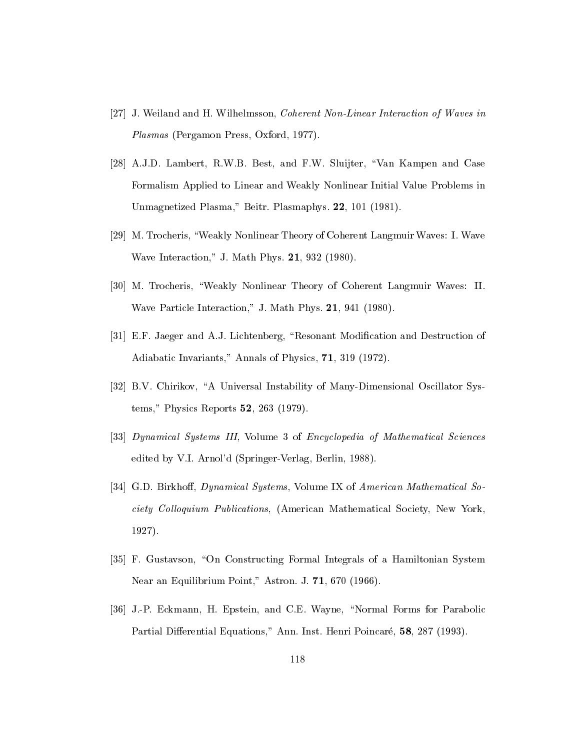- [27] J. Weiland and H. Wilhelmsson, Coherent Non-Linear Interaction of Waves in Plasmas (Pergamon Press, Oxford, 1977).
- [28] A.J.D. Lambert, R.W.B. Best, and F.W. Sluijter, "Van Kampen and Case Formalism Applied to Linear and Weakly Nonlinear Initial Value Problems in Unmagnetized Plasma," Beitr. Plasmaphys. 22, 101 (1981).
- [29] M. Trocheris, \Weakly Nonlinear Theory of Coherent Langmuir Waves: I. Wave Wave Interaction," J. Math Phys. 21, 932 (1980).
- [30] M. Trocheris, \Weakly Nonlinear Theory of Coherent Langmuir Waves: II. Wave Particle Interaction," J. Math Phys. 21, 941 (1980).
- [31] E.F. Jaeger and A.J. Lichtenberg, "Resonant Modification and Destruction of Adiabatic Invariants," Annals of Physics, 71, 319 (1972).
- [32] B.V. Chirikov, "A Universal Instability of Many-Dimensional Oscillator Systems," Physics Reports 52, 263 (1979).
- [33] Dynamical Systems III, Volume 3 of Encyclopedia of Mathematical Sciences edited by V.I. Arnol'd (Springer-Verlag, Berlin, 1988).
- [34] G.D. Birkhoff, *Dynamical Systems*, Volume IX of *American Mathematical So*ciety Colloquium Publications, (American Mathematical Society, New York, 1927).
- [35] F. Gustavson, "On Constructing Formal Integrals of a Hamiltonian System Near an Equilibrium Point," Astron. J. 71, 670 (1966).
- [36] J.-P. Eckmann, H. Epstein, and C.E. Wayne, \Normal Forms for Parabolic Partial Differential Equations," Ann. Inst. Henri Poincaré, 58, 287 (1993).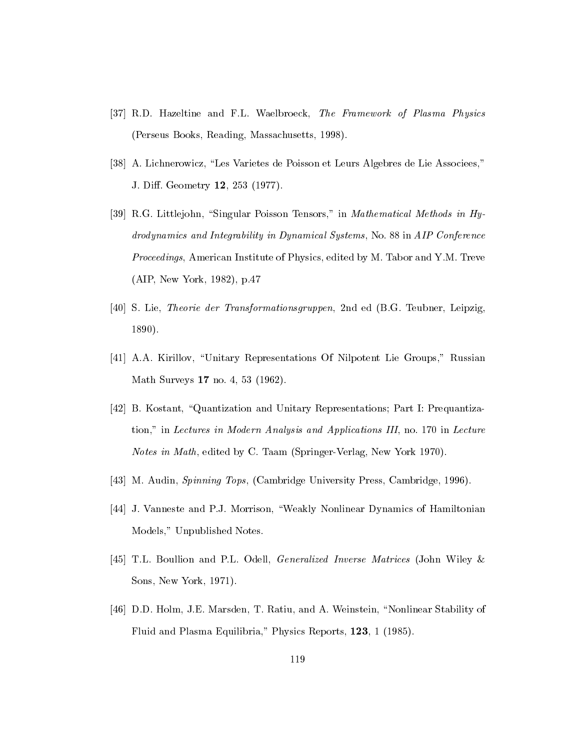- [37] R.D. Hazeltine and F.L. Waelbroeck, The Framework of Plasma Physics (Perseus Books, Reading, Massachusetts, 1998).
- [38] A. Lichnerowicz, "Les Varietes de Poisson et Leurs Algebres de Lie Associees," J. Diff. Geometry 12, 253 (1977).
- [39] R.G. Littlejohn, "Singular Poisson Tensors," in *Mathematical Methods in Hy*drodynamics and Integrability in Dynamical Systems, No. 88 in AIP Conference Proceedings, American Institute of Physics, edited by M. Tabor and Y.M. Treve (AIP, New York, 1982), p.47
- [40] S. Lie, Theorie der Transformationsgruppen, 2nd ed (B.G. Teubner, Leipzig, 1890).
- [41] A.A. Kirillov, \Unitary Representations Of Nilpotent Lie Groups," Russian Math Surveys 17 no. 4, 53 (1962).
- [42] B. Kostant, "Quantization and Unitary Representations; Part I: Prequantization," in Lectures in Modern Analysis and Applications III, no. 170 in Lecture Notes in Math, edited by C. Taam (Springer-Verlag, New York 1970).
- [43] M. Audin, Spinning Tops, (Cambridge University Press, Cambridge, 1996).
- [44] J. Vanneste and P.J. Morrison, \Weakly Nonlinear Dynamics of Hamiltonian Models," Unpublished Notes.
- [45] T.L. Boullion and P.L. Odell, Generalized Inverse Matrices (John Wiley & Sons, New York, 1971).
- [46] D.D. Holm, J.E. Marsden, T. Ratiu, and A. Weinstein, \Nonlinear Stability of Fluid and Plasma Equilibria," Physics Reports, 123, 1 (1985).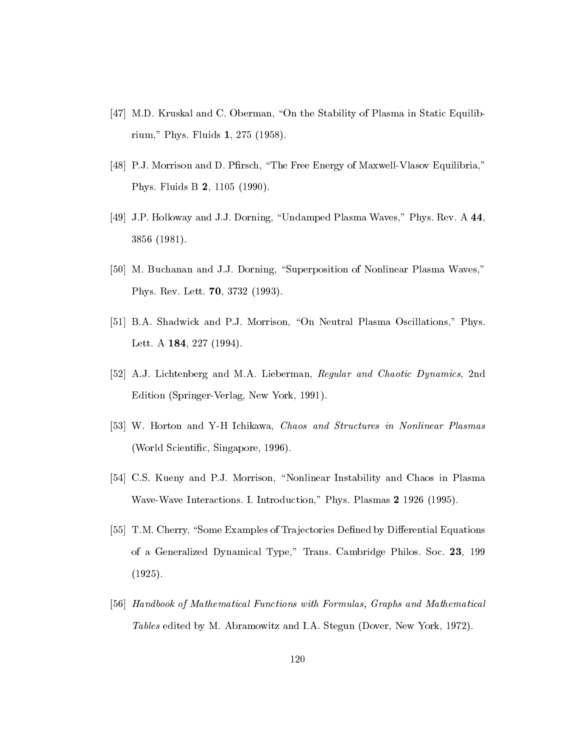- [47] M.D. Kruskal and C. Oberman, "On the Stability of Plasma in Static Equilibrium," Phys. Fluids 1, 275 (1958).
- [48] P.J. Morrison and D. Pfirsch, "The Free Energy of Maxwell-Vlasov Equilibria," Phys. Fluids B 2, 1105 (1990).
- [49] J.P. Holloway and J.J. Dorning, \Undamped Plasma Waves," Phys. Rev. A 44, 3856 (1981).
- [50] M. Buchanan and J.J. Dorning, "Superposition of Nonlinear Plasma Waves," Phys. Rev. Lett. 70, 3732 (1993).
- [51] B.A. Shadwick and P.J. Morrison, "On Neutral Plasma Oscillations," Phys. Lett. A 184, 227 (1994).
- [52] A.J. Lichtenberg and M.A. Lieberman, Regular and Chaotic Dynamics, 2nd Edition (Springer-Verlag, New York, 1991).
- [53] W. Horton and Y-H Ichikawa, Chaos and Structures in Nonlinear Plasmas (World Scientic, Singapore, 1996).
- [54] C.S. Kueny and P.J. Morrison, "Nonlinear Instability and Chaos in Plasma Wave-Wave Interactions. I. Introduction," Phys. Plasmas 2 1926 (1995).
- [55] T.M. Cherry, "Some Examples of Trajectories Defined by Differential Equations of a Generalized Dynamical Type," Trans. Cambridge Philos. Soc. 23, 199 (1925).
- [56] Handbook of Mathematical Functions with Formulas, Graphs and Mathematical Tables edited by M. Abramowitz and I.A. Stegun (Dover, New York, 1972).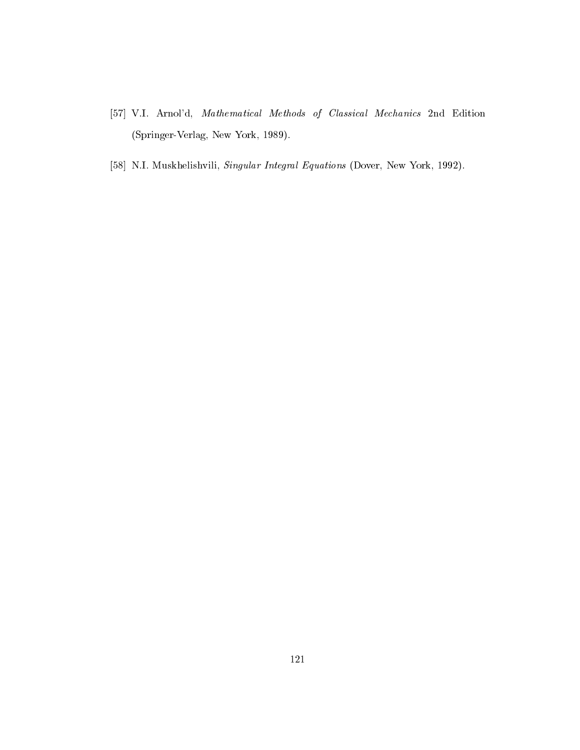- [57] V.I. Arnol'd, Mathematical Methods of Classical Mechanics 2nd Edition (Springer-Verlag, New York, 1989).
- [58] N.I. Muskhelishvili, Singular Integral Equations (Dover, New York, 1992).